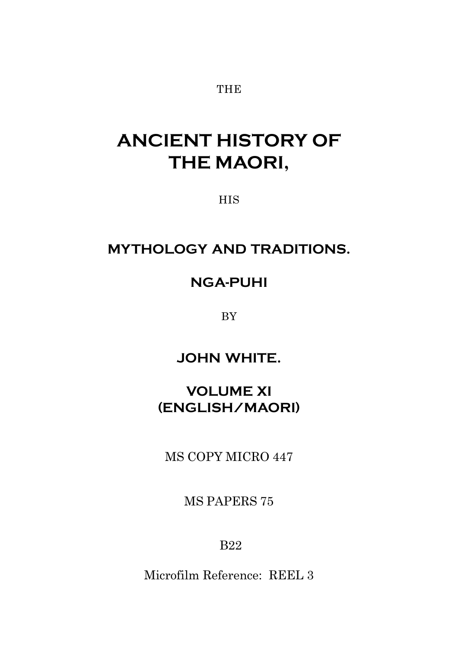#### **THE**

# **ANCIENT HISTORY OF THE MAORI,**

**HIS** 

## **MYTHOLOGY AND TRADITIONS.**

## **NGA-PUHI**

BY

**JOHN WHITE.**

## **VOLUME XI (ENGLISH/MAORI)**

MS COPY MICRO 447

MS PAPERS 75

B22

Microfilm Reference: REEL 3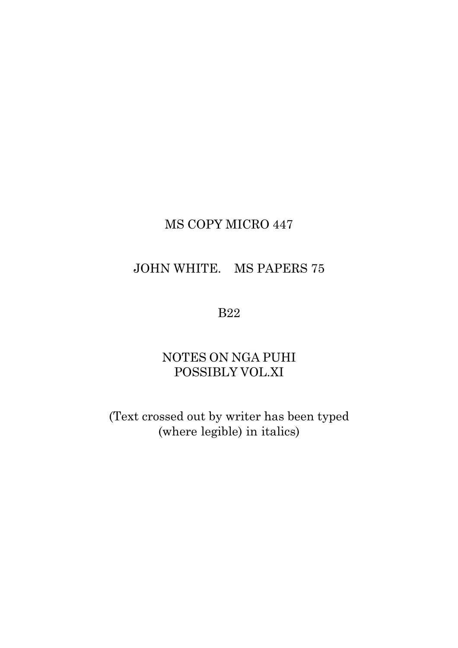## MS COPY MICRO 447

## JOHN WHITE. MS PAPERS 75

#### B22

## NOTES ON NGA PUHI POSSIBLY VOL.XI

(Text crossed out by writer has been typed (where legible) in italics)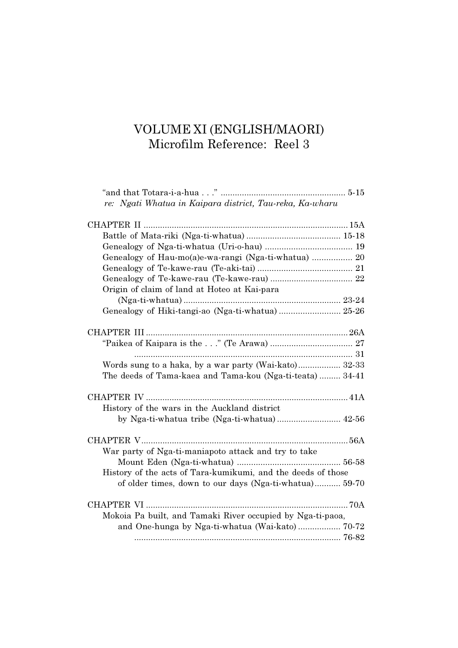# VOLUME XI (ENGLISH/MAORI)<br>Microfilm Reference: Reel 3

| re: Ngati Whatua in Kaipara district, Tau-reka, Ka-wharu     |
|--------------------------------------------------------------|
|                                                              |
|                                                              |
|                                                              |
| Genealogy of Hau-mo(a)e-wa-rangi (Nga-ti-whatua)  20         |
|                                                              |
|                                                              |
| Origin of claim of land at Hoteo at Kai-para                 |
|                                                              |
| Genealogy of Hiki-tangi-ao (Nga-ti-whatua) 25-26             |
|                                                              |
|                                                              |
|                                                              |
| Words sung to a haka, by a war party (Wai-kato) 32-33        |
| The deeds of Tama-kaea and Tama-kou (Nga-ti-teata) 34-41     |
|                                                              |
| History of the wars in the Auckland district                 |
| by Nga-ti-whatua tribe (Nga-ti-whatua) 42-56                 |
|                                                              |
| War party of Nga-ti-maniapoto attack and try to take         |
|                                                              |
| History of the acts of Tara-kumikumi, and the deeds of those |
| of older times, down to our days (Nga-ti-whatua) 59-70       |
|                                                              |
| Mokoia Pa built, and Tamaki River occupied by Nga-ti-paoa,   |
|                                                              |
|                                                              |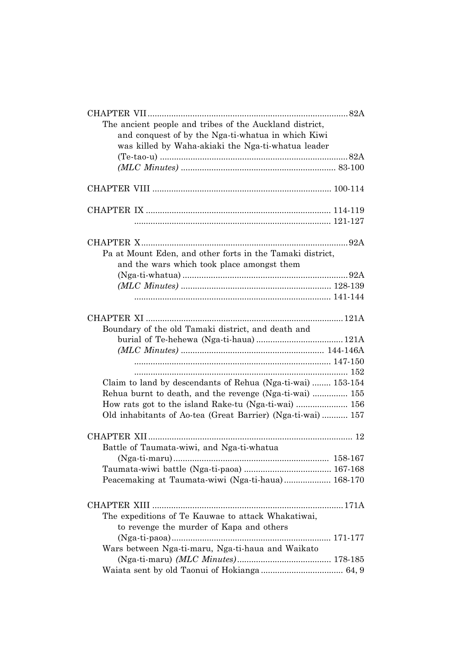| The ancient people and tribes of the Auckland district,     |  |
|-------------------------------------------------------------|--|
| and conquest of by the Nga-ti-whatua in which Kiwi          |  |
| was killed by Waha-akiaki the Nga-ti-whatua leader          |  |
|                                                             |  |
|                                                             |  |
|                                                             |  |
|                                                             |  |
|                                                             |  |
|                                                             |  |
|                                                             |  |
| Pa at Mount Eden, and other forts in the Tamaki district,   |  |
| and the wars which took place amongst them                  |  |
|                                                             |  |
|                                                             |  |
|                                                             |  |
|                                                             |  |
| Boundary of the old Tamaki district, and death and          |  |
|                                                             |  |
|                                                             |  |
|                                                             |  |
|                                                             |  |
| Claim to land by descendants of Rehua (Nga-ti-wai)  153-154 |  |
| Rehua burnt to death, and the revenge (Nga-ti-wai)  155     |  |
|                                                             |  |
| Old inhabitants of Ao-tea (Great Barrier) (Nga-ti-wai) 157  |  |
|                                                             |  |
| Battle of Taumata-wiwi, and Nga-ti-whatua                   |  |
|                                                             |  |
|                                                             |  |
| Peacemaking at Taumata-wiwi (Nga-ti-haua) 168-170           |  |
|                                                             |  |
|                                                             |  |
| The expeditions of Te Kauwae to attack Whakatiwai,          |  |
| to revenge the murder of Kapa and others                    |  |
|                                                             |  |
| Wars between Nga-ti-maru, Nga-ti-haua and Waikato           |  |
|                                                             |  |
|                                                             |  |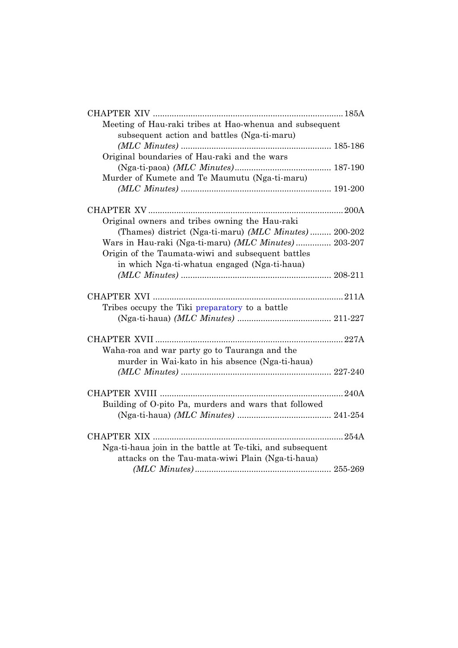| Meeting of Hau-raki tribes at Hao-whenua and subsequent   |  |
|-----------------------------------------------------------|--|
| subsequent action and battles (Nga-ti-maru)               |  |
|                                                           |  |
| Original boundaries of Hau-raki and the wars              |  |
|                                                           |  |
| Murder of Kumete and Te Maumutu (Nga-ti-maru)             |  |
|                                                           |  |
|                                                           |  |
| Original owners and tribes owning the Hau-raki            |  |
| (Thames) district (Nga-ti-maru) (MLC Minutes) 200-202     |  |
| Wars in Hau-raki (Nga-ti-maru) (MLC Minutes) 203-207      |  |
| Origin of the Taumata-wiwi and subsequent battles         |  |
| in which Nga-ti-whatua engaged (Nga-ti-haua)              |  |
|                                                           |  |
|                                                           |  |
|                                                           |  |
| Tribes occupy the Tiki preparatory to a battle            |  |
|                                                           |  |
|                                                           |  |
| Waha-roa and war party go to Tauranga and the             |  |
| murder in Wai-kato in his absence (Nga-ti-haua)           |  |
|                                                           |  |
|                                                           |  |
|                                                           |  |
| Building of O-pito Pa, murders and wars that followed     |  |
|                                                           |  |
|                                                           |  |
| Nga-ti-haua join in the battle at Te-tiki, and subsequent |  |
| attacks on the Tau-mata-wiwi Plain (Nga-ti-haua)          |  |
|                                                           |  |
|                                                           |  |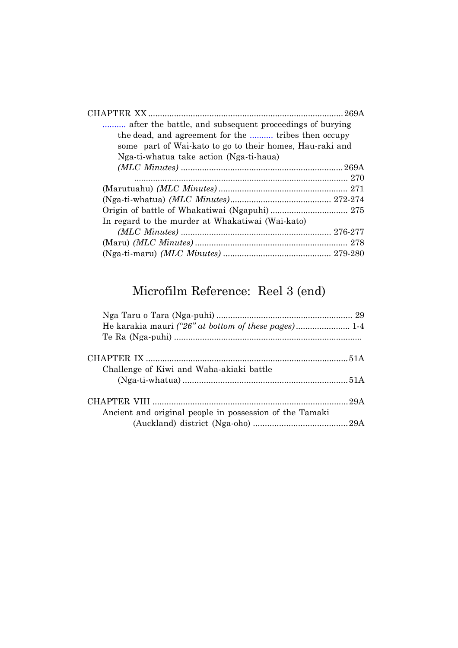| after the battle, and subsequent proceedings of burying  |  |
|----------------------------------------------------------|--|
| the dead, and agreement for the  tribes then occupy      |  |
| some part of Wai-kato to go to their homes, Hau-raki and |  |
| Nga-ti-whatua take action (Nga-ti-haua)                  |  |
|                                                          |  |
|                                                          |  |
|                                                          |  |
|                                                          |  |
|                                                          |  |
| In regard to the murder at Whakatiwai (Wai-kato)         |  |
|                                                          |  |
|                                                          |  |
|                                                          |  |

## Microfilm Reference: Reel 3 (end)

| Challenge of Kiwi and Waha-akiaki battle                |  |
|---------------------------------------------------------|--|
|                                                         |  |
|                                                         |  |
| Ancient and original people in possession of the Tamaki |  |
|                                                         |  |
|                                                         |  |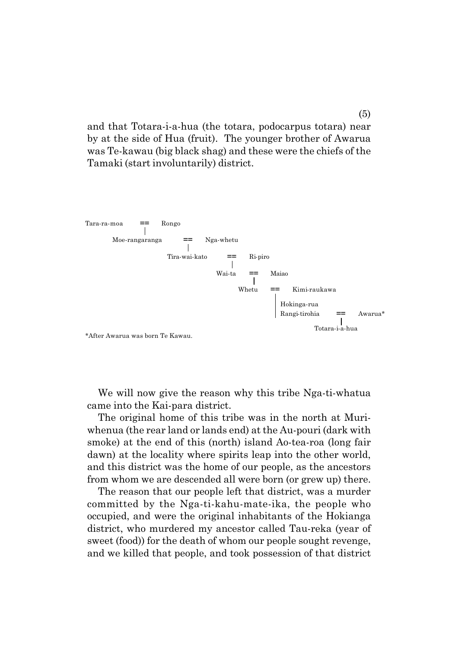<span id="page-6-0"></span>and that Totara-i-a-hua (the totara, podocarpus totara) near by at the side of Hua (fruit). The younger brother of Awarua was Te-kawau (big black shag) and these were the chiefs of the Tamaki (start involuntarily) district.



We will now give the reason why this tribe Nga-ti-whatua came into the Kai-para district.

The original home of this tribe was in the north at Muriwhenua (the rear land or lands end) at the Au-pouri (dark with smoke) at the end of this (north) island Ao-tea-roa (long fair dawn) at the locality where spirits leap into the other world, and this district was the home of our people, as the ancestors from whom we are descended all were born (or grew up) there.

The reason that our people left that district, was a murder committed by the Nga-ti-kahu-mate-ika, the people who occupied, and were the original inhabitants of the Hokianga district, who murdered my ancestor called Tau-reka (year of sweet (food)) for the death of whom our people sought revenge, and we killed that people, and took possession of that district

(5)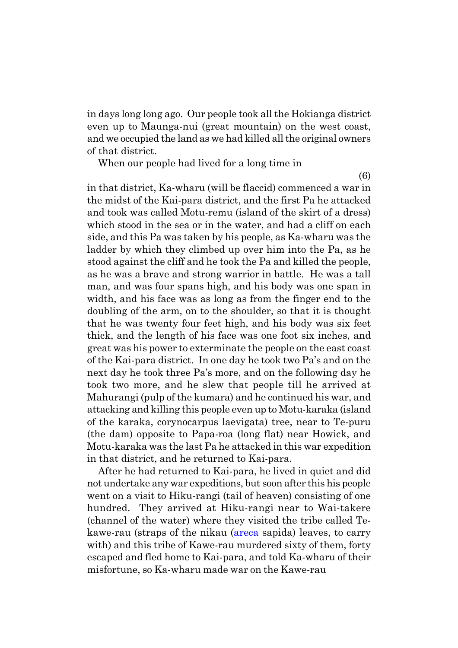in days long long ago. Our people took all the Hokianga district even up to Maunga-nui (great mountain) on the west coast, and we occupied the land as we had killed all the original owners of that district.

When our people had lived for a long time in

(6)

in that district, Ka-wharu (will be flaccid) commenced a war in the midst of the Kai-para district, and the first Pa he attacked and took was called Motu-remu (island of the skirt of a dress) which stood in the sea or in the water, and had a cliff on each side, and this Pa was taken by his people, as Ka-wharu was the ladder by which they climbed up over him into the Pa, as he stood against the cliff and he took the Pa and killed the people, as he was a brave and strong warrior in battle. He was a tall man, and was four spans high, and his body was one span in width, and his face was as long as from the finger end to the doubling of the arm, on to the shoulder, so that it is thought that he was twenty four feet high, and his body was six feet thick, and the length of his face was one foot six inches, and great was his power to exterminate the people on the east coast of the Kai-para district. In one day he took two País and on the next day he took three Pa's more, and on the following day he took two more, and he slew that people till he arrived at Mahurangi (pulp of the kumara) and he continued his war, and attacking and killing this people even up to Motu-karaka (island of the karaka, corynocarpus laevigata) tree, near to Te-puru (the dam) opposite to Papa-roa (long flat) near Howick, and Motu-karaka was the last Pa he attacked in this war expedition in that district, and he returned to Kai-para.

After he had returned to Kai-para, he lived in quiet and did not undertake any war expeditions, but soon after this his people went on a visit to Hiku-rangi (tail of heaven) consisting of one hundred. They arrived at Hiku-rangi near to Wai-takere (channel of the water) where they visited the tribe called Tekawe-rau (straps of the nikau (areca sapida) leaves, to carry with) and this tribe of Kawe-rau murdered sixty of them, forty escaped and fled home to Kai-para, and told Ka-wharu of their misfortune, so Ka-wharu made war on the Kawe-rau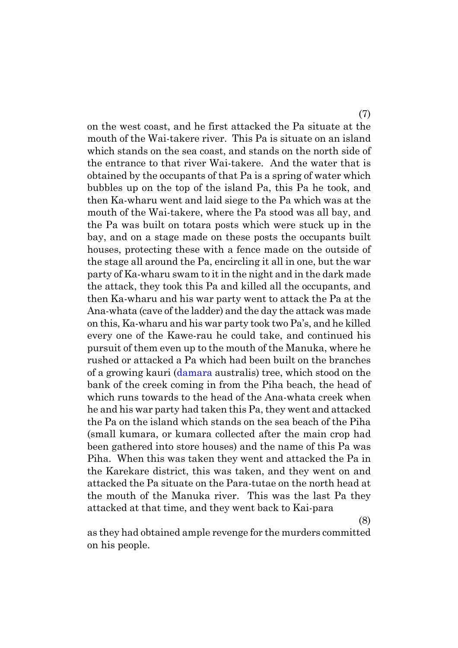on the west coast, and he first attacked the Pa situate at the mouth of the Wai-takere river. This Pa is situate on an island which stands on the sea coast, and stands on the north side of the entrance to that river Wai-takere. And the water that is obtained by the occupants of that Pa is a spring of water which bubbles up on the top of the island Pa, this Pa he took, and then Ka-wharu went and laid siege to the Pa which was at the mouth of the Wai-takere, where the Pa stood was all bay, and the Pa was built on totara posts which were stuck up in the bay, and on a stage made on these posts the occupants built houses, protecting these with a fence made on the outside of the stage all around the Pa, encircling it all in one, but the war party of Ka-wharu swam to it in the night and in the dark made the attack, they took this Pa and killed all the occupants, and then Ka-wharu and his war party went to attack the Pa at the Ana-whata (cave of the ladder) and the day the attack was made on this, Ka-wharu and his war party took two País, and he killed every one of the Kawe-rau he could take, and continued his pursuit of them even up to the mouth of the Manuka, where he rushed or attacked a Pa which had been built on the branches of a growing kauri (damara australis) tree, which stood on the bank of the creek coming in from the Piha beach, the head of which runs towards to the head of the Ana-whata creek when he and his war party had taken this Pa, they went and attacked the Pa on the island which stands on the sea beach of the Piha (small kumara, or kumara collected after the main crop had been gathered into store houses) and the name of this Pa was Piha. When this was taken they went and attacked the Pa in the Karekare district, this was taken, and they went on and attacked the Pa situate on the Para-tutae on the north head at the mouth of the Manuka river. This was the last Pa they attacked at that time, and they went back to Kai-para

(8)

as they had obtained ample revenge for the murders committed on his people.

(7)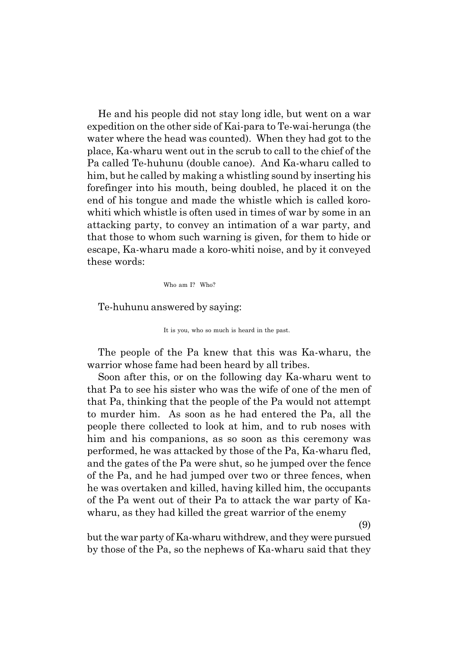He and his people did not stay long idle, but went on a war expedition on the other side of Kai-para to Te-wai-herunga (the water where the head was counted). When they had got to the place, Ka-wharu went out in the scrub to call to the chief of the Pa called Te-huhunu (double canoe). And Ka-wharu called to him, but he called by making a whistling sound by inserting his forefinger into his mouth, being doubled, he placed it on the end of his tongue and made the whistle which is called korowhiti which whistle is often used in times of war by some in an attacking party, to convey an intimation of a war party, and that those to whom such warning is given, for them to hide or escape, Ka-wharu made a koro-whiti noise, and by it conveyed these words:

Who am I? Who?

Te-huhunu answered by saying:

It is you, who so much is heard in the past.

The people of the Pa knew that this was Ka-wharu, the warrior whose fame had been heard by all tribes.

Soon after this, or on the following day Ka-wharu went to that Pa to see his sister who was the wife of one of the men of that Pa, thinking that the people of the Pa would not attempt to murder him. As soon as he had entered the Pa, all the people there collected to look at him, and to rub noses with him and his companions, as so soon as this ceremony was performed, he was attacked by those of the Pa, Ka-wharu fled, and the gates of the Pa were shut, so he jumped over the fence of the Pa, and he had jumped over two or three fences, when he was overtaken and killed, having killed him, the occupants of the Pa went out of their Pa to attack the war party of Kawharu, as they had killed the great warrior of the enemy

(9)

but the war party of Ka-wharu withdrew, and they were pursued by those of the Pa, so the nephews of Ka-wharu said that they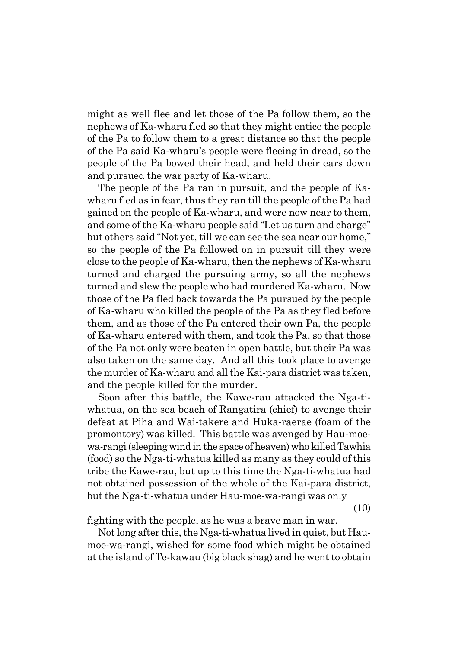might as well flee and let those of the Pa follow them, so the nephews of Ka-wharu fled so that they might entice the people of the Pa to follow them to a great distance so that the people of the Pa said Ka-wharuís people were fleeing in dread, so the people of the Pa bowed their head, and held their ears down and pursued the war party of Ka-wharu.

The people of the Pa ran in pursuit, and the people of Kawharu fled as in fear, thus they ran till the people of the Pa had gained on the people of Ka-wharu, and were now near to them, and some of the Ka-wharu people said "Let us turn and charge" but others said "Not yet, till we can see the sea near our home," so the people of the Pa followed on in pursuit till they were close to the people of Ka-wharu, then the nephews of Ka-wharu turned and charged the pursuing army, so all the nephews turned and slew the people who had murdered Ka-wharu. Now those of the Pa fled back towards the Pa pursued by the people of Ka-wharu who killed the people of the Pa as they fled before them, and as those of the Pa entered their own Pa, the people of Ka-wharu entered with them, and took the Pa, so that those of the Pa not only were beaten in open battle, but their Pa was also taken on the same day. And all this took place to avenge the murder of Ka-wharu and all the Kai-para district was taken, and the people killed for the murder.

Soon after this battle, the Kawe-rau attacked the Nga-tiwhatua, on the sea beach of Rangatira (chief) to avenge their defeat at Piha and Wai-takere and Huka-raerae (foam of the promontory) was killed. This battle was avenged by Hau-moewa-rangi (sleeping wind in the space of heaven) who killed Tawhia (food) so the Nga-ti-whatua killed as many as they could of this tribe the Kawe-rau, but up to this time the Nga-ti-whatua had not obtained possession of the whole of the Kai-para district, but the Nga-ti-whatua under Hau-moe-wa-rangi was only

(10)

fighting with the people, as he was a brave man in war.

Not long after this, the Nga-ti-whatua lived in quiet, but Haumoe-wa-rangi, wished for some food which might be obtained at the island of Te-kawau (big black shag) and he went to obtain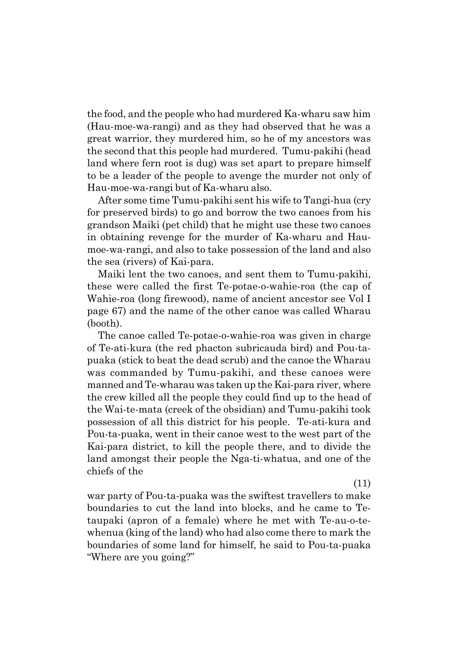the food, and the people who had murdered Ka-wharu saw him (Hau-moe-wa-rangi) and as they had observed that he was a great warrior, they murdered him, so he of my ancestors was the second that this people had murdered. Tumu-pakihi (head land where fern root is dug) was set apart to prepare himself to be a leader of the people to avenge the murder not only of Hau-moe-wa-rangi but of Ka-wharu also.

After some time Tumu-pakihi sent his wife to Tangi-hua (cry for preserved birds) to go and borrow the two canoes from his grandson Maiki (pet child) that he might use these two canoes in obtaining revenge for the murder of Ka-wharu and Haumoe-wa-rangi, and also to take possession of the land and also the sea (rivers) of Kai-para.

Maiki lent the two canoes, and sent them to Tumu-pakihi, these were called the first Te-potae-o-wahie-roa (the cap of Wahie-roa (long firewood), name of ancient ancestor see Vol I page 67) and the name of the other canoe was called Wharau (booth).

The canoe called Te-potae-o-wahie-roa was given in charge of Te-ati-kura (the red phacton subricauda bird) and Pou-tapuaka (stick to beat the dead scrub) and the canoe the Wharau was commanded by Tumu-pakihi, and these canoes were manned and Te-wharau was taken up the Kai-para river, where the crew killed all the people they could find up to the head of the Wai-te-mata (creek of the obsidian) and Tumu-pakihi took possession of all this district for his people. Te-ati-kura and Pou-ta-puaka, went in their canoe west to the west part of the Kai-para district, to kill the people there, and to divide the land amongst their people the Nga-ti-whatua, and one of the chiefs of the

(11)

war party of Pou-ta-puaka was the swiftest travellers to make boundaries to cut the land into blocks, and he came to Tetaupaki (apron of a female) where he met with Te-au-o-tewhenua (king of the land) who had also come there to mark the boundaries of some land for himself, he said to Pou-ta-puaka "Where are you going?"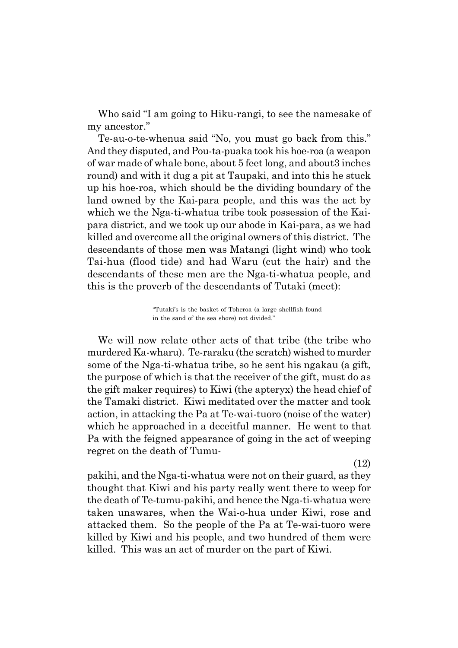Who said "I am going to Hiku-rangi, to see the namesake of my ancestor."

Te-au-o-te-whenua said "No, you must go back from this." And they disputed, and Pou-ta-puaka took his hoe-roa (a weapon of war made of whale bone, about 5 feet long, and about3 inches round) and with it dug a pit at Taupaki, and into this he stuck up his hoe-roa, which should be the dividing boundary of the land owned by the Kai-para people, and this was the act by which we the Nga-ti-whatua tribe took possession of the Kaipara district, and we took up our abode in Kai-para, as we had killed and overcome all the original owners of this district. The descendants of those men was Matangi (light wind) who took Tai-hua (flood tide) and had Waru (cut the hair) and the descendants of these men are the Nga-ti-whatua people, and this is the proverb of the descendants of Tutaki (meet):

> ìTutakiís is the basket of Toheroa (a large shellfish found in the sand of the sea shore) not divided."

We will now relate other acts of that tribe (the tribe who murdered Ka-wharu). Te-raraku (the scratch) wished to murder some of the Nga-ti-whatua tribe, so he sent his ngakau (a gift, the purpose of which is that the receiver of the gift, must do as the gift maker requires) to Kiwi (the apteryx) the head chief of the Tamaki district. Kiwi meditated over the matter and took action, in attacking the Pa at Te-wai-tuoro (noise of the water) which he approached in a deceitful manner. He went to that Pa with the feigned appearance of going in the act of weeping regret on the death of Tumu-

(12) pakihi, and the Nga-ti-whatua were not on their guard, as they thought that Kiwi and his party really went there to weep for the death of Te-tumu-pakihi, and hence the Nga-ti-whatua were taken unawares, when the Wai-o-hua under Kiwi, rose and attacked them. So the people of the Pa at Te-wai-tuoro were killed by Kiwi and his people, and two hundred of them were killed. This was an act of murder on the part of Kiwi.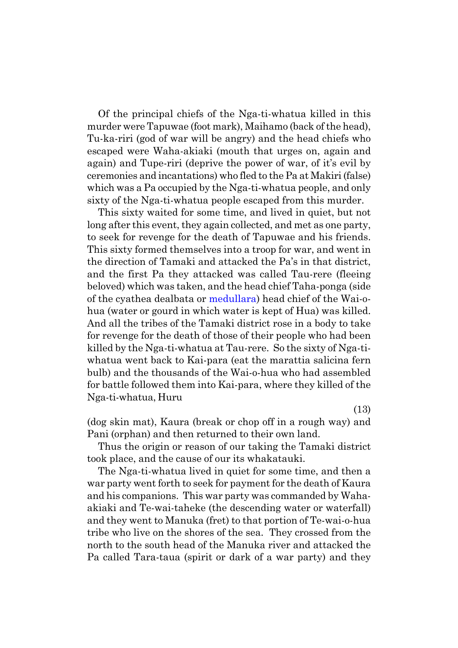Of the principal chiefs of the Nga-ti-whatua killed in this murder were Tapuwae (foot mark), Maihamo (back of the head), Tu-ka-riri (god of war will be angry) and the head chiefs who escaped were Waha-akiaki (mouth that urges on, again and again) and Tupe-riri (deprive the power of war, of it's evil by ceremonies and incantations) who fled to the Pa at Makiri (false) which was a Pa occupied by the Nga-ti-whatua people, and only sixty of the Nga-ti-whatua people escaped from this murder.

This sixty waited for some time, and lived in quiet, but not long after this event, they again collected, and met as one party, to seek for revenge for the death of Tapuwae and his friends. This sixty formed themselves into a troop for war, and went in the direction of Tamaki and attacked the País in that district, and the first Pa they attacked was called Tau-rere (fleeing beloved) which was taken, and the head chief Taha-ponga (side of the cyathea dealbata or medullara) head chief of the Wai-ohua (water or gourd in which water is kept of Hua) was killed. And all the tribes of the Tamaki district rose in a body to take for revenge for the death of those of their people who had been killed by the Nga-ti-whatua at Tau-rere. So the sixty of Nga-tiwhatua went back to Kai-para (eat the marattia salicina fern bulb) and the thousands of the Wai-o-hua who had assembled for battle followed them into Kai-para, where they killed of the Nga-ti-whatua, Huru

(13)

(dog skin mat), Kaura (break or chop off in a rough way) and Pani (orphan) and then returned to their own land.

Thus the origin or reason of our taking the Tamaki district took place, and the cause of our its whakatauki.

The Nga-ti-whatua lived in quiet for some time, and then a war party went forth to seek for payment for the death of Kaura and his companions. This war party was commanded by Wahaakiaki and Te-wai-taheke (the descending water or waterfall) and they went to Manuka (fret) to that portion of Te-wai-o-hua tribe who live on the shores of the sea. They crossed from the north to the south head of the Manuka river and attacked the Pa called Tara-taua (spirit or dark of a war party) and they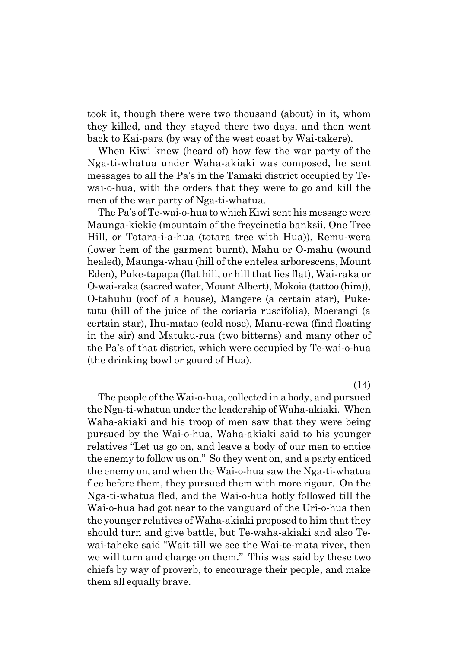took it, though there were two thousand (about) in it, whom they killed, and they stayed there two days, and then went back to Kai-para (by way of the west coast by Wai-takere).

When Kiwi knew (heard of) how few the war party of the Nga-ti-whatua under Waha-akiaki was composed, he sent messages to all the País in the Tamaki district occupied by Tewai-o-hua, with the orders that they were to go and kill the men of the war party of Nga-ti-whatua.

The País of Te-wai-o-hua to which Kiwi sent his message were Maunga-kiekie (mountain of the freycinetia banksii, One Tree Hill, or Totara-i-a-hua (totara tree with Hua)), Remu-wera (lower hem of the garment burnt), Mahu or O-mahu (wound healed), Maunga-whau (hill of the entelea arborescens, Mount Eden), Puke-tapapa (flat hill, or hill that lies flat), Wai-raka or O-wai-raka (sacred water, Mount Albert), Mokoia (tattoo (him)), O-tahuhu (roof of a house), Mangere (a certain star), Puketutu (hill of the juice of the coriaria ruscifolia), Moerangi (a certain star), Ihu-matao (cold nose), Manu-rewa (find floating in the air) and Matuku-rua (two bitterns) and many other of the País of that district, which were occupied by Te-wai-o-hua (the drinking bowl or gourd of Hua).

(14)

The people of the Wai-o-hua, collected in a body, and pursued the Nga-ti-whatua under the leadership of Waha-akiaki. When Waha-akiaki and his troop of men saw that they were being pursued by the Wai-o-hua, Waha-akiaki said to his younger relatives "Let us go on, and leave a body of our men to entice the enemy to follow us on." So they went on, and a party enticed the enemy on, and when the Wai-o-hua saw the Nga-ti-whatua flee before them, they pursued them with more rigour. On the Nga-ti-whatua fled, and the Wai-o-hua hotly followed till the Wai-o-hua had got near to the vanguard of the Uri-o-hua then the younger relatives of Waha-akiaki proposed to him that they should turn and give battle, but Te-waha-akiaki and also Tewai-taheke said "Wait till we see the Wai-te-mata river, then we will turn and charge on them." This was said by these two chiefs by way of proverb, to encourage their people, and make them all equally brave.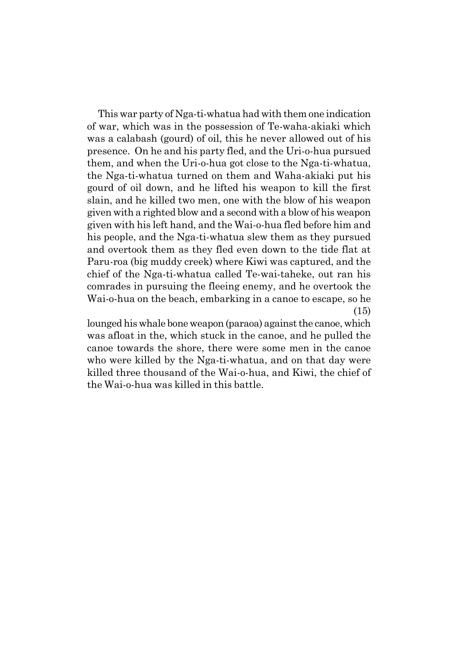This war party of Nga-ti-whatua had with them one indication of war, which was in the possession of Te-waha-akiaki which was a calabash (gourd) of oil, this he never allowed out of his presence. On he and his party fled, and the Uri-o-hua pursued them, and when the Uri-o-hua got close to the Nga-ti-whatua, the Nga-ti-whatua turned on them and Waha-akiaki put his gourd of oil down, and he lifted his weapon to kill the first slain, and he killed two men, one with the blow of his weapon given with a righted blow and a second with a blow of his weapon given with his left hand, and the Wai-o-hua fled before him and his people, and the Nga-ti-whatua slew them as they pursued and overtook them as they fled even down to the tide flat at Paru-roa (big muddy creek) where Kiwi was captured, and the chief of the Nga-ti-whatua called Te-wai-taheke, out ran his comrades in pursuing the fleeing enemy, and he overtook the Wai-o-hua on the beach, embarking in a canoe to escape, so he (15)

lounged his whale bone weapon (paraoa) against the canoe, which was afloat in the, which stuck in the canoe, and he pulled the canoe towards the shore, there were some men in the canoe who were killed by the Nga-ti-whatua, and on that day were killed three thousand of the Wai-o-hua, and Kiwi, the chief of the Wai-o-hua was killed in this battle.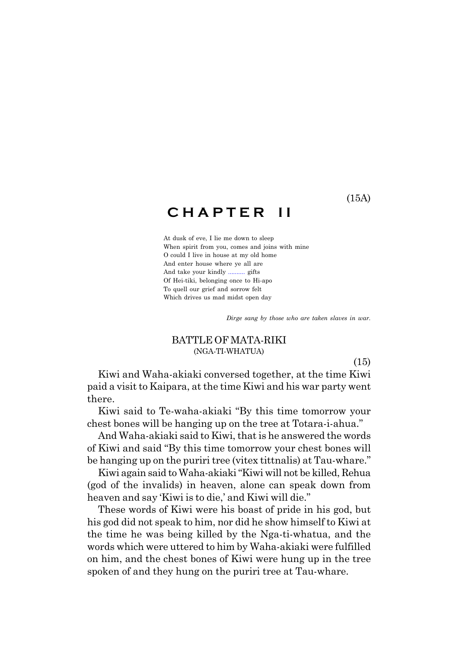### <span id="page-16-0"></span>**C H A P T E R I I**

At dusk of eve, I lie me down to sleep When spirit from you, comes and joins with mine O could I live in house at my old home And enter house where ye all are And take your kindly .......... gifts Of Hei-tiki, belonging once to Hi-apo To quell our grief and sorrow felt Which drives us mad midst open day

*Dirge sang by those who are taken slaves in war.*

#### BATTLE OF MATA-RIKI (NGA-TI-WHATUA)

(15)

Kiwi and Waha-akiaki conversed together, at the time Kiwi paid a visit to Kaipara, at the time Kiwi and his war party went there.

Kiwi said to Te-waha-akiaki "By this time tomorrow your chest bones will be hanging up on the tree at Totara-i-ahua.

And Waha-akiaki said to Kiwi, that is he answered the words of Kiwi and said "By this time tomorrow your chest bones will be hanging up on the puriri tree (vitex tittnalis) at Tau-whare.<sup>"</sup>

Kiwi again said to Waha-akiaki "Kiwi will not be killed, Rehua (god of the invalids) in heaven, alone can speak down from heaven and say 'Kiwi is to die,' and Kiwi will die."

These words of Kiwi were his boast of pride in his god, but his god did not speak to him, nor did he show himself to Kiwi at the time he was being killed by the Nga-ti-whatua, and the words which were uttered to him by Waha-akiaki were fulfilled on him, and the chest bones of Kiwi were hung up in the tree spoken of and they hung on the puriri tree at Tau-whare.

(15A)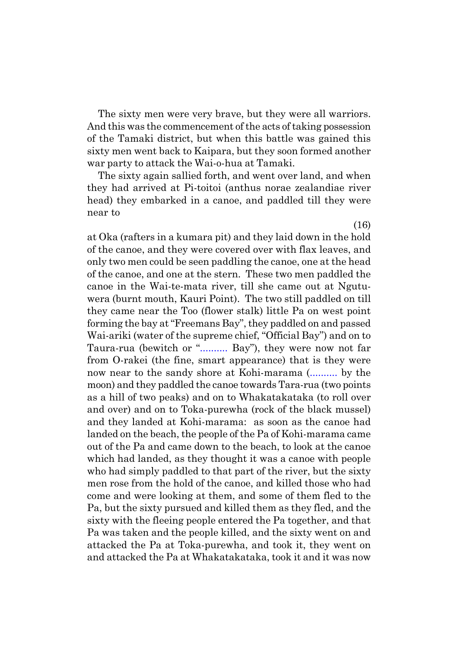The sixty men were very brave, but they were all warriors. And this was the commencement of the acts of taking possession of the Tamaki district, but when this battle was gained this sixty men went back to Kaipara, but they soon formed another war party to attack the Wai-o-hua at Tamaki.

The sixty again sallied forth, and went over land, and when they had arrived at Pi-toitoi (anthus norae zealandiae river head) they embarked in a canoe, and paddled till they were near to

at Oka (rafters in a kumara pit) and they laid down in the hold of the canoe, and they were covered over with flax leaves, and only two men could be seen paddling the canoe, one at the head of the canoe, and one at the stern. These two men paddled the canoe in the Wai-te-mata river, till she came out at Ngutuwera (burnt mouth, Kauri Point). The two still paddled on till they came near the Too (flower stalk) little Pa on west point forming the bay at "Freemans Bay", they paddled on and passed Wai-ariki (water of the supreme chief, "Official Bay") and on to Taura-rua (bewitch or "........... Bay"), they were now not far from O-rakei (the fine, smart appearance) that is they were now near to the sandy shore at Kohi-marama (.......... by the moon) and they paddled the canoe towards Tara-rua (two points as a hill of two peaks) and on to Whakatakataka (to roll over and over) and on to Toka-purewha (rock of the black mussel) and they landed at Kohi-marama: as soon as the canoe had landed on the beach, the people of the Pa of Kohi-marama came out of the Pa and came down to the beach, to look at the canoe which had landed, as they thought it was a canoe with people who had simply paddled to that part of the river, but the sixty men rose from the hold of the canoe, and killed those who had come and were looking at them, and some of them fled to the Pa, but the sixty pursued and killed them as they fled, and the sixty with the fleeing people entered the Pa together, and that Pa was taken and the people killed, and the sixty went on and attacked the Pa at Toka-purewha, and took it, they went on and attacked the Pa at Whakatakataka, took it and it was now

(16)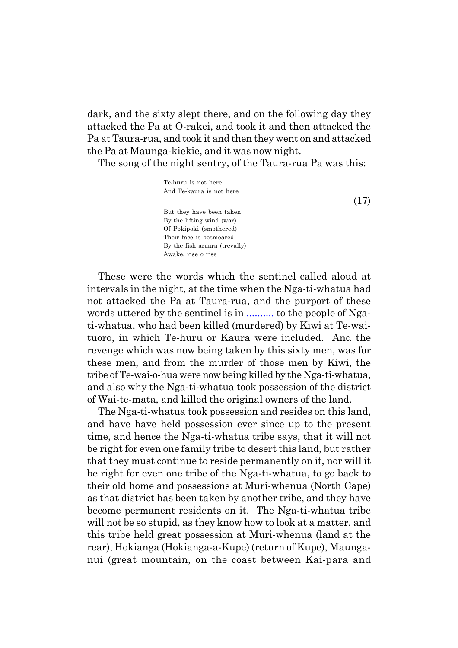dark, and the sixty slept there, and on the following day they attacked the Pa at O-rakei, and took it and then attacked the Pa at Taura-rua, and took it and then they went on and attacked the Pa at Maunga-kiekie, and it was now night.

The song of the night sentry, of the Taura-rua Pa was this:

Te-huru is not here And Te-kaura is not here But they have been taken By the lifting wind (war) Of Pokipoki (smothered) Their face is besmeared By the fish araara (trevally) Awake, rise o rise

These were the words which the sentinel called aloud at intervals in the night, at the time when the Nga-ti-whatua had not attacked the Pa at Taura-rua, and the purport of these words uttered by the sentinel is in .......... to the people of Ngati-whatua, who had been killed (murdered) by Kiwi at Te-waituoro, in which Te-huru or Kaura were included. And the revenge which was now being taken by this sixty men, was for these men, and from the murder of those men by Kiwi, the tribe of Te-wai-o-hua were now being killed by the Nga-ti-whatua, and also why the Nga-ti-whatua took possession of the district of Wai-te-mata, and killed the original owners of the land.

The Nga-ti-whatua took possession and resides on this land, and have have held possession ever since up to the present time, and hence the Nga-ti-whatua tribe says, that it will not be right for even one family tribe to desert this land, but rather that they must continue to reside permanently on it, nor will it be right for even one tribe of the Nga-ti-whatua, to go back to their old home and possessions at Muri-whenua (North Cape) as that district has been taken by another tribe, and they have become permanent residents on it. The Nga-ti-whatua tribe will not be so stupid, as they know how to look at a matter, and this tribe held great possession at Muri-whenua (land at the rear), Hokianga (Hokianga-a-Kupe) (return of Kupe), Maunganui (great mountain, on the coast between Kai-para and

(17)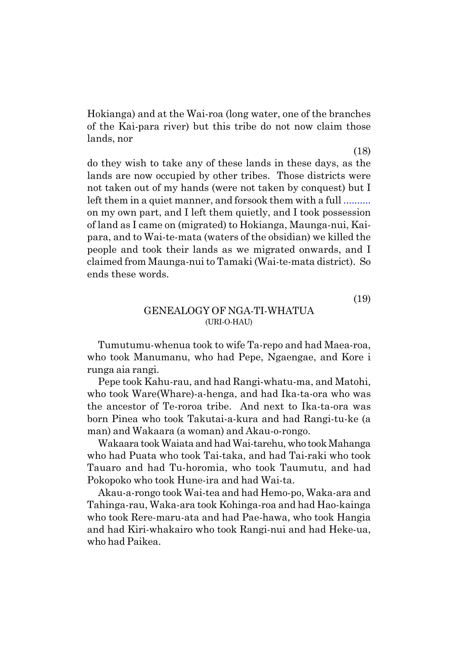<span id="page-19-0"></span>Hokianga) and at the Wai-roa (long water, one of the branches of the Kai-para river) but this tribe do not now claim those lands, nor

do they wish to take any of these lands in these days, as the lands are now occupied by other tribes. Those districts were not taken out of my hands (were not taken by conquest) but I left them in a quiet manner, and forsook them with a full .......... on my own part, and I left them quietly, and I took possession of land as I came on (migrated) to Hokianga, Maunga-nui, Kaipara, and to Wai-te-mata (waters of the obsidian) we killed the people and took their lands as we migrated onwards, and I claimed from Maunga-nui to Tamaki (Wai-te-mata district). So ends these words.

(19)

#### GENEALOGY OF NGA-TI-WHATUA (URI-O-HAU)

Tumutumu-whenua took to wife Ta-repo and had Maea-roa, who took Manumanu, who had Pepe, Ngaengae, and Kore i runga aia rangi.

Pepe took Kahu-rau, and had Rangi-whatu-ma, and Matohi, who took Ware(Whare)-a-henga, and had Ika-ta-ora who was the ancestor of Te-roroa tribe. And next to Ika-ta-ora was born Pinea who took Takutai-a-kura and had Rangi-tu-ke (a man) and Wakaara (a woman) and Akau-o-rongo.

Wakaara took Waiata and had Wai-tarehu, who took Mahanga who had Puata who took Tai-taka, and had Tai-raki who took Tauaro and had Tu-horomia, who took Taumutu, and had Pokopoko who took Hune-ira and had Wai-ta.

Akau-a-rongo took Wai-tea and had Hemo-po, Waka-ara and Tahinga-rau, Waka-ara took Kohinga-roa and had Hao-kainga who took Rere-maru-ata and had Pae-hawa, who took Hangia and had Kiri-whakairo who took Rangi-nui and had Heke-ua, who had Paikea.

(18)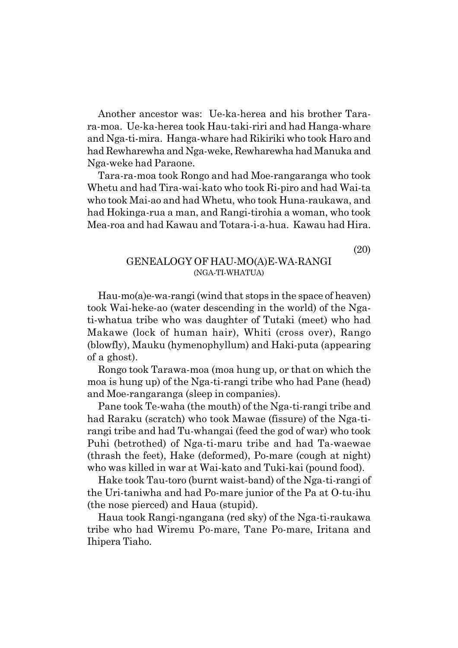<span id="page-20-0"></span>Another ancestor was: Ue-ka-herea and his brother Tarara-moa. Ue-ka-herea took Hau-taki-riri and had Hanga-whare and Nga-ti-mira. Hanga-whare had Rikiriki who took Haro and had Rewharewha and Nga-weke, Rewharewha had Manuka and Nga-weke had Paraone.

Tara-ra-moa took Rongo and had Moe-rangaranga who took Whetu and had Tira-wai-kato who took Ri-piro and had Wai-ta who took Mai-ao and had Whetu, who took Huna-raukawa, and had Hokinga-rua a man, and Rangi-tirohia a woman, who took Mea-roa and had Kawau and Totara-i-a-hua. Kawau had Hira.

(20)

#### GENEALOGY OF HAU-MO(A)E-WA-RANGI (NGA-TI-WHATUA)

Hau-mo(a)e-wa-rangi (wind that stops in the space of heaven) took Wai-heke-ao (water descending in the world) of the Ngati-whatua tribe who was daughter of Tutaki (meet) who had Makawe (lock of human hair), Whiti (cross over), Rango (blowfly), Mauku (hymenophyllum) and Haki-puta (appearing of a ghost).

Rongo took Tarawa-moa (moa hung up, or that on which the moa is hung up) of the Nga-ti-rangi tribe who had Pane (head) and Moe-rangaranga (sleep in companies).

Pane took Te-waha (the mouth) of the Nga-ti-rangi tribe and had Raraku (scratch) who took Mawae (fissure) of the Nga-tirangi tribe and had Tu-whangai (feed the god of war) who took Puhi (betrothed) of Nga-ti-maru tribe and had Ta-waewae (thrash the feet), Hake (deformed), Po-mare (cough at night) who was killed in war at Wai-kato and Tuki-kai (pound food).

Hake took Tau-toro (burnt waist-band) of the Nga-ti-rangi of the Uri-taniwha and had Po-mare junior of the Pa at O-tu-ihu (the nose pierced) and Haua (stupid).

Haua took Rangi-ngangana (red sky) of the Nga-ti-raukawa tribe who had Wiremu Po-mare, Tane Po-mare, Iritana and Ihipera Tiaho.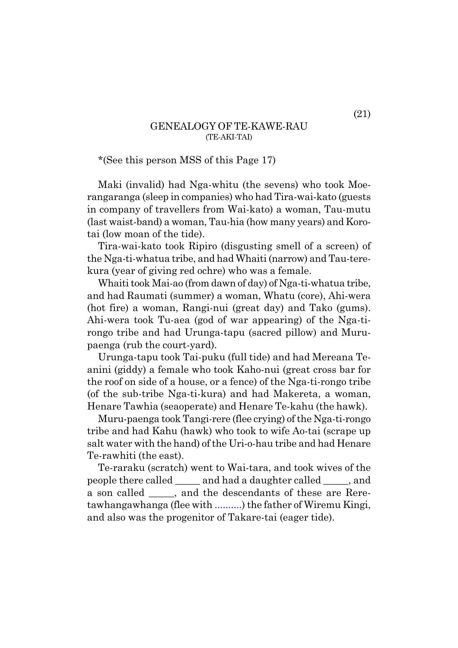#### GENEALOGY OF TE-KAWE-RAU (TE-AKI-TAI)

<span id="page-21-0"></span>\*(See this person MSS of this Page 17)

Maki (invalid) had Nga-whitu (the sevens) who took Moerangaranga (sleep in companies) who had Tira-wai-kato (guests in company of travellers from Wai-kato) a woman, Tau-mutu (last waist-band) a woman, Tau-hia (how many years) and Korotai (low moan of the tide).

Tira-wai-kato took Ripiro (disgusting smell of a screen) of the Nga-ti-whatua tribe, and had Whaiti (narrow) and Tau-terekura (year of giving red ochre) who was a female.

Whaiti took Mai-ao (from dawn of day) of Nga-ti-whatua tribe, and had Raumati (summer) a woman, Whatu (core), Ahi-wera (hot fire) a woman, Rangi-nui (great day) and Tako (gums). Ahi-wera took Tu-aea (god of war appearing) of the Nga-tirongo tribe and had Urunga-tapu (sacred pillow) and Murupaenga (rub the court-yard).

Urunga-tapu took Tai-puku (full tide) and had Mereana Teanini (giddy) a female who took Kaho-nui (great cross bar for the roof on side of a house, or a fence) of the Nga-ti-rongo tribe (of the sub-tribe Nga-ti-kura) and had Makereta, a woman, Henare Tawhia (seaoperate) and Henare Te-kahu (the hawk).

Muru-paenga took Tangi-rere (flee crying) of the Nga-ti-rongo tribe and had Kahu (hawk) who took to wife Ao-tai (scrape up salt water with the hand) of the Uri-o-hau tribe and had Henare Te-rawhiti (the east).

Te-raraku (scratch) went to Wai-tara, and took wives of the people there called \_\_\_\_\_ and had a daughter called \_\_\_\_\_, and a son called  $\qquad$ , and the descendants of these are Reretawhangawhanga (flee with ..........) the father of Wiremu Kingi, and also was the progenitor of Takare-tai (eager tide).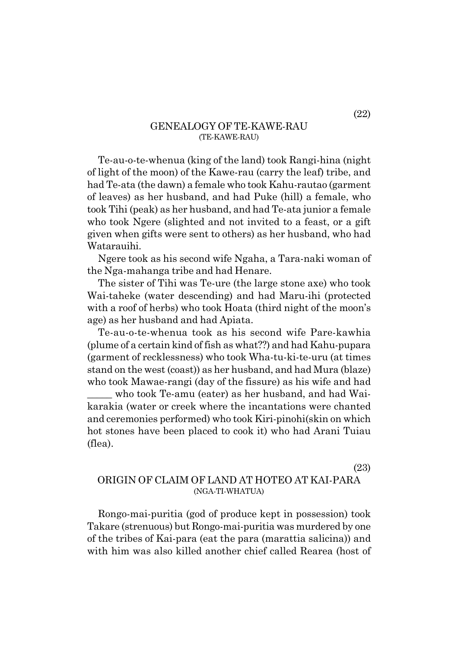#### GENEALOGY OF TE-KAWE-RAU (TE-KAWE-RAU)

<span id="page-22-0"></span>Te-au-o-te-whenua (king of the land) took Rangi-hina (night of light of the moon) of the Kawe-rau (carry the leaf) tribe, and had Te-ata (the dawn) a female who took Kahu-rautao (garment of leaves) as her husband, and had Puke (hill) a female, who took Tihi (peak) as her husband, and had Te-ata junior a female who took Ngere (slighted and not invited to a feast, or a gift given when gifts were sent to others) as her husband, who had Watarauihi.

Ngere took as his second wife Ngaha, a Tara-naki woman of the Nga-mahanga tribe and had Henare.

The sister of Tihi was Te-ure (the large stone axe) who took Wai-taheke (water descending) and had Maru-ihi (protected with a roof of herbs) who took Hoata (third night of the moon's age) as her husband and had Apiata.

Te-au-o-te-whenua took as his second wife Pare-kawhia (plume of a certain kind of fish as what??) and had Kahu-pupara (garment of recklessness) who took Wha-tu-ki-te-uru (at times stand on the west (coast)) as her husband, and had Mura (blaze) who took Mawae-rangi (day of the fissure) as his wife and had

who took Te-amu (eater) as her husband, and had Waikarakia (water or creek where the incantations were chanted and ceremonies performed) who took Kiri-pinohi(skin on which hot stones have been placed to cook it) who had Arani Tuiau (flea).

(23)

#### ORIGIN OF CLAIM OF LAND AT HOTEO AT KAI-PARA (NGA-TI-WHATUA)

Rongo-mai-puritia (god of produce kept in possession) took Takare (strenuous) but Rongo-mai-puritia was murdered by one of the tribes of Kai-para (eat the para (marattia salicina)) and with him was also killed another chief called Rearea (host of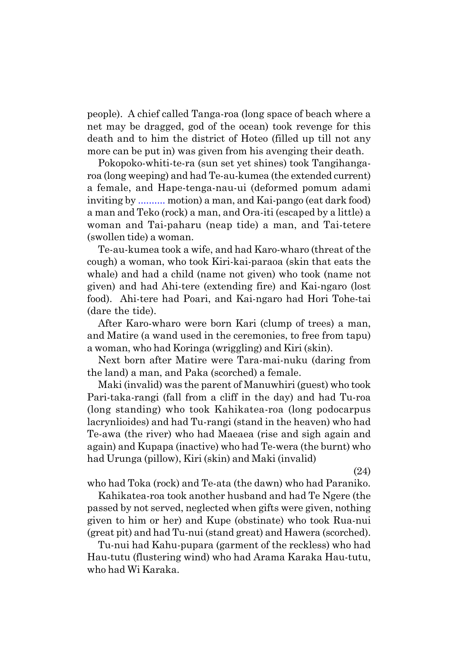people). A chief called Tanga-roa (long space of beach where a net may be dragged, god of the ocean) took revenge for this death and to him the district of Hoteo (filled up till not any more can be put in) was given from his avenging their death.

Pokopoko-whiti-te-ra (sun set yet shines) took Tangihangaroa (long weeping) and had Te-au-kumea (the extended current) a female, and Hape-tenga-nau-ui (deformed pomum adami inviting by .......... motion) a man, and Kai-pango (eat dark food) a man and Teko (rock) a man, and Ora-iti (escaped by a little) a woman and Tai-paharu (neap tide) a man, and Tai-tetere (swollen tide) a woman.

Te-au-kumea took a wife, and had Karo-wharo (threat of the cough) a woman, who took Kiri-kai-paraoa (skin that eats the whale) and had a child (name not given) who took (name not given) and had Ahi-tere (extending fire) and Kai-ngaro (lost food). Ahi-tere had Poari, and Kai-ngaro had Hori Tohe-tai (dare the tide).

After Karo-wharo were born Kari (clump of trees) a man, and Matire (a wand used in the ceremonies, to free from tapu) a woman, who had Koringa (wriggling) and Kiri (skin).

Next born after Matire were Tara-mai-nuku (daring from the land) a man, and Paka (scorched) a female.

Maki (invalid) was the parent of Manuwhiri (guest) who took Pari-taka-rangi (fall from a cliff in the day) and had Tu-roa (long standing) who took Kahikatea-roa (long podocarpus lacrynlioides) and had Tu-rangi (stand in the heaven) who had Te-awa (the river) who had Maeaea (rise and sigh again and again) and Kupapa (inactive) who had Te-wera (the burnt) who had Urunga (pillow), Kiri (skin) and Maki (invalid)

(24)

who had Toka (rock) and Te-ata (the dawn) who had Paraniko.

Kahikatea-roa took another husband and had Te Ngere (the passed by not served, neglected when gifts were given, nothing given to him or her) and Kupe (obstinate) who took Rua-nui (great pit) and had Tu-nui (stand great) and Hawera (scorched).

Tu-nui had Kahu-pupara (garment of the reckless) who had Hau-tutu (flustering wind) who had Arama Karaka Hau-tutu, who had Wi Karaka.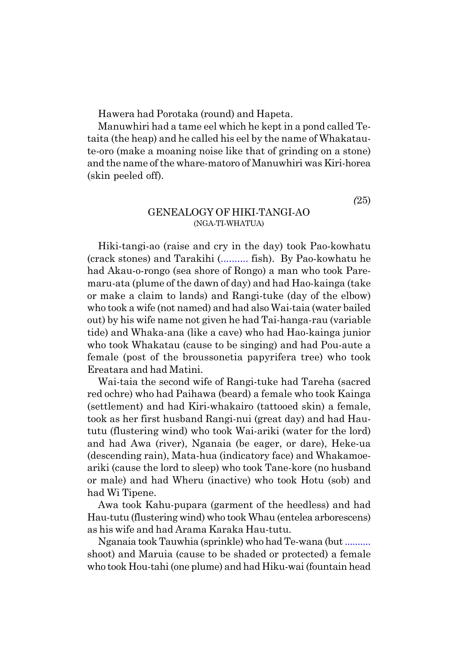<span id="page-24-0"></span>Hawera had Porotaka (round) and Hapeta.

Manuwhiri had a tame eel which he kept in a pond called Tetaita (the heap) and he called his eel by the name of Whakataute-oro (make a moaning noise like that of grinding on a stone) and the name of the whare-matoro of Manuwhiri was Kiri-horea (skin peeled off).

*(*25)

#### GENEALOGY OF HIKI-TANGI-AO (NGA-TI-WHATUA)

Hiki-tangi-ao (raise and cry in the day) took Pao-kowhatu (crack stones) and Tarakihi (.......... fish). By Pao-kowhatu he had Akau-o-rongo (sea shore of Rongo) a man who took Paremaru-ata (plume of the dawn of day) and had Hao-kainga (take or make a claim to lands) and Rangi-tuke (day of the elbow) who took a wife (not named) and had also Wai-taia (water bailed out) by his wife name not given he had Tai-hanga-rau (variable tide) and Whaka-ana (like a cave) who had Hao-kainga junior who took Whakatau (cause to be singing) and had Pou-aute a female (post of the broussonetia papyrifera tree) who took Ereatara and had Matini.

Wai-taia the second wife of Rangi-tuke had Tareha (sacred red ochre) who had Paihawa (beard) a female who took Kainga (settlement) and had Kiri-whakairo (tattooed skin) a female, took as her first husband Rangi-nui (great day) and had Haututu (flustering wind) who took Wai-ariki (water for the lord) and had Awa (river), Nganaia (be eager, or dare), Heke-ua (descending rain), Mata-hua (indicatory face) and Whakamoeariki (cause the lord to sleep) who took Tane-kore (no husband or male) and had Wheru (inactive) who took Hotu (sob) and had Wi Tipene.

Awa took Kahu-pupara (garment of the heedless) and had Hau-tutu (flustering wind) who took Whau (entelea arborescens) as his wife and had Arama Karaka Hau-tutu.

Nganaia took Tauwhia (sprinkle) who had Te-wana (but .......... shoot) and Maruia (cause to be shaded or protected) a female who took Hou-tahi (one plume) and had Hiku-wai (fountain head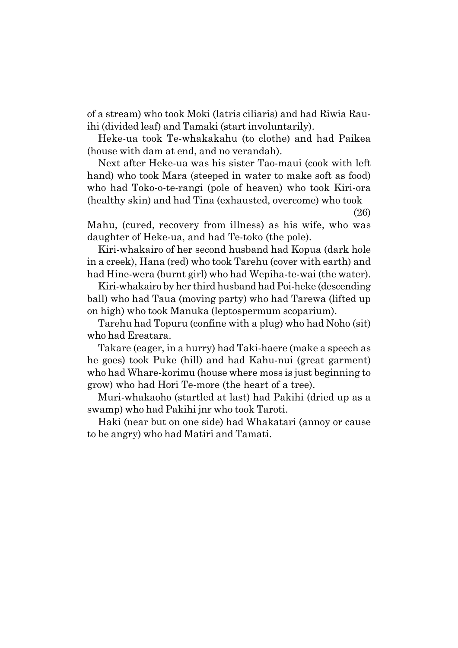of a stream) who took Moki (latris ciliaris) and had Riwia Rauihi (divided leaf) and Tamaki (start involuntarily).

Heke-ua took Te-whakakahu (to clothe) and had Paikea (house with dam at end, and no verandah).

Next after Heke-ua was his sister Tao-maui (cook with left hand) who took Mara (steeped in water to make soft as food) who had Toko-o-te-rangi (pole of heaven) who took Kiri-ora (healthy skin) and had Tina (exhausted, overcome) who took

(26)

Mahu, (cured, recovery from illness) as his wife, who was daughter of Heke-ua, and had Te-toko (the pole).

Kiri-whakairo of her second husband had Kopua (dark hole in a creek), Hana (red) who took Tarehu (cover with earth) and had Hine-wera (burnt girl) who had Wepiha-te-wai (the water).

Kiri-whakairo by her third husband had Poi-heke (descending ball) who had Taua (moving party) who had Tarewa (lifted up on high) who took Manuka (leptospermum scoparium).

Tarehu had Topuru (confine with a plug) who had Noho (sit) who had Ereatara.

Takare (eager, in a hurry) had Taki-haere (make a speech as he goes) took Puke (hill) and had Kahu-nui (great garment) who had Whare-korimu (house where moss is just beginning to grow) who had Hori Te-more (the heart of a tree).

Muri-whakaoho (startled at last) had Pakihi (dried up as a swamp) who had Pakihi jnr who took Taroti.

Haki (near but on one side) had Whakatari (annoy or cause to be angry) who had Matiri and Tamati.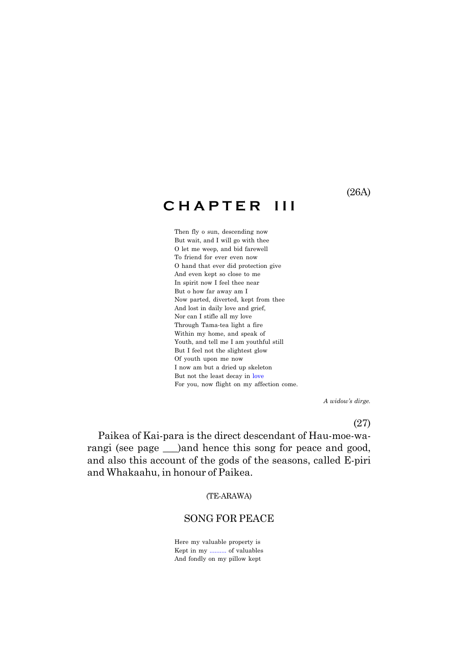#### (26A)

## <span id="page-26-0"></span>**C H A P T E R I I I**

Then fly o sun, descending now But wait, and I will go with thee O let me weep, and bid farewell To friend for ever even now O hand that ever did protection give And even kept so close to me In spirit now I feel thee near But o how far away am I Now parted, diverted, kept from thee And lost in daily love and grief, Nor can I stifle all my love Through Tama-tea light a fire Within my home, and speak of Youth, and tell me I am youthful still But I feel not the slightest glow Of youth upon me now I now am but a dried up skeleton But not the least decay in love For you, now flight on my affection come.

 *A widowís dirge.*

(27)

Paikea of Kai-para is the direct descendant of Hau-moe-warangi (see page <u>)</u> and hence this song for peace and good, and also this account of the gods of the seasons, called E-piri and Whakaahu, in honour of Paikea.

(TE-ARAWA)

#### SONG FOR PEACE

Here my valuable property is Kept in my .......... of valuables And fondly on my pillow kept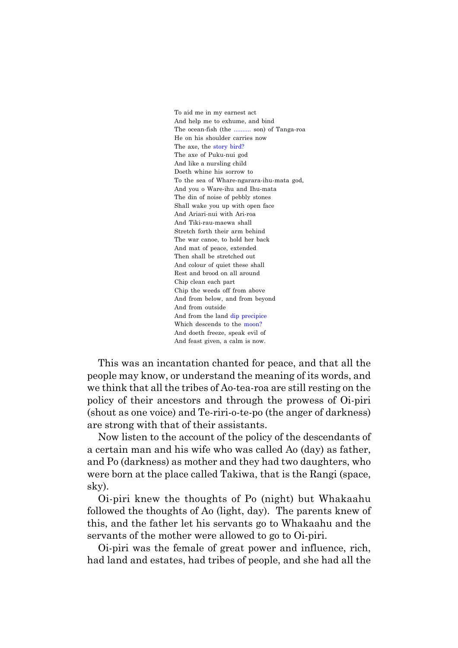To aid me in my earnest act And help me to exhume, and bind The ocean-fish (the .......... son) of Tanga-roa He on his shoulder carries now The axe, the story bird? The axe of Puku-nui god And like a nursling child Doeth whine his sorrow to To the sea of Whare-ngarara-ihu-mata god, And you o Ware-ihu and Ihu-mata The din of noise of pebbly stones Shall wake you up with open face And Ariari-nui with Ari-roa And Tiki-rau-maewa shall Stretch forth their arm behind The war canoe, to hold her back And mat of peace, extended Then shall be stretched out And colour of quiet these shall Rest and brood on all around Chip clean each part Chip the weeds off from above And from below, and from beyond And from outside And from the land dip precipice Which descends to the moon? And doeth freeze, speak evil of And feast given, a calm is now.

This was an incantation chanted for peace, and that all the people may know, or understand the meaning of its words, and we think that all the tribes of Ao-tea-roa are still resting on the policy of their ancestors and through the prowess of Oi-piri (shout as one voice) and Te-riri-o-te-po (the anger of darkness) are strong with that of their assistants.

Now listen to the account of the policy of the descendants of a certain man and his wife who was called Ao (day) as father, and Po (darkness) as mother and they had two daughters, who were born at the place called Takiwa, that is the Rangi (space, sky).

Oi-piri knew the thoughts of Po (night) but Whakaahu followed the thoughts of Ao (light, day). The parents knew of this, and the father let his servants go to Whakaahu and the servants of the mother were allowed to go to Oi-piri.

Oi-piri was the female of great power and influence, rich, had land and estates, had tribes of people, and she had all the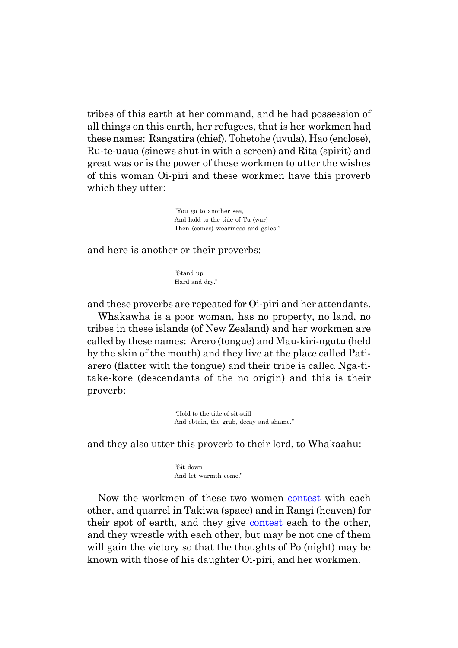tribes of this earth at her command, and he had possession of all things on this earth, her refugees, that is her workmen had these names: Rangatira (chief), Tohetohe (uvula), Hao (enclose), Ru-te-uaua (sinews shut in with a screen) and Rita (spirit) and great was or is the power of these workmen to utter the wishes of this woman Oi-piri and these workmen have this proverb which they utter:

> ìYou go to another sea, And hold to the tide of Tu (war) Then (comes) weariness and gales."

and here is another or their proverbs:

"Stand up Hard and dry."

and these proverbs are repeated for Oi-piri and her attendants.

Whakawha is a poor woman, has no property, no land, no tribes in these islands (of New Zealand) and her workmen are called by these names: Arero (tongue) and Mau-kiri-ngutu (held by the skin of the mouth) and they live at the place called Patiarero (flatter with the tongue) and their tribe is called Nga-titake-kore (descendants of the no origin) and this is their proverb:

> "Hold to the tide of sit-still And obtain, the grub, decay and shame."

and they also utter this proverb to their lord, to Whakaahu:

"Sit down And let warmth come."

Now the workmen of these two women contest with each other, and quarrel in Takiwa (space) and in Rangi (heaven) for their spot of earth, and they give contest each to the other, and they wrestle with each other, but may be not one of them will gain the victory so that the thoughts of Po (night) may be known with those of his daughter Oi-piri, and her workmen.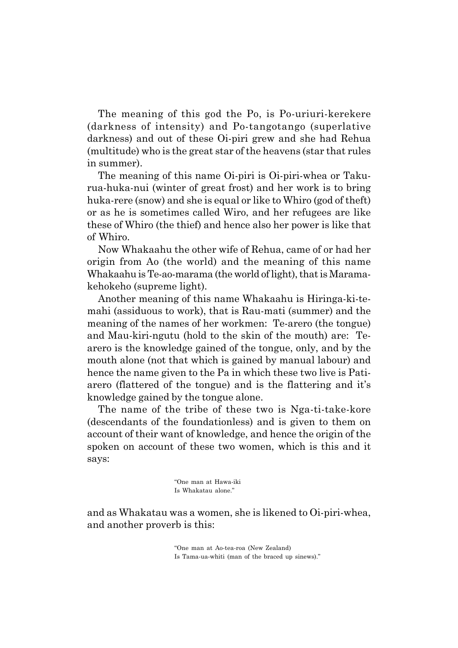The meaning of this god the Po, is Po-uriuri-kerekere (darkness of intensity) and Po-tangotango (superlative darkness) and out of these Oi-piri grew and she had Rehua (multitude) who is the great star of the heavens (star that rules in summer).

The meaning of this name Oi-piri is Oi-piri-whea or Takurua-huka-nui (winter of great frost) and her work is to bring huka-rere (snow) and she is equal or like to Whiro (god of theft) or as he is sometimes called Wiro, and her refugees are like these of Whiro (the thief) and hence also her power is like that of Whiro.

Now Whakaahu the other wife of Rehua, came of or had her origin from Ao (the world) and the meaning of this name Whakaahu is Te-ao-marama (the world of light), that is Maramakehokeho (supreme light).

Another meaning of this name Whakaahu is Hiringa-ki-temahi (assiduous to work), that is Rau-mati (summer) and the meaning of the names of her workmen: Te-arero (the tongue) and Mau-kiri-ngutu (hold to the skin of the mouth) are: Tearero is the knowledge gained of the tongue, only, and by the mouth alone (not that which is gained by manual labour) and hence the name given to the Pa in which these two live is Patiarero (flattered of the tongue) and is the flattering and it's knowledge gained by the tongue alone.

The name of the tribe of these two is Nga-ti-take-kore (descendants of the foundationless) and is given to them on account of their want of knowledge, and hence the origin of the spoken on account of these two women, which is this and it says:

> ìOne man at Hawa-iki Is Whakatau alone."

and as Whakatau was a women, she is likened to Oi-piri-whea, and another proverb is this:

> ìOne man at Ao-tea-roa (New Zealand) Is Tama-ua-whiti (man of the braced up sinews)."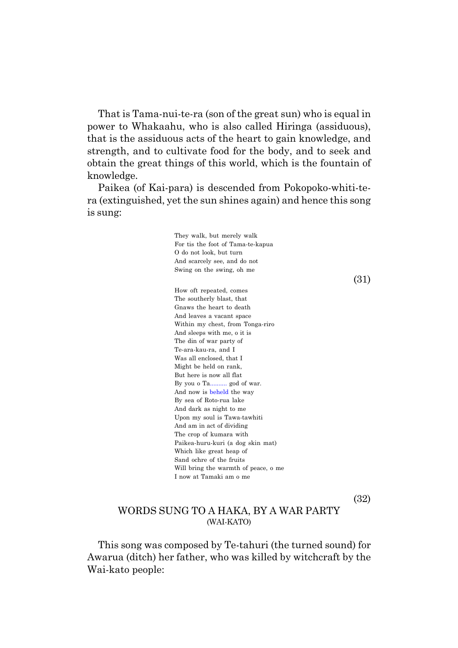<span id="page-30-0"></span>That is Tama-nui-te-ra (son of the great sun) who is equal in power to Whakaahu, who is also called Hiringa (assiduous), that is the assiduous acts of the heart to gain knowledge, and strength, and to cultivate food for the body, and to seek and obtain the great things of this world, which is the fountain of knowledge.

Paikea (of Kai-para) is descended from Pokopoko-whiti-tera (extinguished, yet the sun shines again) and hence this song is sung:

> They walk, but merely walk For tis the foot of Tama-te-kapua O do not look, but turn And scarcely see, and do not Swing on the swing, oh me

> > (31)

How oft repeated, comes The southerly blast, that Gnaws the heart to death And leaves a vacant space Within my chest, from Tonga-riro And sleeps with me, o it is The din of war party of Te-ara-kau-ra, and I Was all enclosed, that I Might be held on rank, But here is now all flat By you o Ta.......... god of war. And now is beheld the way By sea of Roto-rua lake And dark as night to me Upon my soul is Tawa-tawhiti And am in act of dividing The crop of kumara with Paikea-huru-kuri (a dog skin mat) Which like great heap of Sand ochre of the fruits Will bring the warmth of peace, o me I now at Tamaki am o me

(32)

#### WORDS SUNG TO A HAKA, BY A WAR PARTY (WAI-KATO)

This song was composed by Te-tahuri (the turned sound) for Awarua (ditch) her father, who was killed by witchcraft by the Wai-kato people: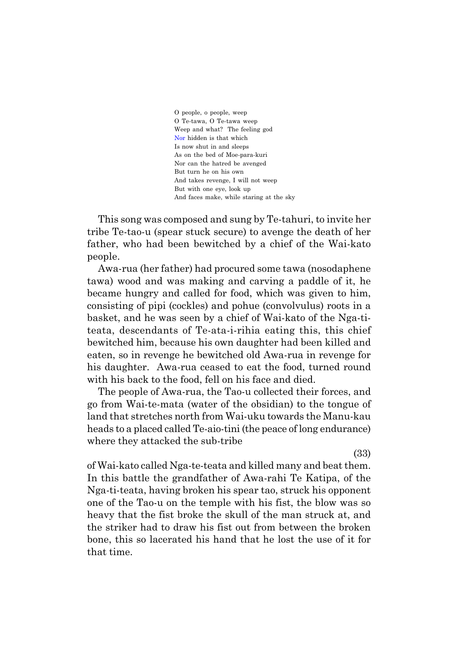O people, o people, weep O Te-tawa, O Te-tawa weep Weep and what? The feeling god Nor hidden is that which Is now shut in and sleeps As on the bed of Moe-para-kuri Nor can the hatred be avenged But turn he on his own And takes revenge, I will not weep But with one eye, look up And faces make, while staring at the sky

This song was composed and sung by Te-tahuri, to invite her tribe Te-tao-u (spear stuck secure) to avenge the death of her father, who had been bewitched by a chief of the Wai-kato people.

Awa-rua (her father) had procured some tawa (nosodaphene tawa) wood and was making and carving a paddle of it, he became hungry and called for food, which was given to him, consisting of pipi (cockles) and pohue (convolvulus) roots in a basket, and he was seen by a chief of Wai-kato of the Nga-titeata, descendants of Te-ata-i-rihia eating this, this chief bewitched him, because his own daughter had been killed and eaten, so in revenge he bewitched old Awa-rua in revenge for his daughter. Awa-rua ceased to eat the food, turned round with his back to the food, fell on his face and died.

The people of Awa-rua, the Tao-u collected their forces, and go from Wai-te-mata (water of the obsidian) to the tongue of land that stretches north from Wai-uku towards the Manu-kau heads to a placed called Te-aio-tini (the peace of long endurance) where they attacked the sub-tribe

(33)

of Wai-kato called Nga-te-teata and killed many and beat them. In this battle the grandfather of Awa-rahi Te Katipa, of the Nga-ti-teata, having broken his spear tao, struck his opponent one of the Tao-u on the temple with his fist, the blow was so heavy that the fist broke the skull of the man struck at, and the striker had to draw his fist out from between the broken bone, this so lacerated his hand that he lost the use of it for that time.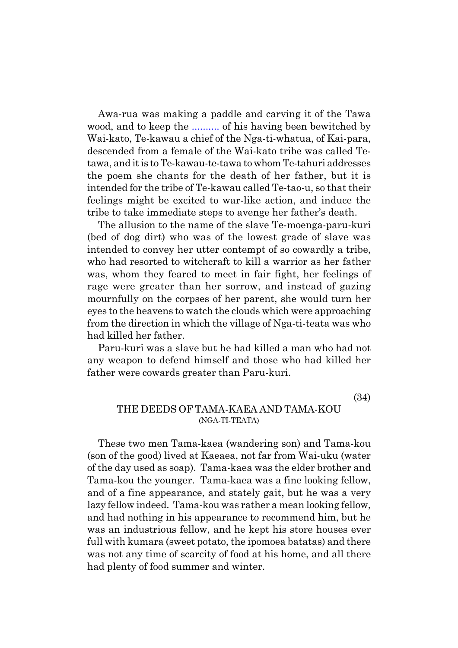<span id="page-32-0"></span>Awa-rua was making a paddle and carving it of the Tawa wood, and to keep the .......... of his having been bewitched by Wai-kato, Te-kawau a chief of the Nga-ti-whatua, of Kai-para, descended from a female of the Wai-kato tribe was called Tetawa, and it is to Te-kawau-te-tawa to whom Te-tahuri addresses the poem she chants for the death of her father, but it is intended for the tribe of Te-kawau called Te-tao-u, so that their feelings might be excited to war-like action, and induce the tribe to take immediate steps to avenge her father's death.

The allusion to the name of the slave Te-moenga-paru-kuri (bed of dog dirt) who was of the lowest grade of slave was intended to convey her utter contempt of so cowardly a tribe, who had resorted to witchcraft to kill a warrior as her father was, whom they feared to meet in fair fight, her feelings of rage were greater than her sorrow, and instead of gazing mournfully on the corpses of her parent, she would turn her eyes to the heavens to watch the clouds which were approaching from the direction in which the village of Nga-ti-teata was who had killed her father.

Paru-kuri was a slave but he had killed a man who had not any weapon to defend himself and those who had killed her father were cowards greater than Paru-kuri.

(34)

#### THE DEEDS OF TAMA-KAEA AND TAMA-KOU (NGA-TI-TEATA)

These two men Tama-kaea (wandering son) and Tama-kou (son of the good) lived at Kaeaea, not far from Wai-uku (water of the day used as soap). Tama-kaea was the elder brother and Tama-kou the younger. Tama-kaea was a fine looking fellow, and of a fine appearance, and stately gait, but he was a very lazy fellow indeed. Tama-kou was rather a mean looking fellow, and had nothing in his appearance to recommend him, but he was an industrious fellow, and he kept his store houses ever full with kumara (sweet potato, the ipomoea batatas) and there was not any time of scarcity of food at his home, and all there had plenty of food summer and winter.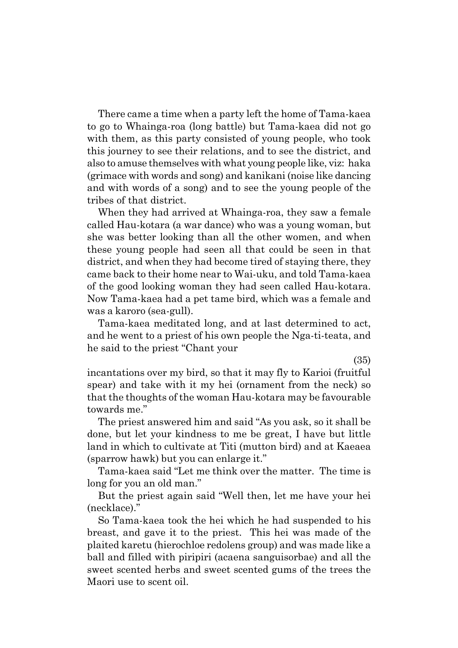There came a time when a party left the home of Tama-kaea to go to Whainga-roa (long battle) but Tama-kaea did not go with them, as this party consisted of young people, who took this journey to see their relations, and to see the district, and also to amuse themselves with what young people like, viz: haka (grimace with words and song) and kanikani (noise like dancing and with words of a song) and to see the young people of the tribes of that district.

When they had arrived at Whainga-roa, they saw a female called Hau-kotara (a war dance) who was a young woman, but she was better looking than all the other women, and when these young people had seen all that could be seen in that district, and when they had become tired of staying there, they came back to their home near to Wai-uku, and told Tama-kaea of the good looking woman they had seen called Hau-kotara. Now Tama-kaea had a pet tame bird, which was a female and was a karoro (sea-gull).

Tama-kaea meditated long, and at last determined to act, and he went to a priest of his own people the Nga-ti-teata, and he said to the priest "Chant your"

(35)

incantations over my bird, so that it may fly to Karioi (fruitful spear) and take with it my hei (ornament from the neck) so that the thoughts of the woman Hau-kotara may be favourable towards me."

The priest answered him and said "As you ask, so it shall be done, but let your kindness to me be great, I have but little land in which to cultivate at Titi (mutton bird) and at Kaeaea (sparrow hawk) but you can enlarge it."

Tama-kaea said "Let me think over the matter. The time is long for you an old man."

But the priest again said "Well then, let me have your hei (necklace)."

So Tama-kaea took the hei which he had suspended to his breast, and gave it to the priest. This hei was made of the plaited karetu (hierochloe redolens group) and was made like a ball and filled with piripiri (acaena sanguisorbae) and all the sweet scented herbs and sweet scented gums of the trees the Maori use to scent oil.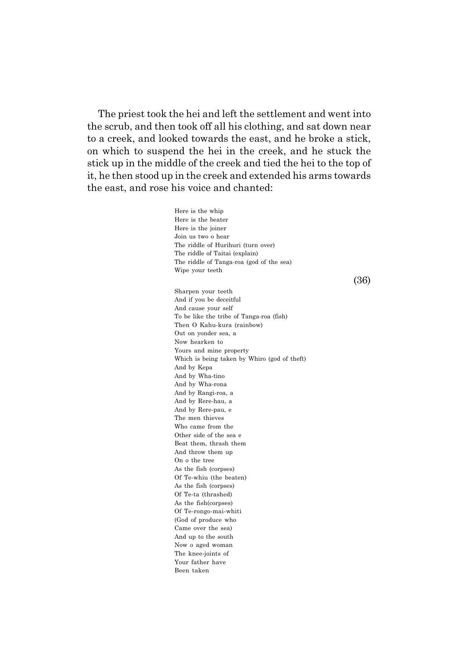The priest took the hei and left the settlement and went into the scrub, and then took off all his clothing, and sat down near to a creek, and looked towards the east, and he broke a stick, on which to suspend the hei in the creek, and he stuck the stick up in the middle of the creek and tied the hei to the top of it, he then stood up in the creek and extended his arms towards the east, and rose his voice and chanted:

> Here is the whip Here is the beater Here is the joiner Join us two o hear The riddle of Hurihuri (turn over) The riddle of Taitai (explain) The riddle of Tanga-roa (god of the sea) Wipe your teeth Sharpen your teeth And if you be deceitful And cause your self To be like the tribe of Tanga-roa (fish) Then O Kahu-kura (rainbow) Out on yonder sea, a Now hearken to Yours and mine property Which is being taken by Whiro (god of theft) And by Kepa And by Wha-tino And by Wha-rona And by Rangi-roa, a And by Rere-hau, a And by Rere-pau, e The men thieves Who came from the Other side of the sea e Beat them, thrash them And throw them up On o the tree As the fish (corpses) Of Te-whiu (the beaten) As the fish (corpses) Of Te-ta (thrashed) As the fish(corpses) Of Te-rongo-mai-whiti (God of produce who Came over the sea) And up to the south Now o aged woman The knee-joints of Your father have Been taken

(36)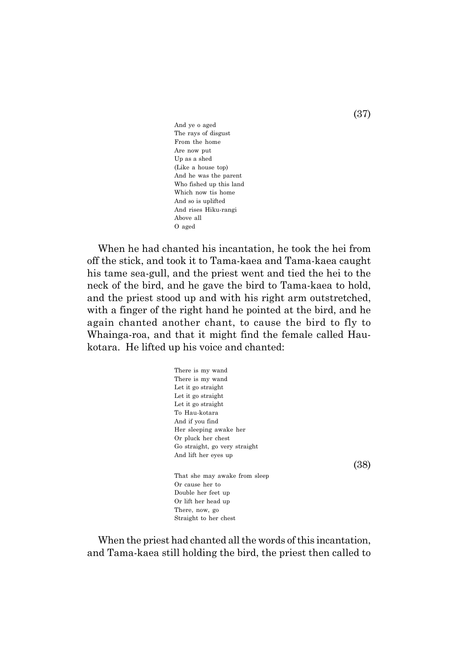And ye o aged The rays of disgust From the home Are now put Up as a shed (Like a house top) And he was the parent Who fished up this land Which now tis home And so is uplifted And rises Hiku-rangi Above all O aged

When he had chanted his incantation, he took the hei from off the stick, and took it to Tama-kaea and Tama-kaea caught his tame sea-gull, and the priest went and tied the hei to the neck of the bird, and he gave the bird to Tama-kaea to hold, and the priest stood up and with his right arm outstretched, with a finger of the right hand he pointed at the bird, and he again chanted another chant, to cause the bird to fly to Whainga-roa, and that it might find the female called Haukotara. He lifted up his voice and chanted:

> There is my wand There is my wand Let it go straight Let it go straight Let it go straight To Hau-kotara And if you find Her sleeping awake her Or pluck her chest Go straight, go very straight And lift her eyes up That she may awake from sleep Or cause her to Double her feet up Or lift her head up There, now, go Straight to her chest

When the priest had chanted all the words of this incantation, and Tama-kaea still holding the bird, the priest then called to

(37)

(38)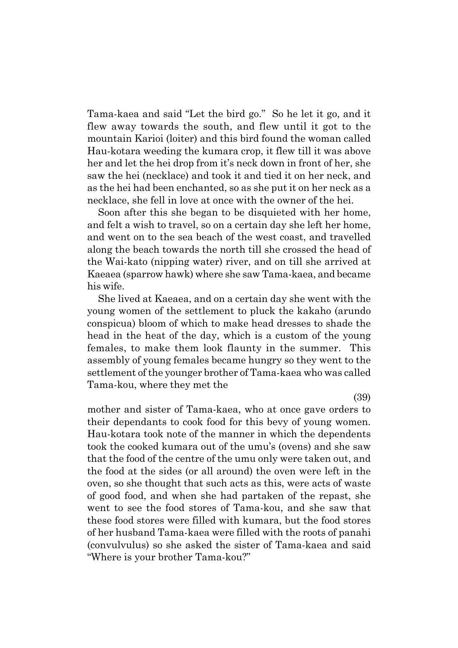Tama-kaea and said "Let the bird go." So he let it go, and it flew away towards the south, and flew until it got to the mountain Karioi (loiter) and this bird found the woman called Hau-kotara weeding the kumara crop, it flew till it was above her and let the hei drop from it's neck down in front of her, she saw the hei (necklace) and took it and tied it on her neck, and as the hei had been enchanted, so as she put it on her neck as a necklace, she fell in love at once with the owner of the hei.

Soon after this she began to be disquieted with her home, and felt a wish to travel, so on a certain day she left her home, and went on to the sea beach of the west coast, and travelled along the beach towards the north till she crossed the head of the Wai-kato (nipping water) river, and on till she arrived at Kaeaea (sparrow hawk) where she saw Tama-kaea, and became his wife.

She lived at Kaeaea, and on a certain day she went with the young women of the settlement to pluck the kakaho (arundo conspicua) bloom of which to make head dresses to shade the head in the heat of the day, which is a custom of the young females, to make them look flaunty in the summer. This assembly of young females became hungry so they went to the settlement of the younger brother of Tama-kaea who was called Tama-kou, where they met the

mother and sister of Tama-kaea, who at once gave orders to their dependants to cook food for this bevy of young women. Hau-kotara took note of the manner in which the dependents took the cooked kumara out of the umuís (ovens) and she saw that the food of the centre of the umu only were taken out, and the food at the sides (or all around) the oven were left in the oven, so she thought that such acts as this, were acts of waste of good food, and when she had partaken of the repast, she went to see the food stores of Tama-kou, and she saw that these food stores were filled with kumara, but the food stores of her husband Tama-kaea were filled with the roots of panahi (convulvulus) so she asked the sister of Tama-kaea and said "Where is your brother Tama-kou?"

(39)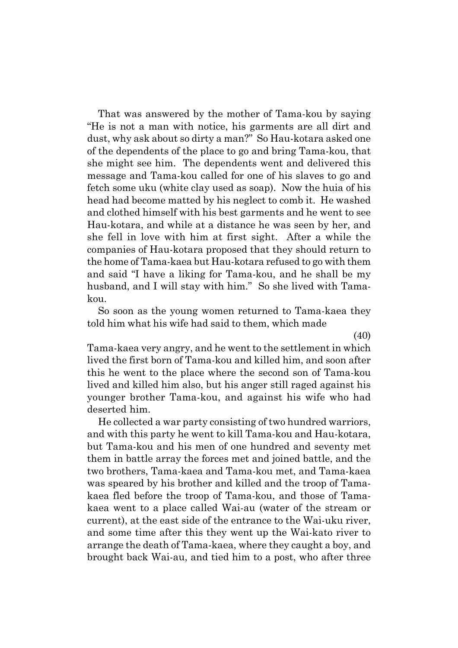That was answered by the mother of Tama-kou by saying ìHe is not a man with notice, his garments are all dirt and dust, why ask about so dirty a man?" So Hau-kotara asked one of the dependents of the place to go and bring Tama-kou, that she might see him. The dependents went and delivered this message and Tama-kou called for one of his slaves to go and fetch some uku (white clay used as soap). Now the huia of his head had become matted by his neglect to comb it. He washed and clothed himself with his best garments and he went to see Hau-kotara, and while at a distance he was seen by her, and she fell in love with him at first sight. After a while the companies of Hau-kotara proposed that they should return to the home of Tama-kaea but Hau-kotara refused to go with them and said "I have a liking for Tama-kou, and he shall be my husband, and I will stay with him." So she lived with Tamakou.

So soon as the young women returned to Tama-kaea they told him what his wife had said to them, which made

(40)

Tama-kaea very angry, and he went to the settlement in which lived the first born of Tama-kou and killed him, and soon after this he went to the place where the second son of Tama-kou lived and killed him also, but his anger still raged against his younger brother Tama-kou, and against his wife who had deserted him.

He collected a war party consisting of two hundred warriors, and with this party he went to kill Tama-kou and Hau-kotara, but Tama-kou and his men of one hundred and seventy met them in battle array the forces met and joined battle, and the two brothers, Tama-kaea and Tama-kou met, and Tama-kaea was speared by his brother and killed and the troop of Tamakaea fled before the troop of Tama-kou, and those of Tamakaea went to a place called Wai-au (water of the stream or current), at the east side of the entrance to the Wai-uku river, and some time after this they went up the Wai-kato river to arrange the death of Tama-kaea, where they caught a boy, and brought back Wai-au, and tied him to a post, who after three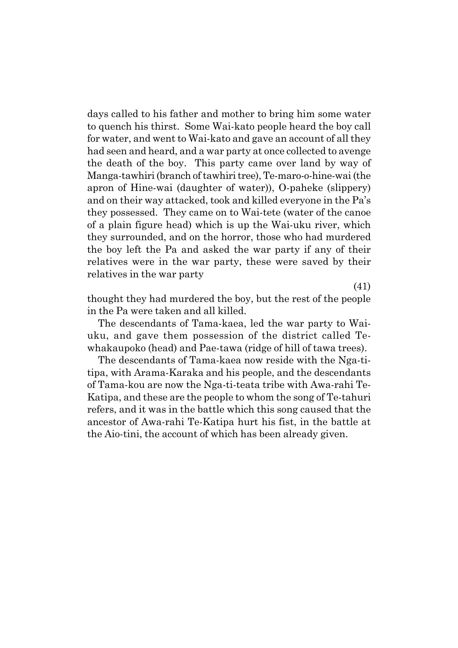days called to his father and mother to bring him some water to quench his thirst. Some Wai-kato people heard the boy call for water, and went to Wai-kato and gave an account of all they had seen and heard, and a war party at once collected to avenge the death of the boy. This party came over land by way of Manga-tawhiri (branch of tawhiri tree), Te-maro-o-hine-wai (the apron of Hine-wai (daughter of water)), O-paheke (slippery) and on their way attacked, took and killed everyone in the Pa's they possessed. They came on to Wai-tete (water of the canoe of a plain figure head) which is up the Wai-uku river, which they surrounded, and on the horror, those who had murdered the boy left the Pa and asked the war party if any of their relatives were in the war party, these were saved by their relatives in the war party

(41)

thought they had murdered the boy, but the rest of the people in the Pa were taken and all killed.

The descendants of Tama-kaea, led the war party to Waiuku, and gave them possession of the district called Tewhakaupoko (head) and Pae-tawa (ridge of hill of tawa trees).

The descendants of Tama-kaea now reside with the Nga-titipa, with Arama-Karaka and his people, and the descendants of Tama-kou are now the Nga-ti-teata tribe with Awa-rahi Te-Katipa, and these are the people to whom the song of Te-tahuri refers, and it was in the battle which this song caused that the ancestor of Awa-rahi Te-Katipa hurt his fist, in the battle at the Aio-tini, the account of which has been already given.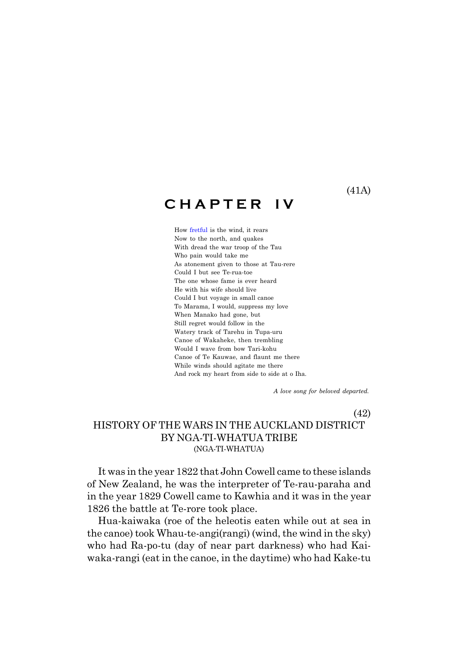(41A)

# **C H A P T E R I V**

How fretful is the wind, it rears Now to the north, and quakes With dread the war troop of the Tau Who pain would take me As atonement given to those at Tau-rere Could I but see Te-rua-toe The one whose fame is ever heard He with his wife should live Could I but voyage in small canoe To Marama, I would, suppress my love When Manako had gone, but Still regret would follow in the Watery track of Tarehu in Tupa-uru Canoe of Wakaheke, then trembling Would I wave from bow Tari-kohu Canoe of Te Kauwae, and flaunt me there While winds should agitate me there And rock my heart from side to side at o Iha.

 *A love song for beloved departed.*

#### (42) HISTORY OF THE WARS IN THE AUCKLAND DISTRICT BY NGA-TI-WHATUA TRIBE (NGA-TI-WHATUA)

It was in the year 1822 that John Cowell came to these islands of New Zealand, he was the interpreter of Te-rau-paraha and in the year 1829 Cowell came to Kawhia and it was in the year 1826 the battle at Te-rore took place.

Hua-kaiwaka (roe of the heleotis eaten while out at sea in the canoe) took Whau-te-angi(rangi) (wind, the wind in the sky) who had Ra-po-tu (day of near part darkness) who had Kaiwaka-rangi (eat in the canoe, in the daytime) who had Kake-tu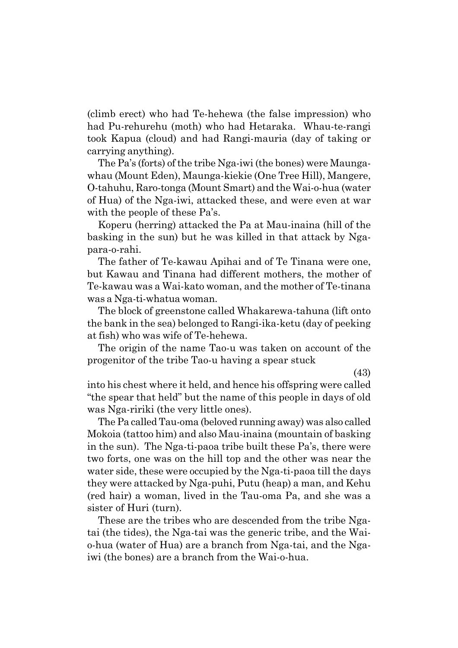(climb erect) who had Te-hehewa (the false impression) who had Pu-rehurehu (moth) who had Hetaraka. Whau-te-rangi took Kapua (cloud) and had Rangi-mauria (day of taking or carrying anything).

The País (forts) of the tribe Nga-iwi (the bones) were Maungawhau (Mount Eden), Maunga-kiekie (One Tree Hill), Mangere, O-tahuhu, Raro-tonga (Mount Smart) and the Wai-o-hua (water of Hua) of the Nga-iwi, attacked these, and were even at war with the people of these Pa's.

Koperu (herring) attacked the Pa at Mau-inaina (hill of the basking in the sun) but he was killed in that attack by Ngapara-o-rahi.

The father of Te-kawau Apihai and of Te Tinana were one, but Kawau and Tinana had different mothers, the mother of Te-kawau was a Wai-kato woman, and the mother of Te-tinana was a Nga-ti-whatua woman.

The block of greenstone called Whakarewa-tahuna (lift onto the bank in the sea) belonged to Rangi-ika-ketu (day of peeking at fish) who was wife of Te-hehewa.

The origin of the name Tao-u was taken on account of the progenitor of the tribe Tao-u having a spear stuck

(43)

into his chest where it held, and hence his offspring were called "the spear that held" but the name of this people in days of old was Nga-ririki (the very little ones).

The Pa called Tau-oma (beloved running away) was also called Mokoia (tattoo him) and also Mau-inaina (mountain of basking in the sun). The Nga-ti-paoa tribe built these Pa's, there were two forts, one was on the hill top and the other was near the water side, these were occupied by the Nga-ti-paoa till the days they were attacked by Nga-puhi, Putu (heap) a man, and Kehu (red hair) a woman, lived in the Tau-oma Pa, and she was a sister of Huri (turn).

These are the tribes who are descended from the tribe Ngatai (the tides), the Nga-tai was the generic tribe, and the Waio-hua (water of Hua) are a branch from Nga-tai, and the Ngaiwi (the bones) are a branch from the Wai-o-hua.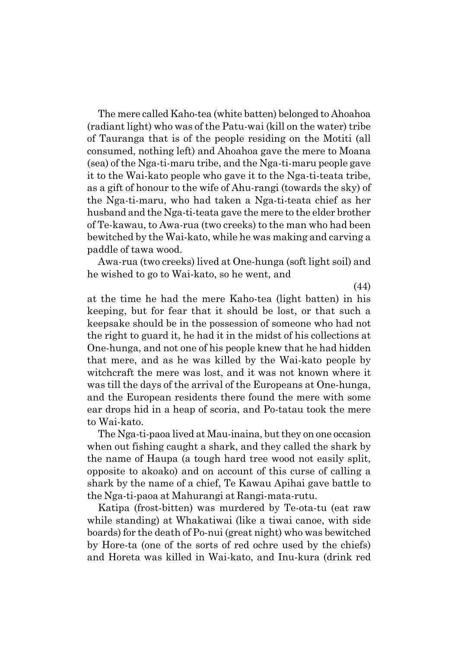The mere called Kaho-tea (white batten) belonged to Ahoahoa (radiant light) who was of the Patu-wai (kill on the water) tribe of Tauranga that is of the people residing on the Motiti (all consumed, nothing left) and Ahoahoa gave the mere to Moana (sea) of the Nga-ti-maru tribe, and the Nga-ti-maru people gave it to the Wai-kato people who gave it to the Nga-ti-teata tribe, as a gift of honour to the wife of Ahu-rangi (towards the sky) of the Nga-ti-maru, who had taken a Nga-ti-teata chief as her husband and the Nga-ti-teata gave the mere to the elder brother of Te-kawau, to Awa-rua (two creeks) to the man who had been bewitched by the Wai-kato, while he was making and carving a paddle of tawa wood.

Awa-rua (two creeks) lived at One-hunga (soft light soil) and he wished to go to Wai-kato, so he went, and

(44)

at the time he had the mere Kaho-tea (light batten) in his keeping, but for fear that it should be lost, or that such a keepsake should be in the possession of someone who had not the right to guard it, he had it in the midst of his collections at One-hunga, and not one of his people knew that he had hidden that mere, and as he was killed by the Wai-kato people by witchcraft the mere was lost, and it was not known where it was till the days of the arrival of the Europeans at One-hunga, and the European residents there found the mere with some ear drops hid in a heap of scoria, and Po-tatau took the mere to Wai-kato.

The Nga-ti-paoa lived at Mau-inaina, but they on one occasion when out fishing caught a shark, and they called the shark by the name of Haupa (a tough hard tree wood not easily split, opposite to akoako) and on account of this curse of calling a shark by the name of a chief, Te Kawau Apihai gave battle to the Nga-ti-paoa at Mahurangi at Rangi-mata-rutu.

Katipa (frost-bitten) was murdered by Te-ota-tu (eat raw while standing) at Whakatiwai (like a tiwai canoe, with side boards) for the death of Po-nui (great night) who was bewitched by Hore-ta (one of the sorts of red ochre used by the chiefs) and Horeta was killed in Wai-kato, and Inu-kura (drink red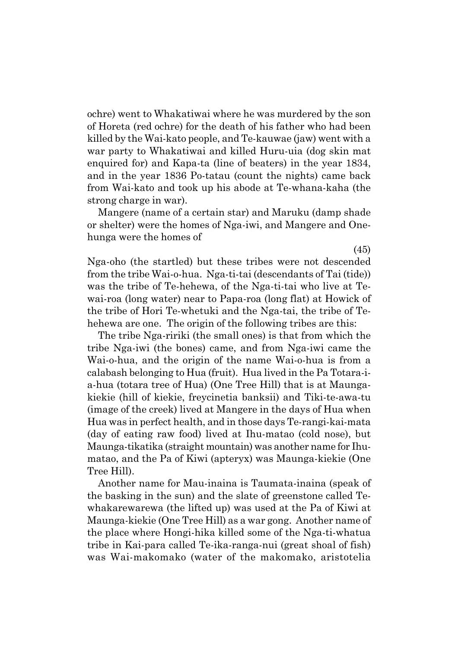ochre) went to Whakatiwai where he was murdered by the son of Horeta (red ochre) for the death of his father who had been killed by the Wai-kato people, and Te-kauwae (jaw) went with a war party to Whakatiwai and killed Huru-uia (dog skin mat enquired for) and Kapa-ta (line of beaters) in the year 1834, and in the year 1836 Po-tatau (count the nights) came back from Wai-kato and took up his abode at Te-whana-kaha (the strong charge in war).

Mangere (name of a certain star) and Maruku (damp shade or shelter) were the homes of Nga-iwi, and Mangere and Onehunga were the homes of

Nga-oho (the startled) but these tribes were not descended from the tribe Wai-o-hua. Nga-ti-tai (descendants of Tai (tide)) was the tribe of Te-hehewa, of the Nga-ti-tai who live at Tewai-roa (long water) near to Papa-roa (long flat) at Howick of the tribe of Hori Te-whetuki and the Nga-tai, the tribe of Tehehewa are one. The origin of the following tribes are this:

The tribe Nga-ririki (the small ones) is that from which the tribe Nga-iwi (the bones) came, and from Nga-iwi came the Wai-o-hua, and the origin of the name Wai-o-hua is from a calabash belonging to Hua (fruit). Hua lived in the Pa Totara-ia-hua (totara tree of Hua) (One Tree Hill) that is at Maungakiekie (hill of kiekie, freycinetia banksii) and Tiki-te-awa-tu (image of the creek) lived at Mangere in the days of Hua when Hua was in perfect health, and in those days Te-rangi-kai-mata (day of eating raw food) lived at Ihu-matao (cold nose), but Maunga-tikatika (straight mountain) was another name for Ihumatao, and the Pa of Kiwi (apteryx) was Maunga-kiekie (One Tree Hill).

Another name for Mau-inaina is Taumata-inaina (speak of the basking in the sun) and the slate of greenstone called Tewhakarewarewa (the lifted up) was used at the Pa of Kiwi at Maunga-kiekie (One Tree Hill) as a war gong. Another name of the place where Hongi-hika killed some of the Nga-ti-whatua tribe in Kai-para called Te-ika-ranga-nui (great shoal of fish) was Wai-makomako (water of the makomako, aristotelia

(45)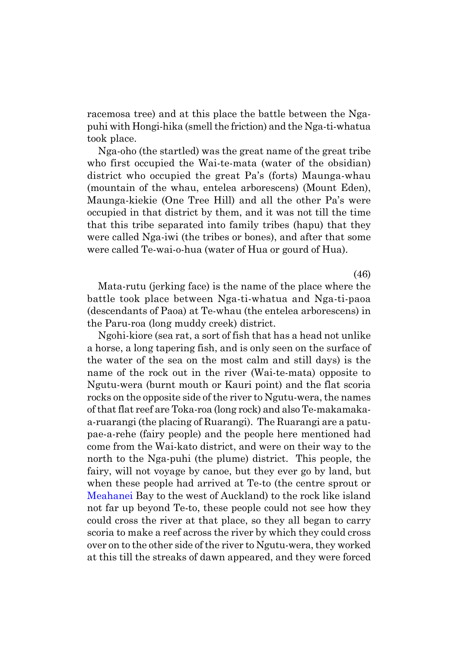racemosa tree) and at this place the battle between the Ngapuhi with Hongi-hika (smell the friction) and the Nga-ti-whatua took place.

Nga-oho (the startled) was the great name of the great tribe who first occupied the Wai-te-mata (water of the obsidian) district who occupied the great Pa's (forts) Maunga-whau (mountain of the whau, entelea arborescens) (Mount Eden), Maunga-kiekie (One Tree Hill) and all the other País were occupied in that district by them, and it was not till the time that this tribe separated into family tribes (hapu) that they were called Nga-iwi (the tribes or bones), and after that some were called Te-wai-o-hua (water of Hua or gourd of Hua).

(46)

Mata-rutu (jerking face) is the name of the place where the battle took place between Nga-ti-whatua and Nga-ti-paoa (descendants of Paoa) at Te-whau (the entelea arborescens) in the Paru-roa (long muddy creek) district.

Ngohi-kiore (sea rat, a sort of fish that has a head not unlike a horse, a long tapering fish, and is only seen on the surface of the water of the sea on the most calm and still days) is the name of the rock out in the river (Wai-te-mata) opposite to Ngutu-wera (burnt mouth or Kauri point) and the flat scoria rocks on the opposite side of the river to Ngutu-wera, the names of that flat reef are Toka-roa (long rock) and also Te-makamakaa-ruarangi (the placing of Ruarangi). The Ruarangi are a patupae-a-rehe (fairy people) and the people here mentioned had come from the Wai-kato district, and were on their way to the north to the Nga-puhi (the plume) district. This people, the fairy, will not voyage by canoe, but they ever go by land, but when these people had arrived at Te-to (the centre sprout or Meahanei Bay to the west of Auckland) to the rock like island not far up beyond Te-to, these people could not see how they could cross the river at that place, so they all began to carry scoria to make a reef across the river by which they could cross over on to the other side of the river to Ngutu-wera, they worked at this till the streaks of dawn appeared, and they were forced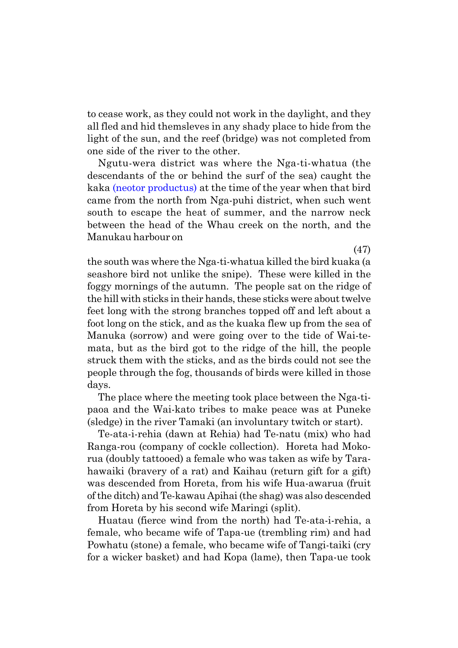to cease work, as they could not work in the daylight, and they all fled and hid themsleves in any shady place to hide from the light of the sun, and the reef (bridge) was not completed from one side of the river to the other.

Ngutu-wera district was where the Nga-ti-whatua (the descendants of the or behind the surf of the sea) caught the kaka (neotor productus) at the time of the year when that bird came from the north from Nga-puhi district, when such went south to escape the heat of summer, and the narrow neck between the head of the Whau creek on the north, and the Manukau harbour on

(47) the south was where the Nga-ti-whatua killed the bird kuaka (a seashore bird not unlike the snipe). These were killed in the foggy mornings of the autumn. The people sat on the ridge of the hill with sticks in their hands, these sticks were about twelve feet long with the strong branches topped off and left about a foot long on the stick, and as the kuaka flew up from the sea of Manuka (sorrow) and were going over to the tide of Wai-temata, but as the bird got to the ridge of the hill, the people struck them with the sticks, and as the birds could not see the people through the fog, thousands of birds were killed in those days.

The place where the meeting took place between the Nga-tipaoa and the Wai-kato tribes to make peace was at Puneke (sledge) in the river Tamaki (an involuntary twitch or start).

Te-ata-i-rehia (dawn at Rehia) had Te-natu (mix) who had Ranga-rou (company of cockle collection). Horeta had Mokorua (doubly tattooed) a female who was taken as wife by Tarahawaiki (bravery of a rat) and Kaihau (return gift for a gift) was descended from Horeta, from his wife Hua-awarua (fruit of the ditch) and Te-kawau Apihai (the shag) was also descended from Horeta by his second wife Maringi (split).

Huatau (fierce wind from the north) had Te-ata-i-rehia, a female, who became wife of Tapa-ue (trembling rim) and had Powhatu (stone) a female, who became wife of Tangi-taiki (cry for a wicker basket) and had Kopa (lame), then Tapa-ue took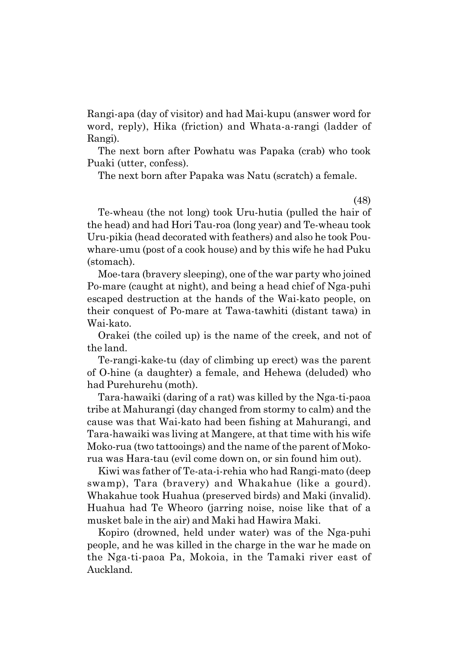Rangi-apa (day of visitor) and had Mai-kupu (answer word for word, reply), Hika (friction) and Whata-a-rangi (ladder of Rangi).

The next born after Powhatu was Papaka (crab) who took Puaki (utter, confess).

The next born after Papaka was Natu (scratch) a female.

(48)

Te-wheau (the not long) took Uru-hutia (pulled the hair of the head) and had Hori Tau-roa (long year) and Te-wheau took Uru-pikia (head decorated with feathers) and also he took Pouwhare-umu (post of a cook house) and by this wife he had Puku (stomach).

Moe-tara (bravery sleeping), one of the war party who joined Po-mare (caught at night), and being a head chief of Nga-puhi escaped destruction at the hands of the Wai-kato people, on their conquest of Po-mare at Tawa-tawhiti (distant tawa) in Wai-kato.

Orakei (the coiled up) is the name of the creek, and not of the land.

Te-rangi-kake-tu (day of climbing up erect) was the parent of O-hine (a daughter) a female, and Hehewa (deluded) who had Purehurehu (moth).

Tara-hawaiki (daring of a rat) was killed by the Nga-ti-paoa tribe at Mahurangi (day changed from stormy to calm) and the cause was that Wai-kato had been fishing at Mahurangi, and Tara-hawaiki was living at Mangere, at that time with his wife Moko-rua (two tattooings) and the name of the parent of Mokorua was Hara-tau (evil come down on, or sin found him out).

Kiwi was father of Te-ata-i-rehia who had Rangi-mato (deep swamp), Tara (bravery) and Whakahue (like a gourd). Whakahue took Huahua (preserved birds) and Maki (invalid). Huahua had Te Wheoro (jarring noise, noise like that of a musket bale in the air) and Maki had Hawira Maki.

Kopiro (drowned, held under water) was of the Nga-puhi people, and he was killed in the charge in the war he made on the Nga-ti-paoa Pa, Mokoia, in the Tamaki river east of Auckland.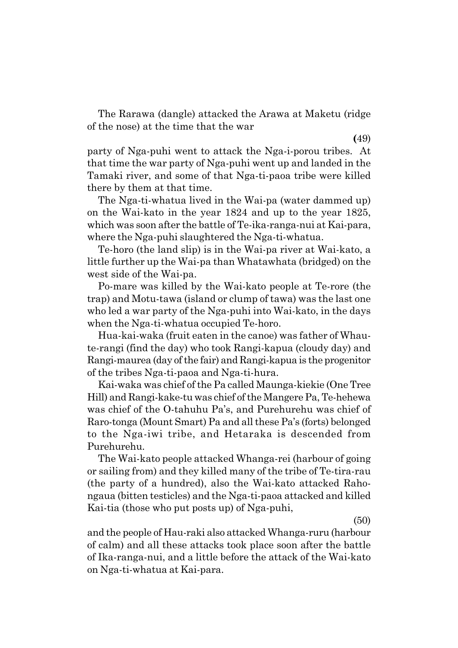The Rarawa (dangle) attacked the Arawa at Maketu (ridge of the nose) at the time that the war

**(**49) party of Nga-puhi went to attack the Nga-i-porou tribes. At that time the war party of Nga-puhi went up and landed in the Tamaki river, and some of that Nga-ti-paoa tribe were killed there by them at that time.

The Nga-ti-whatua lived in the Wai-pa (water dammed up) on the Wai-kato in the year 1824 and up to the year 1825, which was soon after the battle of Te-ika-ranga-nui at Kai-para, where the Nga-puhi slaughtered the Nga-ti-whatua.

Te-horo (the land slip) is in the Wai-pa river at Wai-kato, a little further up the Wai-pa than Whatawhata (bridged) on the west side of the Wai-pa.

Po-mare was killed by the Wai-kato people at Te-rore (the trap) and Motu-tawa (island or clump of tawa) was the last one who led a war party of the Nga-puhi into Wai-kato, in the days when the Nga-ti-whatua occupied Te-horo.

Hua-kai-waka (fruit eaten in the canoe) was father of Whaute-rangi (find the day) who took Rangi-kapua (cloudy day) and Rangi-maurea (day of the fair) and Rangi-kapua is the progenitor of the tribes Nga-ti-paoa and Nga-ti-hura.

Kai-waka was chief of the Pa called Maunga-kiekie (One Tree Hill) and Rangi-kake-tu was chief of the Mangere Pa, Te-hehewa was chief of the O-tahuhu Pa's, and Purehurehu was chief of Raro-tonga (Mount Smart) Pa and all these País (forts) belonged to the Nga-iwi tribe, and Hetaraka is descended from Purehurehu.

The Wai-kato people attacked Whanga-rei (harbour of going or sailing from) and they killed many of the tribe of Te-tira-rau (the party of a hundred), also the Wai-kato attacked Rahongaua (bitten testicles) and the Nga-ti-paoa attacked and killed Kai-tia (those who put posts up) of Nga-puhi,

(50)

and the people of Hau-raki also attacked Whanga-ruru (harbour of calm) and all these attacks took place soon after the battle of Ika-ranga-nui, and a little before the attack of the Wai-kato on Nga-ti-whatua at Kai-para.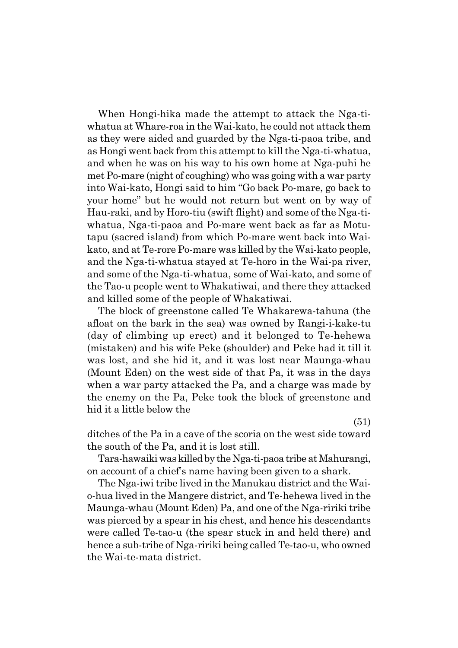When Hongi-hika made the attempt to attack the Nga-tiwhatua at Whare-roa in the Wai-kato, he could not attack them as they were aided and guarded by the Nga-ti-paoa tribe, and as Hongi went back from this attempt to kill the Nga-ti-whatua, and when he was on his way to his own home at Nga-puhi he met Po-mare (night of coughing) who was going with a war party into Wai-kato, Hongi said to him "Go back Po-mare, go back to your homeî but he would not return but went on by way of Hau-raki, and by Horo-tiu (swift flight) and some of the Nga-tiwhatua, Nga-ti-paoa and Po-mare went back as far as Motutapu (sacred island) from which Po-mare went back into Waikato, and at Te-rore Po-mare was killed by the Wai-kato people, and the Nga-ti-whatua stayed at Te-horo in the Wai-pa river, and some of the Nga-ti-whatua, some of Wai-kato, and some of the Tao-u people went to Whakatiwai, and there they attacked and killed some of the people of Whakatiwai.

The block of greenstone called Te Whakarewa-tahuna (the afloat on the bark in the sea) was owned by Rangi-i-kake-tu (day of climbing up erect) and it belonged to Te-hehewa (mistaken) and his wife Peke (shoulder) and Peke had it till it was lost, and she hid it, and it was lost near Maunga-whau (Mount Eden) on the west side of that Pa, it was in the days when a war party attacked the Pa, and a charge was made by the enemy on the Pa, Peke took the block of greenstone and hid it a little below the

(51)

ditches of the Pa in a cave of the scoria on the west side toward the south of the Pa, and it is lost still.

Tara-hawaiki was killed by the Nga-ti-paoa tribe at Mahurangi, on account of a chiefís name having been given to a shark.

The Nga-iwi tribe lived in the Manukau district and the Waio-hua lived in the Mangere district, and Te-hehewa lived in the Maunga-whau (Mount Eden) Pa, and one of the Nga-ririki tribe was pierced by a spear in his chest, and hence his descendants were called Te-tao-u (the spear stuck in and held there) and hence a sub-tribe of Nga-ririki being called Te-tao-u, who owned the Wai-te-mata district.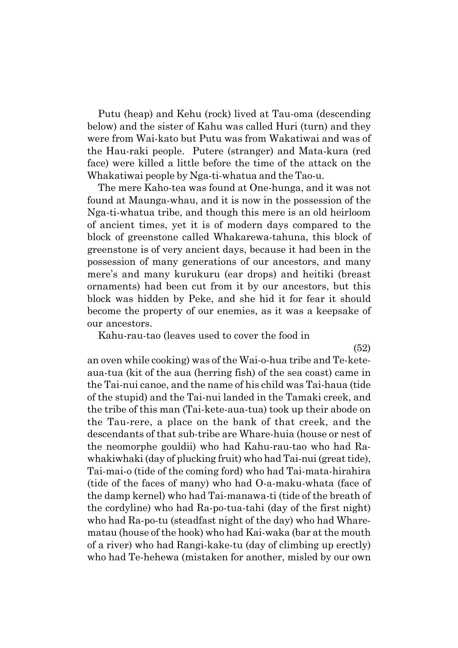Putu (heap) and Kehu (rock) lived at Tau-oma (descending below) and the sister of Kahu was called Huri (turn) and they were from Wai-kato but Putu was from Wakatiwai and was of the Hau-raki people. Putere (stranger) and Mata-kura (red face) were killed a little before the time of the attack on the Whakatiwai people by Nga-ti-whatua and the Tao-u.

The mere Kaho-tea was found at One-hunga, and it was not found at Maunga-whau, and it is now in the possession of the Nga-ti-whatua tribe, and though this mere is an old heirloom of ancient times, yet it is of modern days compared to the block of greenstone called Whakarewa-tahuna, this block of greenstone is of very ancient days, because it had been in the possession of many generations of our ancestors, and many mereís and many kurukuru (ear drops) and heitiki (breast ornaments) had been cut from it by our ancestors, but this block was hidden by Peke, and she hid it for fear it should become the property of our enemies, as it was a keepsake of our ancestors.

Kahu-rau-tao (leaves used to cover the food in

(52)

an oven while cooking) was of the Wai-o-hua tribe and Te-keteaua-tua (kit of the aua (herring fish) of the sea coast) came in the Tai-nui canoe, and the name of his child was Tai-haua (tide of the stupid) and the Tai-nui landed in the Tamaki creek, and the tribe of this man (Tai-kete-aua-tua) took up their abode on the Tau-rere, a place on the bank of that creek, and the descendants of that sub-tribe are Whare-huia (house or nest of the neomorphe gouldii) who had Kahu-rau-tao who had Rawhakiwhaki (day of plucking fruit) who had Tai-nui (great tide), Tai-mai-o (tide of the coming ford) who had Tai-mata-hirahira (tide of the faces of many) who had O-a-maku-whata (face of the damp kernel) who had Tai-manawa-ti (tide of the breath of the cordyline) who had Ra-po-tua-tahi (day of the first night) who had Ra-po-tu (steadfast night of the day) who had Wharematau (house of the hook) who had Kai-waka (bar at the mouth of a river) who had Rangi-kake-tu (day of climbing up erectly) who had Te-hehewa (mistaken for another, misled by our own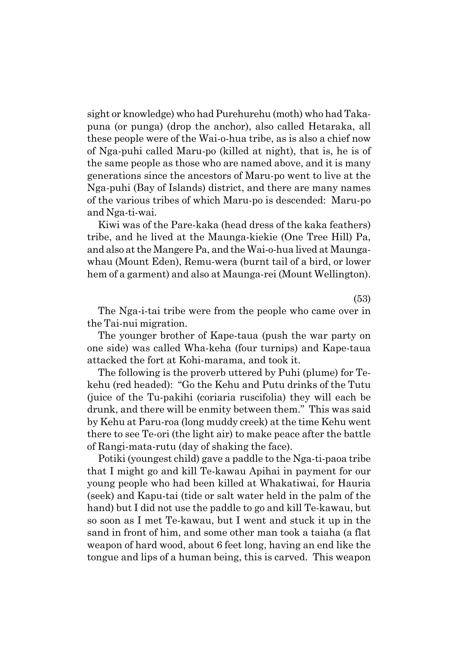sight or knowledge) who had Purehurehu (moth) who had Takapuna (or punga) (drop the anchor), also called Hetaraka, all these people were of the Wai-o-hua tribe, as is also a chief now of Nga-puhi called Maru-po (killed at night), that is, he is of the same people as those who are named above, and it is many generations since the ancestors of Maru-po went to live at the Nga-puhi (Bay of Islands) district, and there are many names of the various tribes of which Maru-po is descended: Maru-po and Nga-ti-wai.

Kiwi was of the Pare-kaka (head dress of the kaka feathers) tribe, and he lived at the Maunga-kiekie (One Tree Hill) Pa, and also at the Mangere Pa, and the Wai-o-hua lived at Maungawhau (Mount Eden), Remu-wera (burnt tail of a bird, or lower hem of a garment) and also at Maunga-rei (Mount Wellington).

(53)

The Nga-i-tai tribe were from the people who came over in the Tai-nui migration.

The younger brother of Kape-taua (push the war party on one side) was called Wha-keha (four turnips) and Kape-taua attacked the fort at Kohi-marama, and took it.

The following is the proverb uttered by Puhi (plume) for Tekehu (red headed): "Go the Kehu and Putu drinks of the Tutu (juice of the Tu-pakihi (coriaria ruscifolia) they will each be drunk, and there will be enmity between them." This was said by Kehu at Paru-roa (long muddy creek) at the time Kehu went there to see Te-ori (the light air) to make peace after the battle of Rangi-mata-rutu (day of shaking the face).

Potiki (youngest child) gave a paddle to the Nga-ti-paoa tribe that I might go and kill Te-kawau Apihai in payment for our young people who had been killed at Whakatiwai, for Hauria (seek) and Kapu-tai (tide or salt water held in the palm of the hand) but I did not use the paddle to go and kill Te-kawau, but so soon as I met Te-kawau, but I went and stuck it up in the sand in front of him, and some other man took a taiaha (a flat weapon of hard wood, about 6 feet long, having an end like the tongue and lips of a human being, this is carved. This weapon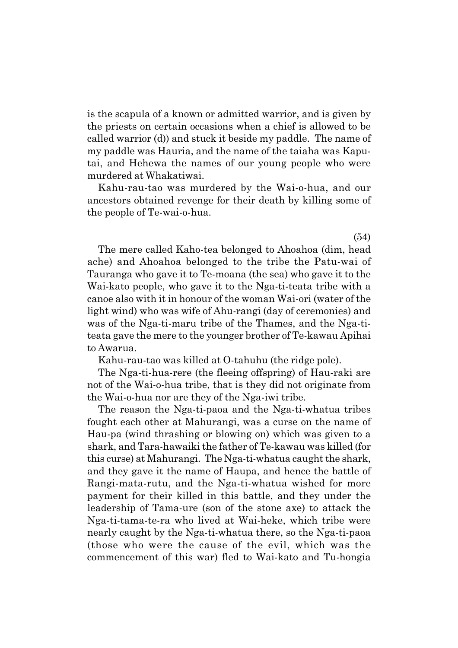is the scapula of a known or admitted warrior, and is given by the priests on certain occasions when a chief is allowed to be called warrior (d)) and stuck it beside my paddle. The name of my paddle was Hauria, and the name of the taiaha was Kaputai, and Hehewa the names of our young people who were murdered at Whakatiwai.

Kahu-rau-tao was murdered by the Wai-o-hua, and our ancestors obtained revenge for their death by killing some of the people of Te-wai-o-hua.

The mere called Kaho-tea belonged to Ahoahoa (dim, head ache) and Ahoahoa belonged to the tribe the Patu-wai of Tauranga who gave it to Te-moana (the sea) who gave it to the Wai-kato people, who gave it to the Nga-ti-teata tribe with a canoe also with it in honour of the woman Wai-ori (water of the light wind) who was wife of Ahu-rangi (day of ceremonies) and was of the Nga-ti-maru tribe of the Thames, and the Nga-titeata gave the mere to the younger brother of Te-kawau Apihai to Awarua.

Kahu-rau-tao was killed at O-tahuhu (the ridge pole).

The Nga-ti-hua-rere (the fleeing offspring) of Hau-raki are not of the Wai-o-hua tribe, that is they did not originate from the Wai-o-hua nor are they of the Nga-iwi tribe.

The reason the Nga-ti-paoa and the Nga-ti-whatua tribes fought each other at Mahurangi, was a curse on the name of Hau-pa (wind thrashing or blowing on) which was given to a shark, and Tara-hawaiki the father of Te-kawau was killed (for this curse) at Mahurangi. The Nga-ti-whatua caught the shark, and they gave it the name of Haupa, and hence the battle of Rangi-mata-rutu, and the Nga-ti-whatua wished for more payment for their killed in this battle, and they under the leadership of Tama-ure (son of the stone axe) to attack the Nga-ti-tama-te-ra who lived at Wai-heke, which tribe were nearly caught by the Nga-ti-whatua there, so the Nga-ti-paoa (those who were the cause of the evil, which was the commencement of this war) fled to Wai-kato and Tu-hongia

(54)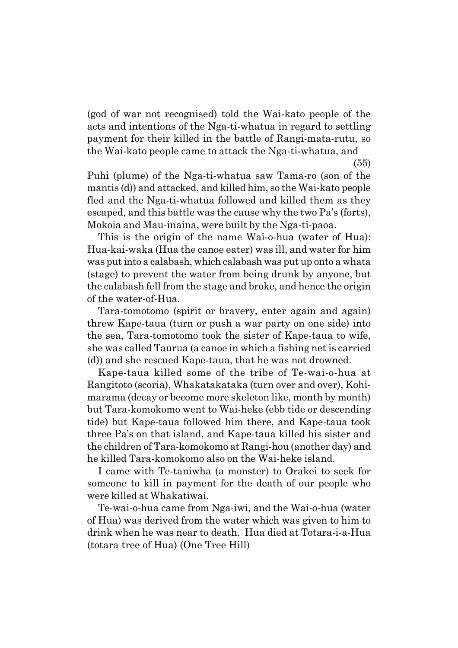(god of war not recognised) told the Wai-kato people of the acts and intentions of the Nga-ti-whatua in regard to settling payment for their killed in the battle of Rangi-mata-rutu, so the Wai-kato people came to attack the Nga-ti-whatua, and

(55)

Puhi (plume) of the Nga-ti-whatua saw Tama-ro (son of the mantis (d)) and attacked, and killed him, so the Wai-kato people fled and the Nga-ti-whatua followed and killed them as they escaped, and this battle was the cause why the two Pa's (forts), Mokoia and Mau-inaina, were built by the Nga-ti-paoa.

This is the origin of the name Wai-o-hua (water of Hua): Hua-kai-waka (Hua the canoe eater) was ill, and water for him was put into a calabash, which calabash was put up onto a whata (stage) to prevent the water from being drunk by anyone, but the calabash fell from the stage and broke, and hence the origin of the water-of-Hua.

Tara-tomotomo (spirit or bravery, enter again and again) threw Kape-taua (turn or push a war party on one side) into the sea, Tara-tomotomo took the sister of Kape-taua to wife, she was called Taurua (a canoe in which a fishing net is carried (d)) and she rescued Kape-taua, that he was not drowned.

Kape-taua killed some of the tribe of Te-wai-o-hua at Rangitoto (scoria), Whakatakataka (turn over and over), Kohimarama (decay or become more skeleton like, month by month) but Tara-komokomo went to Wai-heke (ebb tide or descending tide) but Kape-taua followed him there, and Kape-taua took three País on that island, and Kape-taua killed his sister and the children of Tara-komokomo at Rangi-hou (another day) and he killed Tara-komokomo also on the Wai-heke island.

I came with Te-taniwha (a monster) to Orakei to seek for someone to kill in payment for the death of our people who were killed at Whakatiwai.

Te-wai-o-hua came from Nga-iwi, and the Wai-o-hua (water of Hua) was derived from the water which was given to him to drink when he was near to death. Hua died at Totara-i-a-Hua (totara tree of Hua) (One Tree Hill)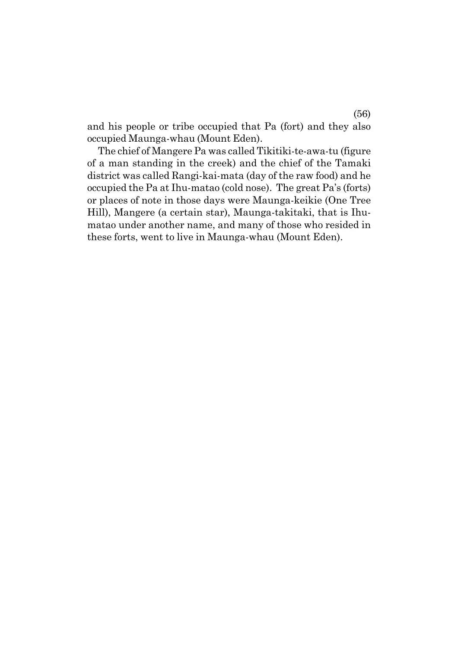and his people or tribe occupied that Pa (fort) and they also occupied Maunga-whau (Mount Eden).

The chief of Mangere Pa was called Tikitiki-te-awa-tu (figure of a man standing in the creek) and the chief of the Tamaki district was called Rangi-kai-mata (day of the raw food) and he occupied the Pa at Ihu-matao (cold nose). The great País (forts) or places of note in those days were Maunga-keikie (One Tree Hill), Mangere (a certain star), Maunga-takitaki, that is Ihumatao under another name, and many of those who resided in these forts, went to live in Maunga-whau (Mount Eden).

(56)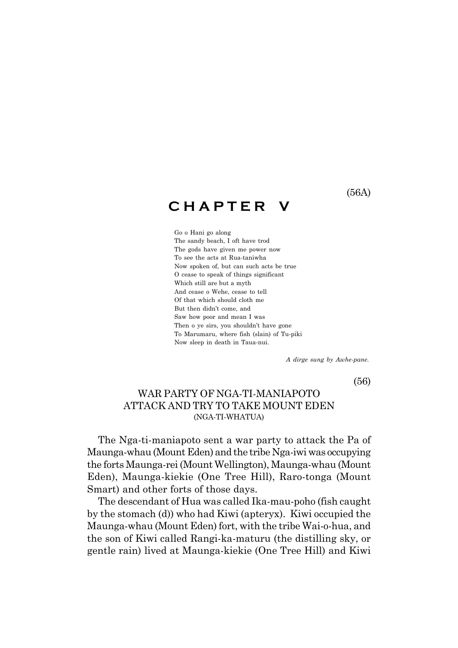(56A)

# **C H A P T E R V**

Go o Hani go along The sandy beach, I oft have trod The gods have given me power now To see the acts at Rua-taniwha Now spoken of, but can such acts be true O cease to speak of things significant Which still are but a myth And cease o Wehe, cease to tell Of that which should cloth me But then didn't come, and Saw how poor and mean I was Then o ye sirs, you shouldn't have gone To Marumaru, where fish (slain) of Tu-piki Now sleep in death in Taua-nui.

 *A dirge sung by Awhe-pane.*

(56)

### WAR PARTY OF NGA-TI-MANIAPOTO ATTACK AND TRY TO TAKE MOUNT EDEN (NGA-TI-WHATUA)

The Nga-ti-maniapoto sent a war party to attack the Pa of Maunga-whau (Mount Eden) and the tribe Nga-iwi was occupying the forts Maunga-rei (Mount Wellington), Maunga-whau (Mount Eden), Maunga-kiekie (One Tree Hill), Raro-tonga (Mount Smart) and other forts of those days.

The descendant of Hua was called Ika-mau-poho (fish caught by the stomach (d)) who had Kiwi (apteryx). Kiwi occupied the Maunga-whau (Mount Eden) fort, with the tribe Wai-o-hua, and the son of Kiwi called Rangi-ka-maturu (the distilling sky, or gentle rain) lived at Maunga-kiekie (One Tree Hill) and Kiwi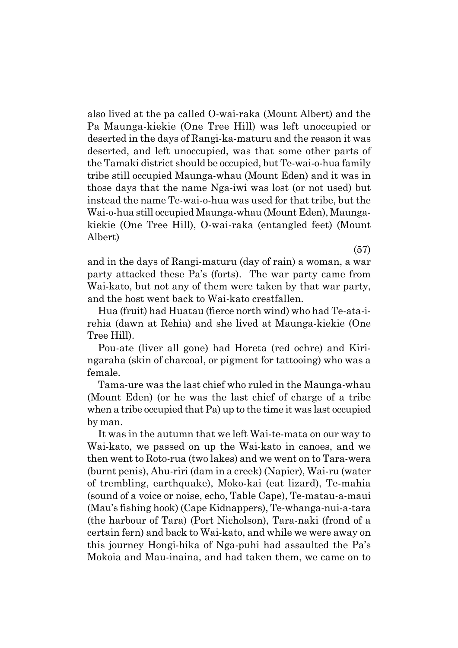also lived at the pa called O-wai-raka (Mount Albert) and the Pa Maunga-kiekie (One Tree Hill) was left unoccupied or deserted in the days of Rangi-ka-maturu and the reason it was deserted, and left unoccupied, was that some other parts of the Tamaki district should be occupied, but Te-wai-o-hua family tribe still occupied Maunga-whau (Mount Eden) and it was in those days that the name Nga-iwi was lost (or not used) but instead the name Te-wai-o-hua was used for that tribe, but the Wai-o-hua still occupied Maunga-whau (Mount Eden), Maungakiekie (One Tree Hill), O-wai-raka (entangled feet) (Mount Albert)

and in the days of Rangi-maturu (day of rain) a woman, a war party attacked these País (forts). The war party came from Wai-kato, but not any of them were taken by that war party, and the host went back to Wai-kato crestfallen.

Hua (fruit) had Huatau (fierce north wind) who had Te-ata-irehia (dawn at Rehia) and she lived at Maunga-kiekie (One Tree Hill).

Pou-ate (liver all gone) had Horeta (red ochre) and Kiringaraha (skin of charcoal, or pigment for tattooing) who was a female.

Tama-ure was the last chief who ruled in the Maunga-whau (Mount Eden) (or he was the last chief of charge of a tribe when a tribe occupied that Pa) up to the time it was last occupied by man.

It was in the autumn that we left Wai-te-mata on our way to Wai-kato, we passed on up the Wai-kato in canoes, and we then went to Roto-rua (two lakes) and we went on to Tara-wera (burnt penis), Ahu-riri (dam in a creek) (Napier), Wai-ru (water of trembling, earthquake), Moko-kai (eat lizard), Te-mahia (sound of a voice or noise, echo, Table Cape), Te-matau-a-maui (Mauís fishing hook) (Cape Kidnappers), Te-whanga-nui-a-tara (the harbour of Tara) (Port Nicholson), Tara-naki (frond of a certain fern) and back to Wai-kato, and while we were away on this journey Hongi-hika of Nga-puhi had assaulted the País Mokoia and Mau-inaina, and had taken them, we came on to

(57)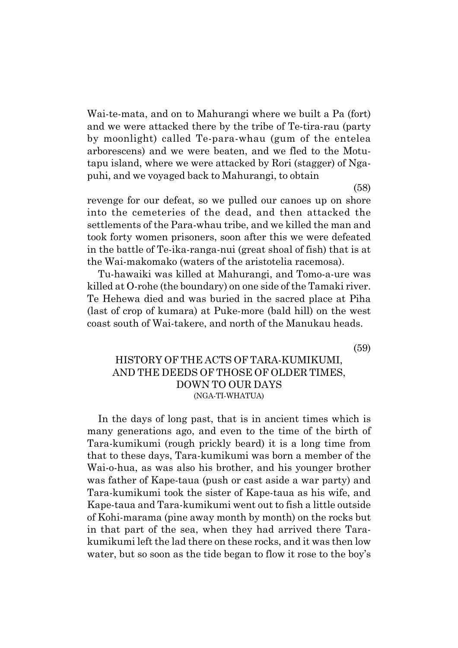Wai-te-mata, and on to Mahurangi where we built a Pa (fort) and we were attacked there by the tribe of Te-tira-rau (party by moonlight) called Te-para-whau (gum of the entelea arborescens) and we were beaten, and we fled to the Motutapu island, where we were attacked by Rori (stagger) of Ngapuhi, and we voyaged back to Mahurangi, to obtain

(58)

revenge for our defeat, so we pulled our canoes up on shore into the cemeteries of the dead, and then attacked the settlements of the Para-whau tribe, and we killed the man and took forty women prisoners, soon after this we were defeated in the battle of Te-ika-ranga-nui (great shoal of fish) that is at the Wai-makomako (waters of the aristotelia racemosa).

Tu-hawaiki was killed at Mahurangi, and Tomo-a-ure was killed at O-rohe (the boundary) on one side of the Tamaki river. Te Hehewa died and was buried in the sacred place at Piha (last of crop of kumara) at Puke-more (bald hill) on the west coast south of Wai-takere, and north of the Manukau heads.

(59)

### HISTORY OF THE ACTS OF TARA-KUMIKUMI, AND THE DEEDS OF THOSE OF OLDER TIMES, DOWN TO OUR DAYS (NGA-TI-WHATUA)

In the days of long past, that is in ancient times which is many generations ago, and even to the time of the birth of Tara-kumikumi (rough prickly beard) it is a long time from that to these days, Tara-kumikumi was born a member of the Wai-o-hua, as was also his brother, and his younger brother was father of Kape-taua (push or cast aside a war party) and Tara-kumikumi took the sister of Kape-taua as his wife, and Kape-taua and Tara-kumikumi went out to fish a little outside of Kohi-marama (pine away month by month) on the rocks but in that part of the sea, when they had arrived there Tarakumikumi left the lad there on these rocks, and it was then low water, but so soon as the tide began to flow it rose to the boy's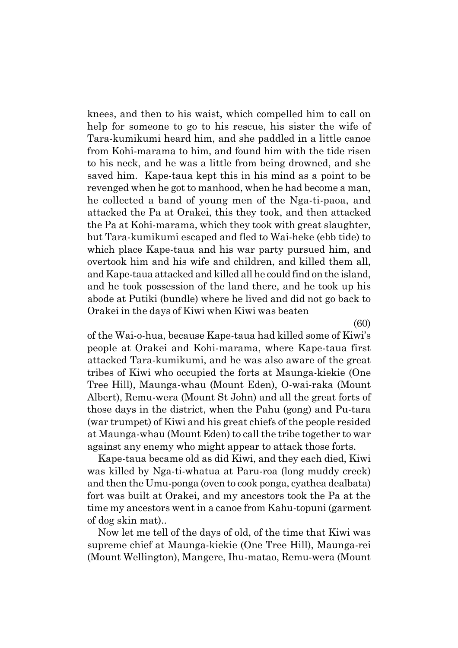knees, and then to his waist, which compelled him to call on help for someone to go to his rescue, his sister the wife of Tara-kumikumi heard him, and she paddled in a little canoe from Kohi-marama to him, and found him with the tide risen to his neck, and he was a little from being drowned, and she saved him. Kape-taua kept this in his mind as a point to be revenged when he got to manhood, when he had become a man, he collected a band of young men of the Nga-ti-paoa, and attacked the Pa at Orakei, this they took, and then attacked the Pa at Kohi-marama, which they took with great slaughter, but Tara-kumikumi escaped and fled to Wai-heke (ebb tide) to which place Kape-taua and his war party pursued him, and overtook him and his wife and children, and killed them all, and Kape-taua attacked and killed all he could find on the island, and he took possession of the land there, and he took up his abode at Putiki (bundle) where he lived and did not go back to Orakei in the days of Kiwi when Kiwi was beaten

(60)

of the Wai-o-hua, because Kape-taua had killed some of Kiwiís people at Orakei and Kohi-marama, where Kape-taua first attacked Tara-kumikumi, and he was also aware of the great tribes of Kiwi who occupied the forts at Maunga-kiekie (One Tree Hill), Maunga-whau (Mount Eden), O-wai-raka (Mount Albert), Remu-wera (Mount St John) and all the great forts of those days in the district, when the Pahu (gong) and Pu-tara (war trumpet) of Kiwi and his great chiefs of the people resided at Maunga-whau (Mount Eden) to call the tribe together to war against any enemy who might appear to attack those forts.

Kape-taua became old as did Kiwi, and they each died, Kiwi was killed by Nga-ti-whatua at Paru-roa (long muddy creek) and then the Umu-ponga (oven to cook ponga, cyathea dealbata) fort was built at Orakei, and my ancestors took the Pa at the time my ancestors went in a canoe from Kahu-topuni (garment of dog skin mat)..

Now let me tell of the days of old, of the time that Kiwi was supreme chief at Maunga-kiekie (One Tree Hill), Maunga-rei (Mount Wellington), Mangere, Ihu-matao, Remu-wera (Mount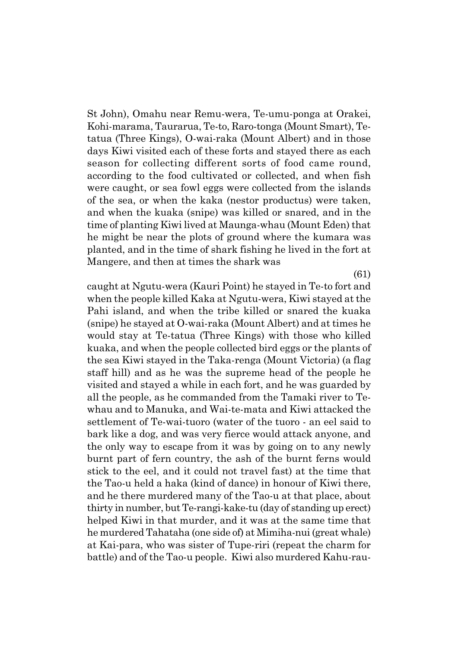St John), Omahu near Remu-wera, Te-umu-ponga at Orakei, Kohi-marama, Taurarua, Te-to, Raro-tonga (Mount Smart), Tetatua (Three Kings), O-wai-raka (Mount Albert) and in those days Kiwi visited each of these forts and stayed there as each season for collecting different sorts of food came round, according to the food cultivated or collected, and when fish were caught, or sea fowl eggs were collected from the islands of the sea, or when the kaka (nestor productus) were taken, and when the kuaka (snipe) was killed or snared, and in the time of planting Kiwi lived at Maunga-whau (Mount Eden) that he might be near the plots of ground where the kumara was planted, and in the time of shark fishing he lived in the fort at Mangere, and then at times the shark was

(61)

caught at Ngutu-wera (Kauri Point) he stayed in Te-to fort and when the people killed Kaka at Ngutu-wera, Kiwi stayed at the Pahi island, and when the tribe killed or snared the kuaka (snipe) he stayed at O-wai-raka (Mount Albert) and at times he would stay at Te-tatua (Three Kings) with those who killed kuaka, and when the people collected bird eggs or the plants of the sea Kiwi stayed in the Taka-renga (Mount Victoria) (a flag staff hill) and as he was the supreme head of the people he visited and stayed a while in each fort, and he was guarded by all the people, as he commanded from the Tamaki river to Tewhau and to Manuka, and Wai-te-mata and Kiwi attacked the settlement of Te-wai-tuoro (water of the tuoro - an eel said to bark like a dog, and was very fierce would attack anyone, and the only way to escape from it was by going on to any newly burnt part of fern country, the ash of the burnt ferns would stick to the eel, and it could not travel fast) at the time that the Tao-u held a haka (kind of dance) in honour of Kiwi there, and he there murdered many of the Tao-u at that place, about thirty in number, but Te-rangi-kake-tu (day of standing up erect) helped Kiwi in that murder, and it was at the same time that he murdered Tahataha (one side of) at Mimiha-nui (great whale) at Kai-para, who was sister of Tupe-riri (repeat the charm for battle) and of the Tao-u people. Kiwi also murdered Kahu-rau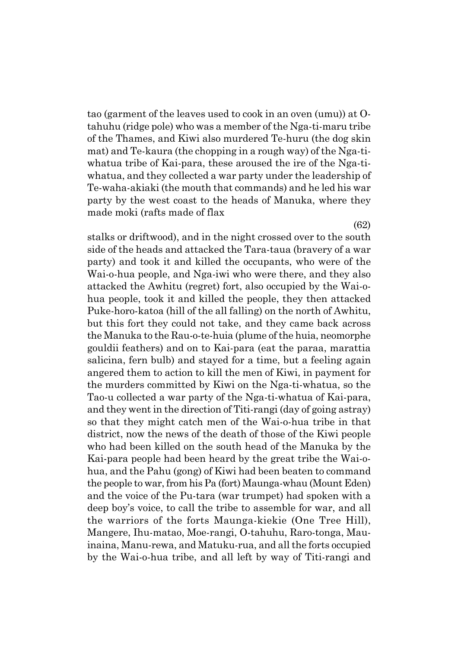tao (garment of the leaves used to cook in an oven (umu)) at Otahuhu (ridge pole) who was a member of the Nga-ti-maru tribe of the Thames, and Kiwi also murdered Te-huru (the dog skin mat) and Te-kaura (the chopping in a rough way) of the Nga-tiwhatua tribe of Kai-para, these aroused the ire of the Nga-tiwhatua, and they collected a war party under the leadership of Te-waha-akiaki (the mouth that commands) and he led his war party by the west coast to the heads of Manuka, where they made moki (rafts made of flax

stalks or driftwood), and in the night crossed over to the south side of the heads and attacked the Tara-taua (bravery of a war party) and took it and killed the occupants, who were of the Wai-o-hua people, and Nga-iwi who were there, and they also attacked the Awhitu (regret) fort, also occupied by the Wai-ohua people, took it and killed the people, they then attacked Puke-horo-katoa (hill of the all falling) on the north of Awhitu, but this fort they could not take, and they came back across the Manuka to the Rau-o-te-huia (plume of the huia, neomorphe gouldii feathers) and on to Kai-para (eat the paraa, marattia salicina, fern bulb) and stayed for a time, but a feeling again angered them to action to kill the men of Kiwi, in payment for the murders committed by Kiwi on the Nga-ti-whatua, so the Tao-u collected a war party of the Nga-ti-whatua of Kai-para, and they went in the direction of Titi-rangi (day of going astray) so that they might catch men of the Wai-o-hua tribe in that district, now the news of the death of those of the Kiwi people who had been killed on the south head of the Manuka by the Kai-para people had been heard by the great tribe the Wai-ohua, and the Pahu (gong) of Kiwi had been beaten to command the people to war, from his Pa (fort) Maunga-whau (Mount Eden) and the voice of the Pu-tara (war trumpet) had spoken with a deep boy's voice, to call the tribe to assemble for war, and all the warriors of the forts Maunga-kiekie (One Tree Hill), Mangere, Ihu-matao, Moe-rangi, O-tahuhu, Raro-tonga, Mauinaina, Manu-rewa, and Matuku-rua, and all the forts occupied by the Wai-o-hua tribe, and all left by way of Titi-rangi and

(62)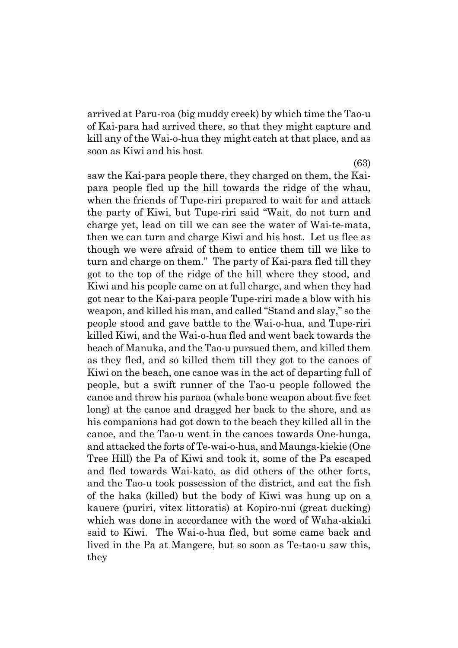arrived at Paru-roa (big muddy creek) by which time the Tao-u of Kai-para had arrived there, so that they might capture and kill any of the Wai-o-hua they might catch at that place, and as soon as Kiwi and his host

saw the Kai-para people there, they charged on them, the Kaipara people fled up the hill towards the ridge of the whau, when the friends of Tupe-riri prepared to wait for and attack the party of Kiwi, but Tupe-riri said "Wait, do not turn and charge yet, lead on till we can see the water of Wai-te-mata, then we can turn and charge Kiwi and his host. Let us flee as though we were afraid of them to entice them till we like to turn and charge on them." The party of Kai-para fled till they got to the top of the ridge of the hill where they stood, and Kiwi and his people came on at full charge, and when they had got near to the Kai-para people Tupe-riri made a blow with his weapon, and killed his man, and called "Stand and slay," so the people stood and gave battle to the Wai-o-hua, and Tupe-riri killed Kiwi, and the Wai-o-hua fled and went back towards the beach of Manuka, and the Tao-u pursued them, and killed them as they fled, and so killed them till they got to the canoes of Kiwi on the beach, one canoe was in the act of departing full of people, but a swift runner of the Tao-u people followed the canoe and threw his paraoa (whale bone weapon about five feet long) at the canoe and dragged her back to the shore, and as his companions had got down to the beach they killed all in the canoe, and the Tao-u went in the canoes towards One-hunga, and attacked the forts of Te-wai-o-hua, and Maunga-kiekie (One Tree Hill) the Pa of Kiwi and took it, some of the Pa escaped and fled towards Wai-kato, as did others of the other forts, and the Tao-u took possession of the district, and eat the fish of the haka (killed) but the body of Kiwi was hung up on a kauere (puriri, vitex littoratis) at Kopiro-nui (great ducking) which was done in accordance with the word of Waha-akiaki said to Kiwi. The Wai-o-hua fled, but some came back and lived in the Pa at Mangere, but so soon as Te-tao-u saw this, they

(63)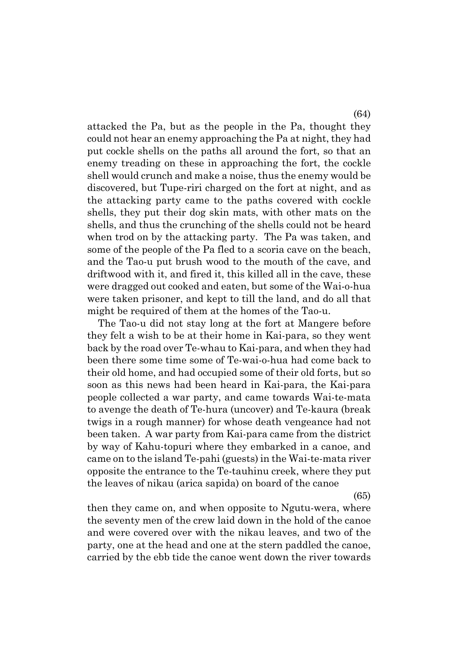attacked the Pa, but as the people in the Pa, thought they could not hear an enemy approaching the Pa at night, they had put cockle shells on the paths all around the fort, so that an enemy treading on these in approaching the fort, the cockle shell would crunch and make a noise, thus the enemy would be discovered, but Tupe-riri charged on the fort at night, and as the attacking party came to the paths covered with cockle shells, they put their dog skin mats, with other mats on the shells, and thus the crunching of the shells could not be heard when trod on by the attacking party. The Pa was taken, and some of the people of the Pa fled to a scoria cave on the beach, and the Tao-u put brush wood to the mouth of the cave, and driftwood with it, and fired it, this killed all in the cave, these were dragged out cooked and eaten, but some of the Wai-o-hua were taken prisoner, and kept to till the land, and do all that might be required of them at the homes of the Tao-u.

The Tao-u did not stay long at the fort at Mangere before they felt a wish to be at their home in Kai-para, so they went back by the road over Te-whau to Kai-para, and when they had been there some time some of Te-wai-o-hua had come back to their old home, and had occupied some of their old forts, but so soon as this news had been heard in Kai-para, the Kai-para people collected a war party, and came towards Wai-te-mata to avenge the death of Te-hura (uncover) and Te-kaura (break twigs in a rough manner) for whose death vengeance had not been taken. A war party from Kai-para came from the district by way of Kahu-topuri where they embarked in a canoe, and came on to the island Te-pahi (guests) in the Wai-te-mata river opposite the entrance to the Te-tauhinu creek, where they put the leaves of nikau (arica sapida) on board of the canoe

(65)

then they came on, and when opposite to Ngutu-wera, where the seventy men of the crew laid down in the hold of the canoe and were covered over with the nikau leaves, and two of the party, one at the head and one at the stern paddled the canoe, carried by the ebb tide the canoe went down the river towards

(64)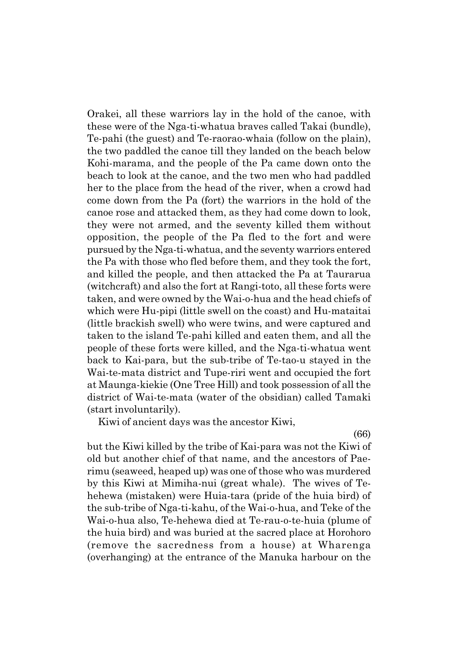Orakei, all these warriors lay in the hold of the canoe, with these were of the Nga-ti-whatua braves called Takai (bundle), Te-pahi (the guest) and Te-raorao-whaia (follow on the plain), the two paddled the canoe till they landed on the beach below Kohi-marama, and the people of the Pa came down onto the beach to look at the canoe, and the two men who had paddled her to the place from the head of the river, when a crowd had come down from the Pa (fort) the warriors in the hold of the canoe rose and attacked them, as they had come down to look, they were not armed, and the seventy killed them without opposition, the people of the Pa fled to the fort and were pursued by the Nga-ti-whatua, and the seventy warriors entered the Pa with those who fled before them, and they took the fort, and killed the people, and then attacked the Pa at Taurarua (witchcraft) and also the fort at Rangi-toto, all these forts were taken, and were owned by the Wai-o-hua and the head chiefs of which were Hu-pipi (little swell on the coast) and Hu-mataitai (little brackish swell) who were twins, and were captured and taken to the island Te-pahi killed and eaten them, and all the people of these forts were killed, and the Nga-ti-whatua went back to Kai-para, but the sub-tribe of Te-tao-u stayed in the Wai-te-mata district and Tupe-riri went and occupied the fort at Maunga-kiekie (One Tree Hill) and took possession of all the district of Wai-te-mata (water of the obsidian) called Tamaki (start involuntarily).

Kiwi of ancient days was the ancestor Kiwi,

(66)

but the Kiwi killed by the tribe of Kai-para was not the Kiwi of old but another chief of that name, and the ancestors of Paerimu (seaweed, heaped up) was one of those who was murdered by this Kiwi at Mimiha-nui (great whale). The wives of Tehehewa (mistaken) were Huia-tara (pride of the huia bird) of the sub-tribe of Nga-ti-kahu, of the Wai-o-hua, and Teke of the Wai-o-hua also, Te-hehewa died at Te-rau-o-te-huia (plume of the huia bird) and was buried at the sacred place at Horohoro (remove the sacredness from a house) at Wharenga (overhanging) at the entrance of the Manuka harbour on the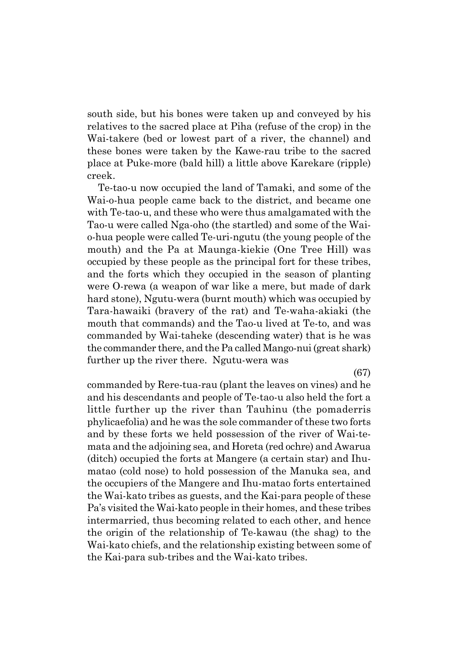south side, but his bones were taken up and conveyed by his relatives to the sacred place at Piha (refuse of the crop) in the Wai-takere (bed or lowest part of a river, the channel) and these bones were taken by the Kawe-rau tribe to the sacred place at Puke-more (bald hill) a little above Karekare (ripple) creek.

Te-tao-u now occupied the land of Tamaki, and some of the Wai-o-hua people came back to the district, and became one with Te-tao-u, and these who were thus amalgamated with the Tao-u were called Nga-oho (the startled) and some of the Waio-hua people were called Te-uri-ngutu (the young people of the mouth) and the Pa at Maunga-kiekie (One Tree Hill) was occupied by these people as the principal fort for these tribes, and the forts which they occupied in the season of planting were O-rewa (a weapon of war like a mere, but made of dark hard stone), Ngutu-wera (burnt mouth) which was occupied by Tara-hawaiki (bravery of the rat) and Te-waha-akiaki (the mouth that commands) and the Tao-u lived at Te-to, and was commanded by Wai-taheke (descending water) that is he was the commander there, and the Pa called Mango-nui (great shark) further up the river there. Ngutu-wera was

(67)

commanded by Rere-tua-rau (plant the leaves on vines) and he and his descendants and people of Te-tao-u also held the fort a little further up the river than Tauhinu (the pomaderris phylicaefolia) and he was the sole commander of these two forts and by these forts we held possession of the river of Wai-temata and the adjoining sea, and Horeta (red ochre) and Awarua (ditch) occupied the forts at Mangere (a certain star) and Ihumatao (cold nose) to hold possession of the Manuka sea, and the occupiers of the Mangere and Ihu-matao forts entertained the Wai-kato tribes as guests, and the Kai-para people of these País visited the Wai-kato people in their homes, and these tribes intermarried, thus becoming related to each other, and hence the origin of the relationship of Te-kawau (the shag) to the Wai-kato chiefs, and the relationship existing between some of the Kai-para sub-tribes and the Wai-kato tribes.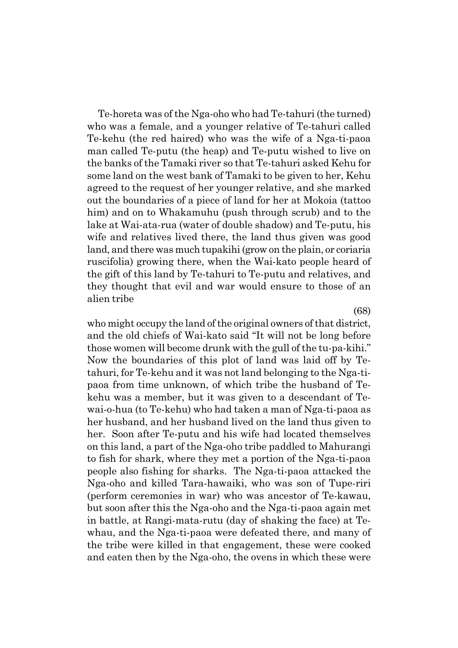Te-horeta was of the Nga-oho who had Te-tahuri (the turned) who was a female, and a younger relative of Te-tahuri called Te-kehu (the red haired) who was the wife of a Nga-ti-paoa man called Te-putu (the heap) and Te-putu wished to live on the banks of the Tamaki river so that Te-tahuri asked Kehu for some land on the west bank of Tamaki to be given to her, Kehu agreed to the request of her younger relative, and she marked out the boundaries of a piece of land for her at Mokoia (tattoo him) and on to Whakamuhu (push through scrub) and to the lake at Wai-ata-rua (water of double shadow) and Te-putu, his wife and relatives lived there, the land thus given was good land, and there was much tupakihi (grow on the plain, or coriaria ruscifolia) growing there, when the Wai-kato people heard of the gift of this land by Te-tahuri to Te-putu and relatives, and they thought that evil and war would ensure to those of an alien tribe

(68)

who might occupy the land of the original owners of that district, and the old chiefs of Wai-kato said "It will not be long before those women will become drunk with the gull of the tu-pa-kihi.<sup>n</sup> Now the boundaries of this plot of land was laid off by Tetahuri, for Te-kehu and it was not land belonging to the Nga-tipaoa from time unknown, of which tribe the husband of Tekehu was a member, but it was given to a descendant of Tewai-o-hua (to Te-kehu) who had taken a man of Nga-ti-paoa as her husband, and her husband lived on the land thus given to her. Soon after Te-putu and his wife had located themselves on this land, a part of the Nga-oho tribe paddled to Mahurangi to fish for shark, where they met a portion of the Nga-ti-paoa people also fishing for sharks. The Nga-ti-paoa attacked the Nga-oho and killed Tara-hawaiki, who was son of Tupe-riri (perform ceremonies in war) who was ancestor of Te-kawau, but soon after this the Nga-oho and the Nga-ti-paoa again met in battle, at Rangi-mata-rutu (day of shaking the face) at Tewhau, and the Nga-ti-paoa were defeated there, and many of the tribe were killed in that engagement, these were cooked and eaten then by the Nga-oho, the ovens in which these were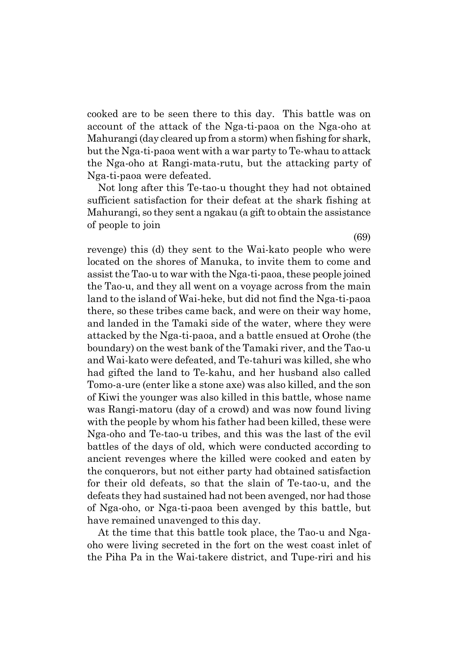cooked are to be seen there to this day. This battle was on account of the attack of the Nga-ti-paoa on the Nga-oho at Mahurangi (day cleared up from a storm) when fishing for shark, but the Nga-ti-paoa went with a war party to Te-whau to attack the Nga-oho at Rangi-mata-rutu, but the attacking party of Nga-ti-paoa were defeated.

Not long after this Te-tao-u thought they had not obtained sufficient satisfaction for their defeat at the shark fishing at Mahurangi, so they sent a ngakau (a gift to obtain the assistance of people to join

revenge) this (d) they sent to the Wai-kato people who were located on the shores of Manuka, to invite them to come and assist the Tao-u to war with the Nga-ti-paoa, these people joined the Tao-u, and they all went on a voyage across from the main land to the island of Wai-heke, but did not find the Nga-ti-paoa there, so these tribes came back, and were on their way home, and landed in the Tamaki side of the water, where they were attacked by the Nga-ti-paoa, and a battle ensued at Orohe (the boundary) on the west bank of the Tamaki river, and the Tao-u and Wai-kato were defeated, and Te-tahuri was killed, she who had gifted the land to Te-kahu, and her husband also called Tomo-a-ure (enter like a stone axe) was also killed, and the son of Kiwi the younger was also killed in this battle, whose name was Rangi-matoru (day of a crowd) and was now found living with the people by whom his father had been killed, these were Nga-oho and Te-tao-u tribes, and this was the last of the evil battles of the days of old, which were conducted according to ancient revenges where the killed were cooked and eaten by the conquerors, but not either party had obtained satisfaction for their old defeats, so that the slain of Te-tao-u, and the defeats they had sustained had not been avenged, nor had those of Nga-oho, or Nga-ti-paoa been avenged by this battle, but have remained unavenged to this day.

At the time that this battle took place, the Tao-u and Ngaoho were living secreted in the fort on the west coast inlet of the Piha Pa in the Wai-takere district, and Tupe-riri and his

(69)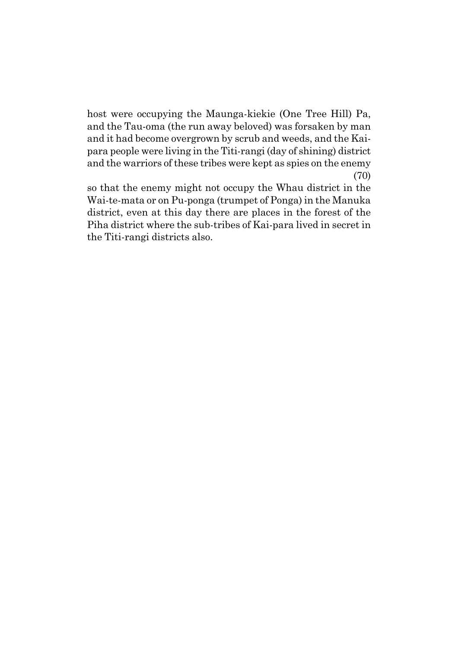host were occupying the Maunga-kiekie (One Tree Hill) Pa, and the Tau-oma (the run away beloved) was forsaken by man and it had become overgrown by scrub and weeds, and the Kaipara people were living in the Titi-rangi (day of shining) district and the warriors of these tribes were kept as spies on the enemy (70)

so that the enemy might not occupy the Whau district in the Wai-te-mata or on Pu-ponga (trumpet of Ponga) in the Manuka district, even at this day there are places in the forest of the Piha district where the sub-tribes of Kai-para lived in secret in the Titi-rangi districts also.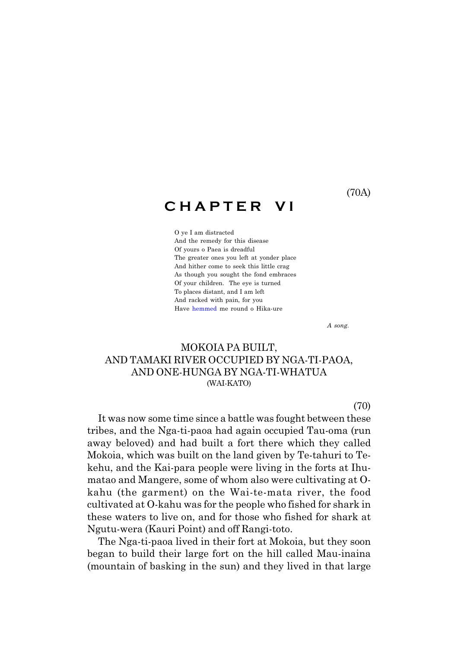### **C H A P T E R V I**

O ye I am distracted And the remedy for this disease Of yours o Paea is dreadful The greater ones you left at yonder place And hither come to seek this little crag As though you sought the fond embraces Of your children. The eye is turned To places distant, and I am left And racked with pain, for you Have hemmed me round o Hika-ure

*A song.*

#### MOKOIA PA BUILT, AND TAMAKI RIVER OCCUPIED BY NGA-TI-PAOA, AND ONE-HUNGA BY NGA-TI-WHATUA (WAI-KATO)

(70)

It was now some time since a battle was fought between these tribes, and the Nga-ti-paoa had again occupied Tau-oma (run away beloved) and had built a fort there which they called Mokoia, which was built on the land given by Te-tahuri to Tekehu, and the Kai-para people were living in the forts at Ihumatao and Mangere, some of whom also were cultivating at Okahu (the garment) on the Wai-te-mata river, the food cultivated at O-kahu was for the people who fished for shark in these waters to live on, and for those who fished for shark at Ngutu-wera (Kauri Point) and off Rangi-toto.

The Nga-ti-paoa lived in their fort at Mokoia, but they soon began to build their large fort on the hill called Mau-inaina (mountain of basking in the sun) and they lived in that large

(70A)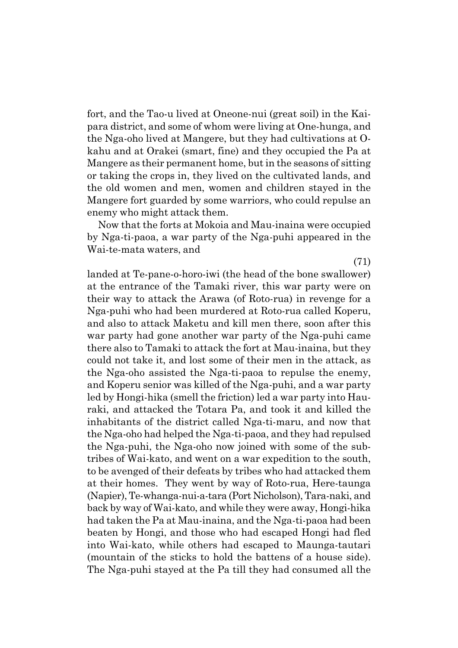fort, and the Tao-u lived at Oneone-nui (great soil) in the Kaipara district, and some of whom were living at One-hunga, and the Nga-oho lived at Mangere, but they had cultivations at Okahu and at Orakei (smart, fine) and they occupied the Pa at Mangere as their permanent home, but in the seasons of sitting or taking the crops in, they lived on the cultivated lands, and the old women and men, women and children stayed in the Mangere fort guarded by some warriors, who could repulse an enemy who might attack them.

Now that the forts at Mokoia and Mau-inaina were occupied by Nga-ti-paoa, a war party of the Nga-puhi appeared in the Wai-te-mata waters, and

(71)

landed at Te-pane-o-horo-iwi (the head of the bone swallower) at the entrance of the Tamaki river, this war party were on their way to attack the Arawa (of Roto-rua) in revenge for a Nga-puhi who had been murdered at Roto-rua called Koperu, and also to attack Maketu and kill men there, soon after this war party had gone another war party of the Nga-puhi came there also to Tamaki to attack the fort at Mau-inaina, but they could not take it, and lost some of their men in the attack, as the Nga-oho assisted the Nga-ti-paoa to repulse the enemy, and Koperu senior was killed of the Nga-puhi, and a war party led by Hongi-hika (smell the friction) led a war party into Hauraki, and attacked the Totara Pa, and took it and killed the inhabitants of the district called Nga-ti-maru, and now that the Nga-oho had helped the Nga-ti-paoa, and they had repulsed the Nga-puhi, the Nga-oho now joined with some of the subtribes of Wai-kato, and went on a war expedition to the south, to be avenged of their defeats by tribes who had attacked them at their homes. They went by way of Roto-rua, Here-taunga (Napier), Te-whanga-nui-a-tara (Port Nicholson), Tara-naki, and back by way of Wai-kato, and while they were away, Hongi-hika had taken the Pa at Mau-inaina, and the Nga-ti-paoa had been beaten by Hongi, and those who had escaped Hongi had fled into Wai-kato, while others had escaped to Maunga-tautari (mountain of the sticks to hold the battens of a house side). The Nga-puhi stayed at the Pa till they had consumed all the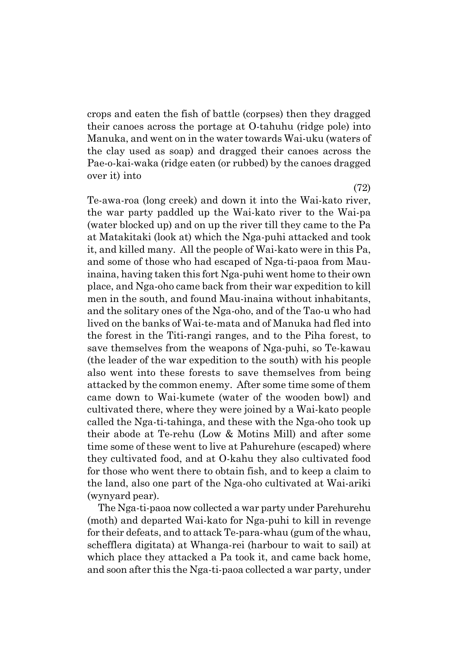crops and eaten the fish of battle (corpses) then they dragged their canoes across the portage at O-tahuhu (ridge pole) into Manuka, and went on in the water towards Wai-uku (waters of the clay used as soap) and dragged their canoes across the Pae-o-kai-waka (ridge eaten (or rubbed) by the canoes dragged over it) into

Te-awa-roa (long creek) and down it into the Wai-kato river, the war party paddled up the Wai-kato river to the Wai-pa (water blocked up) and on up the river till they came to the Pa at Matakitaki (look at) which the Nga-puhi attacked and took it, and killed many. All the people of Wai-kato were in this Pa, and some of those who had escaped of Nga-ti-paoa from Mauinaina, having taken this fort Nga-puhi went home to their own place, and Nga-oho came back from their war expedition to kill men in the south, and found Mau-inaina without inhabitants, and the solitary ones of the Nga-oho, and of the Tao-u who had lived on the banks of Wai-te-mata and of Manuka had fled into the forest in the Titi-rangi ranges, and to the Piha forest, to save themselves from the weapons of Nga-puhi, so Te-kawau (the leader of the war expedition to the south) with his people also went into these forests to save themselves from being attacked by the common enemy. After some time some of them came down to Wai-kumete (water of the wooden bowl) and cultivated there, where they were joined by a Wai-kato people called the Nga-ti-tahinga, and these with the Nga-oho took up their abode at Te-rehu (Low & Motins Mill) and after some time some of these went to live at Pahurehure (escaped) where they cultivated food, and at O-kahu they also cultivated food for those who went there to obtain fish, and to keep a claim to the land, also one part of the Nga-oho cultivated at Wai-ariki (wynyard pear).

The Nga-ti-paoa now collected a war party under Parehurehu (moth) and departed Wai-kato for Nga-puhi to kill in revenge for their defeats, and to attack Te-para-whau (gum of the whau, schefflera digitata) at Whanga-rei (harbour to wait to sail) at which place they attacked a Pa took it, and came back home, and soon after this the Nga-ti-paoa collected a war party, under

(72)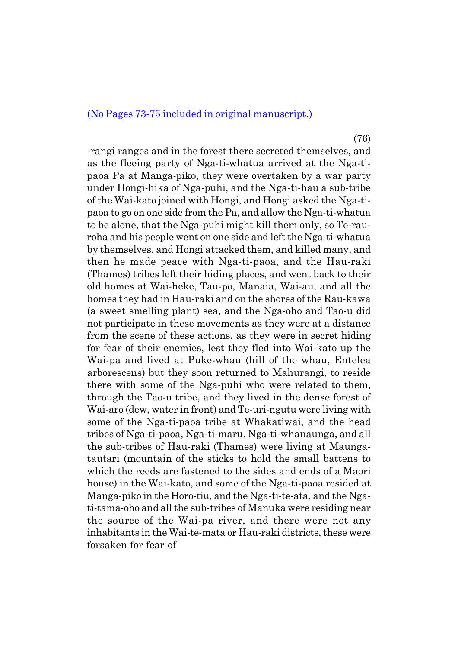#### (No Pages 73-75 included in original manuscript.)

(76)

-rangi ranges and in the forest there secreted themselves, and as the fleeing party of Nga-ti-whatua arrived at the Nga-tipaoa Pa at Manga-piko, they were overtaken by a war party under Hongi-hika of Nga-puhi, and the Nga-ti-hau a sub-tribe of the Wai-kato joined with Hongi, and Hongi asked the Nga-tipaoa to go on one side from the Pa, and allow the Nga-ti-whatua to be alone, that the Nga-puhi might kill them only, so Te-rauroha and his people went on one side and left the Nga-ti-whatua by themselves, and Hongi attacked them, and killed many, and then he made peace with Nga-ti-paoa, and the Hau-raki (Thames) tribes left their hiding places, and went back to their old homes at Wai-heke, Tau-po, Manaia, Wai-au, and all the homes they had in Hau-raki and on the shores of the Rau-kawa (a sweet smelling plant) sea, and the Nga-oho and Tao-u did not participate in these movements as they were at a distance from the scene of these actions, as they were in secret hiding for fear of their enemies, lest they fled into Wai-kato up the Wai-pa and lived at Puke-whau (hill of the whau, Entelea arborescens) but they soon returned to Mahurangi, to reside there with some of the Nga-puhi who were related to them, through the Tao-u tribe, and they lived in the dense forest of Wai-aro (dew, water in front) and Te-uri-ngutu were living with some of the Nga-ti-paoa tribe at Whakatiwai, and the head tribes of Nga-ti-paoa, Nga-ti-maru, Nga-ti-whanaunga, and all the sub-tribes of Hau-raki (Thames) were living at Maungatautari (mountain of the sticks to hold the small battens to which the reeds are fastened to the sides and ends of a Maori house) in the Wai-kato, and some of the Nga-ti-paoa resided at Manga-piko in the Horo-tiu, and the Nga-ti-te-ata, and the Ngati-tama-oho and all the sub-tribes of Manuka were residing near the source of the Wai-pa river, and there were not any inhabitants in the Wai-te-mata or Hau-raki districts, these were forsaken for fear of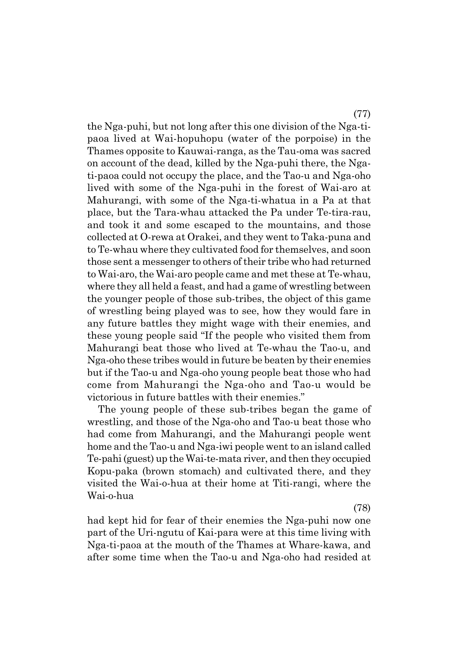the Nga-puhi, but not long after this one division of the Nga-tipaoa lived at Wai-hopuhopu (water of the porpoise) in the Thames opposite to Kauwai-ranga, as the Tau-oma was sacred on account of the dead, killed by the Nga-puhi there, the Ngati-paoa could not occupy the place, and the Tao-u and Nga-oho lived with some of the Nga-puhi in the forest of Wai-aro at Mahurangi, with some of the Nga-ti-whatua in a Pa at that place, but the Tara-whau attacked the Pa under Te-tira-rau, and took it and some escaped to the mountains, and those collected at O-rewa at Orakei, and they went to Taka-puna and to Te-whau where they cultivated food for themselves, and soon those sent a messenger to others of their tribe who had returned to Wai-aro, the Wai-aro people came and met these at Te-whau, where they all held a feast, and had a game of wrestling between the younger people of those sub-tribes, the object of this game of wrestling being played was to see, how they would fare in any future battles they might wage with their enemies, and these young people said "If the people who visited them from Mahurangi beat those who lived at Te-whau the Tao-u, and Nga-oho these tribes would in future be beaten by their enemies but if the Tao-u and Nga-oho young people beat those who had come from Mahurangi the Nga-oho and Tao-u would be victorious in future battles with their enemies."

The young people of these sub-tribes began the game of wrestling, and those of the Nga-oho and Tao-u beat those who had come from Mahurangi, and the Mahurangi people went home and the Tao-u and Nga-iwi people went to an island called Te-pahi (guest) up the Wai-te-mata river, and then they occupied Kopu-paka (brown stomach) and cultivated there, and they visited the Wai-o-hua at their home at Titi-rangi, where the Wai-o-hua

(78)

had kept hid for fear of their enemies the Nga-puhi now one part of the Uri-ngutu of Kai-para were at this time living with Nga-ti-paoa at the mouth of the Thames at Whare-kawa, and after some time when the Tao-u and Nga-oho had resided at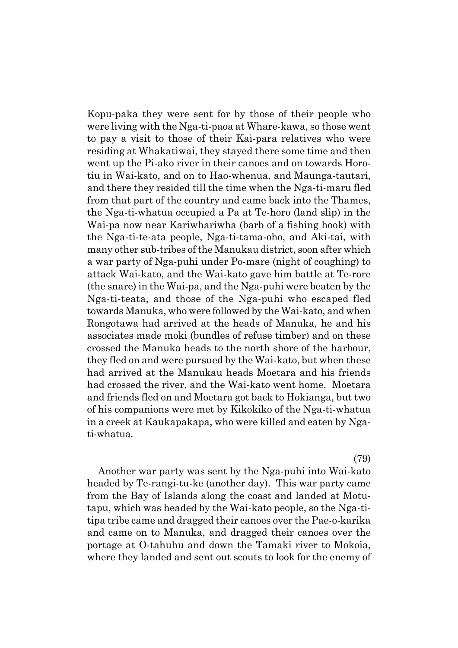Kopu-paka they were sent for by those of their people who were living with the Nga-ti-paoa at Whare-kawa, so those went to pay a visit to those of their Kai-para relatives who were residing at Whakatiwai, they stayed there some time and then went up the Pi-ako river in their canoes and on towards Horotiu in Wai-kato, and on to Hao-whenua, and Maunga-tautari, and there they resided till the time when the Nga-ti-maru fled from that part of the country and came back into the Thames, the Nga-ti-whatua occupied a Pa at Te-horo (land slip) in the Wai-pa now near Kariwhariwha (barb of a fishing hook) with the Nga-ti-te-ata people, Nga-ti-tama-oho, and Aki-tai, with many other sub-tribes of the Manukau district, soon after which a war party of Nga-puhi under Po-mare (night of coughing) to attack Wai-kato, and the Wai-kato gave him battle at Te-rore (the snare) in the Wai-pa, and the Nga-puhi were beaten by the Nga-ti-teata, and those of the Nga-puhi who escaped fled towards Manuka, who were followed by the Wai-kato, and when Rongotawa had arrived at the heads of Manuka, he and his associates made moki (bundles of refuse timber) and on these crossed the Manuka heads to the north shore of the harbour, they fled on and were pursued by the Wai-kato, but when these had arrived at the Manukau heads Moetara and his friends had crossed the river, and the Wai-kato went home. Moetara and friends fled on and Moetara got back to Hokianga, but two of his companions were met by Kikokiko of the Nga-ti-whatua in a creek at Kaukapakapa, who were killed and eaten by Ngati-whatua.

(79)

Another war party was sent by the Nga-puhi into Wai-kato headed by Te-rangi-tu-ke (another day). This war party came from the Bay of Islands along the coast and landed at Motutapu, which was headed by the Wai-kato people, so the Nga-titipa tribe came and dragged their canoes over the Pae-o-karika and came on to Manuka, and dragged their canoes over the portage at O-tahuhu and down the Tamaki river to Mokoia, where they landed and sent out scouts to look for the enemy of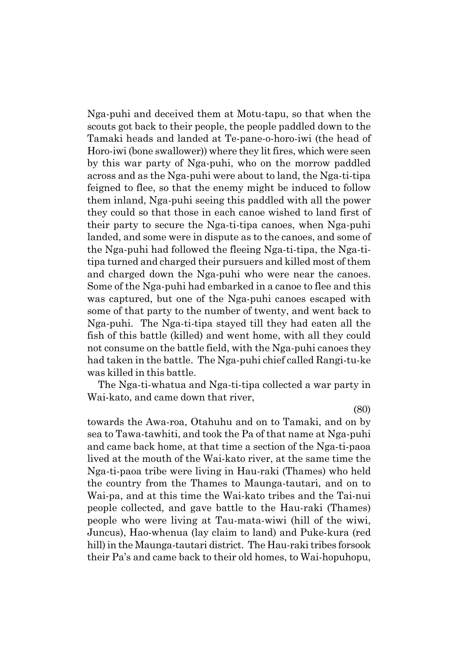Nga-puhi and deceived them at Motu-tapu, so that when the scouts got back to their people, the people paddled down to the Tamaki heads and landed at Te-pane-o-horo-iwi (the head of Horo-iwi (bone swallower)) where they lit fires, which were seen by this war party of Nga-puhi, who on the morrow paddled across and as the Nga-puhi were about to land, the Nga-ti-tipa feigned to flee, so that the enemy might be induced to follow them inland, Nga-puhi seeing this paddled with all the power they could so that those in each canoe wished to land first of their party to secure the Nga-ti-tipa canoes, when Nga-puhi landed, and some were in dispute as to the canoes, and some of the Nga-puhi had followed the fleeing Nga-ti-tipa, the Nga-titipa turned and charged their pursuers and killed most of them and charged down the Nga-puhi who were near the canoes. Some of the Nga-puhi had embarked in a canoe to flee and this was captured, but one of the Nga-puhi canoes escaped with some of that party to the number of twenty, and went back to Nga-puhi. The Nga-ti-tipa stayed till they had eaten all the fish of this battle (killed) and went home, with all they could not consume on the battle field, with the Nga-puhi canoes they had taken in the battle. The Nga-puhi chief called Rangi-tu-ke was killed in this battle.

The Nga-ti-whatua and Nga-ti-tipa collected a war party in Wai-kato, and came down that river,

(80)

towards the Awa-roa, Otahuhu and on to Tamaki, and on by sea to Tawa-tawhiti, and took the Pa of that name at Nga-puhi and came back home, at that time a section of the Nga-ti-paoa lived at the mouth of the Wai-kato river, at the same time the Nga-ti-paoa tribe were living in Hau-raki (Thames) who held the country from the Thames to Maunga-tautari, and on to Wai-pa, and at this time the Wai-kato tribes and the Tai-nui people collected, and gave battle to the Hau-raki (Thames) people who were living at Tau-mata-wiwi (hill of the wiwi, Juncus), Hao-whenua (lay claim to land) and Puke-kura (red hill) in the Maunga-tautari district. The Hau-raki tribes forsook their País and came back to their old homes, to Wai-hopuhopu,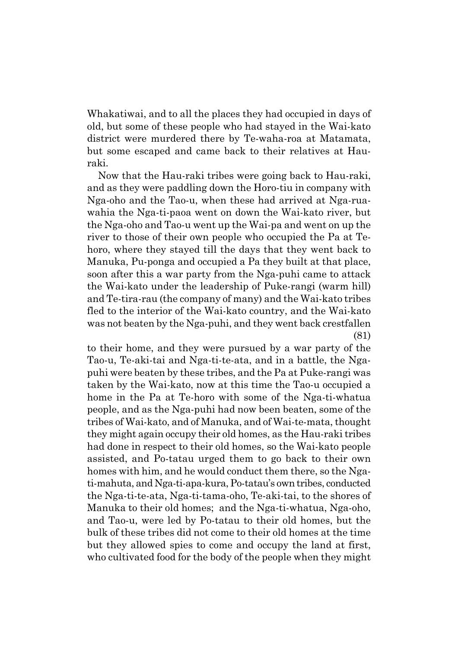Whakatiwai, and to all the places they had occupied in days of old, but some of these people who had stayed in the Wai-kato district were murdered there by Te-waha-roa at Matamata, but some escaped and came back to their relatives at Hauraki.

Now that the Hau-raki tribes were going back to Hau-raki, and as they were paddling down the Horo-tiu in company with Nga-oho and the Tao-u, when these had arrived at Nga-ruawahia the Nga-ti-paoa went on down the Wai-kato river, but the Nga-oho and Tao-u went up the Wai-pa and went on up the river to those of their own people who occupied the Pa at Tehoro, where they stayed till the days that they went back to Manuka, Pu-ponga and occupied a Pa they built at that place, soon after this a war party from the Nga-puhi came to attack the Wai-kato under the leadership of Puke-rangi (warm hill) and Te-tira-rau (the company of many) and the Wai-kato tribes fled to the interior of the Wai-kato country, and the Wai-kato was not beaten by the Nga-puhi, and they went back crestfallen (81)

to their home, and they were pursued by a war party of the Tao-u, Te-aki-tai and Nga-ti-te-ata, and in a battle, the Ngapuhi were beaten by these tribes, and the Pa at Puke-rangi was taken by the Wai-kato, now at this time the Tao-u occupied a home in the Pa at Te-horo with some of the Nga-ti-whatua people, and as the Nga-puhi had now been beaten, some of the tribes of Wai-kato, and of Manuka, and of Wai-te-mata, thought they might again occupy their old homes, as the Hau-raki tribes had done in respect to their old homes, so the Wai-kato people assisted, and Po-tatau urged them to go back to their own homes with him, and he would conduct them there, so the Ngati-mahuta, and Nga-ti-apa-kura, Po-tatauís own tribes, conducted the Nga-ti-te-ata, Nga-ti-tama-oho, Te-aki-tai, to the shores of Manuka to their old homes; and the Nga-ti-whatua, Nga-oho, and Tao-u, were led by Po-tatau to their old homes, but the bulk of these tribes did not come to their old homes at the time but they allowed spies to come and occupy the land at first, who cultivated food for the body of the people when they might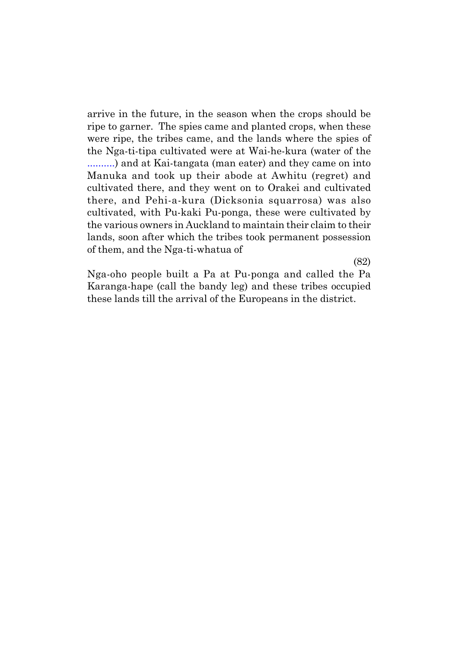arrive in the future, in the season when the crops should be ripe to garner. The spies came and planted crops, when these were ripe, the tribes came, and the lands where the spies of the Nga-ti-tipa cultivated were at Wai-he-kura (water of the ..........) and at Kai-tangata (man eater) and they came on into Manuka and took up their abode at Awhitu (regret) and cultivated there, and they went on to Orakei and cultivated there, and Pehi-a-kura (Dicksonia squarrosa) was also cultivated, with Pu-kaki Pu-ponga, these were cultivated by the various owners in Auckland to maintain their claim to their lands, soon after which the tribes took permanent possession of them, and the Nga-ti-whatua of

Nga-oho people built a Pa at Pu-ponga and called the Pa Karanga-hape (call the bandy leg) and these tribes occupied these lands till the arrival of the Europeans in the district.

(82)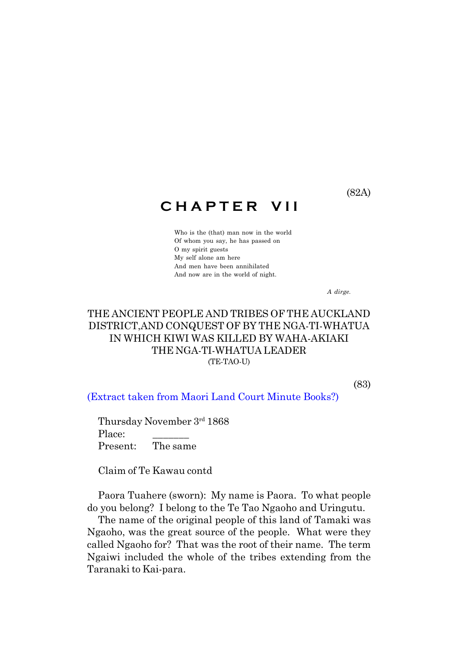## **C H A P T E R V I I**

Who is the (that) man now in the world Of whom you say, he has passed on O my spirit guests My self alone am here And men have been annihilated And now are in the world of night.

*A dirge.*

## THE ANCIENT PEOPLE AND TRIBES OF THE AUCKLAND DISTRICT,AND CONQUEST OF BY THE NGA-TI-WHATUA IN WHICH KIWI WAS KILLED BY WAHA-AKIAKI THE NGA-TI-WHATUA LEADER (TE-TAO-U)

(83)

(Extract taken from Maori Land Court Minute Books?)

Thursday November 3rd 1868 Place: Present: The same

Claim of Te Kawau contd

Paora Tuahere (sworn): My name is Paora. To what people do you belong? I belong to the Te Tao Ngaoho and Uringutu.

The name of the original people of this land of Tamaki was Ngaoho, was the great source of the people. What were they called Ngaoho for? That was the root of their name.The term Ngaiwi included the whole of the tribes extending from the Taranaki to Kai-para.

(82A)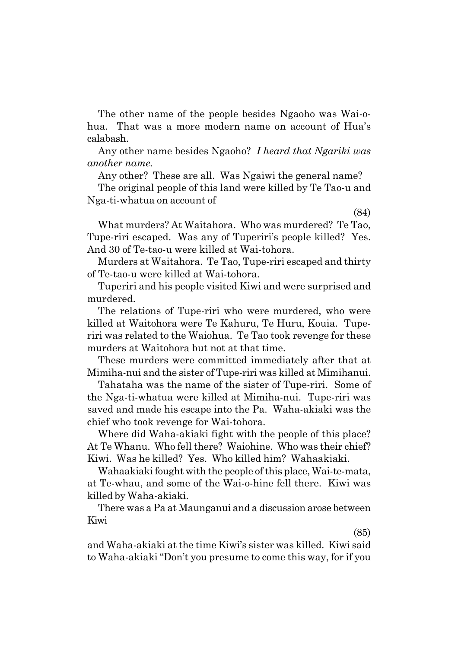The other name of the people besides Ngaoho was Wai-ohua. That was a more modern name on account of Huaís calabash.

Any other name besides Ngaoho? *I heard that Ngariki was another name.*

Any other? These are all. Was Ngaiwi the general name?

The original people of this land were killed by Te Tao-u and Nga-ti-whatua on account of

(84)

What murders? At Waitahora. Who was murdered? Te Tao, Tupe-riri escaped. Was any of Tuperiri's people killed? Yes. And 30 of Te-tao-u were killed at Wai-tohora.

Murders at Waitahora. Te Tao, Tupe-riri escaped and thirty of Te-tao-u were killed at Wai-tohora.

Tuperiri and his people visited Kiwi and were surprised and murdered.

The relations of Tupe-riri who were murdered, who were killed at Waitohora were Te Kahuru, Te Huru, Kouia. Tuperiri was related to the Waiohua. Te Tao took revenge for these murders at Waitohora but not at that time.

These murders were committed immediately after that at Mimiha-nui and the sister of Tupe-riri was killed at Mimihanui.

Tahataha was the name of the sister of Tupe-riri. Some of the Nga-ti-whatua were killed at Mimiha-nui. Tupe-riri was saved and made his escape into the Pa. Waha-akiaki was the chief who took revenge for Wai-tohora.

Where did Waha-akiaki fight with the people of this place? At Te Whanu. Who fell there? Waiohine. Who was their chief? Kiwi. Was he killed? Yes. Who killed him? Wahaakiaki.

Wahaakiaki fought with the people of this place, Wai-te-mata, at Te-whau, and some of the Wai-o-hine fell there. Kiwi was killed by Waha-akiaki.

There was a Pa at Maunganui and a discussion arose between Kiwi

(85)

and Waha-akiaki at the time Kiwiís sister was killed. Kiwi said to Waha-akiaki "Don't you presume to come this way, for if you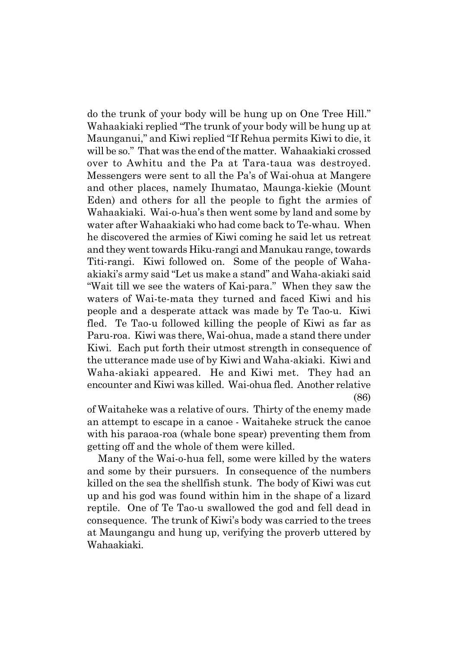do the trunk of your body will be hung up on One Tree Hill." Wahaakiaki replied "The trunk of your body will be hung up at Maunganui," and Kiwi replied "If Rehua permits Kiwi to die, it will be so." That was the end of the matter. Wahaakiaki crossed over to Awhitu and the Pa at Tara-taua was destroyed. Messengers were sent to all the País of Wai-ohua at Mangere and other places, namely Ihumatao, Maunga-kiekie (Mount Eden) and others for all the people to fight the armies of Wahaakiaki. Wai-o-huaís then went some by land and some by water after Wahaakiaki who had come back to Te-whau. When he discovered the armies of Kiwi coming he said let us retreat and they went towards Hiku-rangi and Manukau range, towards Titi-rangi. Kiwi followed on. Some of the people of Wahaakiaki's army said "Let us make a stand" and Waha-akiaki said "Wait till we see the waters of Kai-para." When they saw the waters of Wai-te-mata they turned and faced Kiwi and his people and a desperate attack was made by Te Tao-u. Kiwi fled. Te Tao-u followed killing the people of Kiwi as far as Paru-roa. Kiwi was there, Wai-ohua, made a stand there under Kiwi. Each put forth their utmost strength in consequence of the utterance made use of by Kiwi and Waha-akiaki. Kiwi and Waha-akiaki appeared. He and Kiwi met. They had an encounter and Kiwi was killed. Wai-ohua fled. Another relative (86)

of Waitaheke was a relative of ours. Thirty of the enemy made an attempt to escape in a canoe - Waitaheke struck the canoe with his paraoa-roa (whale bone spear) preventing them from getting off and the whole of them were killed.

Many of the Wai-o-hua fell, some were killed by the waters and some by their pursuers. In consequence of the numbers killed on the sea the shellfish stunk. The body of Kiwi was cut up and his god was found within him in the shape of a lizard reptile. One of Te Tao-u swallowed the god and fell dead in consequence. The trunk of Kiwiís body was carried to the trees at Maungangu and hung up, verifying the proverb uttered by Wahaakiaki.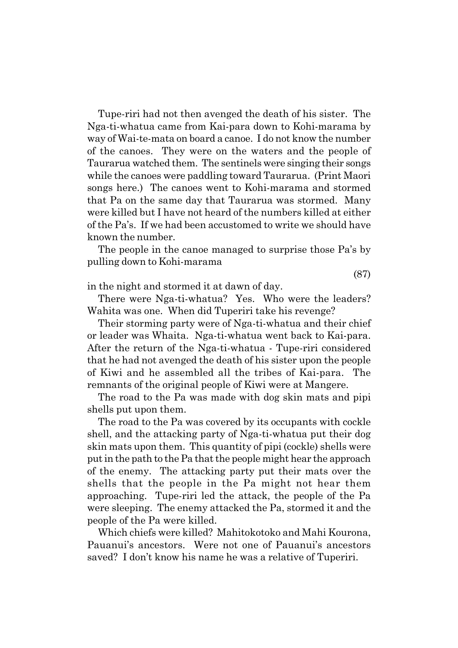Tupe-riri had not then avenged the death of his sister. The Nga-ti-whatua came from Kai-para down to Kohi-marama by way of Wai-te-mata on board a canoe. I do not know the number of the canoes. They were on the waters and the people of Taurarua watched them. The sentinels were singing their songs while the canoes were paddling toward Taurarua. (Print Maori songs here.) The canoes went to Kohi-marama and stormed that Pa on the same day that Taurarua was stormed. Many were killed but I have not heard of the numbers killed at either of the País. If we had been accustomed to write we should have known the number.

The people in the canoe managed to surprise those Pa's by pulling down to Kohi-marama

(87)

in the night and stormed it at dawn of day.

There were Nga-ti-whatua? Yes. Who were the leaders? Wahita was one. When did Tuperiri take his revenge?

Their storming party were of Nga-ti-whatua and their chief or leader was Whaita. Nga-ti-whatua went back to Kai-para. After the return of the Nga-ti-whatua - Tupe-riri considered that he had not avenged the death of his sister upon the people of Kiwi and he assembled all the tribes of Kai-para. The remnants of the original people of Kiwi were at Mangere.

The road to the Pa was made with dog skin mats and pipi shells put upon them.

The road to the Pa was covered by its occupants with cockle shell, and the attacking party of Nga-ti-whatua put their dog skin mats upon them. This quantity of pipi (cockle) shells were put in the path to the Pa that the people might hear the approach of the enemy. The attacking party put their mats over the shells that the people in the Pa might not hear them approaching. Tupe-riri led the attack, the people of the Pa were sleeping. The enemy attacked the Pa, stormed it and the people of the Pa were killed.

Which chiefs were killed? Mahitokotoko and Mahi Kourona, Pauanui's ancestors. Were not one of Pauanui's ancestors saved? I don't know his name he was a relative of Tuperiri.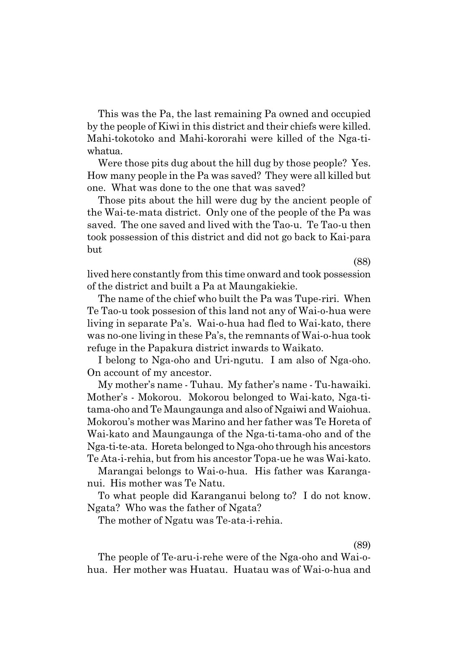This was the Pa, the last remaining Pa owned and occupied by the people of Kiwi in this district and their chiefs were killed. Mahi-tokotoko and Mahi-kororahi were killed of the Nga-tiwhatua.

Were those pits dug about the hill dug by those people? Yes. How many people in the Pa was saved? They were all killed but one. What was done to the one that was saved?

Those pits about the hill were dug by the ancient people of the Wai-te-mata district. Only one of the people of the Pa was saved. The one saved and lived with the Tao-u. Te Tao-u then took possession of this district and did not go back to Kai-para but

(88)

lived here constantly from this time onward and took possession of the district and built a Pa at Maungakiekie.

The name of the chief who built the Pa was Tupe-riri. When Te Tao-u took possesion of this land not any of Wai-o-hua were living in separate Pa's. Wai-o-hua had fled to Wai-kato, there was no-one living in these Pa's, the remnants of Wai-o-hua took refuge in the Papakura district inwards to Waikato.

I belong to Nga-oho and Uri-ngutu. I am also of Nga-oho. On account of my ancestor.

My motherís name - Tuhau. My fatherís name - Tu-hawaiki. Motherís - Mokorou. Mokorou belonged to Wai-kato, Nga-titama-oho and Te Maungaunga and also of Ngaiwi and Waiohua. Mokorouís mother was Marino and her father was Te Horeta of Wai-kato and Maungaunga of the Nga-ti-tama-oho and of the Nga-ti-te-ata. Horeta belonged to Nga-oho through his ancestors Te Ata-i-rehia, but from his ancestor Topa-ue he was Wai-kato.

Marangai belongs to Wai-o-hua. His father was Karanganui. His mother was Te Natu.

To what people did Karanganui belong to? I do not know. Ngata? Who was the father of Ngata?

The mother of Ngatu was Te-ata-i-rehia.

(89)

The people of Te-aru-i-rehe were of the Nga-oho and Wai-ohua. Her mother was Huatau. Huatau was of Wai-o-hua and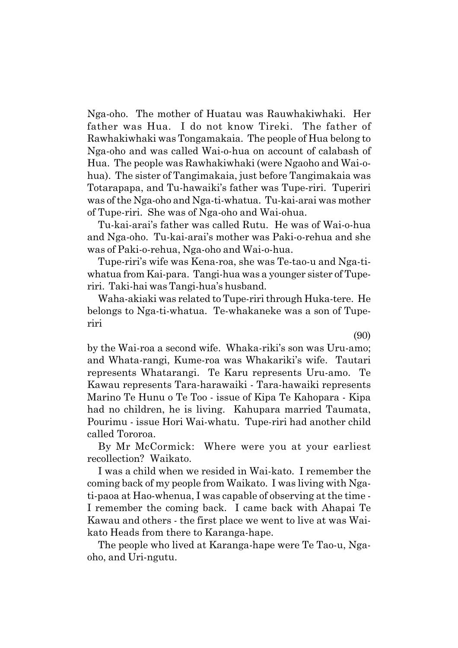Nga-oho. The mother of Huatau was Rauwhakiwhaki. Her father was Hua. I do not know Tireki. The father of Rawhakiwhaki was Tongamakaia. The people of Hua belong to Nga-oho and was called Wai-o-hua on account of calabash of Hua. The people was Rawhakiwhaki (were Ngaoho and Wai-ohua). The sister of Tangimakaia, just before Tangimakaia was Totarapapa, and Tu-hawaikiís father was Tupe-riri. Tuperiri was of the Nga-oho and Nga-ti-whatua. Tu-kai-arai was mother of Tupe-riri. She was of Nga-oho and Wai-ohua.

Tu-kai-araiís father was called Rutu. He was of Wai-o-hua and Nga-oho. Tu-kai-araiís mother was Paki-o-rehua and she was of Paki-o-rehua, Nga-oho and Wai-o-hua.

Tupe-ririís wife was Kena-roa, she was Te-tao-u and Nga-tiwhatua from Kai-para. Tangi-hua was a younger sister of Tuperiri. Taki-hai was Tangi-huaís husband.

Waha-akiaki was related to Tupe-riri through Huka-tere. He belongs to Nga-ti-whatua. Te-whakaneke was a son of Tuperiri

(90)

by the Wai-roa a second wife. Whaka-riki's son was Uru-amo; and Whata-rangi, Kume-roa was Whakarikiís wife. Tautari represents Whatarangi. Te Karu represents Uru-amo. Te Kawau represents Tara-harawaiki - Tara-hawaiki represents Marino Te Hunu o Te Too - issue of Kipa Te Kahopara - Kipa had no children, he is living. Kahupara married Taumata, Pourimu - issue Hori Wai-whatu. Tupe-riri had another child called Tororoa.

By Mr McCormick: Where were you at your earliest recollection? Waikato.

I was a child when we resided in Wai-kato. I remember the coming back of my people from Waikato. I was living with Ngati-paoa at Hao-whenua, I was capable of observing at the time - I remember the coming back. I came back with Ahapai Te Kawau and others - the first place we went to live at was Waikato Heads from there to Karanga-hape.

The people who lived at Karanga-hape were Te Tao-u, Ngaoho, and Uri-ngutu.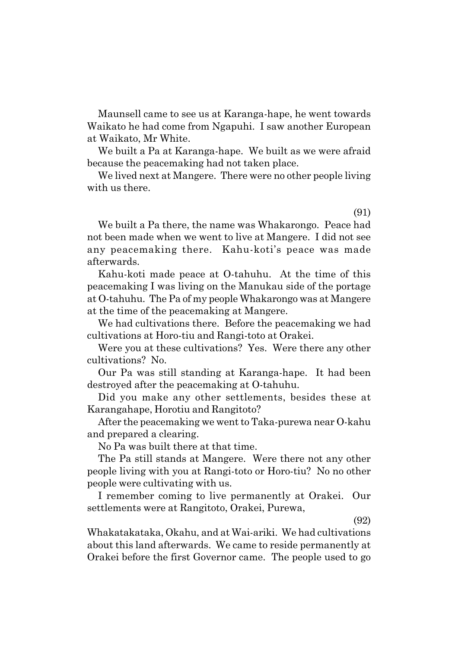Maunsell came to see us at Karanga-hape, he went towards Waikato he had come from Ngapuhi. I saw another European at Waikato, Mr White.

We built a Pa at Karanga-hape. We built as we were afraid because the peacemaking had not taken place.

We lived next at Mangere. There were no other people living with us there.

(91)

We built a Pa there, the name was Whakarongo. Peace had not been made when we went to live at Mangere. I did not see any peacemaking there. Kahu-kotiís peace was made afterwards.

Kahu-koti made peace at O-tahuhu. At the time of this peacemaking I was living on the Manukau side of the portage at O-tahuhu. The Pa of my people Whakarongo was at Mangere at the time of the peacemaking at Mangere.

We had cultivations there. Before the peacemaking we had cultivations at Horo-tiu and Rangi-toto at Orakei.

Were you at these cultivations? Yes. Were there any other cultivations? No.

Our Pa was still standing at Karanga-hape. It had been destroyed after the peacemaking at O-tahuhu.

Did you make any other settlements, besides these at Karangahape, Horotiu and Rangitoto?

After the peacemaking we went to Taka-purewa near O-kahu and prepared a clearing.

No Pa was built there at that time.

The Pa still stands at Mangere. Were there not any other people living with you at Rangi-toto or Horo-tiu? No no other people were cultivating with us.

I remember coming to live permanently at Orakei. Our settlements were at Rangitoto, Orakei, Purewa,

(92)

Whakatakataka, Okahu, and at Wai-ariki. We had cultivations about this land afterwards. We came to reside permanently at Orakei before the first Governor came. The people used to go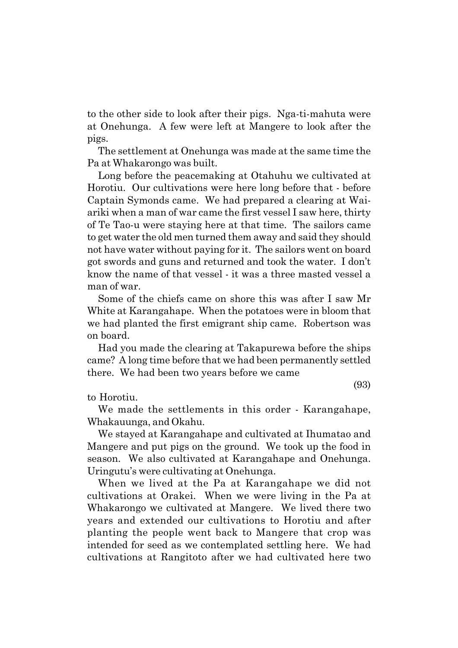to the other side to look after their pigs. Nga-ti-mahuta were at Onehunga. A few were left at Mangere to look after the pigs.

The settlement at Onehunga was made at the same time the Pa at Whakarongo was built.

Long before the peacemaking at Otahuhu we cultivated at Horotiu. Our cultivations were here long before that - before Captain Symonds came. We had prepared a clearing at Waiariki when a man of war came the first vessel I saw here, thirty of Te Tao-u were staying here at that time. The sailors came to get water the old men turned them away and said they should not have water without paying for it. The sailors went on board got swords and guns and returned and took the water. I donít know the name of that vessel - it was a three masted vessel a man of war.

Some of the chiefs came on shore this was after I saw Mr White at Karangahape. When the potatoes were in bloom that we had planted the first emigrant ship came. Robertson was on board.

Had you made the clearing at Takapurewa before the ships came? A long time before that we had been permanently settled there. We had been two years before we came

(93)

to Horotiu.

We made the settlements in this order - Karangahape, Whakauunga, and Okahu.

We stayed at Karangahape and cultivated at Ihumatao and Mangere and put pigs on the ground. We took up the food in season. We also cultivated at Karangahape and Onehunga. Uringutuís were cultivating at Onehunga.

When we lived at the Pa at Karangahape we did not cultivations at Orakei. When we were living in the Pa at Whakarongo we cultivated at Mangere. We lived there two years and extended our cultivations to Horotiu and after planting the people went back to Mangere that crop was intended for seed as we contemplated settling here. We had cultivations at Rangitoto after we had cultivated here two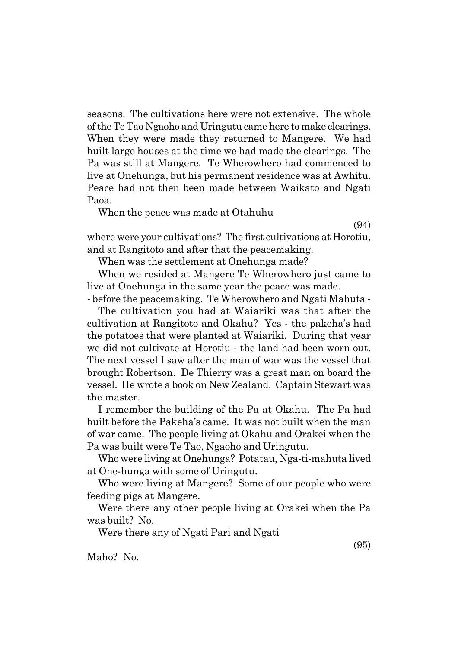seasons. The cultivations here were not extensive. The whole of the Te Tao Ngaoho and Uringutu came here to make clearings. When they were made they returned to Mangere. We had built large houses at the time we had made the clearings. The Pa was still at Mangere. Te Wherowhero had commenced to live at Onehunga, but his permanent residence was at Awhitu. Peace had not then been made between Waikato and Ngati Paoa.

When the peace was made at Otahuhu

(94)

where were your cultivations? The first cultivations at Horotiu, and at Rangitoto and after that the peacemaking.

When was the settlement at Onehunga made?

When we resided at Mangere Te Wherowhero just came to live at Onehunga in the same year the peace was made.

- before the peacemaking. Te Wherowhero and Ngati Mahuta -

The cultivation you had at Waiariki was that after the cultivation at Rangitoto and Okahu? Yes - the pakehaís had the potatoes that were planted at Waiariki. During that year we did not cultivate at Horotiu - the land had been worn out. The next vessel I saw after the man of war was the vessel that brought Robertson. De Thierry was a great man on board the vessel. He wrote a book on New Zealand. Captain Stewart was the master.

I remember the building of the Pa at Okahu. The Pa had built before the Pakehaís came. It was not built when the man of war came. The people living at Okahu and Orakei when the Pa was built were Te Tao, Ngaoho and Uringutu.

Who were living at Onehunga? Potatau, Nga-ti-mahuta lived at One-hunga with some of Uringutu.

Who were living at Mangere? Some of our people who were feeding pigs at Mangere.

Were there any other people living at Orakei when the Pa was built? No.

Were there any of Ngati Pari and Ngati

(95)

Maho? No.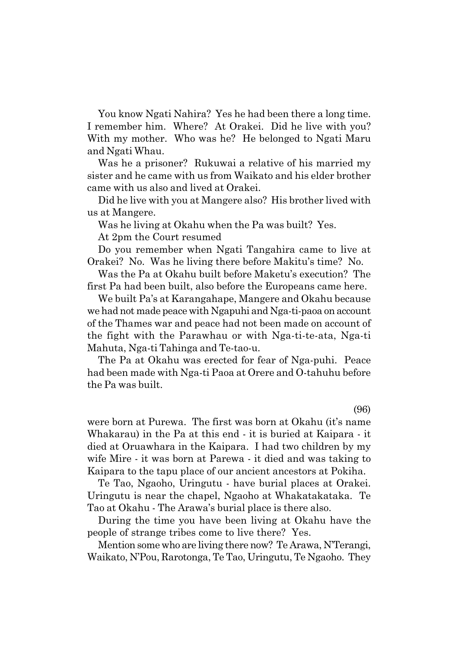You know Ngati Nahira? Yes he had been there a long time. I remember him. Where? At Orakei. Did he live with you? With my mother. Who was he? He belonged to Ngati Maru and Ngati Whau.

Was he a prisoner? Rukuwai a relative of his married my sister and he came with us from Waikato and his elder brother came with us also and lived at Orakei.

Did he live with you at Mangere also? His brother lived with us at Mangere.

Was he living at Okahu when the Pa was built? Yes.

At 2pm the Court resumed

Do you remember when Ngati Tangahira came to live at Orakei? No. Was he living there before Makituís time? No.

Was the Pa at Okahu built before Maketu's execution? The first Pa had been built, also before the Europeans came here.

We built País at Karangahape, Mangere and Okahu because we had not made peace with Ngapuhi and Nga-ti-paoa on account of the Thames war and peace had not been made on account of the fight with the Parawhau or with Nga-ti-te-ata, Nga-ti Mahuta, Nga-ti Tahinga and Te-tao-u.

The Pa at Okahu was erected for fear of Nga-puhi. Peace had been made with Nga-ti Paoa at Orere and O-tahuhu before the Pa was built.

(96)

were born at Purewa. The first was born at Okahu (it's name Whakarau) in the Pa at this end - it is buried at Kaipara - it died at Oruawhara in the Kaipara. I had two children by my wife Mire - it was born at Parewa - it died and was taking to Kaipara to the tapu place of our ancient ancestors at Pokiha.

Te Tao, Ngaoho, Uringutu - have burial places at Orakei. Uringutu is near the chapel, Ngaoho at Whakatakataka. Te Tao at Okahu - The Arawaís burial place is there also.

During the time you have been living at Okahu have the people of strange tribes come to live there? Yes.

Mention some who are living there now? Te Arawa, N'Terangi, Waikato, NíPou, Rarotonga, Te Tao, Uringutu, Te Ngaoho. They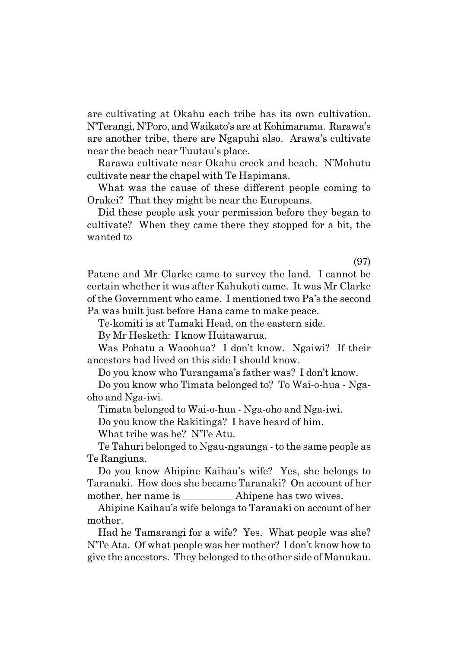are cultivating at Okahu each tribe has its own cultivation. NíTerangi, NíPoro, and Waikatoís are at Kohimarama. Rarawaís are another tribe, there are Ngapuhi also. Arawaís cultivate near the beach near Tuutauís place.

Rarawa cultivate near Okahu creek and beach. NíMohutu cultivate near the chapel with Te Hapimana.

What was the cause of these different people coming to Orakei? That they might be near the Europeans.

Did these people ask your permission before they began to cultivate? When they came there they stopped for a bit, the wanted to

(97)

Patene and Mr Clarke came to survey the land. I cannot be certain whether it was after Kahukoti came. It was Mr Clarke of the Government who came. I mentioned two País the second Pa was built just before Hana came to make peace.

Te-komiti is at Tamaki Head, on the eastern side.

By Mr Hesketh:I know Huitawarua.

Was Pohatu a Waoohua? I donít know. Ngaiwi? If their ancestors had lived on this side I should know.

Do you know who Turangama's father was? I don't know.

Do you know who Timata belonged to? To Wai-o-hua - Ngaoho and Nga-iwi.

Timata belonged to Wai-o-hua - Nga-oho and Nga-iwi.

Do you know the Rakitinga? I have heard of him.

What tribe was he? N'Te Atu.

Te Tahuri belonged to Ngau-ngaunga - to the same people as Te Rangiuna.

Do you know Ahipine Kaihauís wife? Yes, she belongs to Taranaki. How does she became Taranaki? On account of her mother, her name is \_\_\_\_\_\_\_\_\_\_\_ Ahipene has two wives.

Ahipine Kaihauís wife belongs to Taranaki on account of her mother.

Had he Tamarangi for a wife? Yes. What people was she? N'Te Ata. Of what people was her mother? I don't know how to give the ancestors. They belonged to the other side of Manukau.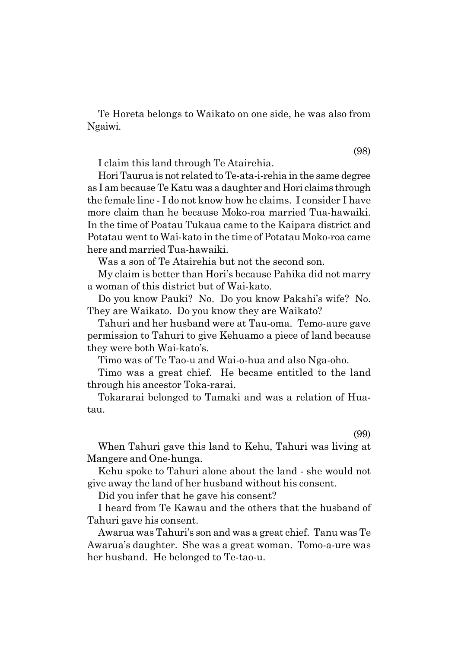Te Horeta belongs to Waikato on one side, he was also from Ngaiwi.

I claim this land through Te Atairehia.

Hori Taurua is not related to Te-ata-i-rehia in the same degree as I am because Te Katu was a daughter and Hori claims through the female line - I do not know how he claims. I consider I have more claim than he because Moko-roa married Tua-hawaiki. In the time of Poatau Tukaua came to the Kaipara district and Potatau went to Wai-kato in the time of Potatau Moko-roa came here and married Tua-hawaiki.

Was a son of Te Atairehia but not the second son.

My claim is better than Horiís because Pahika did not marry a woman of this district but of Wai-kato.

Do you know Pauki? No. Do you know Pakahiís wife? No. They are Waikato. Do you know they are Waikato?

Tahuri and her husband were at Tau-oma. Temo-aure gave permission to Tahuri to give Kehuamo a piece of land because they were both Wai-kato's.

Timo was of Te Tao-u and Wai-o-hua and also Nga-oho.

Timo was a great chief. He became entitled to the land through his ancestor Toka-rarai.

Tokararai belonged to Tamaki and was a relation of Huatau.

(99)

When Tahuri gave this land to Kehu, Tahuri was living at Mangere and One-hunga.

Kehu spoke to Tahuri alone about the land - she would not give away the land of her husband without his consent.

Did you infer that he gave his consent?

I heard from Te Kawau and the others that the husband of Tahuri gave his consent.

Awarua was Tahuriís son and was a great chief. Tanu was Te Awaruaís daughter. She was a great woman. Tomo-a-ure was her husband. He belonged to Te-tao-u.

(98)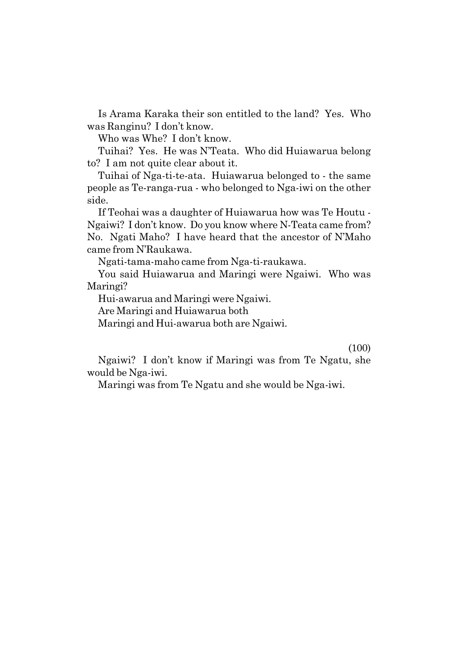Is Arama Karaka their son entitled to the land? Yes. Who was Ranginu? I don't know.

Who was Whe? I don't know.

Tuihai? Yes. He was N'Teata. Who did Huiawarua belong to? I am not quite clear about it.

Tuihai of Nga-ti-te-ata. Huiawarua belonged to - the same people as Te-ranga-rua - who belonged to Nga-iwi on the other side.

If Teohai was a daughter of Huiawarua how was Te Houtu - Ngaiwi? I donít know. Do you know where N-Teata came from? No. Ngati Maho? I have heard that the ancestor of NíMaho came from N'Raukawa.

Ngati-tama-maho came from Nga-ti-raukawa.

You said Huiawarua and Maringi were Ngaiwi. Who was Maringi?

Hui-awarua and Maringi were Ngaiwi.

Are Maringi and Huiawarua both

Maringi and Hui-awarua both are Ngaiwi.

(100)

Ngaiwi? I donít know if Maringi was from Te Ngatu, she would be Nga-iwi.

Maringi was from Te Ngatu and she would be Nga-iwi.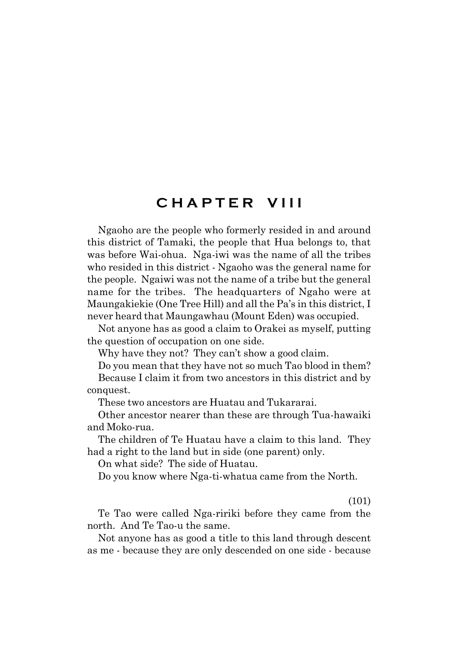## **C H A P T E R V I I I**

Ngaoho are the people who formerly resided in and around this district of Tamaki, the people that Hua belongs to, that was before Wai-ohua. Nga-iwi was the name of all the tribes who resided in this district - Ngaoho was the general name for the people. Ngaiwi was not the name of a tribe but the general name for the tribes. The headquarters of Ngaho were at Maungakiekie (One Tree Hill) and all the Pa's in this district, I never heard that Maungawhau (Mount Eden) was occupied.

Not anyone has as good a claim to Orakei as myself, putting the question of occupation on one side.

Why have they not? They can't show a good claim.

Do you mean that they have not so much Tao blood in them?

Because I claim it from two ancestors in this district and by conquest.

These two ancestors are Huatau and Tukararai.

Other ancestor nearer than these are through Tua-hawaiki and Moko-rua.

The children of Te Huatau have a claim to this land. They had a right to the land but in side (one parent) only.

On what side? The side of Huatau.

Do you know where Nga-ti-whatua came from the North.

(101)

Te Tao were called Nga-ririki before they came from the north. And Te Tao-u the same.

Not anyone has as good a title to this land through descent as me - because they are only descended on one side - because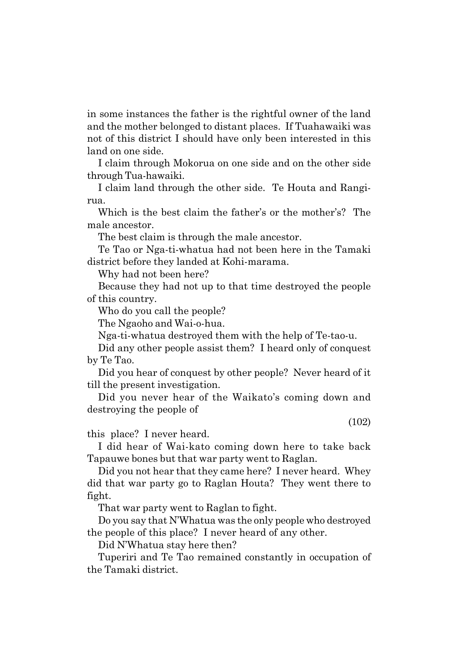in some instances the father is the rightful owner of the land and the mother belonged to distant places. If Tuahawaiki was not of this district I should have only been interested in this land on one side.

I claim through Mokorua on one side and on the other side through Tua-hawaiki.

I claim land through the other side. Te Houta and Rangirua.

Which is the best claim the father's or the mother's? The male ancestor.

The best claim is through the male ancestor.

Te Tao or Nga-ti-whatua had not been here in the Tamaki district before they landed at Kohi-marama.

Why had not been here?

Because they had not up to that time destroyed the people of this country.

Who do you call the people?

The Ngaoho and Wai-o-hua.

Nga-ti-whatua destroyed them with the help of Te-tao-u.

Did any other people assist them? I heard only of conquest by Te Tao.

Did you hear of conquest by other people? Never heard of it till the present investigation.

Did you never hear of the Waikato's coming down and destroying the people of

(102)

this place? I never heard.

I did hear of Wai-kato coming down here to take back Tapauwe bones but that war party went to Raglan.

Did you not hear that they came here? I never heard. Whey did that war party go to Raglan Houta? They went there to fight.

That war party went to Raglan to fight.

Do you say that NíWhatua was the only people who destroyed the people of this place? I never heard of any other.

Did N'Whatua stay here then?

Tuperiri and Te Tao remained constantly in occupation of the Tamaki district.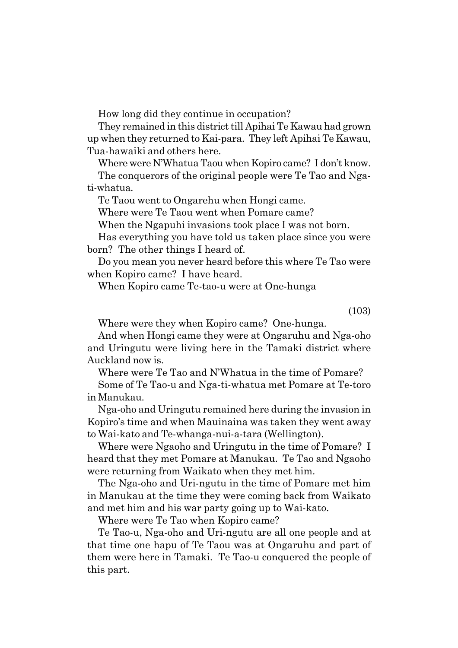How long did they continue in occupation?

They remained in this district till Apihai Te Kawau had grown up when they returned to Kai-para. They left Apihai Te Kawau, Tua-hawaiki and others here.

Where were N'Whatua Taou when Kopiro came? I don't know.

The conquerors of the original people were Te Tao and Ngati-whatua.

Te Taou went to Ongarehu when Hongi came.

Where were Te Taou went when Pomare came?

When the Ngapuhi invasions took place I was not born.

Has everything you have told us taken place since you were born? The other things I heard of.

Do you mean you never heard before this where Te Tao were when Kopiro came? I have heard.

When Kopiro came Te-tao-u were at One-hunga

(103)

Where were they when Kopiro came? One-hunga.

And when Hongi came they were at Ongaruhu and Nga-oho and Uringutu were living here in the Tamaki district where Auckland now is.

Where were Te Tao and N'Whatua in the time of Pomare? Some of Te Tao-u and Nga-ti-whatua met Pomare at Te-toro in Manukau.

Nga-oho and Uringutu remained here during the invasion in Kopiro's time and when Mauinaina was taken they went away

to Wai-kato and Te-whanga-nui-a-tara (Wellington). Where were Ngaoho and Uringutu in the time of Pomare? I heard that they met Pomare at Manukau. Te Tao and Ngaoho were returning from Waikato when they met him.

The Nga-oho and Uri-ngutu in the time of Pomare met him in Manukau at the time they were coming back from Waikato and met him and his war party going up to Wai-kato.

Where were Te Tao when Kopiro came?

Te Tao-u, Nga-oho and Uri-ngutu are all one people and at that time one hapu of Te Taou was at Ongaruhu and part of them were here in Tamaki. Te Tao-u conquered the people of this part.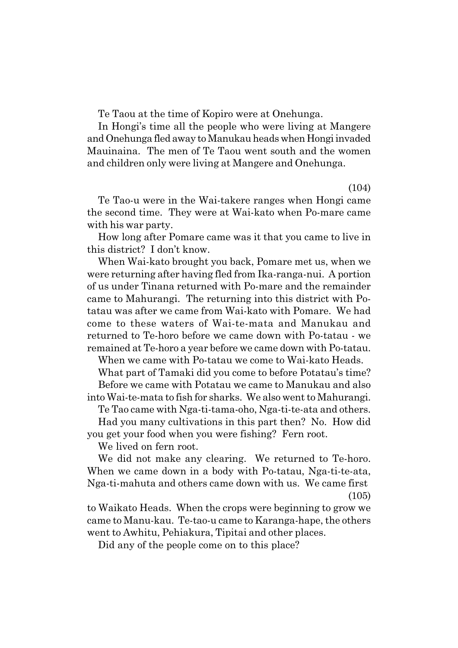Te Taou at the time of Kopiro were at Onehunga.

In Hongi's time all the people who were living at Mangere and Onehunga fled away to Manukau heads when Hongi invaded Mauinaina. The men of Te Taou went south and the women and children only were living at Mangere and Onehunga.

(104)

Te Tao-u were in the Wai-takere ranges when Hongi came the second time. They were at Wai-kato when Po-mare came with his war party.

How long after Pomare came was it that you came to live in this district? I don't know.

When Wai-kato brought you back, Pomare met us, when we were returning after having fled from Ika-ranga-nui. A portion of us under Tinana returned with Po-mare and the remainder came to Mahurangi. The returning into this district with Potatau was after we came from Wai-kato with Pomare. We had come to these waters of Wai-te-mata and Manukau and returned to Te-horo before we came down with Po-tatau - we remained at Te-horo a year before we came down with Po-tatau.

When we came with Po-tatau we come to Wai-kato Heads.

What part of Tamaki did you come to before Potatau's time? Before we came with Potatau we came to Manukau and also

into Wai-te-mata to fish for sharks. We also went to Mahurangi. Te Tao came with Nga-ti-tama-oho, Nga-ti-te-ata and others.

Had you many cultivations in this part then? No. How did you get your food when you were fishing? Fern root.

We lived on fern root.

We did not make any clearing. We returned to Te-horo. When we came down in a body with Po-tatau, Nga-ti-te-ata, Nga-ti-mahuta and others came down with us. We came first (105)

to Waikato Heads. When the crops were beginning to grow we came to Manu-kau. Te-tao-u came to Karanga-hape, the others went to Awhitu, Pehiakura, Tipitai and other places.

Did any of the people come on to this place?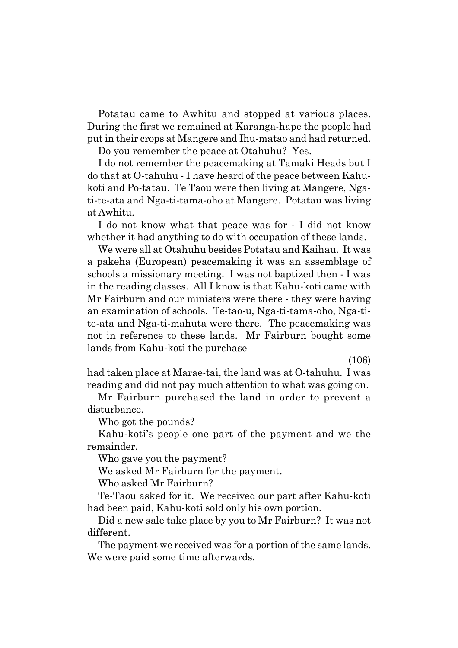Potatau came to Awhitu and stopped at various places. During the first we remained at Karanga-hape the people had put in their crops at Mangere and Ihu-matao and had returned.

Do you remember the peace at Otahuhu? Yes.

I do not remember the peacemaking at Tamaki Heads but I do that at O-tahuhu - I have heard of the peace between Kahukoti and Po-tatau. Te Taou were then living at Mangere, Ngati-te-ata and Nga-ti-tama-oho at Mangere. Potatau was living at Awhitu.

I do not know what that peace was for - I did not know whether it had anything to do with occupation of these lands.

We were all at Otahuhu besides Potatau and Kaihau. It was a pakeha (European) peacemaking it was an assemblage of schools a missionary meeting. I was not baptized then - I was in the reading classes. All I know is that Kahu-koti came with Mr Fairburn and our ministers were there - they were having an examination of schools. Te-tao-u, Nga-ti-tama-oho, Nga-tite-ata and Nga-ti-mahuta were there. The peacemaking was not in reference to these lands. Mr Fairburn bought some lands from Kahu-koti the purchase

(106)

had taken place at Marae-tai, the land was at O-tahuhu. I was reading and did not pay much attention to what was going on.

Mr Fairburn purchased the land in order to prevent a disturbance.

Who got the pounds?

Kahu-kotiís people one part of the payment and we the remainder.

Who gave you the payment?

We asked Mr Fairburn for the payment.

Who asked Mr Fairburn?

Te-Taou asked for it. We received our part after Kahu-koti had been paid, Kahu-koti sold only his own portion.

Did a new sale take place by you to Mr Fairburn? It was not different.

The payment we received was for a portion of the same lands. We were paid some time afterwards.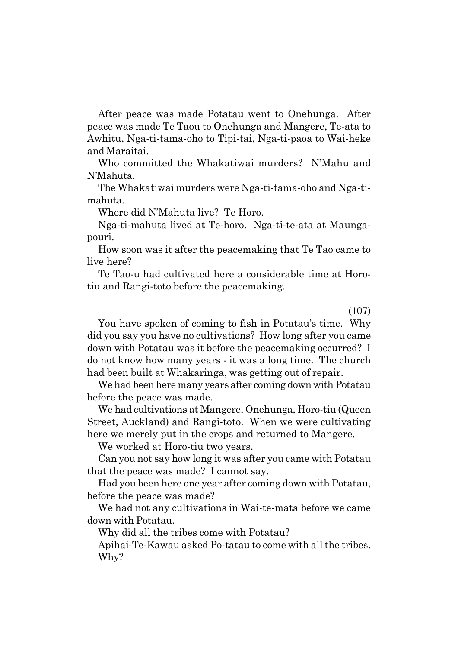After peace was made Potatau went to Onehunga. After peace was made Te Taou to Onehunga and Mangere, Te-ata to Awhitu, Nga-ti-tama-oho to Tipi-tai, Nga-ti-paoa to Wai-heke and Maraitai.

Who committed the Whakatiwai murders? N'Mahu and NíMahuta.

The Whakatiwai murders were Nga-ti-tama-oho and Nga-timahuta.

Where did N'Mahuta live? Te Horo.

Nga-ti-mahuta lived at Te-horo. Nga-ti-te-ata at Maungapouri.

How soon was it after the peacemaking that Te Tao came to live here?

Te Tao-u had cultivated here a considerable time at Horotiu and Rangi-toto before the peacemaking.

(107)

You have spoken of coming to fish in Potatau's time. Why did you say you have no cultivations? How long after you came down with Potatau was it before the peacemaking occurred? I do not know how many years - it was a long time. The church had been built at Whakaringa, was getting out of repair.

We had been here many years after coming down with Potatau before the peace was made.

We had cultivations at Mangere, Onehunga, Horo-tiu (Queen Street, Auckland) and Rangi-toto. When we were cultivating here we merely put in the crops and returned to Mangere.

We worked at Horo-tiu two years.

Can you not say how long it was after you came with Potatau that the peace was made? I cannot say.

Had you been here one year after coming down with Potatau, before the peace was made?

We had not any cultivations in Wai-te-mata before we came down with Potatau.

Why did all the tribes come with Potatau?

Apihai-Te-Kawau asked Po-tatau to come with all the tribes. Why?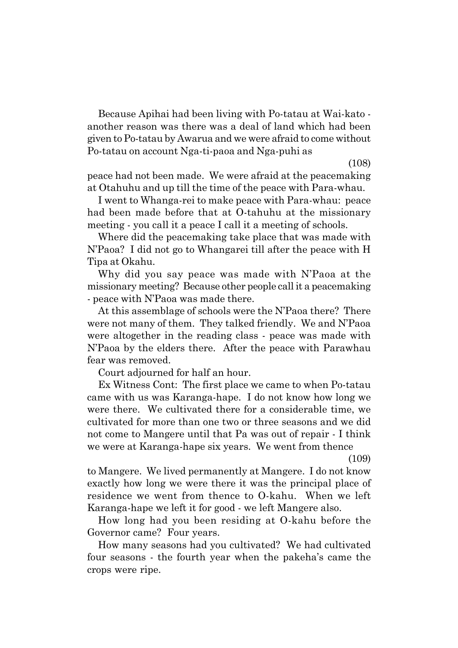Because Apihai had been living with Po-tatau at Wai-kato another reason was there was a deal of land which had been given to Po-tatau by Awarua and we were afraid to come without Po-tatau on account Nga-ti-paoa and Nga-puhi as

(108)

peace had not been made. We were afraid at the peacemaking at Otahuhu and up till the time of the peace with Para-whau.

I went to Whanga-rei to make peace with Para-whau: peace had been made before that at O-tahuhu at the missionary meeting - you call it a peace I call it a meeting of schools.

Where did the peacemaking take place that was made with NíPaoa? I did not go to Whangarei till after the peace with H Tipa at Okahu.

Why did you say peace was made with N'Paoa at the missionary meeting? Because other people call it a peacemaking - peace with N'Paoa was made there.

At this assemblage of schools were the N'Paoa there? There were not many of them. They talked friendly. We and N'Paoa were altogether in the reading class - peace was made with N'Paoa by the elders there. After the peace with Parawhau fear was removed.

Court adjourned for half an hour.

Ex Witness Cont: The first place we came to when Po-tatau came with us was Karanga-hape. I do not know how long we were there. We cultivated there for a considerable time, we cultivated for more than one two or three seasons and we did not come to Mangere until that Pa was out of repair - I think we were at Karanga-hape six years. We went from thence

(109)

to Mangere. We lived permanently at Mangere. I do not know exactly how long we were there it was the principal place of residence we went from thence to O-kahu. When we left Karanga-hape we left it for good - we left Mangere also.

How long had you been residing at O-kahu before the Governor came? Four years.

How many seasons had you cultivated? We had cultivated four seasons - the fourth year when the pakehaís came the crops were ripe.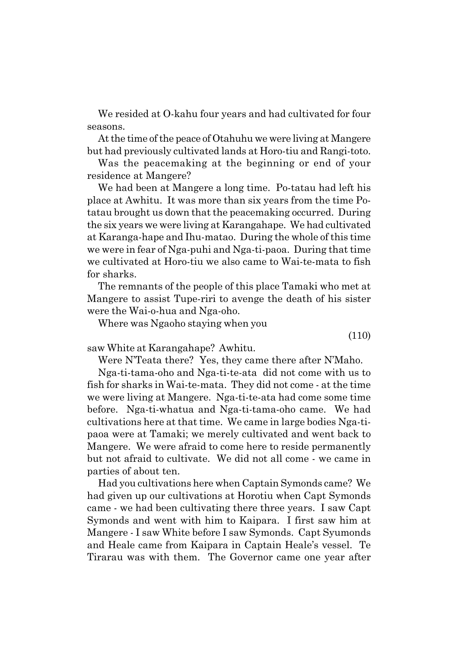We resided at O-kahu four years and had cultivated for four seasons.

At the time of the peace of Otahuhu we were living at Mangere but had previously cultivated lands at Horo-tiu and Rangi-toto.

Was the peacemaking at the beginning or end of your residence at Mangere?

We had been at Mangere a long time. Po-tatau had left his place at Awhitu. It was more than six years from the time Potatau brought us down that the peacemaking occurred. During the six years we were living at Karangahape. We had cultivated at Karanga-hape and Ihu-matao. During the whole of this time we were in fear of Nga-puhi and Nga-ti-paoa. During that time we cultivated at Horo-tiu we also came to Wai-te-mata to fish for sharks.

The remnants of the people of this place Tamaki who met at Mangere to assist Tupe-riri to avenge the death of his sister were the Wai-o-hua and Nga-oho.

Where was Ngaoho staying when you

(110)

saw White at Karangahape? Awhitu.

Were N'Teata there? Yes, they came there after N'Maho.

Nga-ti-tama-oho and Nga-ti-te-ata did not come with us to fish for sharks in Wai-te-mata. They did not come - at the time we were living at Mangere. Nga-ti-te-ata had come some time before. Nga-ti-whatua and Nga-ti-tama-oho came. We had cultivations here at that time. We came in large bodies Nga-tipaoa were at Tamaki; we merely cultivated and went back to Mangere. We were afraid to come here to reside permanently but not afraid to cultivate. We did not all come - we came in parties of about ten.

Had you cultivations here when Captain Symonds came? We had given up our cultivations at Horotiu when Capt Symonds came - we had been cultivating there three years. I saw Capt Symonds and went with him to Kaipara. I first saw him at Mangere - I saw White before I saw Symonds. Capt Syumonds and Heale came from Kaipara in Captain Healeís vessel. Te Tirarau was with them. The Governor came one year after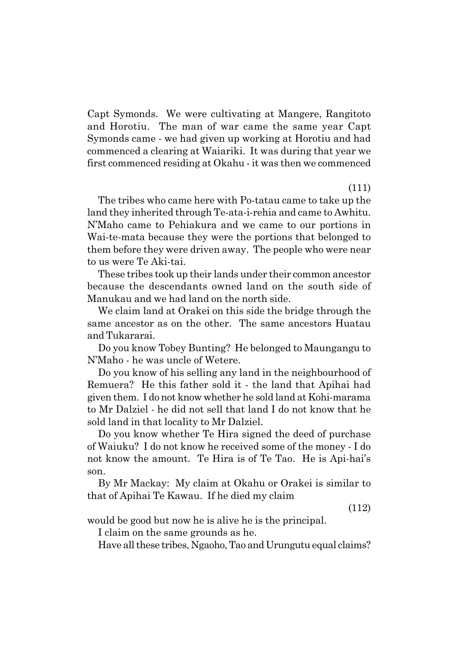Capt Symonds. We were cultivating at Mangere, Rangitoto and Horotiu. The man of war came the same year Capt Symonds came - we had given up working at Horotiu and had commenced a clearing at Waiariki. It was during that year we first commenced residing at Okahu - it was then we commenced

(111)

The tribes who came here with Po-tatau came to take up the land they inherited through Te-ata-i-rehia and came to Awhitu. NíMaho came to Pehiakura and we came to our portions in Wai-te-mata because they were the portions that belonged to them before they were driven away. The people who were near to us were Te Aki-tai.

These tribes took up their lands under their common ancestor because the descendants owned land on the south side of Manukau and we had land on the north side.

We claim land at Orakei on this side the bridge through the same ancestor as on the other. The same ancestors Huatau and Tukararai.

Do you know Tobey Bunting? He belonged to Maungangu to NíMaho - he was uncle of Wetere.

Do you know of his selling any land in the neighbourhood of Remuera? He this father sold it - the land that Apihai had given them. I do not know whether he sold land at Kohi-marama to Mr Dalziel - he did not sell that land I do not know that he sold land in that locality to Mr Dalziel.

Do you know whether Te Hira signed the deed of purchase of Waiuku? I do not know he received some of the money - I do not know the amount. Te Hira is of Te Tao. He is Api-hai's son.

By Mr Mackay: My claim at Okahu or Orakei is similar to that of Apihai Te Kawau. If he died my claim

(112)

would be good but now he is alive he is the principal.

I claim on the same grounds as he.

Have all these tribes, Ngaoho, Tao and Urungutu equal claims?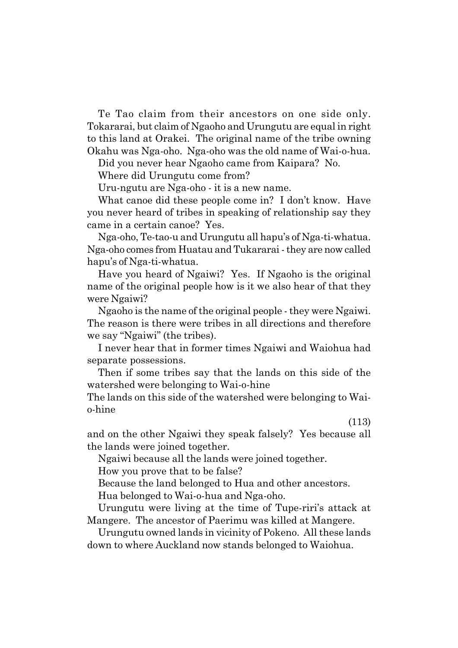Te Tao claim from their ancestors on one side only. Tokararai, but claim of Ngaoho and Urungutu are equal in right to this land at Orakei. The original name of the tribe owning Okahu was Nga-oho. Nga-oho was the old name of Wai-o-hua.

Did you never hear Ngaoho came from Kaipara? No.

Where did Urungutu come from?

Uru-ngutu are Nga-oho - it is a new name.

What canoe did these people come in? I don't know. Have you never heard of tribes in speaking of relationship say they came in a certain canoe? Yes.

Nga-oho, Te-tao-u and Urungutu all hapuís of Nga-ti-whatua. Nga-oho comes from Huatau and Tukararai - they are now called hapuís of Nga-ti-whatua.

Have you heard of Ngaiwi? Yes. If Ngaoho is the original name of the original people how is it we also hear of that they were Ngaiwi?

Ngaoho is the name of the original people - they were Ngaiwi. The reason is there were tribes in all directions and therefore we say "Ngaiwi" (the tribes).

I never hear that in former times Ngaiwi and Waiohua had separate possessions.

Then if some tribes say that the lands on this side of the watershed were belonging to Wai-o-hine

The lands on this side of the watershed were belonging to Waio-hine

(113)

and on the other Ngaiwi they speak falsely? Yes because all the lands were joined together.

Ngaiwi because all the lands were joined together.

How you prove that to be false?

Because the land belonged to Hua and other ancestors.

Hua belonged to Wai-o-hua and Nga-oho.

Urungutu were living at the time of Tupe-riri's attack at Mangere. The ancestor of Paerimu was killed at Mangere.

Urungutu owned lands in vicinity of Pokeno. All these lands down to where Auckland now stands belonged to Waiohua.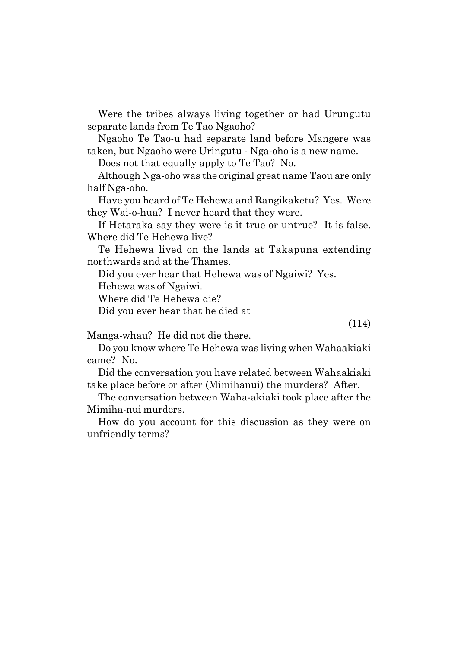Were the tribes always living together or had Urungutu separate lands from Te Tao Ngaoho?

Ngaoho Te Tao-u had separate land before Mangere was taken, but Ngaoho were Uringutu - Nga-oho is a new name.

Does not that equally apply to Te Tao? No.

Although Nga-oho was the original great name Taou are only half Nga-oho.

Have you heard of Te Hehewa and Rangikaketu? Yes. Were they Wai-o-hua? I never heard that they were.

If Hetaraka say they were is it true or untrue? It is false. Where did Te Hehewa live?

Te Hehewa lived on the lands at Takapuna extending northwards and at the Thames.

Did you ever hear that Hehewa was of Ngaiwi? Yes.

Hehewa was of Ngaiwi.

Where did Te Hehewa die?

Did you ever hear that he died at

(114)

Manga-whau? He did not die there.

Do you know where Te Hehewa was living when Wahaakiaki came? No.

Did the conversation you have related between Wahaakiaki take place before or after (Mimihanui) the murders? After.

The conversation between Waha-akiaki took place after the Mimiha-nui murders.

How do you account for this discussion as they were on unfriendly terms?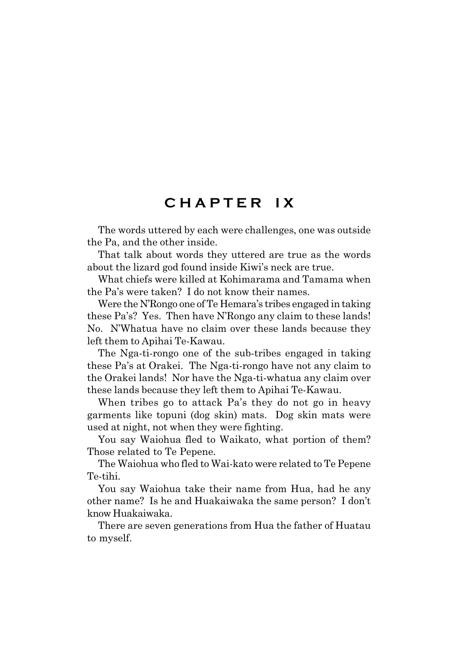## **C H A P T E R I X**

The words uttered by each were challenges, one was outside the Pa, and the other inside.

That talk about words they uttered are true as the words about the lizard god found inside Kiwi's neck are true.

What chiefs were killed at Kohimarama and Tamama when the País were taken? I do not know their names.

Were the N'Rongo one of Te Hemara's tribes engaged in taking these Pa's? Yes. Then have N'Rongo any claim to these lands! No. N'Whatua have no claim over these lands because they left them to Apihai Te-Kawau.

The Nga-ti-rongo one of the sub-tribes engaged in taking these País at Orakei. The Nga-ti-rongo have not any claim to the Orakei lands! Nor have the Nga-ti-whatua any claim over these lands because they left them to Apihai Te-Kawau.

When tribes go to attack Pa's they do not go in heavy garments like topuni (dog skin) mats. Dog skin mats were used at night, not when they were fighting.

You say Waiohua fled to Waikato, what portion of them? Those related to Te Pepene.

The Waiohua who fled to Wai-kato were related to Te Pepene Te-tihi.

You say Waiohua take their name from Hua, had he any other name? Is he and Huakaiwaka the same person? I donít know Huakaiwaka.

There are seven generations from Hua the father of Huatau to myself.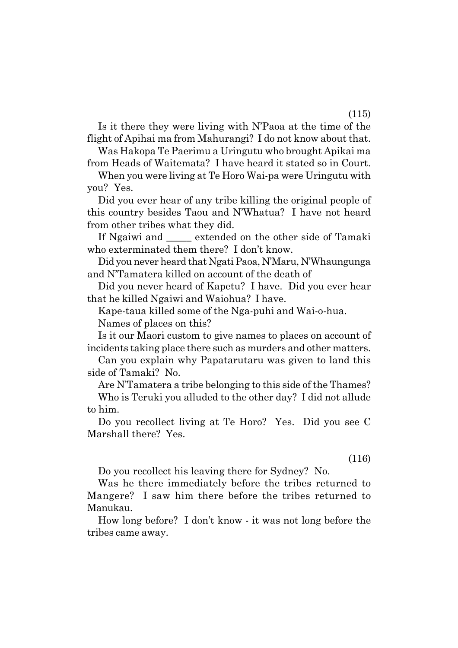Is it there they were living with NíPaoa at the time of the flight of Apihai ma from Mahurangi? I do not know about that.

Was Hakopa Te Paerimu a Uringutu who brought Apikai ma from Heads of Waitemata? I have heard it stated so in Court.

When you were living at Te Horo Wai-pa were Uringutu with you? Yes.

Did you ever hear of any tribe killing the original people of this country besides Taou and NíWhatua? I have not heard from other tribes what they did.

If Ngaiwi and \_\_\_\_\_ extended on the other side of Tamaki who exterminated them there? I don't know.

Did you never heard that Ngati Paoa, N'Maru, N'Whaungunga and N'Tamatera killed on account of the death of

Did you never heard of Kapetu? I have. Did you ever hear that he killed Ngaiwi and Waiohua? I have.

Kape-taua killed some of the Nga-puhi and Wai-o-hua.

Names of places on this?

Is it our Maori custom to give names to places on account of incidents taking place there such as murders and other matters.

Can you explain why Papatarutaru was given to land this side of Tamaki? No.

Are N'Tamatera a tribe belonging to this side of the Thames? Who is Teruki you alluded to the other day? I did not allude to him.

Do you recollect living at Te Horo? Yes. Did you see C Marshall there? Yes.

(116)

Do you recollect his leaving there for Sydney? No.

Was he there immediately before the tribes returned to Mangere? I saw him there before the tribes returned to Manukau.

How long before? I donít know - it was not long before the tribes came away.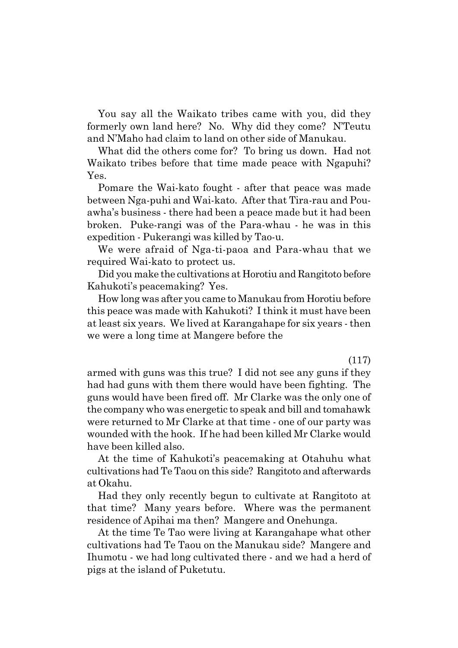You say all the Waikato tribes came with you, did they formerly own land here? No. Why did they come? N'Teutu and NíMaho had claim to land on other side of Manukau.

What did the others come for? To bring us down. Had not Waikato tribes before that time made peace with Ngapuhi? Yes.

Pomare the Wai-kato fought - after that peace was made between Nga-puhi and Wai-kato. After that Tira-rau and Pouawhaís business - there had been a peace made but it had been broken. Puke-rangi was of the Para-whau - he was in this expedition - Pukerangi was killed by Tao-u.

We were afraid of Nga-ti-paoa and Para-whau that we required Wai-kato to protect us.

Did you make the cultivations at Horotiu and Rangitoto before Kahukotiís peacemaking? Yes.

How long was after you came to Manukau from Horotiu before this peace was made with Kahukoti? I think it must have been at least six years. We lived at Karangahape for six years - then we were a long time at Mangere before the

(117)

armed with guns was this true? I did not see any guns if they had had guns with them there would have been fighting. The guns would have been fired off. Mr Clarke was the only one of the company who was energetic to speak and bill and tomahawk were returned to Mr Clarke at that time - one of our party was wounded with the hook. If he had been killed Mr Clarke would have been killed also.

At the time of Kahukoti's peacemaking at Otahuhu what cultivations had Te Taou on this side? Rangitoto and afterwards at Okahu.

Had they only recently begun to cultivate at Rangitoto at that time? Many years before. Where was the permanent residence of Apihai ma then? Mangere and Onehunga.

At the time Te Tao were living at Karangahape what other cultivations had Te Taou on the Manukau side? Mangere and Ihumotu - we had long cultivated there - and we had a herd of pigs at the island of Puketutu.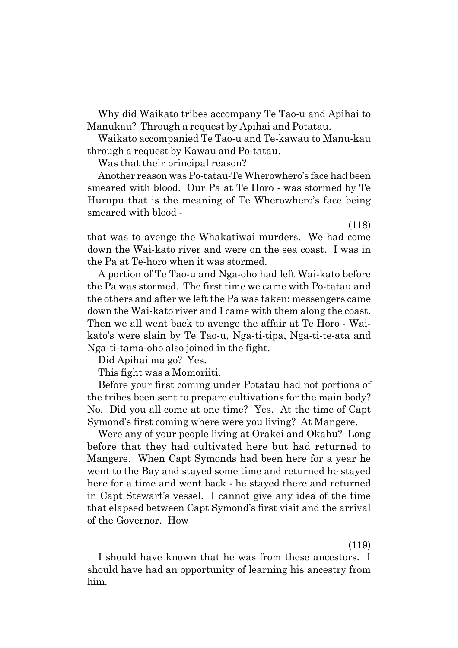Why did Waikato tribes accompany Te Tao-u and Apihai to Manukau? Through a request by Apihai and Potatau.

Waikato accompanied Te Tao-u and Te-kawau to Manu-kau through a request by Kawau and Po-tatau.

Was that their principal reason?

Another reason was Po-tatau-Te Wherowhero's face had been smeared with blood. Our Pa at Te Horo - was stormed by Te Hurupu that is the meaning of Te Wherowhero's face being smeared with blood -

(118)

that was to avenge the Whakatiwai murders. We had come down the Wai-kato river and were on the sea coast. I was in the Pa at Te-horo when it was stormed.

A portion of Te Tao-u and Nga-oho had left Wai-kato before the Pa was stormed. The first time we came with Po-tatau and the others and after we left the Pa was taken: messengers came down the Wai-kato river and I came with them along the coast. Then we all went back to avenge the affair at Te Horo - Waikatoís were slain by Te Tao-u, Nga-ti-tipa, Nga-ti-te-ata and Nga-ti-tama-oho also joined in the fight.

Did Apihai ma go? Yes.

This fight was a Momoriiti.

Before your first coming under Potatau had not portions of the tribes been sent to prepare cultivations for the main body? No. Did you all come at one time? Yes. At the time of Capt Symond's first coming where were you living? At Mangere.

Were any of your people living at Orakei and Okahu? Long before that they had cultivated here but had returned to Mangere. When Capt Symonds had been here for a year he went to the Bay and stayed some time and returned he stayed here for a time and went back - he stayed there and returned in Capt Stewartís vessel. I cannot give any idea of the time that elapsed between Capt Symond's first visit and the arrival of the Governor. How

(119)

I should have known that he was from these ancestors. I should have had an opportunity of learning his ancestry from him.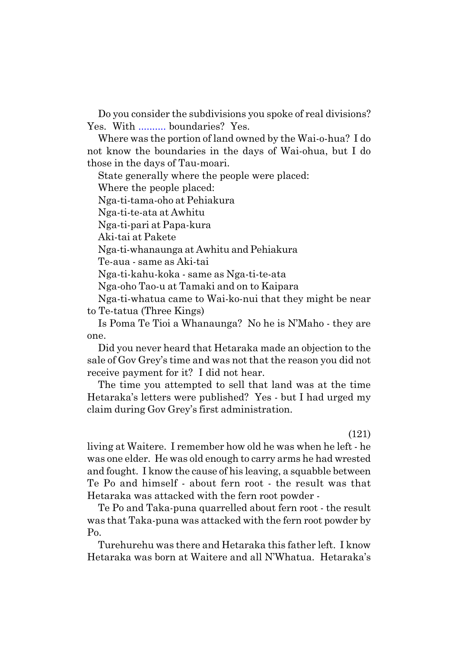Do you consider the subdivisions you spoke of real divisions? Yes. With .......... boundaries? Yes.

Where was the portion of land owned by the Wai-o-hua? I do not know the boundaries in the days of Wai-ohua, but I do those in the days of Tau-moari.

State generally where the people were placed:

Where the people placed:

Nga-ti-tama-oho at Pehiakura

Nga-ti-te-ata at Awhitu

Nga-ti-pari at Papa-kura

Aki-tai at Pakete

Nga-ti-whanaunga at Awhitu and Pehiakura

Te-aua - same as Aki-tai

Nga-ti-kahu-koka - same as Nga-ti-te-ata

Nga-oho Tao-u at Tamaki and on to Kaipara

Nga-ti-whatua came to Wai-ko-nui that they might be near to Te-tatua (Three Kings)

Is Poma Te Tioi a Whanaunga? No he is NíMaho - they are one.

Did you never heard that Hetaraka made an objection to the sale of Gov Greyís time and was not that the reason you did not receive payment for it? I did not hear.

The time you attempted to sell that land was at the time Hetarakaís letters were published? Yes - but I had urged my claim during Gov Grey's first administration.

(121)

living at Waitere. I remember how old he was when he left - he was one elder. He was old enough to carry arms he had wrested and fought. I know the cause of his leaving, a squabble between Te Po and himself - about fern root - the result was that Hetaraka was attacked with the fern root powder -

Te Po and Taka-puna quarrelled about fern root - the result was that Taka-puna was attacked with the fern root powder by Po.

Turehurehu was there and Hetaraka this father left. I know Hetaraka was born at Waitere and all N'Whatua. Hetaraka's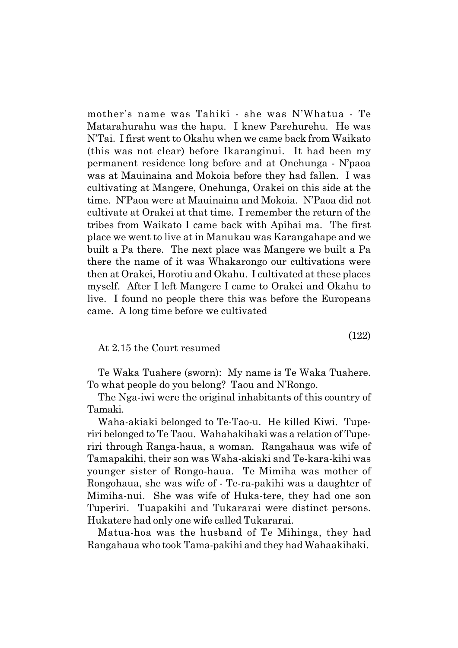motherís name was Tahiki - she was NíWhatua - Te Matarahurahu was the hapu. I knew Parehurehu. He was N'Tai. I first went to Okahu when we came back from Waikato (this was not clear) before Ikaranginui. It had been my permanent residence long before and at Onehunga - Nípaoa was at Mauinaina and Mokoia before they had fallen. I was cultivating at Mangere, Onehunga, Orakei on this side at the time. N'Paoa were at Mauinaina and Mokoia. N'Paoa did not cultivate at Orakei at that time. I remember the return of the tribes from Waikato I came back with Apihai ma. The first place we went to live at in Manukau was Karangahape and we built a Pa there. The next place was Mangere we built a Pa there the name of it was Whakarongo our cultivations were then at Orakei, Horotiu and Okahu. I cultivated at these places myself. After I left Mangere I came to Orakei and Okahu to live. I found no people there this was before the Europeans came. A long time before we cultivated

At 2.15 the Court resumed

Te Waka Tuahere (sworn): My name is Te Waka Tuahere. To what people do you belong? Taou and NíRongo.

The Nga-iwi were the original inhabitants of this country of Tamaki.

Waha-akiaki belonged to Te-Tao-u. He killed Kiwi. Tuperiri belonged to Te Taou. Wahahakihaki was a relation of Tuperiri through Ranga-haua, a woman. Rangahaua was wife of Tamapakihi, their son was Waha-akiaki and Te-kara-kihi was younger sister of Rongo-haua. Te Mimiha was mother of Rongohaua, she was wife of - Te-ra-pakihi was a daughter of Mimiha-nui. She was wife of Huka-tere, they had one son Tuperiri. Tuapakihi and Tukararai were distinct persons. Hukatere had only one wife called Tukararai.

Matua-hoa was the husband of Te Mihinga, they had Rangahaua who took Tama-pakihi and they had Wahaakihaki.

(122)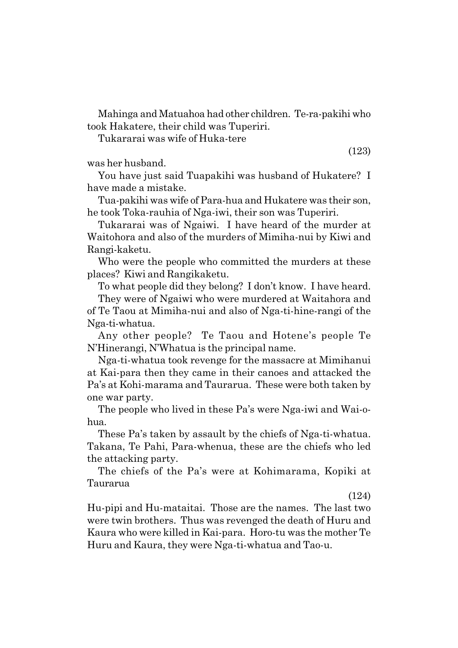Mahinga and Matuahoa had other children. Te-ra-pakihi who took Hakatere, their child was Tuperiri.

Tukararai was wife of Huka-tere

was her husband.

You have just said Tuapakihi was husband of Hukatere? I have made a mistake.

Tua-pakihi was wife of Para-hua and Hukatere was their son, he took Toka-rauhia of Nga-iwi, their son was Tuperiri.

Tukararai was of Ngaiwi. I have heard of the murder at Waitohora and also of the murders of Mimiha-nui by Kiwi and Rangi-kaketu.

Who were the people who committed the murders at these places? Kiwi and Rangikaketu.

To what people did they belong? I don't know. I have heard.

They were of Ngaiwi who were murdered at Waitahora and of Te Taou at Mimiha-nui and also of Nga-ti-hine-rangi of the Nga-ti-whatua.

Any other people? Te Taou and Hoteneís people Te N'Hinerangi, N'Whatua is the principal name.

Nga-ti-whatua took revenge for the massacre at Mimihanui at Kai-para then they came in their canoes and attacked the País at Kohi-marama and Taurarua. These were both taken by one war party.

The people who lived in these Pa's were Nga-iwi and Wai-ohua.

These País taken by assault by the chiefs of Nga-ti-whatua. Takana, Te Pahi, Para-whenua, these are the chiefs who led the attacking party.

The chiefs of the País were at Kohimarama, Kopiki at Taurarua

(124)

Hu-pipi and Hu-mataitai. Those are the names. The last two were twin brothers. Thus was revenged the death of Huru and Kaura who were killed in Kai-para. Horo-tu was the mother Te Huru and Kaura, they were Nga-ti-whatua and Tao-u.

(123)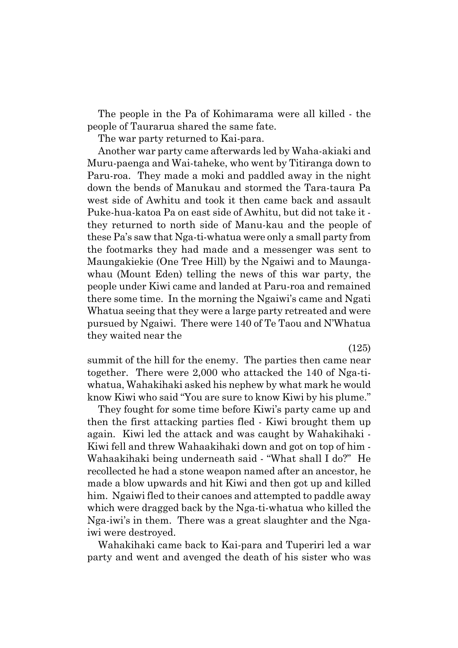The people in the Pa of Kohimarama were all killed - the people of Taurarua shared the same fate.

The war party returned to Kai-para.

Another war party came afterwards led by Waha-akiaki and Muru-paenga and Wai-taheke, who went by Titiranga down to Paru-roa. They made a moki and paddled away in the night down the bends of Manukau and stormed the Tara-taura Pa west side of Awhitu and took it then came back and assault Puke-hua-katoa Pa on east side of Awhitu, but did not take it they returned to north side of Manu-kau and the people of these País saw that Nga-ti-whatua were only a small party from the footmarks they had made and a messenger was sent to Maungakiekie (One Tree Hill) by the Ngaiwi and to Maungawhau (Mount Eden) telling the news of this war party, the people under Kiwi came and landed at Paru-roa and remained there some time. In the morning the Ngaiwi's came and Ngati Whatua seeing that they were a large party retreated and were pursued by Ngaiwi. There were 140 of Te Taou and N'Whatua they waited near the

(125)

summit of the hill for the enemy. The parties then came near together. There were 2,000 who attacked the 140 of Nga-tiwhatua, Wahakihaki asked his nephew by what mark he would know Kiwi who said "You are sure to know Kiwi by his plume."

They fought for some time before Kiwi's party came up and then the first attacking parties fled - Kiwi brought them up again. Kiwi led the attack and was caught by Wahakihaki - Kiwi fell and threw Wahaakihaki down and got on top of him - Wahaakihaki being underneath said - "What shall I do?" He recollected he had a stone weapon named after an ancestor, he made a blow upwards and hit Kiwi and then got up and killed him. Ngaiwi fled to their canoes and attempted to paddle away which were dragged back by the Nga-ti-whatua who killed the Nga-iwiís in them. There was a great slaughter and the Ngaiwi were destroyed.

Wahakihaki came back to Kai-para and Tuperiri led a war party and went and avenged the death of his sister who was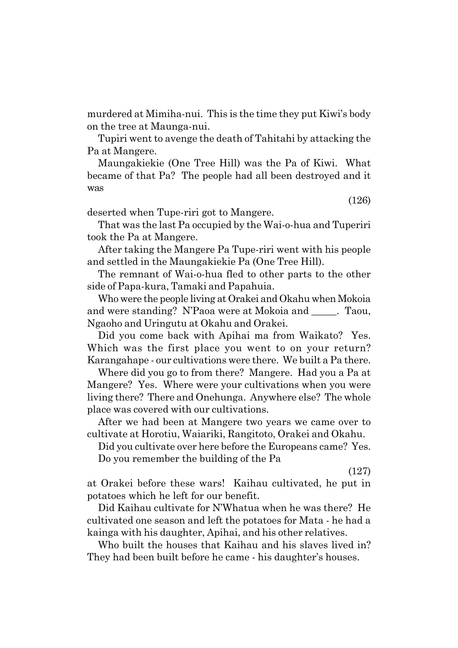murdered at Mimiha-nui. This is the time they put Kiwi's body on the tree at Maunga-nui.

Tupiri went to avenge the death of Tahitahi by attacking the Pa at Mangere.

Maungakiekie (One Tree Hill) was the Pa of Kiwi. What became of that Pa? The people had all been destroyed and it was

(126)

deserted when Tupe-riri got to Mangere.

That was the last Pa occupied by the Wai-o-hua and Tuperiri took the Pa at Mangere.

After taking the Mangere Pa Tupe-riri went with his people and settled in the Maungakiekie Pa (One Tree Hill).

The remnant of Wai-o-hua fled to other parts to the other side of Papa-kura, Tamaki and Papahuia.

Who were the people living at Orakei and Okahu when Mokoia and were standing? N'Paoa were at Mokoia and \_\_\_\_\_. Taou, Ngaoho and Uringutu at Okahu and Orakei.

Did you come back with Apihai ma from Waikato? Yes. Which was the first place you went to on your return? Karangahape - our cultivations were there. We built a Pa there.

Where did you go to from there? Mangere. Had you a Pa at Mangere? Yes. Where were your cultivations when you were living there? There and Onehunga. Anywhere else? The whole place was covered with our cultivations.

After we had been at Mangere two years we came over to cultivate at Horotiu, Waiariki, Rangitoto, Orakei and Okahu.

Did you cultivate over here before the Europeans came? Yes. Do you remember the building of the Pa

(127)

at Orakei before these wars! Kaihau cultivated, he put in potatoes which he left for our benefit.

Did Kaihau cultivate for N'Whatua when he was there? He cultivated one season and left the potatoes for Mata - he had a kainga with his daughter, Apihai, and his other relatives.

Who built the houses that Kaihau and his slaves lived in? They had been built before he came - his daughter's houses.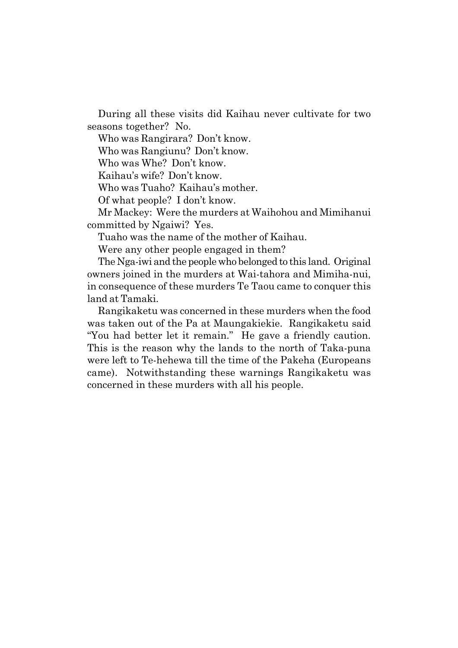During all these visits did Kaihau never cultivate for two seasons together? No.

Who was Rangirara? Don't know.

Who was Rangiunu? Don't know.

Who was Whe? Don't know.

Kaihau's wife? Don't know.

Who was Tuaho? Kaihauís mother.

Of what people? I don't know.

Mr Mackey: Were the murders at Waihohou and Mimihanui committed by Ngaiwi? Yes.

Tuaho was the name of the mother of Kaihau.

Were any other people engaged in them?

The Nga-iwi and the people who belonged to this land. Original owners joined in the murders at Wai-tahora and Mimiha-nui, in consequence of these murders Te Taou came to conquer this land at Tamaki.

Rangikaketu was concerned in these murders when the food was taken out of the Pa at Maungakiekie. Rangikaketu said "You had better let it remain." He gave a friendly caution. This is the reason why the lands to the north of Taka-puna were left to Te-hehewa till the time of the Pakeha (Europeans came). Notwithstanding these warnings Rangikaketu was concerned in these murders with all his people.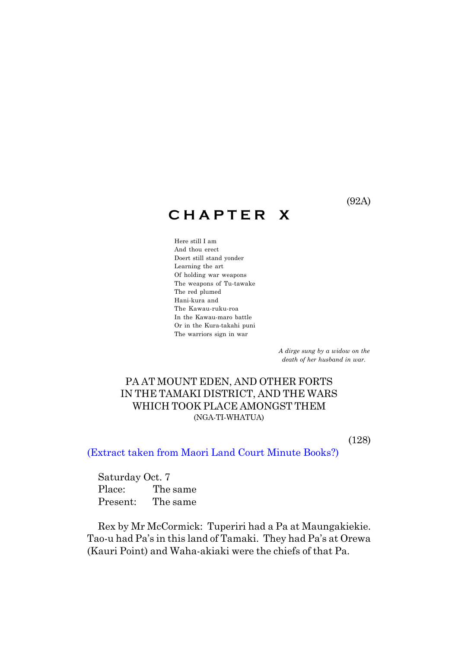## **C H A P T E R X**

Here still I am And thou erect Doert still stand yonder Learning the art Of holding war weapons The weapons of Tu-tawake The red plumed Hani-kura and The Kawau-ruku-roa In the Kawau-maro battle Or in the Kura-takahi puni The warriors sign in war

> *A dirge sung by a widow on the death of her husband in war.*

## PA AT MOUNT EDEN, AND OTHER FORTS IN THE TAMAKI DISTRICT, AND THE WARS WHICH TOOK PLACE AMONGST THEM (NGA-TI-WHATUA)

(128)

(Extract taken from Maori Land Court Minute Books?)

Saturday Oct. 7 Place: The same Present: The same

Rex by Mr McCormick: Tuperiri had a Pa at Maungakiekie. Tao-u had Pa's in this land of Tamaki. They had Pa's at Orewa (Kauri Point) and Waha-akiaki were the chiefs of that Pa.

(92A)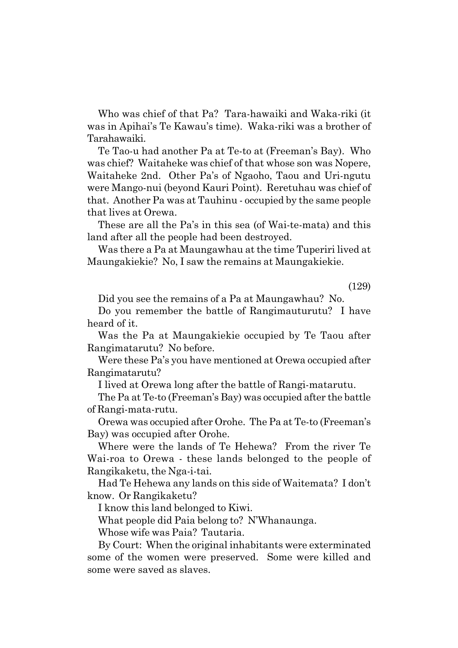Who was chief of that Pa? Tara-hawaiki and Waka-riki (it was in Apihaiís Te Kawauís time). Waka-riki was a brother of Tarahawaiki.

Te Tao-u had another Pa at Te-to at (Freemanís Bay). Who was chief? Waitaheke was chief of that whose son was Nopere, Waitaheke 2nd. Other País of Ngaoho, Taou and Uri-ngutu were Mango-nui (beyond Kauri Point). Reretuhau was chief of that. Another Pa was at Tauhinu - occupied by the same people that lives at Orewa.

These are all the Pa's in this sea (of Wai-te-mata) and this land after all the people had been destroyed.

Was there a Pa at Maungawhau at the time Tuperiri lived at Maungakiekie? No, I saw the remains at Maungakiekie.

(129)

Did you see the remains of a Pa at Maungawhau? No.

Do you remember the battle of Rangimauturutu? I have heard of it.

Was the Pa at Maungakiekie occupied by Te Taou after Rangimatarutu? No before.

Were these Pa's you have mentioned at Orewa occupied after Rangimatarutu?

I lived at Orewa long after the battle of Rangi-matarutu.

The Pa at Te-to (Freemanís Bay) was occupied after the battle of Rangi-mata-rutu.

Orewa was occupied after Orohe. The Pa at Te-to (Freemanís Bay) was occupied after Orohe.

Where were the lands of Te Hehewa? From the river Te Wai-roa to Orewa - these lands belonged to the people of Rangikaketu, the Nga-i-tai.

Had Te Hehewa any lands on this side of Waitemata? I don't know. Or Rangikaketu?

I know this land belonged to Kiwi.

What people did Paia belong to? N'Whanaunga.

Whose wife was Paia? Tautaria.

By Court: When the original inhabitants were exterminated some of the women were preserved. Some were killed and some were saved as slaves.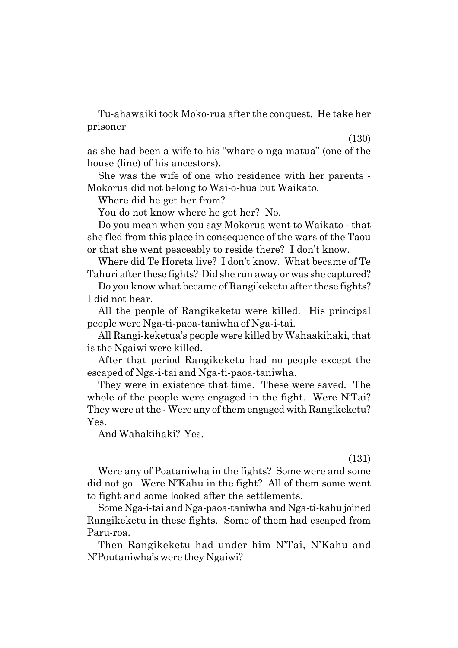Tu-ahawaiki took Moko-rua after the conquest. He take her prisoner

(130)

as she had been a wife to his "whare o nga matua" (one of the house (line) of his ancestors).

She was the wife of one who residence with her parents - Mokorua did not belong to Wai-o-hua but Waikato.

Where did he get her from?

You do not know where he got her? No.

Do you mean when you say Mokorua went to Waikato - that she fled from this place in consequence of the wars of the Taou or that she went peaceably to reside there? I don't know.

Where did Te Horeta live? I don't know. What became of Te Tahuri after these fights? Did she run away or was she captured?

Do you know what became of Rangikeketu after these fights? I did not hear.

All the people of Rangikeketu were killed. His principal people were Nga-ti-paoa-taniwha of Nga-i-tai.

All Rangi-keketuaís people were killed by Wahaakihaki, that is the Ngaiwi were killed.

After that period Rangikeketu had no people except the escaped of Nga-i-tai and Nga-ti-paoa-taniwha.

They were in existence that time. These were saved. The whole of the people were engaged in the fight. Were N'Tai? They were at the - Were any of them engaged with Rangikeketu? Yes.

And Wahakihaki? Yes.

(131)

Were any of Poataniwha in the fights? Some were and some did not go. Were N'Kahu in the fight? All of them some went to fight and some looked after the settlements.

Some Nga-i-tai and Nga-paoa-taniwha and Nga-ti-kahu joined Rangikeketu in these fights. Some of them had escaped from Paru-roa.

Then Rangikeketu had under him N'Tai, N'Kahu and NíPoutaniwhaís were they Ngaiwi?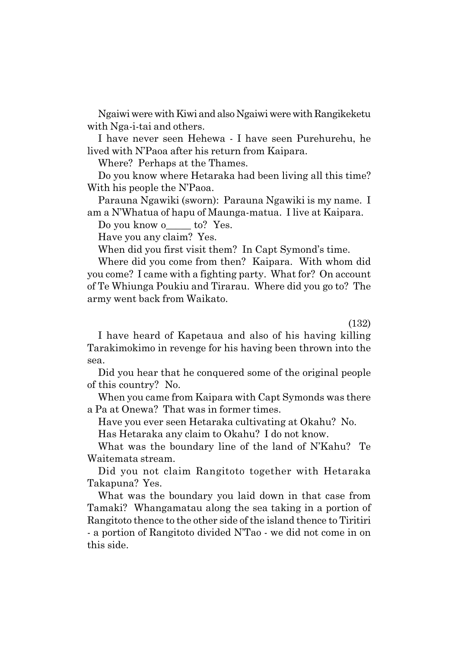Ngaiwi were with Kiwi and also Ngaiwi were with Rangikeketu with Nga-i-tai and others.

I have never seen Hehewa - I have seen Purehurehu, he lived with N'Paoa after his return from Kaipara.

Where? Perhaps at the Thames.

Do you know where Hetaraka had been living all this time? With his people the N'Paoa.

Parauna Ngawiki (sworn): Parauna Ngawiki is my name. I am a NíWhatua of hapu of Maunga-matua. I live at Kaipara.

Do you know o to? Yes.

Have you any claim? Yes.

When did you first visit them? In Capt Symond's time.

Where did you come from then? Kaipara. With whom did you come? I came with a fighting party. What for? On account of Te Whiunga Poukiu and Tirarau. Where did you go to? The army went back from Waikato.

(132)

I have heard of Kapetaua and also of his having killing Tarakimokimo in revenge for his having been thrown into the sea.

Did you hear that he conquered some of the original people of this country? No.

When you came from Kaipara with Capt Symonds was there a Pa at Onewa? That was in former times.

Have you ever seen Hetaraka cultivating at Okahu? No.

Has Hetaraka any claim to Okahu? I do not know.

What was the boundary line of the land of N'Kahu? Te Waitemata stream.

Did you not claim Rangitoto together with Hetaraka Takapuna? Yes.

What was the boundary you laid down in that case from Tamaki? Whangamatau along the sea taking in a portion of Rangitoto thence to the other side of the island thence to Tiritiri - a portion of Rangitoto divided N'Tao - we did not come in on this side.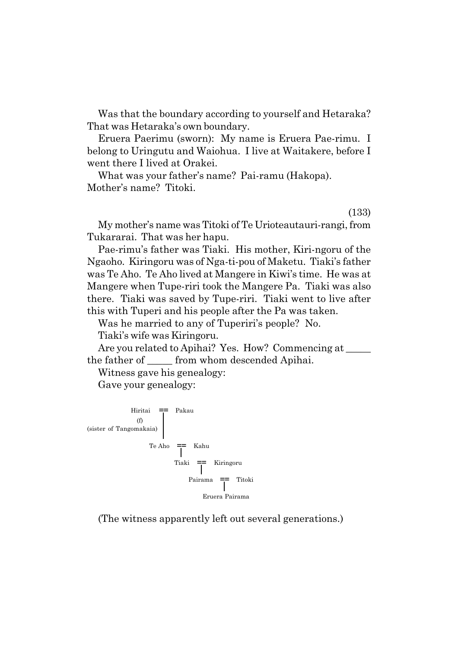Was that the boundary according to yourself and Hetaraka? That was Hetaraka's own boundary.

Eruera Paerimu (sworn): My name is Eruera Pae-rimu. I belong to Uringutu and Waiohua. I live at Waitakere, before I went there I lived at Orakei.

What was your father's name? Pai-ramu (Hakopa). Mother's name? Titoki.

(133)

My motherís name was Titoki of Te Urioteautauri-rangi, from Tukararai. That was her hapu.

Pae-rimuís father was Tiaki. His mother, Kiri-ngoru of the Ngaoho. Kiringoru was of Nga-ti-pou of Maketu. Tiakiís father was Te Aho. Te Aho lived at Mangere in Kiwiís time. He was at Mangere when Tupe-riri took the Mangere Pa. Tiaki was also there. Tiaki was saved by Tupe-riri. Tiaki went to live after this with Tuperi and his people after the Pa was taken.

Was he married to any of Tuperiri's people? No.

Tiakiís wife was Kiringoru.

Are you related to Apihai? Yes. How? Commencing at \_\_\_\_\_\_ the father of \_\_\_\_\_ from whom descended Apihai.

Witness gave his genealogy:

Gave your genealogy:



(The witness apparently left out several generations.)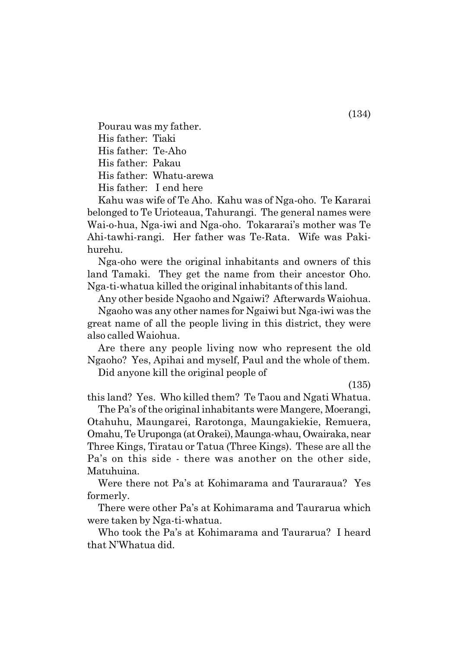Pourau was my father. His father: Tiaki His father: Te-Aho His father: Pakau His father: Whatu-arewa His father: I end here

Kahu was wife of Te Aho. Kahu was of Nga-oho. Te Kararai belonged to Te Urioteaua, Tahurangi. The general names were Wai-o-hua, Nga-iwi and Nga-oho. Tokararai's mother was Te Ahi-tawhi-rangi. Her father was Te-Rata. Wife was Pakihurehu.

Nga-oho were the original inhabitants and owners of this land Tamaki. They get the name from their ancestor Oho. Nga-ti-whatua killed the original inhabitants of this land.

Any other beside Ngaoho and Ngaiwi? Afterwards Waiohua.

Ngaoho was any other names for Ngaiwi but Nga-iwi was the great name of all the people living in this district, they were also called Waiohua.

Are there any people living now who represent the old Ngaoho? Yes, Apihai and myself, Paul and the whole of them.

Did anyone kill the original people of

(135)

this land? Yes. Who killed them? Te Taou and Ngati Whatua.

The País of the original inhabitants were Mangere, Moerangi, Otahuhu, Maungarei, Rarotonga, Maungakiekie, Remuera, Omahu, Te Uruponga (at Orakei), Maunga-whau, Owairaka, near Three Kings, Tiratau or Tatua (Three Kings). These are all the País on this side - there was another on the other side, Matuhuina.

Were there not País at Kohimarama and Tauraraua? Yes formerly.

There were other Pa's at Kohimarama and Taurarua which were taken by Nga-ti-whatua.

Who took the País at Kohimarama and Taurarua? I heard that N'Whatua did.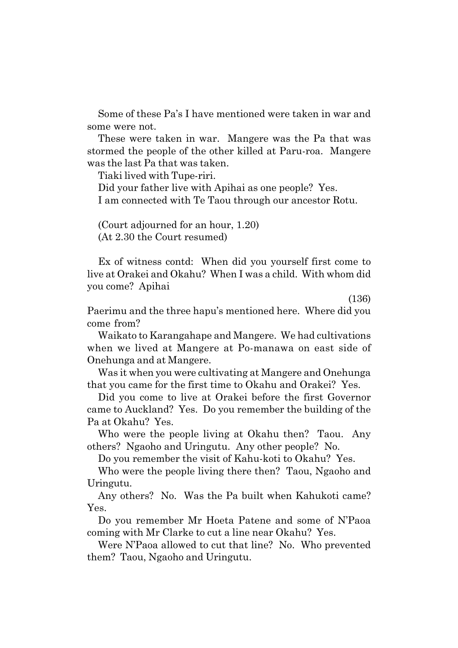Some of these País I have mentioned were taken in war and some were not.

These were taken in war. Mangere was the Pa that was stormed the people of the other killed at Paru-roa. Mangere was the last Pa that was taken.

Tiaki lived with Tupe-riri.

Did your father live with Apihai as one people? Yes. I am connected with Te Taou through our ancestor Rotu.

(Court adjourned for an hour, 1.20) (At 2.30 the Court resumed)

Ex of witness contd: When did you yourself first come to live at Orakei and Okahu? When I was a child. With whom did you come? Apihai

(136)

Paerimu and the three hapuís mentioned here. Where did you come from?

Waikato to Karangahape and Mangere. We had cultivations when we lived at Mangere at Po-manawa on east side of Onehunga and at Mangere.

Was it when you were cultivating at Mangere and Onehunga that you came for the first time to Okahu and Orakei? Yes.

Did you come to live at Orakei before the first Governor came to Auckland? Yes. Do you remember the building of the Pa at Okahu? Yes.

Who were the people living at Okahu then? Taou. Any others? Ngaoho and Uringutu. Any other people? No.

Do you remember the visit of Kahu-koti to Okahu? Yes.

Who were the people living there then? Taou, Ngaoho and Uringutu.

Any others? No. Was the Pa built when Kahukoti came? Yes.

Do you remember Mr Hoeta Patene and some of NíPaoa coming with Mr Clarke to cut a line near Okahu? Yes.

Were N'Paoa allowed to cut that line? No. Who prevented them? Taou, Ngaoho and Uringutu.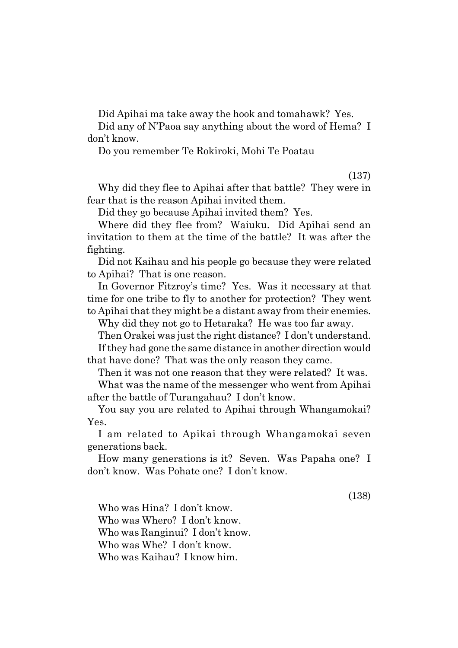Did Apihai ma take away the hook and tomahawk? Yes.

Did any of N'Paoa say anything about the word of Hema? I donít know.

Do you remember Te Rokiroki, Mohi Te Poatau

(137)

Why did they flee to Apihai after that battle? They were in fear that is the reason Apihai invited them.

Did they go because Apihai invited them? Yes.

Where did they flee from? Waiuku. Did Apihai send an invitation to them at the time of the battle? It was after the fighting.

Did not Kaihau and his people go because they were related to Apihai? That is one reason.

In Governor Fitzroy's time? Yes. Was it necessary at that time for one tribe to fly to another for protection? They went to Apihai that they might be a distant away from their enemies.

Why did they not go to Hetaraka? He was too far away.

Then Orakei was just the right distance? I don't understand. If they had gone the same distance in another direction would that have done? That was the only reason they came.

Then it was not one reason that they were related? It was.

What was the name of the messenger who went from Apihai after the battle of Turangahau? I don't know.

You say you are related to Apihai through Whangamokai? Yes.

I am related to Apikai through Whangamokai seven generations back.

How many generations is it? Seven. Was Papaha one? I donít know. Was Pohate one? I donít know.

(138)

Who was Hina? I don't know. Who was Whero? I don't know. Who was Ranginui? I don't know. Who was Whe? I don't know. Who was Kaihau? I know him.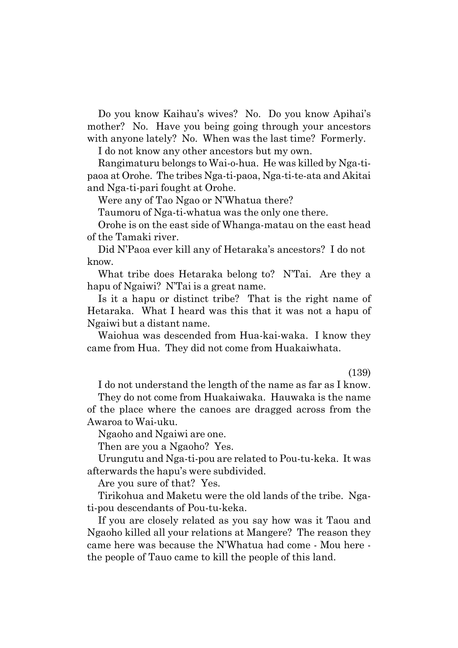Do you know Kaihauís wives? No. Do you know Apihaiís mother? No. Have you being going through your ancestors with anyone lately? No. When was the last time? Formerly.

I do not know any other ancestors but my own.

Rangimaturu belongs to Wai-o-hua. He was killed by Nga-tipaoa at Orohe. The tribes Nga-ti-paoa, Nga-ti-te-ata and Akitai and Nga-ti-pari fought at Orohe.

Were any of Tao Ngao or N'Whatua there?

Taumoru of Nga-ti-whatua was the only one there.

Orohe is on the east side of Whanga-matau on the east head of the Tamaki river.

Did N'Paoa ever kill any of Hetaraka's ancestors? I do not know.

What tribe does Hetaraka belong to? N'Tai. Are they a hapu of Ngaiwi? N'Tai is a great name.

Is it a hapu or distinct tribe? That is the right name of Hetaraka. What I heard was this that it was not a hapu of Ngaiwi but a distant name.

Waiohua was descended from Hua-kai-waka. I know they came from Hua. They did not come from Huakaiwhata.

#### (139)

I do not understand the length of the name as far as I know. They do not come from Huakaiwaka. Hauwaka is the name of the place where the canoes are dragged across from the

Awaroa to Wai-uku.

Ngaoho and Ngaiwi are one.

Then are you a Ngaoho? Yes.

Urungutu and Nga-ti-pou are related to Pou-tu-keka. It was afterwards the hapuís were subdivided.

Are you sure of that? Yes.

Tirikohua and Maketu were the old lands of the tribe. Ngati-pou descendants of Pou-tu-keka.

If you are closely related as you say how was it Taou and Ngaoho killed all your relations at Mangere? The reason they came here was because the NíWhatua had come - Mou here the people of Tauo came to kill the people of this land.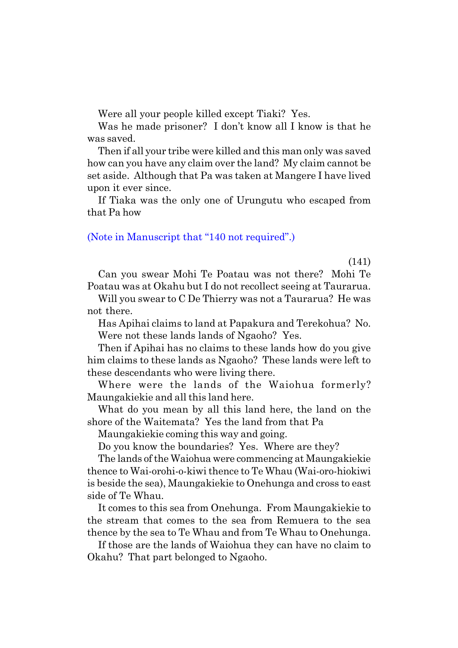Were all your people killed except Tiaki? Yes.

Was he made prisoner? I don't know all I know is that he was saved.

Then if all your tribe were killed and this man only was saved how can you have any claim over the land? My claim cannot be set aside. Although that Pa was taken at Mangere I have lived upon it ever since.

If Tiaka was the only one of Urungutu who escaped from that Pa how

#### (Note in Manuscript that  $\degree$ 140 not required".)

(141)

Can you swear Mohi Te Poatau was not there? Mohi Te Poatau was at Okahu but I do not recollect seeing at Taurarua.

Will you swear to C De Thierry was not a Taurarua? He was not there.

Has Apihai claims to land at Papakura and Terekohua? No. Were not these lands lands of Ngaoho? Yes.

Then if Apihai has no claims to these lands how do you give him claims to these lands as Ngaoho? These lands were left to these descendants who were living there.

Where were the lands of the Waiohua formerly? Maungakiekie and all this land here.

What do you mean by all this land here, the land on the shore of the Waitemata? Yes the land from that Pa

Maungakiekie coming this way and going.

Do you know the boundaries? Yes. Where are they?

The lands of the Waiohua were commencing at Maungakiekie thence to Wai-orohi-o-kiwi thence to Te Whau (Wai-oro-hiokiwi is beside the sea), Maungakiekie to Onehunga and cross to east side of Te Whau.

It comes to this sea from Onehunga. From Maungakiekie to the stream that comes to the sea from Remuera to the sea thence by the sea to Te Whau and from Te Whau to Onehunga.

If those are the lands of Waiohua they can have no claim to Okahu? That part belonged to Ngaoho.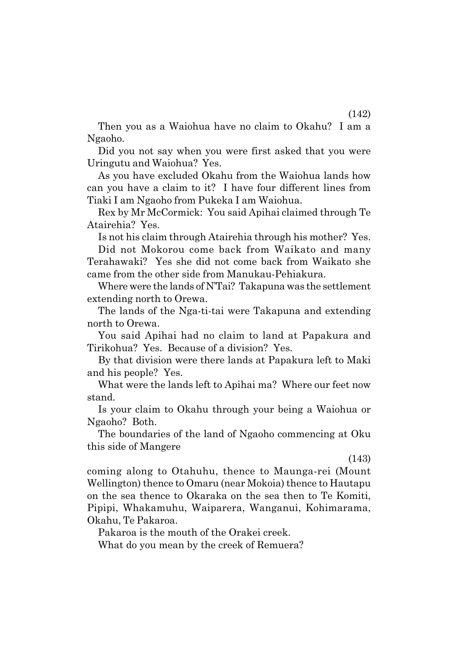Then you as a Waiohua have no claim to Okahu? I am a Ngaoho.

Did you not say when you were first asked that you were Uringutu and Waiohua? Yes.

As you have excluded Okahu from the Waiohua lands how can you have a claim to it? I have four different lines from Tiaki I am Ngaoho from Pukeka I am Waiohua.

Rex by Mr McCormick: You said Apihai claimed through Te Atairehia? Yes.

Is not his claim through Atairehia through his mother? Yes.

Did not Mokorou come back from Waikato and many Terahawaki? Yes she did not come back from Waikato she came from the other side from Manukau-Pehiakura.

Where were the lands of N'Tai? Takapuna was the settlement extending north to Orewa.

The lands of the Nga-ti-tai were Takapuna and extending north to Orewa.

You said Apihai had no claim to land at Papakura and Tirikohua? Yes. Because of a division? Yes.

By that division were there lands at Papakura left to Maki and his people? Yes.

What were the lands left to Apihai ma? Where our feet now stand.

Is your claim to Okahu through your being a Waiohua or Ngaoho? Both.

The boundaries of the land of Ngaoho commencing at Oku this side of Mangere

(143)

coming along to Otahuhu, thence to Maunga-rei (Mount Wellington) thence to Omaru (near Mokoia) thence to Hautapu on the sea thence to Okaraka on the sea then to Te Komiti, Pipipi, Whakamuhu, Waiparera, Wanganui, Kohimarama, Okahu, Te Pakaroa.

Pakaroa is the mouth of the Orakei creek.

What do you mean by the creek of Remuera?

(142)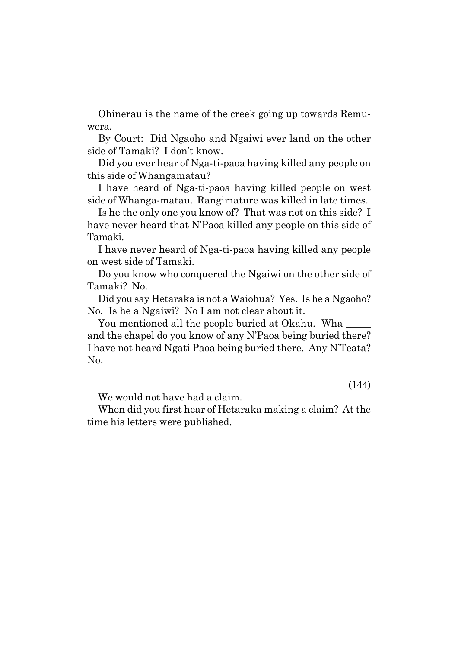Ohinerau is the name of the creek going up towards Remuwera.

By Court: Did Ngaoho and Ngaiwi ever land on the other side of Tamaki? I don't know.

Did you ever hear of Nga-ti-paoa having killed any people on this side of Whangamatau?

I have heard of Nga-ti-paoa having killed people on west side of Whanga-matau. Rangimature was killed in late times.

Is he the only one you know of? That was not on this side? I have never heard that N'Paoa killed any people on this side of Tamaki.

I have never heard of Nga-ti-paoa having killed any people on west side of Tamaki.

Do you know who conquered the Ngaiwi on the other side of Tamaki? No.

Did you say Hetaraka is not a Waiohua? Yes. Is he a Ngaoho? No. Is he a Ngaiwi? No I am not clear about it.

You mentioned all the people buried at Okahu. Wha and the chapel do you know of any N'Paoa being buried there? I have not heard Ngati Paoa being buried there. Any N'Teata? No.

(144)

We would not have had a claim.

When did you first hear of Hetaraka making a claim? At the time his letters were published.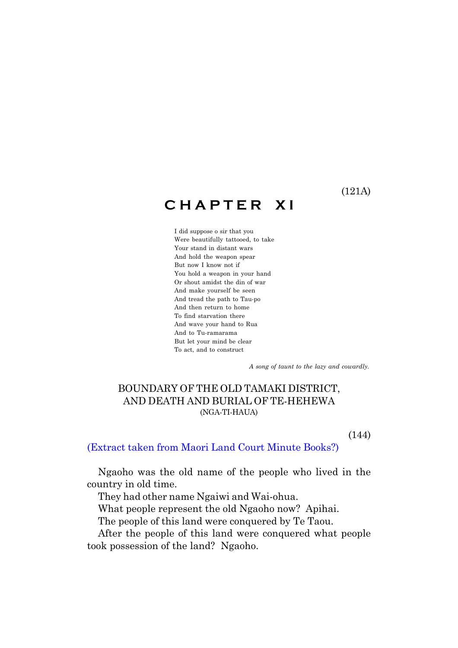(121A)

# **C H A P T E R X I**

I did suppose o sir that you Were beautifully tattooed, to take Your stand in distant wars And hold the weapon spear But now I know not if You hold a weapon in your hand Or shout amidst the din of war And make yourself be seen And tread the path to Tau-po And then return to home To find starvation there And wave your hand to Rua And to Tu-ramarama But let your mind be clear To act, and to construct

 *A song of taunt to the lazy and cowardly.*

## BOUNDARY OF THE OLD TAMAKI DISTRICT, AND DEATH AND BURIAL OF TE-HEHEWA (NGA-TI-HAUA)

(144)

#### (Extract taken from Maori Land Court Minute Books?)

Ngaoho was the old name of the people who lived in the country in old time.

They had other name Ngaiwi and Wai-ohua.

What people represent the old Ngaoho now? Apihai.

The people of this land were conquered by Te Taou.

After the people of this land were conquered what people took possession of the land? Ngaoho.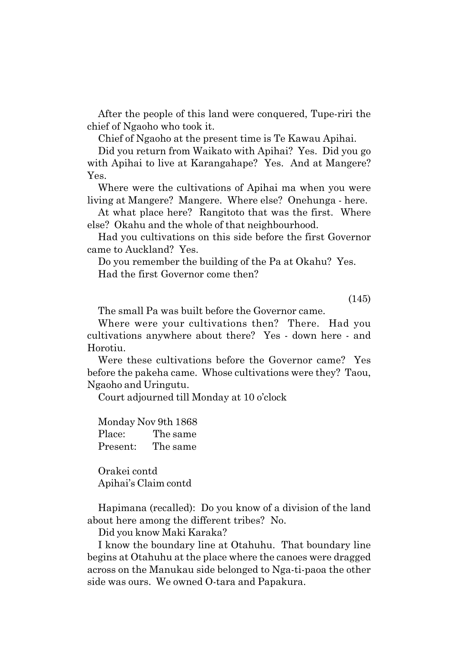After the people of this land were conquered, Tupe-riri the chief of Ngaoho who took it.

Chief of Ngaoho at the present time is Te Kawau Apihai.

Did you return from Waikato with Apihai? Yes. Did you go with Apihai to live at Karangahape? Yes. And at Mangere? Yes.

Where were the cultivations of Apihai ma when you were living at Mangere? Mangere. Where else? Onehunga - here.

At what place here? Rangitoto that was the first. Where else? Okahu and the whole of that neighbourhood.

Had you cultivations on this side before the first Governor came to Auckland? Yes.

Do you remember the building of the Pa at Okahu? Yes. Had the first Governor come then?

(145)

The small Pa was built before the Governor came.

Where were your cultivations then? There. Had you cultivations anywhere about there? Yes - down here - and Horotiu.

Were these cultivations before the Governor came? Yes before the pakeha came. Whose cultivations were they? Taou, Ngaoho and Uringutu.

Court adjourned till Monday at 10 oíclock

| Monday Nov 9th 1868 |          |
|---------------------|----------|
| Place:              | The same |
| Present:            | The same |

Orakei contd Apihaiís Claim contd

Hapimana (recalled): Do you know of a division of the land about here among the different tribes? No.

Did you know Maki Karaka?

I know the boundary line at Otahuhu. That boundary line begins at Otahuhu at the place where the canoes were dragged across on the Manukau side belonged to Nga-ti-paoa the other side was ours. We owned O-tara and Papakura.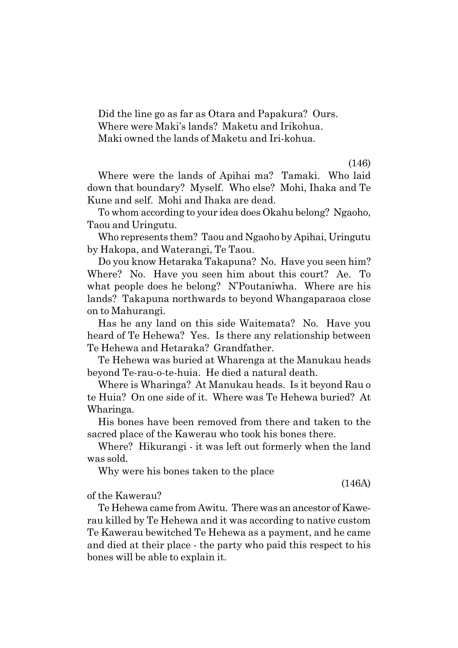Did the line go as far as Otara and Papakura? Ours. Where were Maki's lands? Maketu and Irikohua. Maki owned the lands of Maketu and Iri-kohua.

(146)

Where were the lands of Apihai ma? Tamaki. Who laid down that boundary? Myself. Who else? Mohi, Ihaka and Te Kune and self. Mohi and Ihaka are dead.

To whom according to your idea does Okahu belong? Ngaoho, Taou and Uringutu.

Who represents them? Taou and Ngaoho by Apihai, Uringutu by Hakopa, and Waterangi, Te Taou.

Do you know Hetaraka Takapuna? No. Have you seen him? Where? No. Have you seen him about this court? Ae. To what people does he belong? N'Poutaniwha. Where are his lands? Takapuna northwards to beyond Whangaparaoa close on to Mahurangi.

Has he any land on this side Waitemata? No. Have you heard of Te Hehewa? Yes. Is there any relationship between Te Hehewa and Hetaraka? Grandfather.

Te Hehewa was buried at Wharenga at the Manukau heads beyond Te-rau-o-te-huia. He died a natural death.

Where is Wharinga? At Manukau heads. Is it beyond Rau o te Huia? On one side of it. Where was Te Hehewa buried? At Wharinga.

His bones have been removed from there and taken to the sacred place of the Kawerau who took his bones there.

Where? Hikurangi - it was left out formerly when the land was sold.

Why were his bones taken to the place

(146A)

#### of the Kawerau?

Te Hehewa came from Awitu. There was an ancestor of Kawerau killed by Te Hehewa and it was according to native custom Te Kawerau bewitched Te Hehewa as a payment, and he came and died at their place - the party who paid this respect to his bones will be able to explain it.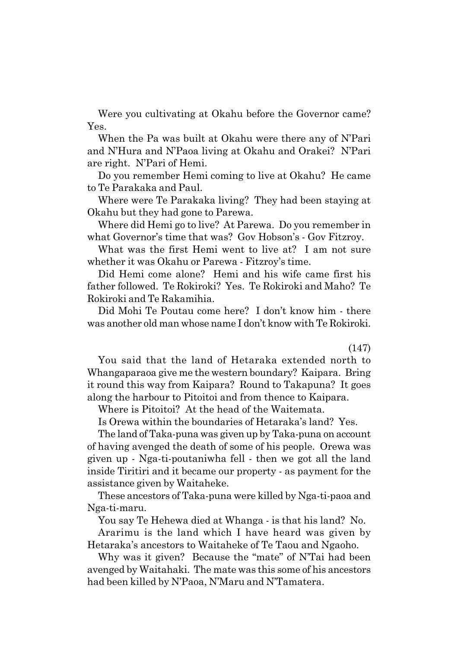Were you cultivating at Okahu before the Governor came? Yes.

When the Pa was built at Okahu were there any of N'Pari and N'Hura and N'Paoa living at Okahu and Orakei? N'Pari are right. N'Pari of Hemi.

Do you remember Hemi coming to live at Okahu? He came to Te Parakaka and Paul.

Where were Te Parakaka living? They had been staying at Okahu but they had gone to Parewa.

Where did Hemi go to live? At Parewa. Do you remember in what Governor's time that was? Gov Hobson's - Gov Fitzroy.

What was the first Hemi went to live at? I am not sure whether it was Okahu or Parewa - Fitzroy's time.

Did Hemi come alone? Hemi and his wife came first his father followed. Te Rokiroki? Yes. Te Rokiroki and Maho? Te Rokiroki and Te Rakamihia.

Did Mohi Te Poutau come here? I don't know him - there was another old man whose name I don't know with Te Rokiroki.

(147)

You said that the land of Hetaraka extended north to Whangaparaoa give me the western boundary? Kaipara. Bring it round this way from Kaipara? Round to Takapuna? It goes along the harbour to Pitoitoi and from thence to Kaipara.

Where is Pitoitoi? At the head of the Waitemata.

Is Orewa within the boundaries of Hetarakaís land? Yes.

The land of Taka-puna was given up by Taka-puna on account of having avenged the death of some of his people. Orewa was given up - Nga-ti-poutaniwha fell - then we got all the land inside Tiritiri and it became our property - as payment for the assistance given by Waitaheke.

These ancestors of Taka-puna were killed by Nga-ti-paoa and Nga-ti-maru.

You say Te Hehewa died at Whanga - is that his land? No.

Ararimu is the land which I have heard was given by Hetarakaís ancestors to Waitaheke of Te Taou and Ngaoho.

Why was it given? Because the "mate" of N'Tai had been avenged by Waitahaki. The mate was this some of his ancestors had been killed by N'Paoa, N'Maru and N'Tamatera.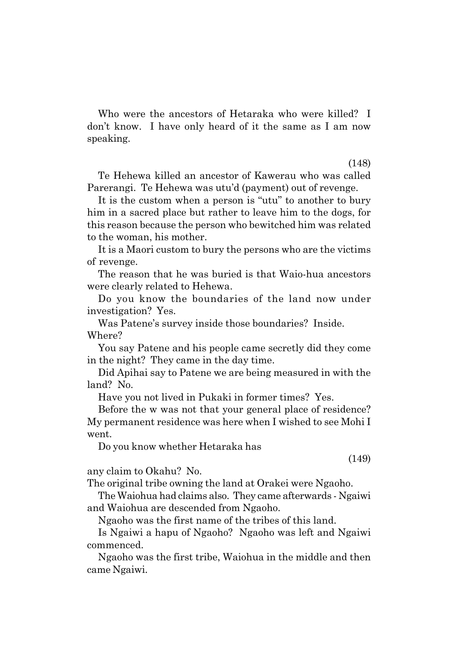Who were the ancestors of Hetaraka who were killed? I donít know. I have only heard of it the same as I am now speaking.

(148)

Te Hehewa killed an ancestor of Kawerau who was called Parerangi. Te Hehewa was utuíd (payment) out of revenge.

It is the custom when a person is "utu" to another to bury him in a sacred place but rather to leave him to the dogs, for this reason because the person who bewitched him was related to the woman, his mother.

It is a Maori custom to bury the persons who are the victims of revenge.

The reason that he was buried is that Waio-hua ancestors were clearly related to Hehewa.

Do you know the boundaries of the land now under investigation? Yes.

Was Patene's survey inside those boundaries? Inside. Where?

You say Patene and his people came secretly did they come in the night? They came in the day time.

Did Apihai say to Patene we are being measured in with the land? No.

Have you not lived in Pukaki in former times? Yes.

Before the w was not that your general place of residence? My permanent residence was here when I wished to see Mohi I went.

Do you know whether Hetaraka has

any claim to Okahu? No.

The original tribe owning the land at Orakei were Ngaoho.

The Waiohua had claims also. They came afterwards - Ngaiwi and Waiohua are descended from Ngaoho.

Ngaoho was the first name of the tribes of this land.

Is Ngaiwi a hapu of Ngaoho? Ngaoho was left and Ngaiwi commenced.

Ngaoho was the first tribe, Waiohua in the middle and then came Ngaiwi.

(149)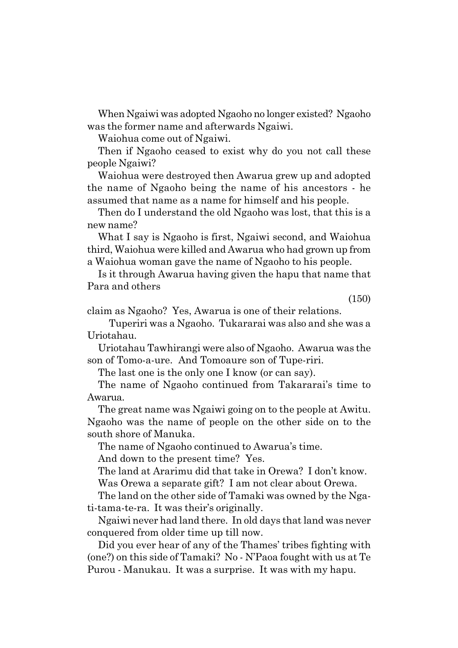When Ngaiwi was adopted Ngaoho no longer existed? Ngaoho was the former name and afterwards Ngaiwi.

Waiohua come out of Ngaiwi.

Then if Ngaoho ceased to exist why do you not call these people Ngaiwi?

Waiohua were destroyed then Awarua grew up and adopted the name of Ngaoho being the name of his ancestors - he assumed that name as a name for himself and his people.

Then do I understand the old Ngaoho was lost, that this is a new name?

What I say is Ngaoho is first, Ngaiwi second, and Waiohua third, Waiohua were killed and Awarua who had grown up from a Waiohua woman gave the name of Ngaoho to his people.

Is it through Awarua having given the hapu that name that Para and others

(150)

claim as Ngaoho? Yes, Awarua is one of their relations.

Tuperiri was a Ngaoho. Tukararai was also and she was a Uriotahau.

Uriotahau Tawhirangi were also of Ngaoho. Awarua was the son of Tomo-a-ure. And Tomoaure son of Tupe-riri.

The last one is the only one I know (or can say).

The name of Ngaoho continued from Takararai's time to Awarua.

The great name was Ngaiwi going on to the people at Awitu. Ngaoho was the name of people on the other side on to the south shore of Manuka.

The name of Ngaoho continued to Awarua's time.

And down to the present time? Yes.

The land at Ararimu did that take in Orewa? I don't know.

Was Orewa a separate gift? I am not clear about Orewa.

The land on the other side of Tamaki was owned by the Ngati-tama-te-ra. It was their's originally.

Ngaiwi never had land there. In old days that land was never conquered from older time up till now.

Did you ever hear of any of the Thames' tribes fighting with  $(one?)$  on this side of Tamaki? No  $\cdot$  N'Paoa fought with us at Te Purou - Manukau. It was a surprise. It was with my hapu.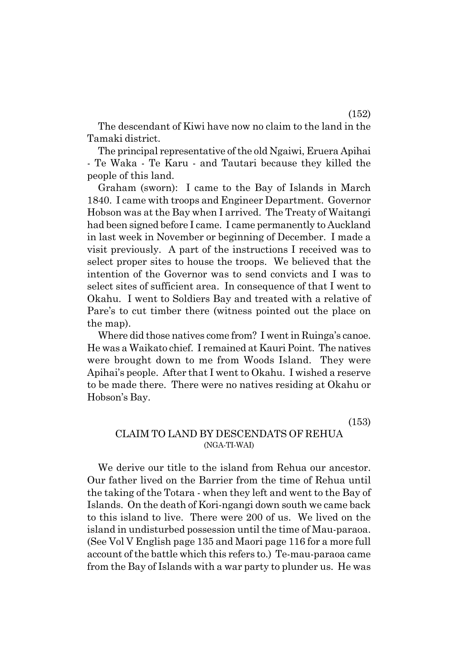The descendant of Kiwi have now no claim to the land in the Tamaki district.

The principal representative of the old Ngaiwi, Eruera Apihai - Te Waka - Te Karu - and Tautari because they killed the people of this land.

Graham (sworn): I came to the Bay of Islands in March 1840. I came with troops and Engineer Department. Governor Hobson was at the Bay when I arrived. The Treaty of Waitangi had been signed before I came. I came permanently to Auckland in last week in November or beginning of December. I made a visit previously. A part of the instructions I received was to select proper sites to house the troops. We believed that the intention of the Governor was to send convicts and I was to select sites of sufficient area. In consequence of that I went to Okahu. I went to Soldiers Bay and treated with a relative of Pare's to cut timber there (witness pointed out the place on the map).

Where did those natives come from? I went in Ruinga's canoe. He was a Waikato chief. I remained at Kauri Point. The natives were brought down to me from Woods Island. They were Apihaiís people. After that I went to Okahu. I wished a reserve to be made there. There were no natives residing at Okahu or Hobson's Bay.

(153)

## CLAIM TO LAND BY DESCENDATS OF REHUA (NGA-TI-WAI)

We derive our title to the island from Rehua our ancestor. Our father lived on the Barrier from the time of Rehua until the taking of the Totara - when they left and went to the Bay of Islands. On the death of Kori-ngangi down south we came back to this island to live. There were 200 of us. We lived on the island in undisturbed possession until the time of Mau-paraoa. (See Vol V English page 135 and Maori page 116 for a more full account of the battle which this refers to.) Te-mau-paraoa came from the Bay of Islands with a war party to plunder us. He was

(152)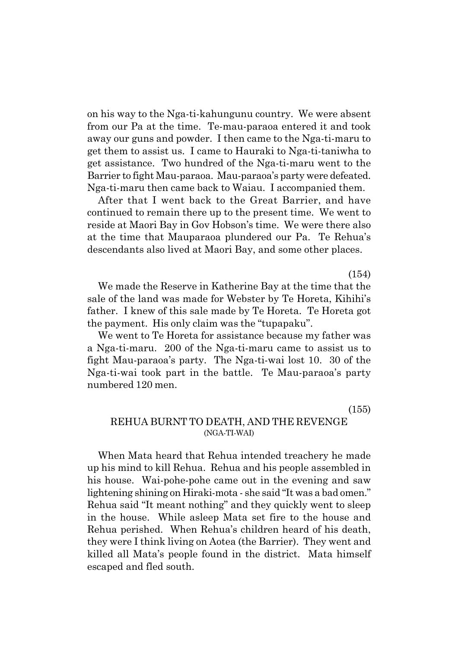on his way to the Nga-ti-kahungunu country. We were absent from our Pa at the time. Te-mau-paraoa entered it and took away our guns and powder. I then came to the Nga-ti-maru to get them to assist us. I came to Hauraki to Nga-ti-taniwha to get assistance. Two hundred of the Nga-ti-maru went to the Barrier to fight Mau-paraoa. Mau-paraoa's party were defeated. Nga-ti-maru then came back to Waiau. I accompanied them.

After that I went back to the Great Barrier, and have continued to remain there up to the present time. We went to reside at Maori Bay in Gov Hobson's time. We were there also at the time that Mauparaoa plundered our Pa. Te Rehuaís descendants also lived at Maori Bay, and some other places.

(154)

We made the Reserve in Katherine Bay at the time that the sale of the land was made for Webster by Te Horeta, Kihihi's father. I knew of this sale made by Te Horeta. Te Horeta got the payment. His only claim was the "tupapaku".

We went to Te Horeta for assistance because my father was a Nga-ti-maru. 200 of the Nga-ti-maru came to assist us to fight Mau-paraoaís party. The Nga-ti-wai lost 10. 30 of the Nga-ti-wai took part in the battle. Te Mau-paraoaís party numbered 120 men.

(155)

## REHUA BURNT TO DEATH, AND THE REVENGE (NGA-TI-WAI)

When Mata heard that Rehua intended treachery he made up his mind to kill Rehua. Rehua and his people assembled in his house. Wai-pohe-pohe came out in the evening and saw lightening shining on Hiraki-mota - she said "It was a bad omen." Rehua said "It meant nothing" and they quickly went to sleep in the house. While asleep Mata set fire to the house and Rehua perished. When Rehuaís children heard of his death, they were I think living on Aotea (the Barrier). They went and killed all Mataís people found in the district. Mata himself escaped and fled south.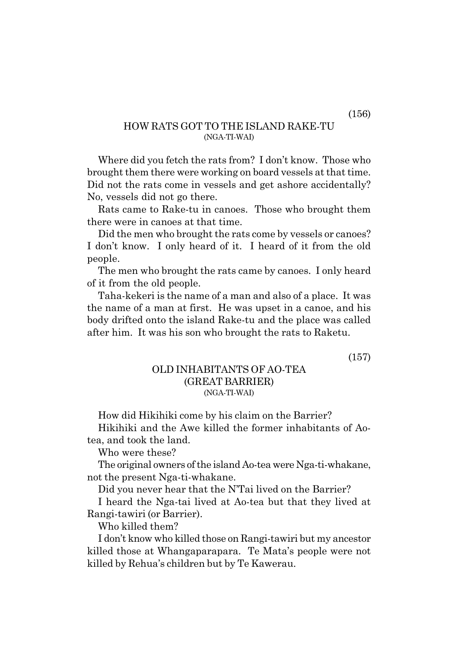### HOW RATS GOT TO THE ISLAND RAKE-TU (NGA-TI-WAI)

Where did you fetch the rats from? I don't know. Those who brought them there were working on board vessels at that time. Did not the rats come in vessels and get ashore accidentally? No, vessels did not go there.

Rats came to Rake-tu in canoes. Those who brought them there were in canoes at that time.

Did the men who brought the rats come by vessels or canoes? I don't know. I only heard of it. I heard of it from the old people.

The men who brought the rats came by canoes. I only heard of it from the old people.

Taha-kekeri is the name of a man and also of a place. It was the name of a man at first. He was upset in a canoe, and his body drifted onto the island Rake-tu and the place was called after him. It was his son who brought the rats to Raketu.

(157)

#### OLD INHABITANTS OF AO-TEA (GREAT BARRIER) (NGA-TI-WAI)

How did Hikihiki come by his claim on the Barrier?

Hikihiki and the Awe killed the former inhabitants of Aotea, and took the land.

Who were these?

The original owners of the island Ao-tea were Nga-ti-whakane, not the present Nga-ti-whakane.

Did you never hear that the N'Tai lived on the Barrier?

I heard the Nga-tai lived at Ao-tea but that they lived at Rangi-tawiri (or Barrier).

Who killed them?

I donít know who killed those on Rangi-tawiri but my ancestor killed those at Whangaparapara. Te Mataís people were not killed by Rehuaís children but by Te Kawerau.

(156)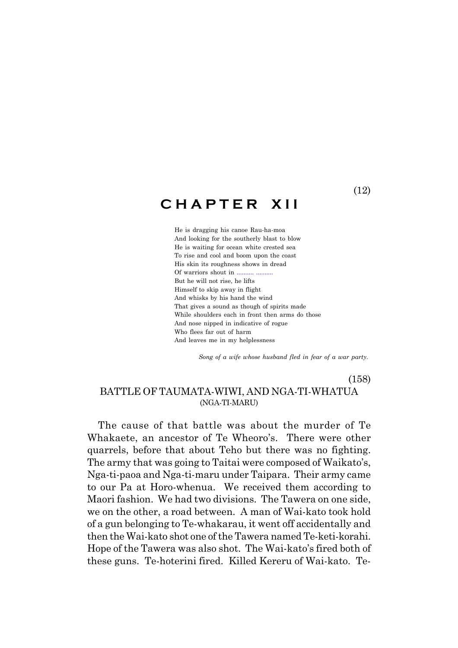## **C H A P T E R X I I**

He is dragging his canoe Rau-ha-moa And looking for the southerly blast to blow He is waiting for ocean white crested sea To rise and cool and boom upon the coast His skin its roughness shows in dread Of warriors shout in .......... .......... But he will not rise, he lifts Himself to skip away in flight And whisks by his hand the wind That gives a sound as though of spirits made While shoulders each in front then arms do those And nose nipped in indicative of rogue Who flees far out of harm And leaves me in my helplessness

 *Song of a wife whose husband fled in fear of a war party.*

(158)

### BATTLE OF TAUMATA-WIWI, AND NGA-TI-WHATUA (NGA-TI-MARU)

The cause of that battle was about the murder of Te Whakaete, an ancestor of Te Wheoro's. There were other quarrels, before that about Teho but there was no fighting. The army that was going to Taitai were composed of Waikato's, Nga-ti-paoa and Nga-ti-maru under Taipara. Their army came to our Pa at Horo-whenua. We received them according to Maori fashion. We had two divisions. The Tawera on one side, we on the other, a road between. A man of Wai-kato took hold of a gun belonging to Te-whakarau, it went off accidentally and then the Wai-kato shot one of the Tawera named Te-keti-korahi. Hope of the Tawera was also shot. The Wai-kato's fired both of these guns. Te-hoterini fired. Killed Kereru of Wai-kato. Te-

(12)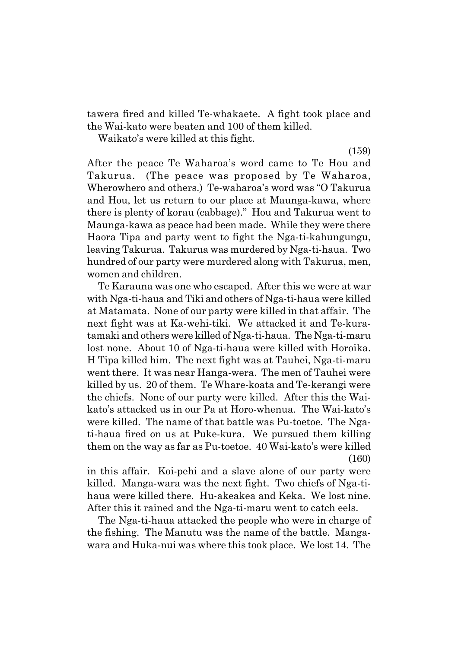tawera fired and killed Te-whakaete. A fight took place and the Wai-kato were beaten and 100 of them killed.

Waikato's were killed at this fight.

(159)

After the peace Te Waharoaís word came to Te Hou and Takurua. (The peace was proposed by Te Waharoa, Wherowhero and others.) Te-waharoa's word was "O Takurua" and Hou, let us return to our place at Maunga-kawa, where there is plenty of korau (cabbage)." Hou and Takurua went to Maunga-kawa as peace had been made. While they were there Haora Tipa and party went to fight the Nga-ti-kahungungu, leaving Takurua. Takurua was murdered by Nga-ti-haua. Two hundred of our party were murdered along with Takurua, men, women and children.

Te Karauna was one who escaped. After this we were at war with Nga-ti-haua and Tiki and others of Nga-ti-haua were killed at Matamata. None of our party were killed in that affair. The next fight was at Ka-wehi-tiki. We attacked it and Te-kuratamaki and others were killed of Nga-ti-haua. The Nga-ti-maru lost none. About 10 of Nga-ti-haua were killed with Horoika. H Tipa killed him. The next fight was at Tauhei, Nga-ti-maru went there. It was near Hanga-wera. The men of Tauhei were killed by us. 20 of them. Te Whare-koata and Te-kerangi were the chiefs. None of our party were killed. After this the Waikato's attacked us in our Pa at Horo-whenua. The Wai-kato's were killed. The name of that battle was Pu-toetoe. The Ngati-haua fired on us at Puke-kura. We pursued them killing them on the way as far as Pu-toetoe. 40 Wai-kato's were killed (160)

in this affair. Koi-pehi and a slave alone of our party were killed. Manga-wara was the next fight. Two chiefs of Nga-tihaua were killed there. Hu-akeakea and Keka. We lost nine. After this it rained and the Nga-ti-maru went to catch eels.

The Nga-ti-haua attacked the people who were in charge of the fishing. The Manutu was the name of the battle. Mangawara and Huka-nui was where this took place. We lost 14. The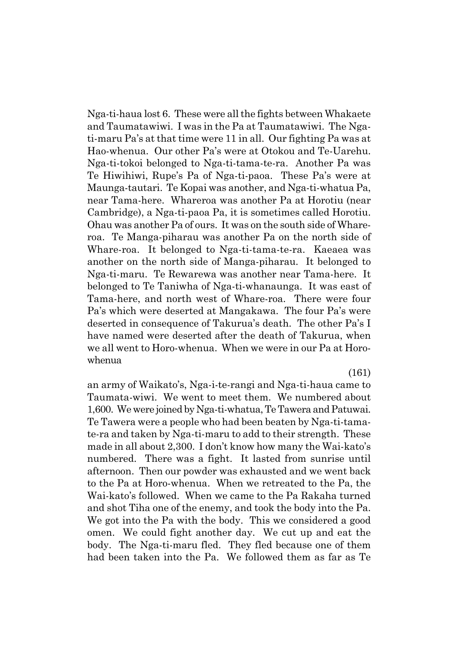Nga-ti-haua lost 6. These were all the fights between Whakaete and Taumatawiwi. I was in the Pa at Taumatawiwi. The Ngati-maru País at that time were 11 in all. Our fighting Pa was at Hao-whenua. Our other País were at Otokou and Te-Uarehu. Nga-ti-tokoi belonged to Nga-ti-tama-te-ra. Another Pa was Te Hiwihiwi, Rupeís Pa of Nga-ti-paoa. These País were at Maunga-tautari. Te Kopai was another, and Nga-ti-whatua Pa, near Tama-here. Whareroa was another Pa at Horotiu (near Cambridge), a Nga-ti-paoa Pa, it is sometimes called Horotiu. Ohau was another Pa of ours. It was on the south side of Whareroa. Te Manga-piharau was another Pa on the north side of Whare-roa. It belonged to Nga-ti-tama-te-ra. Kaeaea was another on the north side of Manga-piharau. It belonged to Nga-ti-maru. Te Rewarewa was another near Tama-here. It belonged to Te Taniwha of Nga-ti-whanaunga. It was east of Tama-here, and north west of Whare-roa. There were four Pa's which were deserted at Mangakawa. The four Pa's were deserted in consequence of Takurua's death. The other Pa's I have named were deserted after the death of Takurua, when we all went to Horo-whenua. When we were in our Pa at Horowhenua

(161)

an army of Waikatoís, Nga-i-te-rangi and Nga-ti-haua came to Taumata-wiwi. We went to meet them. We numbered about 1,600. We were joined by Nga-ti-whatua, Te Tawera and Patuwai. Te Tawera were a people who had been beaten by Nga-ti-tamate-ra and taken by Nga-ti-maru to add to their strength. These made in all about 2,300. I don't know how many the Wai-kato's numbered. There was a fight. It lasted from sunrise until afternoon. Then our powder was exhausted and we went back to the Pa at Horo-whenua. When we retreated to the Pa, the Wai-kato's followed. When we came to the Pa Rakaha turned and shot Tiha one of the enemy, and took the body into the Pa. We got into the Pa with the body. This we considered a good omen. We could fight another day. We cut up and eat the body. The Nga-ti-maru fled. They fled because one of them had been taken into the Pa. We followed them as far as Te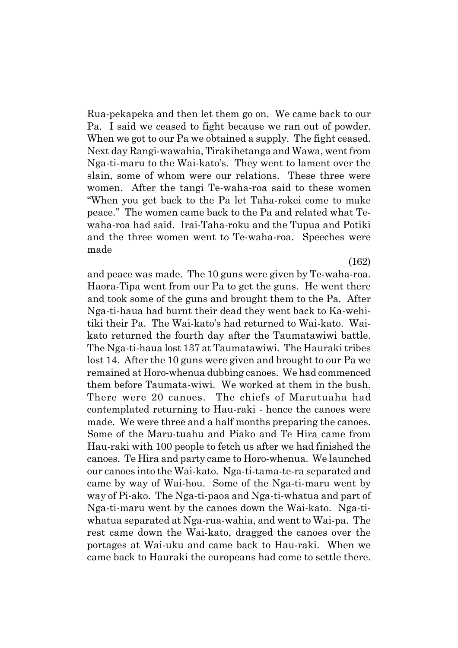Rua-pekapeka and then let them go on. We came back to our Pa. I said we ceased to fight because we ran out of powder. When we got to our Pa we obtained a supply. The fight ceased. Next day Rangi-wawahia, Tirakihetanga and Wawa, went from Nga-ti-maru to the Wai-katoís. They went to lament over the slain, some of whom were our relations. These three were women. After the tangi Te-waha-roa said to these women ìWhen you get back to the Pa let Taha-rokei come to make peace.î The women came back to the Pa and related what Tewaha-roa had said. Irai-Taha-roku and the Tupua and Potiki and the three women went to Te-waha-roa. Speeches were made

(162)

and peace was made. The 10 guns were given by Te-waha-roa. Haora-Tipa went from our Pa to get the guns. He went there and took some of the guns and brought them to the Pa. After Nga-ti-haua had burnt their dead they went back to Ka-wehitiki their Pa. The Wai-katoís had returned to Wai-kato. Waikato returned the fourth day after the Taumatawiwi battle. The Nga-ti-haua lost 137 at Taumatawiwi. The Hauraki tribes lost 14. After the 10 guns were given and brought to our Pa we remained at Horo-whenua dubbing canoes. We had commenced them before Taumata-wiwi. We worked at them in the bush. There were 20 canoes. The chiefs of Marutuaha had contemplated returning to Hau-raki - hence the canoes were made. We were three and a half months preparing the canoes. Some of the Maru-tuahu and Piako and Te Hira came from Hau-raki with 100 people to fetch us after we had finished the canoes. Te Hira and party came to Horo-whenua. We launched our canoes into the Wai-kato. Nga-ti-tama-te-ra separated and came by way of Wai-hou. Some of the Nga-ti-maru went by way of Pi-ako. The Nga-ti-paoa and Nga-ti-whatua and part of Nga-ti-maru went by the canoes down the Wai-kato. Nga-tiwhatua separated at Nga-rua-wahia, and went to Wai-pa. The rest came down the Wai-kato, dragged the canoes over the portages at Wai-uku and came back to Hau-raki. When we came back to Hauraki the europeans had come to settle there.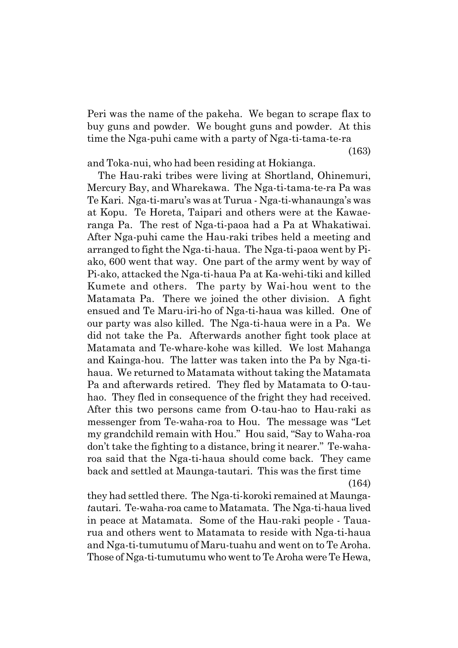Peri was the name of the pakeha. We began to scrape flax to buy guns and powder. We bought guns and powder. At this time the Nga-puhi came with a party of Nga-ti-tama-te-ra

(163)

and Toka-nui, who had been residing at Hokianga.

The Hau-raki tribes were living at Shortland, Ohinemuri, Mercury Bay, and Wharekawa. The Nga-ti-tama-te-ra Pa was Te Kari. Nga-ti-maruís was at Turua - Nga-ti-whanaungaís was at Kopu. Te Horeta, Taipari and others were at the Kawaeranga Pa. The rest of Nga-ti-paoa had a Pa at Whakatiwai. After Nga-puhi came the Hau-raki tribes held a meeting and arranged to fight the Nga-ti-haua. The Nga-ti-paoa went by Piako, 600 went that way. One part of the army went by way of Pi-ako, attacked the Nga-ti-haua Pa at Ka-wehi-tiki and killed Kumete and others. The party by Wai-hou went to the Matamata Pa. There we joined the other division. A fight ensued and Te Maru-iri-ho of Nga-ti-haua was killed. One of our party was also killed. The Nga-ti-haua were in a Pa. We did not take the Pa. Afterwards another fight took place at Matamata and Te-whare-kohe was killed. We lost Mahanga and Kainga-hou. The latter was taken into the Pa by Nga-tihaua. We returned to Matamata without taking the Matamata Pa and afterwards retired. They fled by Matamata to O-tauhao. They fled in consequence of the fright they had received. After this two persons came from O-tau-hao to Hau-raki as messenger from Te-waha-roa to Hou. The message was "Let my grandchild remain with Hou." Hou said, "Say to Waha-roa don't take the fighting to a distance, bring it nearer." Te-waharoa said that the Nga-ti-haua should come back. They came back and settled at Maunga-tautari. This was the first time

(164)

they had settled there. The Nga-ti-koroki remained at Maunga*t*autari. Te-waha-roa came to Matamata. The Nga-ti-haua lived in peace at Matamata. Some of the Hau-raki people - Tauarua and others went to Matamata to reside with Nga-ti-haua and Nga-ti-tumutumu of Maru-tuahu and went on to Te Aroha. Those of Nga-ti-tumutumu who went to Te Aroha were Te Hewa,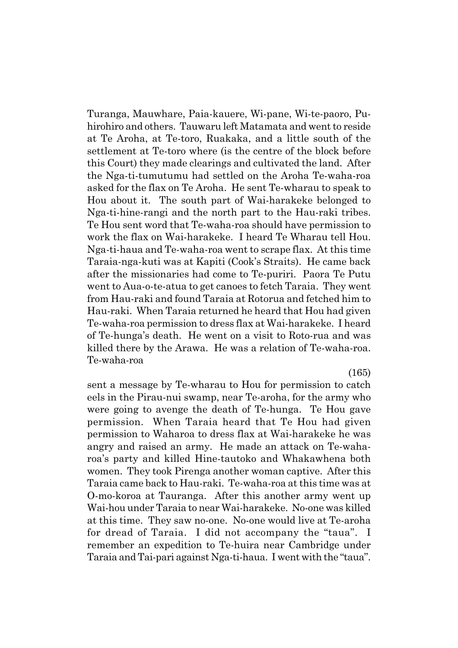Turanga, Mauwhare, Paia-kauere, Wi-pane, Wi-te-paoro, Puhirohiro and others. Tauwaru left Matamata and went to reside at Te Aroha, at Te-toro, Ruakaka, and a little south of the settlement at Te-toro where (is the centre of the block before this Court) they made clearings and cultivated the land. After the Nga-ti-tumutumu had settled on the Aroha Te-waha-roa asked for the flax on Te Aroha. He sent Te-wharau to speak to Hou about it. The south part of Wai-harakeke belonged to Nga-ti-hine-rangi and the north part to the Hau-raki tribes. Te Hou sent word that Te-waha-roa should have permission to work the flax on Wai-harakeke. I heard Te Wharau tell Hou. Nga-ti-haua and Te-waha-roa went to scrape flax. At this time Taraia-nga-kuti was at Kapiti (Cookís Straits). He came back after the missionaries had come to Te-puriri. Paora Te Putu went to Aua-o-te-atua to get canoes to fetch Taraia. They went from Hau-raki and found Taraia at Rotorua and fetched him to Hau-raki. When Taraia returned he heard that Hou had given Te-waha-roa permission to dress flax at Wai-harakeke. I heard of Te-hungaís death. He went on a visit to Roto-rua and was killed there by the Arawa. He was a relation of Te-waha-roa. Te-waha-roa

(165)

sent a message by Te-wharau to Hou for permission to catch eels in the Pirau-nui swamp, near Te-aroha, for the army who were going to avenge the death of Te-hunga. Te Hou gave permission. When Taraia heard that Te Hou had given permission to Waharoa to dress flax at Wai-harakeke he was angry and raised an army. He made an attack on Te-waharoaís party and killed Hine-tautoko and Whakawhena both women. They took Pirenga another woman captive. After this Taraia came back to Hau-raki. Te-waha-roa at this time was at O-mo-koroa at Tauranga. After this another army went up Wai-hou under Taraia to near Wai-harakeke. No-one was killed at this time. They saw no-one. No-one would live at Te-aroha for dread of Taraia. I did not accompany the "taua". I remember an expedition to Te-huira near Cambridge under Taraia and Tai-pari against Nga-ti-haua. I went with the "taua".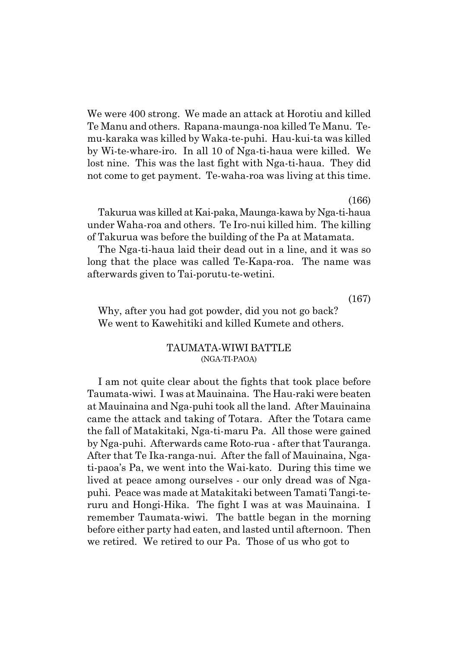We were 400 strong. We made an attack at Horotiu and killed Te Manu and others. Rapana-maunga-noa killed Te Manu. Temu-karaka was killed by Waka-te-puhi. Hau-kui-ta was killed by Wi-te-whare-iro. In all 10 of Nga-ti-haua were killed. We lost nine. This was the last fight with Nga-ti-haua. They did not come to get payment. Te-waha-roa was living at this time.

(166)

Takurua was killed at Kai-paka, Maunga-kawa by Nga-ti-haua under Waha-roa and others. Te Iro-nui killed him. The killing of Takurua was before the building of the Pa at Matamata.

The Nga-ti-haua laid their dead out in a line, and it was so long that the place was called Te-Kapa-roa. The name was afterwards given to Tai-porutu-te-wetini.

(167)

Why, after you had got powder, did you not go back? We went to Kawehitiki and killed Kumete and others.

#### TAUMATA-WIWI BATTLE (NGA-TI-PAOA)

I am not quite clear about the fights that took place before Taumata-wiwi. I was at Mauinaina. The Hau-raki were beaten at Mauinaina and Nga-puhi took all the land. After Mauinaina came the attack and taking of Totara. After the Totara came the fall of Matakitaki, Nga-ti-maru Pa. All those were gained by Nga-puhi. Afterwards came Roto-rua - after that Tauranga. After that Te Ika-ranga-nui. After the fall of Mauinaina, Ngati-paoaís Pa, we went into the Wai-kato. During this time we lived at peace among ourselves - our only dread was of Ngapuhi. Peace was made at Matakitaki between Tamati Tangi-teruru and Hongi-Hika. The fight I was at was Mauinaina. I remember Taumata-wiwi. The battle began in the morning before either party had eaten, and lasted until afternoon. Then we retired. We retired to our Pa. Those of us who got to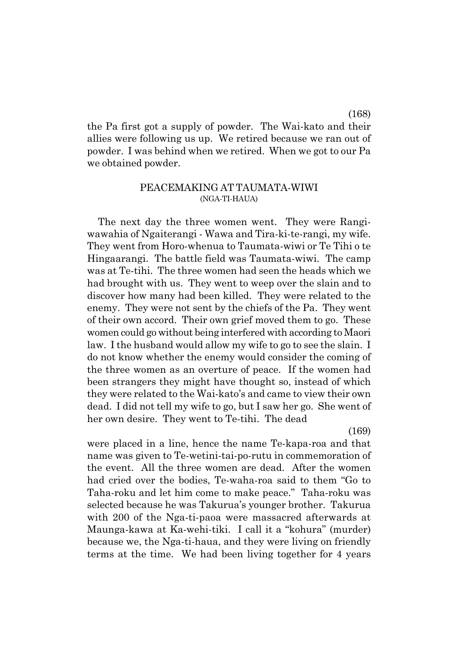the Pa first got a supply of powder. The Wai-kato and their allies were following us up. We retired because we ran out of powder. I was behind when we retired. When we got to our Pa we obtained powder.

#### PEACEMAKING AT TAUMATA-WIWI (NGA-TI-HAUA)

The next day the three women went. They were Rangiwawahia of Ngaiterangi - Wawa and Tira-ki-te-rangi, my wife. They went from Horo-whenua to Taumata-wiwi or Te Tihi o te Hingaarangi. The battle field was Taumata-wiwi. The camp was at Te-tihi. The three women had seen the heads which we had brought with us. They went to weep over the slain and to discover how many had been killed. They were related to the enemy. They were not sent by the chiefs of the Pa. They went of their own accord. Their own grief moved them to go. These women could go without being interfered with according to Maori law. I the husband would allow my wife to go to see the slain. I do not know whether the enemy would consider the coming of the three women as an overture of peace. If the women had been strangers they might have thought so, instead of which they were related to the Wai-kato's and came to view their own dead. I did not tell my wife to go, but I saw her go. She went of her own desire. They went to Te-tihi. The dead

(169)

were placed in a line, hence the name Te-kapa-roa and that name was given to Te-wetini-tai-po-rutu in commemoration of the event. All the three women are dead. After the women had cried over the bodies, Te-waha-roa said to them "Go to Taha-roku and let him come to make peace." Taha-roku was selected because he was Takuruaís younger brother. Takurua with 200 of the Nga-ti-paoa were massacred afterwards at Maunga-kawa at Ka-wehi-tiki. I call it a "kohura" (murder) because we, the Nga-ti-haua, and they were living on friendly terms at the time. We had been living together for 4 years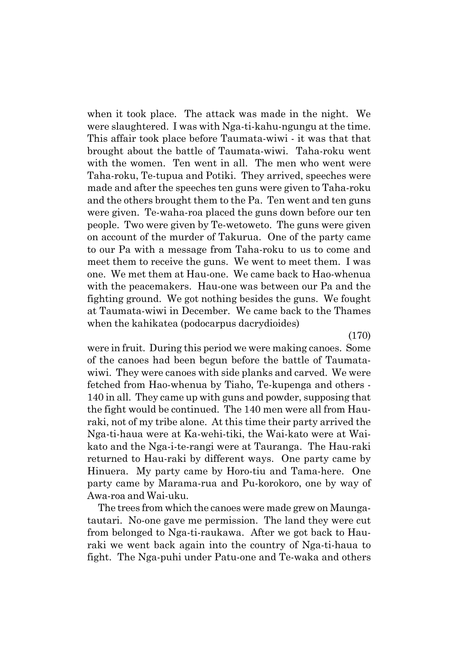when it took place. The attack was made in the night. We were slaughtered. I was with Nga-ti-kahu-ngungu at the time. This affair took place before Taumata-wiwi - it was that that brought about the battle of Taumata-wiwi. Taha-roku went with the women. Ten went in all. The men who went were Taha-roku, Te-tupua and Potiki. They arrived, speeches were made and after the speeches ten guns were given to Taha-roku and the others brought them to the Pa. Ten went and ten guns were given. Te-waha-roa placed the guns down before our ten people. Two were given by Te-wetoweto. The guns were given on account of the murder of Takurua. One of the party came to our Pa with a message from Taha-roku to us to come and meet them to receive the guns. We went to meet them. I was one. We met them at Hau-one. We came back to Hao-whenua with the peacemakers. Hau-one was between our Pa and the fighting ground. We got nothing besides the guns. We fought at Taumata-wiwi in December. We came back to the Thames when the kahikatea (podocarpus dacrydioides)

(170)

were in fruit. During this period we were making canoes. Some of the canoes had been begun before the battle of Taumatawiwi. They were canoes with side planks and carved. We were fetched from Hao-whenua by Tiaho, Te-kupenga and others - 140 in all. They came up with guns and powder, supposing that the fight would be continued. The 140 men were all from Hauraki, not of my tribe alone. At this time their party arrived the Nga-ti-haua were at Ka-wehi-tiki, the Wai-kato were at Waikato and the Nga-i-te-rangi were at Tauranga. The Hau-raki returned to Hau-raki by different ways. One party came by Hinuera. My party came by Horo-tiu and Tama-here. One party came by Marama-rua and Pu-korokoro, one by way of Awa-roa and Wai-uku.

The trees from which the canoes were made grew on Maungatautari. No-one gave me permission. The land they were cut from belonged to Nga-ti-raukawa. After we got back to Hauraki we went back again into the country of Nga-ti-haua to fight. The Nga-puhi under Patu-one and Te-waka and others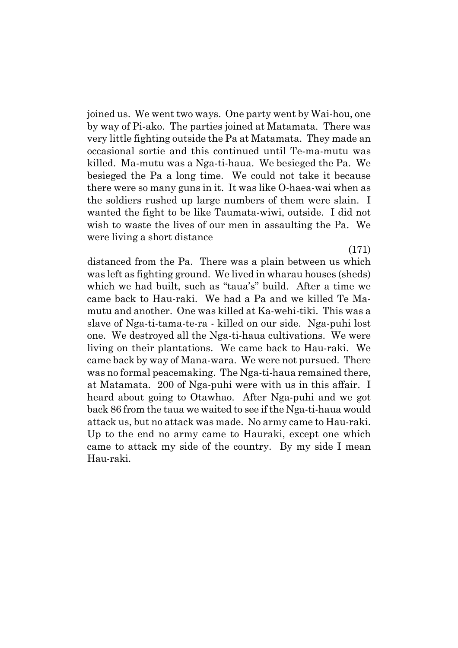joined us. We went two ways. One party went by Wai-hou, one by way of Pi-ako. The parties joined at Matamata. There was very little fighting outside the Pa at Matamata. They made an occasional sortie and this continued until Te-ma-mutu was killed. Ma-mutu was a Nga-ti-haua. We besieged the Pa. We besieged the Pa a long time. We could not take it because there were so many guns in it. It was like O-haea-wai when as the soldiers rushed up large numbers of them were slain. I wanted the fight to be like Taumata-wiwi, outside. I did not wish to waste the lives of our men in assaulting the Pa. We were living a short distance

(171) distanced from the Pa. There was a plain between us which was left as fighting ground. We lived in wharau houses (sheds) which we had built, such as "taua's" build. After a time we came back to Hau-raki. We had a Pa and we killed Te Mamutu and another. One was killed at Ka-wehi-tiki. This was a slave of Nga-ti-tama-te-ra - killed on our side. Nga-puhi lost one. We destroyed all the Nga-ti-haua cultivations. We were living on their plantations. We came back to Hau-raki. We came back by way of Mana-wara. We were not pursued. There was no formal peacemaking. The Nga-ti-haua remained there, at Matamata. 200 of Nga-puhi were with us in this affair. I heard about going to Otawhao. After Nga-puhi and we got back 86 from the taua we waited to see if the Nga-ti-haua would attack us, but no attack was made. No army came to Hau-raki. Up to the end no army came to Hauraki, except one which came to attack my side of the country. By my side I mean Hau-raki.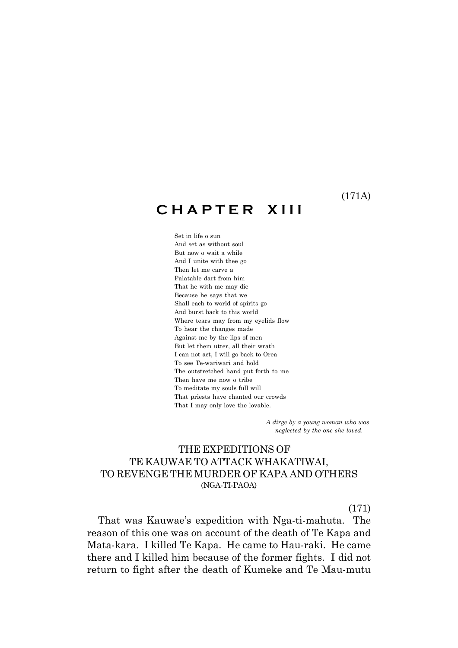(171A)

## **C H A P T E R X I I I**

Set in life o sun And set as without soul But now o wait a while And I unite with thee go Then let me carve a Palatable dart from him That he with me may die Because he says that we Shall each to world of spirits go And burst back to this world Where tears may from my eyelids flow To hear the changes made Against me by the lips of men But let them utter, all their wrath I can not act, I will go back to Orea To see Te-wariwari and hold The outstretched hand put forth to me Then have me now o tribe To meditate my souls full will That priests have chanted our crowds That I may only love the lovable.

> *A dirge by a young woman who was neglected by the one she loved.*

## THE EXPEDITIONS OF TE KAUWAE TO ATTACK WHAKATIWAI, TO REVENGE THE MURDER OF KAPA AND OTHERS (NGA-TI-PAOA)

(171)

That was Kauwaeís expedition with Nga-ti-mahuta. The reason of this one was on account of the death of Te Kapa and Mata-kara. I killed Te Kapa. He came to Hau-raki. He came there and I killed him because of the former fights. I did not return to fight after the death of Kumeke and Te Mau-mutu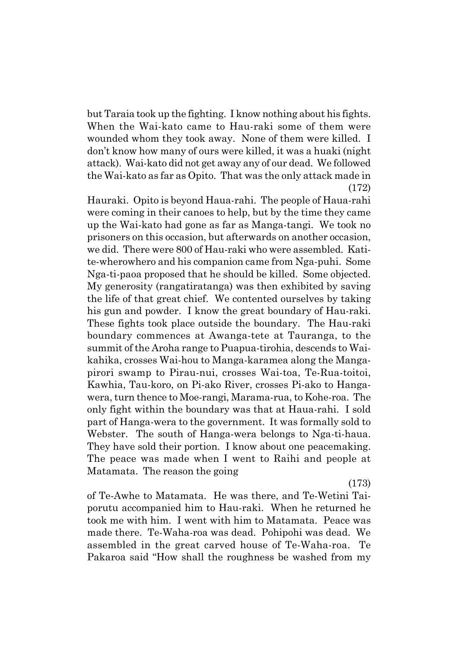but Taraia took up the fighting. I know nothing about his fights. When the Wai-kato came to Hau-raki some of them were wounded whom they took away. None of them were killed. I donít know how many of ours were killed, it was a huaki (night attack). Wai-kato did not get away any of our dead. We followed the Wai-kato as far as Opito. That was the only attack made in (172)

Hauraki. Opito is beyond Haua-rahi. The people of Haua-rahi were coming in their canoes to help, but by the time they came up the Wai-kato had gone as far as Manga-tangi. We took no prisoners on this occasion, but afterwards on another occasion, we did. There were 800 of Hau-raki who were assembled. Katite-wherowhero and his companion came from Nga-puhi. Some Nga-ti-paoa proposed that he should be killed. Some objected. My generosity (rangatiratanga) was then exhibited by saving the life of that great chief. We contented ourselves by taking his gun and powder. I know the great boundary of Hau-raki. These fights took place outside the boundary. The Hau-raki boundary commences at Awanga-tete at Tauranga, to the summit of the Aroha range to Puapua-tirohia, descends to Waikahika, crosses Wai-hou to Manga-karamea along the Mangapirori swamp to Pirau-nui, crosses Wai-toa, Te-Rua-toitoi, Kawhia, Tau-koro, on Pi-ako River, crosses Pi-ako to Hangawera, turn thence to Moe-rangi, Marama-rua, to Kohe-roa. The only fight within the boundary was that at Haua-rahi. I sold part of Hanga-wera to the government. It was formally sold to Webster. The south of Hanga-wera belongs to Nga-ti-haua. They have sold their portion. I know about one peacemaking. The peace was made when I went to Raihi and people at Matamata. The reason the going

(173)

of Te-Awhe to Matamata. He was there, and Te-Wetini Taiporutu accompanied him to Hau-raki. When he returned he took me with him. I went with him to Matamata. Peace was made there. Te-Waha-roa was dead. Pohipohi was dead. We assembled in the great carved house of Te-Waha-roa. Te Pakaroa said "How shall the roughness be washed from my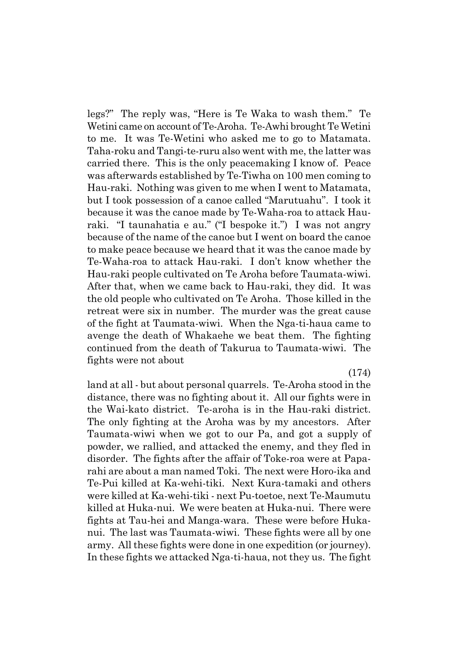legs?" The reply was, "Here is Te Waka to wash them." Te Wetini came on account of Te-Aroha. Te-Awhi brought Te Wetini to me. It was Te-Wetini who asked me to go to Matamata. Taha-roku and Tangi-te-ruru also went with me, the latter was carried there. This is the only peacemaking I know of. Peace was afterwards established by Te-Tiwha on 100 men coming to Hau-raki. Nothing was given to me when I went to Matamata, but I took possession of a canoe called "Marutuahu". I took it because it was the canoe made by Te-Waha-roa to attack Hauraki. "I taunahatia e au." ("I bespoke it.") I was not angry because of the name of the canoe but I went on board the canoe to make peace because we heard that it was the canoe made by Te-Waha-roa to attack Hau-raki. I donít know whether the Hau-raki people cultivated on Te Aroha before Taumata-wiwi. After that, when we came back to Hau-raki, they did. It was the old people who cultivated on Te Aroha. Those killed in the retreat were six in number. The murder was the great cause of the fight at Taumata-wiwi. When the Nga-ti-haua came to avenge the death of Whakaehe we beat them. The fighting continued from the death of Takurua to Taumata-wiwi. The fights were not about

(174)

land at all - but about personal quarrels. Te-Aroha stood in the distance, there was no fighting about it. All our fights were in the Wai-kato district. Te-aroha is in the Hau-raki district. The only fighting at the Aroha was by my ancestors. After Taumata-wiwi when we got to our Pa, and got a supply of powder, we rallied, and attacked the enemy, and they fled in disorder. The fights after the affair of Toke-roa were at Paparahi are about a man named Toki. The next were Horo-ika and Te-Pui killed at Ka-wehi-tiki. Next Kura-tamaki and others were killed at Ka-wehi-tiki - next Pu-toetoe, next Te-Maumutu killed at Huka-nui. We were beaten at Huka-nui. There were fights at Tau-hei and Manga-wara. These were before Hukanui. The last was Taumata-wiwi. These fights were all by one army. All these fights were done in one expedition (or journey). In these fights we attacked Nga-ti-haua, not they us. The fight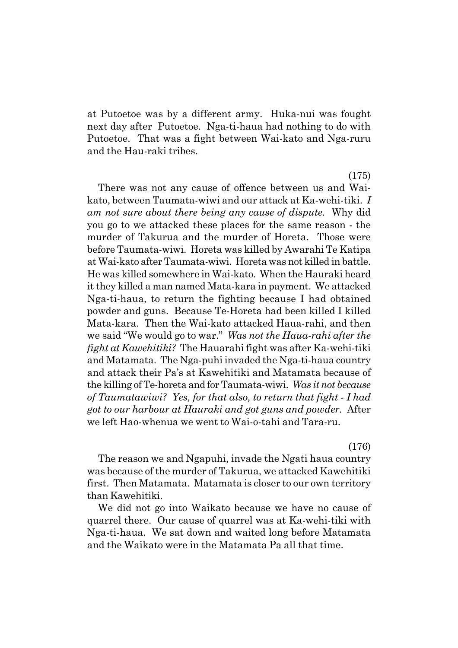at Putoetoe was by a different army. Huka-nui was fought next day after Putoetoe. Nga-ti-haua had nothing to do with Putoetoe. That was a fight between Wai-kato and Nga-ruru and the Hau-raki tribes.

(175)

There was not any cause of offence between us and Waikato, between Taumata-wiwi and our attack at Ka-wehi-tiki. *I am not sure about there being any cause of dispute.* Why did you go to we attacked these places for the same reason - the murder of Takurua and the murder of Horeta. Those were before Taumata-wiwi. Horeta was killed by Awarahi Te Katipa at Wai-kato after Taumata-wiwi. Horeta was not killed in battle. He was killed somewhere in Wai-kato. When the Hauraki heard it they killed a man named Mata-kara in payment. We attacked Nga-ti-haua, to return the fighting because I had obtained powder and guns. Because Te-Horeta had been killed I killed Mata-kara. Then the Wai-kato attacked Haua-rahi, and then we said "We would go to war." *Was not the Haua-rahi after the fight at Kawehitiki?* The Hauarahi fight was after Ka-wehi-tiki and Matamata. The Nga-puhi invaded the Nga-ti-haua country and attack their País at Kawehitiki and Matamata because of the killing of Te-horeta and for Taumata-wiwi. *Was it not because of Taumatawiwi? Yes, for that also, to return that fight - I had got to our harbour at Hauraki and got guns and powder.* After we left Hao-whenua we went to Wai-o-tahi and Tara-ru.

(176)

The reason we and Ngapuhi, invade the Ngati haua country was because of the murder of Takurua, we attacked Kawehitiki first. Then Matamata. Matamata is closer to our own territory than Kawehitiki.

We did not go into Waikato because we have no cause of quarrel there. Our cause of quarrel was at Ka-wehi-tiki with Nga-ti-haua. We sat down and waited long before Matamata and the Waikato were in the Matamata Pa all that time.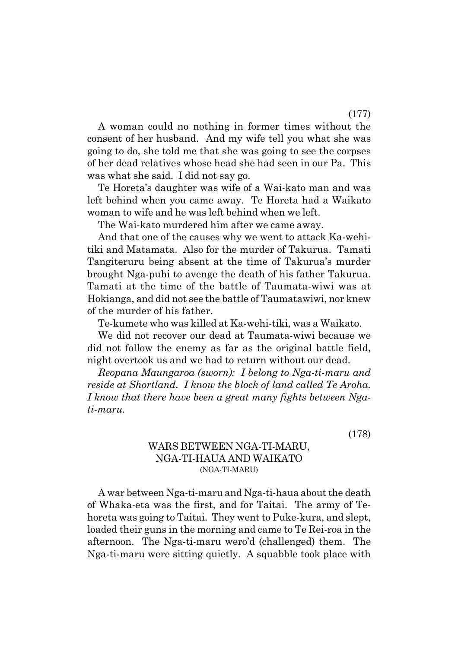A woman could no nothing in former times without the consent of her husband. And my wife tell you what she was going to do, she told me that she was going to see the corpses of her dead relatives whose head she had seen in our Pa. This was what she said. I did not say go.

Te Horetaís daughter was wife of a Wai-kato man and was left behind when you came away. Te Horeta had a Waikato woman to wife and he was left behind when we left.

The Wai-kato murdered him after we came away.

And that one of the causes why we went to attack Ka-wehitiki and Matamata. Also for the murder of Takurua. Tamati Tangiteruru being absent at the time of Takuruaís murder brought Nga-puhi to avenge the death of his father Takurua. Tamati at the time of the battle of Taumata-wiwi was at Hokianga, and did not see the battle of Taumatawiwi, nor knew of the murder of his father.

Te-kumete who was killed at Ka-wehi-tiki, was a Waikato.

We did not recover our dead at Taumata-wiwi because we did not follow the enemy as far as the original battle field, night overtook us and we had to return without our dead.

*Reopana Maungaroa (sworn): I belong to Nga-ti-maru and reside at Shortland. I know the block of land called Te Aroha. I know that there have been a great many fights between Ngati-maru.*

(178)

# WARS BETWEEN NGA-TI-MARU, NGA-TI-HAUA AND WAIKATO (NGA-TI-MARU)

A war between Nga-ti-maru and Nga-ti-haua about the death of Whaka-eta was the first, and for Taitai. The army of Tehoreta was going to Taitai. They went to Puke-kura, and slept, loaded their guns in the morning and came to Te Rei-roa in the afternoon. The Nga-ti-maru weroíd (challenged) them. The Nga-ti-maru were sitting quietly. A squabble took place with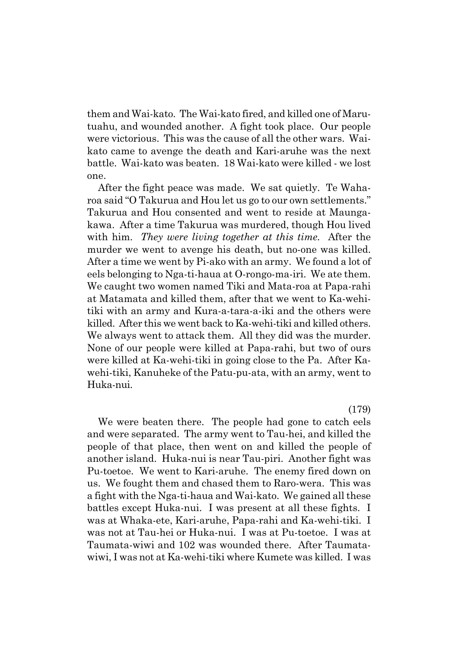them and Wai-kato. The Wai-kato fired, and killed one of Marutuahu, and wounded another. A fight took place. Our people were victorious. This was the cause of all the other wars. Waikato came to avenge the death and Kari-aruhe was the next battle. Wai-kato was beaten. 18 Wai-kato were killed - we lost one.

After the fight peace was made. We sat quietly. Te Waharoa said "O Takurua and Hou let us go to our own settlements." Takurua and Hou consented and went to reside at Maungakawa. After a time Takurua was murdered, though Hou lived with him. *They were living together at this time.* After the murder we went to avenge his death, but no-one was killed. After a time we went by Pi-ako with an army. We found a lot of eels belonging to Nga-ti-haua at O-rongo-ma-iri. We ate them. We caught two women named Tiki and Mata-roa at Papa-rahi at Matamata and killed them, after that we went to Ka-wehitiki with an army and Kura-a-tara-a-iki and the others were killed. After this we went back to Ka-wehi-tiki and killed others. We always went to attack them. All they did was the murder. None of our people were killed at Papa-rahi, but two of ours were killed at Ka-wehi-tiki in going close to the Pa. After Kawehi-tiki, Kanuheke of the Patu-pu-ata, with an army, went to Huka-nui.

(179)

We were beaten there. The people had gone to catch eels and were separated. The army went to Tau-hei, and killed the people of that place, then went on and killed the people of another island. Huka-nui is near Tau-piri. Another fight was Pu-toetoe. We went to Kari-aruhe. The enemy fired down on us. We fought them and chased them to Raro-wera. This was a fight with the Nga-ti-haua and Wai-kato. We gained all these battles except Huka-nui. I was present at all these fights. I was at Whaka-ete, Kari-aruhe, Papa-rahi and Ka-wehi-tiki. I was not at Tau-hei or Huka-nui. I was at Pu-toetoe. I was at Taumata-wiwi and 102 was wounded there. After Taumatawiwi, I was not at Ka-wehi-tiki where Kumete was killed. I was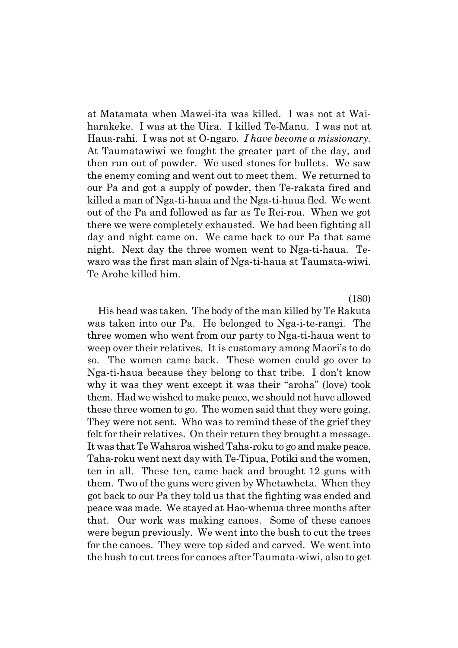at Matamata when Mawei-ita was killed. I was not at Waiharakeke. I was at the Uira. I killed Te-Manu. I was not at Haua-rahi. I was not at O-ngaro. *I have become a missionary.* At Taumatawiwi we fought the greater part of the day, and then run out of powder. We used stones for bullets. We saw the enemy coming and went out to meet them. We returned to our Pa and got a supply of powder, then Te-rakata fired and killed a man of Nga-ti-haua and the Nga-ti-haua fled. We went out of the Pa and followed as far as Te Rei-roa. When we got there we were completely exhausted. We had been fighting all day and night came on. We came back to our Pa that same night. Next day the three women went to Nga-ti-haua. Tewaro was the first man slain of Nga-ti-haua at Taumata-wiwi. Te Arohe killed him.

(180)

His head was taken. The body of the man killed by Te Rakuta was taken into our Pa. He belonged to Nga-i-te-rangi. The three women who went from our party to Nga-ti-haua went to weep over their relatives. It is customary among Maori's to do so. The women came back. These women could go over to Nga-ti-haua because they belong to that tribe. I donít know why it was they went except it was their "aroha" (love) took them. Had we wished to make peace, we should not have allowed these three women to go. The women said that they were going. They were not sent. Who was to remind these of the grief they felt for their relatives. On their return they brought a message. It was that Te Waharoa wished Taha-roku to go and make peace. Taha-roku went next day with Te-Tipua, Potiki and the women, ten in all. These ten, came back and brought 12 guns with them. Two of the guns were given by Whetawheta. When they got back to our Pa they told us that the fighting was ended and peace was made. We stayed at Hao-whenua three months after that. Our work was making canoes. Some of these canoes were begun previously. We went into the bush to cut the trees for the canoes. They were top sided and carved. We went into the bush to cut trees for canoes after Taumata-wiwi, also to get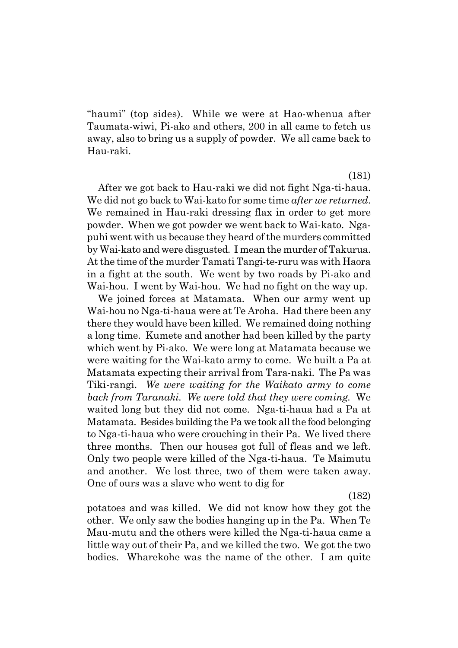ìhaumiî (top sides). While we were at Hao-whenua after Taumata-wiwi, Pi-ako and others, 200 in all came to fetch us away, also to bring us a supply of powder. We all came back to Hau-raki.

(181)

After we got back to Hau-raki we did not fight Nga-ti-haua. We did not go back to Wai-kato for some time *after we returned*. We remained in Hau-raki dressing flax in order to get more powder. When we got powder we went back to Wai-kato. Ngapuhi went with us because they heard of the murders committed by Wai-kato and were disgusted. I mean the murder of Takurua. At the time of the murder Tamati Tangi-te-ruru was with Haora in a fight at the south. We went by two roads by Pi-ako and Wai-hou. I went by Wai-hou. We had no fight on the way up.

We joined forces at Matamata. When our army went up Wai-hou no Nga-ti-haua were at Te Aroha. Had there been any there they would have been killed. We remained doing nothing a long time. Kumete and another had been killed by the party which went by Pi-ako. We were long at Matamata because we were waiting for the Wai-kato army to come. We built a Pa at Matamata expecting their arrival from Tara-naki. The Pa was Tiki-rangi. *We were waiting for the Waikato army to come back from Taranaki. We were told that they were coming.* We waited long but they did not come. Nga-ti-haua had a Pa at Matamata. Besides building the Pa we took all the food belonging to Nga-ti-haua who were crouching in their Pa. We lived there three months. Then our houses got full of fleas and we left. Only two people were killed of the Nga-ti-haua. Te Maimutu and another. We lost three, two of them were taken away. One of ours was a slave who went to dig for

(182)

potatoes and was killed. We did not know how they got the other. We only saw the bodies hanging up in the Pa. When Te Mau-mutu and the others were killed the Nga-ti-haua came a little way out of their Pa, and we killed the two. We got the two bodies. Wharekohe was the name of the other. I am quite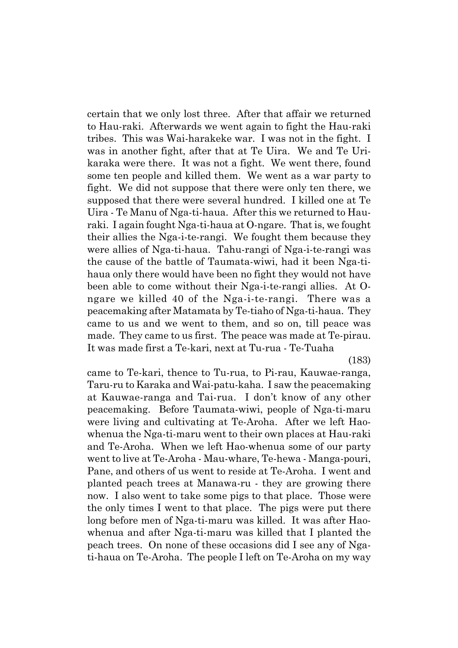certain that we only lost three. After that affair we returned to Hau-raki. Afterwards we went again to fight the Hau-raki tribes. This was Wai-harakeke war. I was not in the fight. I was in another fight, after that at Te Uira. We and Te Urikaraka were there. It was not a fight. We went there, found some ten people and killed them. We went as a war party to fight. We did not suppose that there were only ten there, we supposed that there were several hundred. I killed one at Te Uira - Te Manu of Nga-ti-haua. After this we returned to Hauraki. I again fought Nga-ti-haua at O-ngare. That is, we fought their allies the Nga-i-te-rangi. We fought them because they were allies of Nga-ti-haua. Tahu-rangi of Nga-i-te-rangi was the cause of the battle of Taumata-wiwi, had it been Nga-tihaua only there would have been no fight they would not have been able to come without their Nga-i-te-rangi allies. At Ongare we killed 40 of the Nga-i-te-rangi. There was a peacemaking after Matamata by Te-tiaho of Nga-ti-haua. They came to us and we went to them, and so on, till peace was made. They came to us first. The peace was made at Te-pirau. It was made first a Te-kari, next at Tu-rua - Te-Tuaha

(183)

came to Te-kari, thence to Tu-rua, to Pi-rau, Kauwae-ranga, Taru-ru to Karaka and Wai-patu-kaha. I saw the peacemaking at Kauwae-ranga and Tai-rua. I donít know of any other peacemaking. Before Taumata-wiwi, people of Nga-ti-maru were living and cultivating at Te-Aroha. After we left Haowhenua the Nga-ti-maru went to their own places at Hau-raki and Te-Aroha. When we left Hao-whenua some of our party went to live at Te-Aroha - Mau-whare, Te-hewa - Manga-pouri, Pane, and others of us went to reside at Te-Aroha. I went and planted peach trees at Manawa-ru - they are growing there now. I also went to take some pigs to that place. Those were the only times I went to that place. The pigs were put there long before men of Nga-ti-maru was killed. It was after Haowhenua and after Nga-ti-maru was killed that I planted the peach trees. On none of these occasions did I see any of Ngati-haua on Te-Aroha. The people I left on Te-Aroha on my way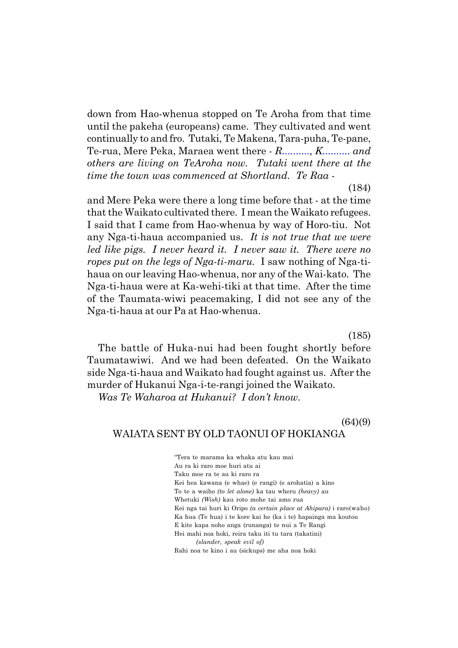down from Hao-whenua stopped on Te Aroha from that time until the pakeha (europeans) came. They cultivated and went continually to and fro. Tutaki, Te Makena, Tara-puha, Te-pane, Te-rua, Mere Peka, Maraea went there - *R.........., K.......... and others are living on TeAroha now. Tutaki went there at the time the town was commenced at Shortland. Te Raa* -

(184)

and Mere Peka were there a long time before that - at the time that the Waikato cultivated there. I mean the Waikato refugees. I said that I came from Hao-whenua by way of Horo-tiu. Not any Nga-ti-haua accompanied us. *It is not true that we were led like pigs. I never heard it. I never saw it. There were no ropes put on the legs of Nga-ti-maru.* I saw nothing of Nga-tihaua on our leaving Hao-whenua, nor any of the Wai-kato. The Nga-ti-haua were at Ka-wehi-tiki at that time. After the time of the Taumata-wiwi peacemaking, I did not see any of the Nga-ti-haua at our Pa at Hao-whenua.

(185)

The battle of Huka-nui had been fought shortly before Taumatawiwi. And we had been defeated. On the Waikato side Nga-ti-haua and Waikato had fought against us. After the murder of Hukanui Nga-i-te-rangi joined the Waikato.

*Was Te Waharoa at Hukanui? I donít know.*

# $(64)(9)$ WAIATA SENT BY OLD TAONUI OF HOKIANGA

ìTera te marama ka whaka atu kau mai Au ra ki raro moe huri atu ai Taku moe ra te au ki raro ra Kei hea kawana (e whae) (e rangi) (e arohatia) a kino To te a waiho *(to let alone)* ka tau wheru *(heavy)* au Whetuki *(Wish)* kau roto mohe tai amo rua Kei nga tai huri ki Oripo *(a certain place at Ahipara)* i raro(waho) Ka hua (Te hua) i te kore kai he (ka i te) hapainga ma koutou E kite kapa noho anga (runanga) te nui a Te Rangi Hei mahi noa hoki, reira taku iti tu tara (takatini) *(slander, speak evil of)* Rahi noa te kino i au (sickups) me aha noa hoki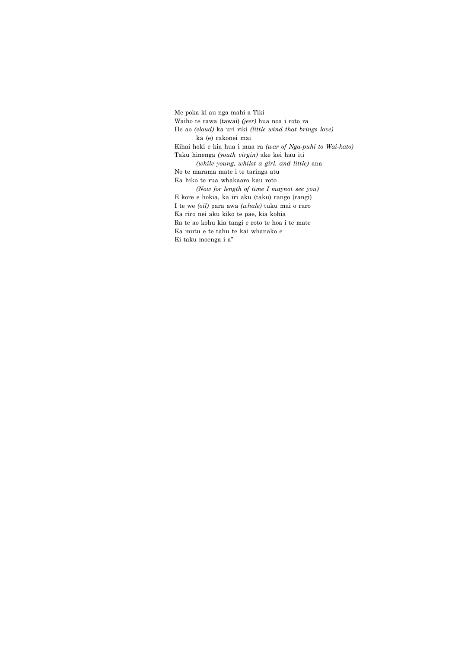Me poka ki au nga mahi a Tiki Waiho te rawa (tawai) *(jeer)* hua noa i roto ra He ao *(cloud)* ka uri riki *(little wind that brings love)* ka (e) rakonei mai Kihai hoki e kia hua i mua ra *(war of Nga-puhi to Wai-kato)* Taku hinenga *(youth virgin)* ake kei hau iti *(while young, whilst a girl, and little)* ana No te marama mate i te taringa atu Ka hiko te rua whakaaro kau roto *(Now for length of time I maynot see you)* E kore e hokia, ka iri aku (taku) rango (rangi) I te we *(oil)* para awa *(whale)* tuku mai o raro Ka riro nei aku kiko te pae, kia kohia Ra te ao kohu kia tangi e roto te hoa i te mate Ka mutu e te tahu te kai whanako e Ki taku moenga i a"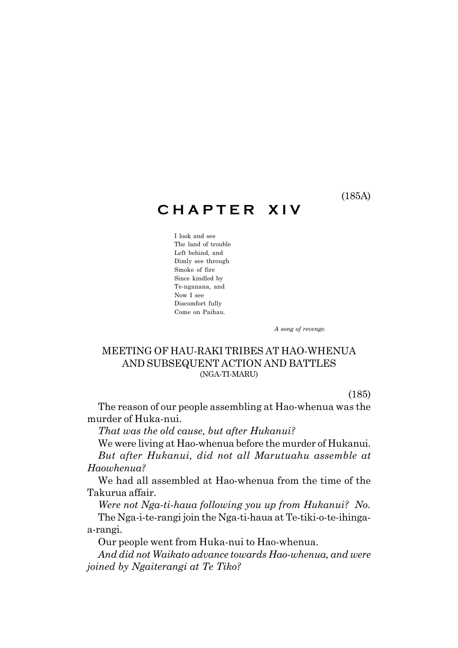(185A)

# **C H A P T E R X I V**

I look and see The land of trouble Left behind, and Dimly see through Smoke of fire Since kindled by Te-nganana, and Now I see Discomfort fully Come on Paihau.

 *A song of revenge.*

# MEETING OF HAU-RAKI TRIBES AT HAO-WHENUA AND SUBSEQUENT ACTION AND BATTLES (NGA-TI-MARU)

(185)

The reason of our people assembling at Hao-whenua was the murder of Huka-nui.

*That was the old cause, but after Hukanui?*

We were living at Hao-whenua before the murder of Hukanui. *But after Hukanui, did not all Marutuahu assemble at Haowhenua?*

We had all assembled at Hao-whenua from the time of the Takurua affair.

*Were not Nga-ti-haua following you up from Hukanui? No.* The Nga-i-te-rangi join the Nga-ti-haua at Te-tiki-o-te-ihingaa-rangi.

Our people went from Huka-nui to Hao-whenua.

*And did not Waikato advance towards Hao-whenua, and were joined by Ngaiterangi at Te Tiko?*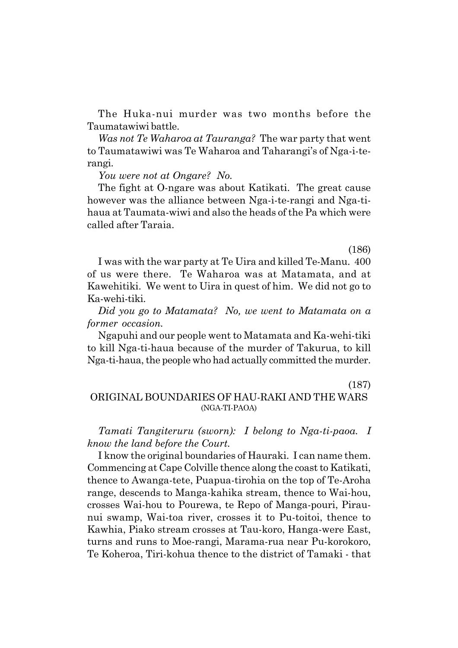The Huka-nui murder was two months before the Taumatawiwi battle.

*Was not Te Waharoa at Tauranga?* The war party that went to Taumatawiwi was Te Waharoa and Taharangi's of Nga-i-terangi.

*You were not at Ongare? No.*

The fight at O-ngare was about Katikati. The great cause however was the alliance between Nga-i-te-rangi and Nga-tihaua at Taumata-wiwi and also the heads of the Pa which were called after Taraia.

(186)

I was with the war party at Te Uira and killed Te-Manu. 400 of us were there. Te Waharoa was at Matamata, and at Kawehitiki. We went to Uira in quest of him. We did not go to Ka-wehi-tiki.

*Did you go to Matamata? No, we went to Matamata on a former occasion.*

Ngapuhi and our people went to Matamata and Ka-wehi-tiki to kill Nga-ti-haua because of the murder of Takurua, to kill Nga-ti-haua, the people who had actually committed the murder.

(187)

# ORIGINAL BOUNDARIES OF HAU-RAKI AND THE WARS (NGA-TI-PAOA)

*Tamati Tangiteruru (sworn): I belong to Nga-ti-paoa. I know the land before the Court.*

I know the original boundaries of Hauraki. I can name them. Commencing at Cape Colville thence along the coast to Katikati, thence to Awanga-tete, Puapua-tirohia on the top of Te-Aroha range, descends to Manga-kahika stream, thence to Wai-hou, crosses Wai-hou to Pourewa, te Repo of Manga-pouri, Piraunui swamp, Wai-toa river, crosses it to Pu-toitoi, thence to Kawhia, Piako stream crosses at Tau-koro, Hanga-were East, turns and runs to Moe-rangi, Marama-rua near Pu-korokoro, Te Koheroa, Tiri-kohua thence to the district of Tamaki - that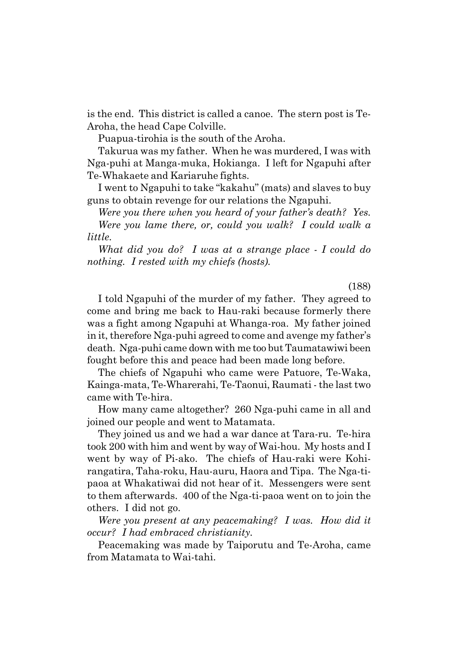is the end. This district is called a canoe. The stern post is Te-Aroha, the head Cape Colville.

Puapua-tirohia is the south of the Aroha.

Takurua was my father. When he was murdered, I was with Nga-puhi at Manga-muka, Hokianga. I left for Ngapuhi after Te-Whakaete and Kariaruhe fights.

I went to Ngapuhi to take "kakahu" (mats) and slaves to buy guns to obtain revenge for our relations the Ngapuhi.

*Were you there when you heard of your father's death? Yes.* 

*Were you lame there, or, could you walk? I could walk a little.*

*What did you do? I was at a strange place - I could do nothing. I rested with my chiefs (hosts).*

(188)

I told Ngapuhi of the murder of my father. They agreed to come and bring me back to Hau-raki because formerly there was a fight among Ngapuhi at Whanga-roa. My father joined in it, therefore Nga-puhi agreed to come and avenge my father's death. Nga-puhi came down with me too but Taumatawiwi been fought before this and peace had been made long before.

The chiefs of Ngapuhi who came were Patuore, Te-Waka, Kainga-mata, Te-Wharerahi, Te-Taonui, Raumati - the last two came with Te-hira.

How many came altogether? 260 Nga-puhi came in all and joined our people and went to Matamata.

They joined us and we had a war dance at Tara-ru. Te-hira took 200 with him and went by way of Wai-hou. My hosts and I went by way of Pi-ako. The chiefs of Hau-raki were Kohirangatira, Taha-roku, Hau-auru, Haora and Tipa. The Nga-tipaoa at Whakatiwai did not hear of it. Messengers were sent to them afterwards. 400 of the Nga-ti-paoa went on to join the others. I did not go.

*Were you present at any peacemaking? I was. How did it occur? I had embraced christianity.*

Peacemaking was made by Taiporutu and Te-Aroha, came from Matamata to Wai-tahi.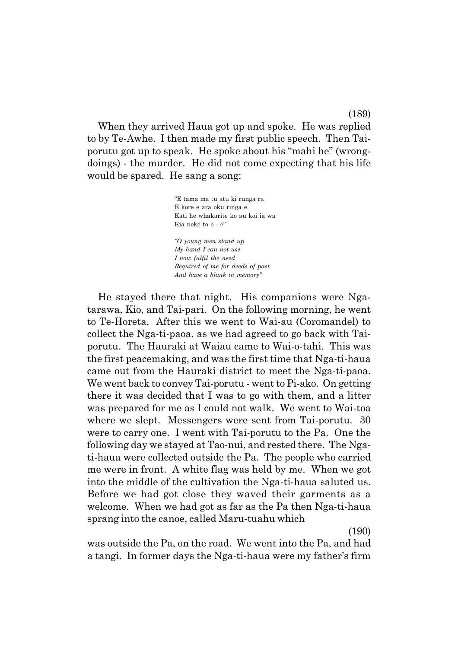When they arrived Haua got up and spoke. He was replied to by Te-Awhe. I then made my first public speech. Then Taiporutu got up to speak. He spoke about his "mahi he" (wrongdoings) - the murder. He did not come expecting that his life would be spared. He sang a song:

> ìE tama ma tu atu ki runga ra E kore e ara oku ringa e Kati he whakarite ko au koi ia wa Kia neke to e - e" *ìO young men stand up My hand I can not use I now fulfil the need Required of me for deeds of past And have a blank in memoryî*

He stayed there that night. His companions were Ngatarawa, Kio, and Tai-pari. On the following morning, he went to Te-Horeta. After this we went to Wai-au (Coromandel) to collect the Nga-ti-paoa, as we had agreed to go back with Taiporutu. The Hauraki at Waiau came to Wai-o-tahi. This was the first peacemaking, and was the first time that Nga-ti-haua came out from the Hauraki district to meet the Nga-ti-paoa. We went back to convey Tai-porutu - went to Pi-ako. On getting there it was decided that I was to go with them, and a litter was prepared for me as I could not walk. We went to Wai-toa where we slept. Messengers were sent from Tai-porutu. 30 were to carry one. I went with Tai-porutu to the Pa. One the following day we stayed at Tao-nui, and rested there. The Ngati-haua were collected outside the Pa. The people who carried me were in front. A white flag was held by me. When we got into the middle of the cultivation the Nga-ti-haua saluted us. Before we had got close they waved their garments as a welcome. When we had got as far as the Pa then Nga-ti-haua sprang into the canoe, called Maru-tuahu which

(190)

was outside the Pa, on the road. We went into the Pa, and had a tangi. In former days the Nga-ti-haua were my father's firm

(189)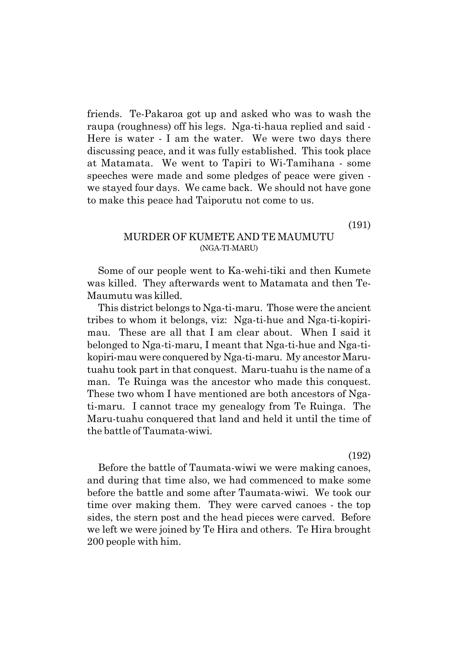friends. Te-Pakaroa got up and asked who was to wash the raupa (roughness) off his legs. Nga-ti-haua replied and said - Here is water - I am the water. We were two days there discussing peace, and it was fully established. This took place at Matamata. We went to Tapiri to Wi-Tamihana - some speeches were made and some pledges of peace were given we stayed four days. We came back. We should not have gone to make this peace had Taiporutu not come to us.

(191)

### MURDER OF KUMETE AND TE MAUMUTU (NGA-TI-MARU)

Some of our people went to Ka-wehi-tiki and then Kumete was killed. They afterwards went to Matamata and then Te-Maumutu was killed.

This district belongs to Nga-ti-maru. Those were the ancient tribes to whom it belongs, viz: Nga-ti-hue and Nga-ti-kopirimau. These are all that I am clear about. When I said it belonged to Nga-ti-maru, I meant that Nga-ti-hue and Nga-tikopiri-mau were conquered by Nga-ti-maru. My ancestor Marutuahu took part in that conquest. Maru-tuahu is the name of a man. Te Ruinga was the ancestor who made this conquest. These two whom I have mentioned are both ancestors of Ngati-maru. I cannot trace my genealogy from Te Ruinga. The Maru-tuahu conquered that land and held it until the time of the battle of Taumata-wiwi.

(192)

Before the battle of Taumata-wiwi we were making canoes, and during that time also, we had commenced to make some before the battle and some after Taumata-wiwi. We took our time over making them. They were carved canoes - the top sides, the stern post and the head pieces were carved. Before we left we were joined by Te Hira and others. Te Hira brought 200 people with him.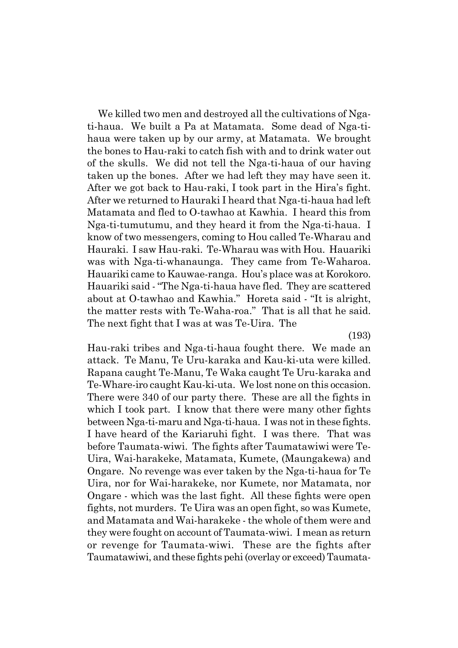We killed two men and destroyed all the cultivations of Ngati-haua. We built a Pa at Matamata. Some dead of Nga-tihaua were taken up by our army, at Matamata. We brought the bones to Hau-raki to catch fish with and to drink water out of the skulls. We did not tell the Nga-ti-haua of our having taken up the bones. After we had left they may have seen it. After we got back to Hau-raki, I took part in the Hiraís fight. After we returned to Hauraki I heard that Nga-ti-haua had left Matamata and fled to O-tawhao at Kawhia. I heard this from Nga-ti-tumutumu, and they heard it from the Nga-ti-haua. I know of two messengers, coming to Hou called Te-Wharau and Hauraki. I saw Hau-raki. Te-Wharau was with Hou. Hauariki was with Nga-ti-whanaunga. They came from Te-Waharoa. Hauariki came to Kauwae-ranga. Houís place was at Korokoro. Hauariki said - "The Nga-ti-haua have fled. They are scattered about at O-tawhao and Kawhia." Horeta said - "It is alright, the matter rests with Te-Waha-roa." That is all that he said. The next fight that I was at was Te-Uira. The

(193)

Hau-raki tribes and Nga-ti-haua fought there. We made an attack. Te Manu, Te Uru-karaka and Kau-ki-uta were killed. Rapana caught Te-Manu, Te Waka caught Te Uru-karaka and Te-Whare-iro caught Kau-ki-uta. We lost none on this occasion. There were 340 of our party there. These are all the fights in which I took part. I know that there were many other fights between Nga-ti-maru and Nga-ti-haua. I was not in these fights. I have heard of the Kariaruhi fight. I was there. That was before Taumata-wiwi. The fights after Taumatawiwi were Te-Uira, Wai-harakeke, Matamata, Kumete, (Maungakewa) and Ongare. No revenge was ever taken by the Nga-ti-haua for Te Uira, nor for Wai-harakeke, nor Kumete, nor Matamata, nor Ongare - which was the last fight. All these fights were open fights, not murders. Te Uira was an open fight, so was Kumete, and Matamata and Wai-harakeke - the whole of them were and they were fought on account of Taumata-wiwi. I mean as return or revenge for Taumata-wiwi. These are the fights after Taumatawiwi, and these fights pehi (overlay or exceed) Taumata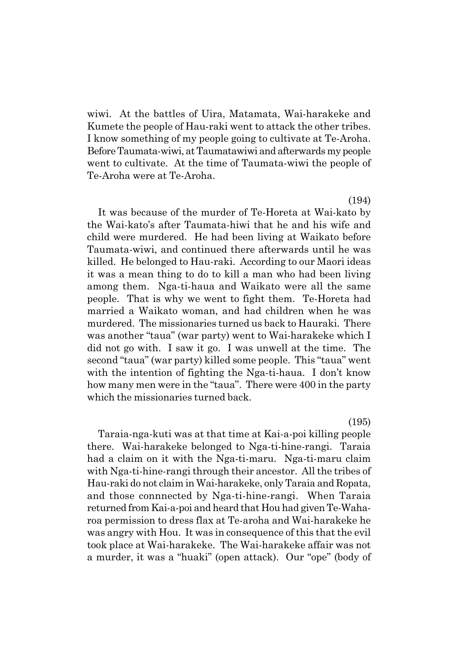wiwi. At the battles of Uira, Matamata, Wai-harakeke and Kumete the people of Hau-raki went to attack the other tribes. I know something of my people going to cultivate at Te-Aroha. Before Taumata-wiwi, at Taumatawiwi and afterwards my people went to cultivate. At the time of Taumata-wiwi the people of Te-Aroha were at Te-Aroha.

(194)

It was because of the murder of Te-Horeta at Wai-kato by the Wai-katoís after Taumata-hiwi that he and his wife and child were murdered. He had been living at Waikato before Taumata-wiwi, and continued there afterwards until he was killed. He belonged to Hau-raki. According to our Maori ideas it was a mean thing to do to kill a man who had been living among them. Nga-ti-haua and Waikato were all the same people. That is why we went to fight them. Te-Horeta had married a Waikato woman, and had children when he was murdered. The missionaries turned us back to Hauraki. There was another "taua" (war party) went to Wai-harakeke which I did not go with. I saw it go. I was unwell at the time. The second "taua" (war party) killed some people. This "taua" went with the intention of fighting the Nga-ti-haua. I don't know how many men were in the "taua". There were 400 in the party which the missionaries turned back.

(195)

Taraia-nga-kuti was at that time at Kai-a-poi killing people there. Wai-harakeke belonged to Nga-ti-hine-rangi. Taraia had a claim on it with the Nga-ti-maru. Nga-ti-maru claim with Nga-ti-hine-rangi through their ancestor. All the tribes of Hau-raki do not claim in Wai-harakeke, only Taraia and Ropata, and those connnected by Nga-ti-hine-rangi. When Taraia returned from Kai-a-poi and heard that Hou had given Te-Waharoa permission to dress flax at Te-aroha and Wai-harakeke he was angry with Hou. It was in consequence of this that the evil took place at Wai-harakeke. The Wai-harakeke affair was not a murder, it was a "huaki" (open attack). Our "ope" (body of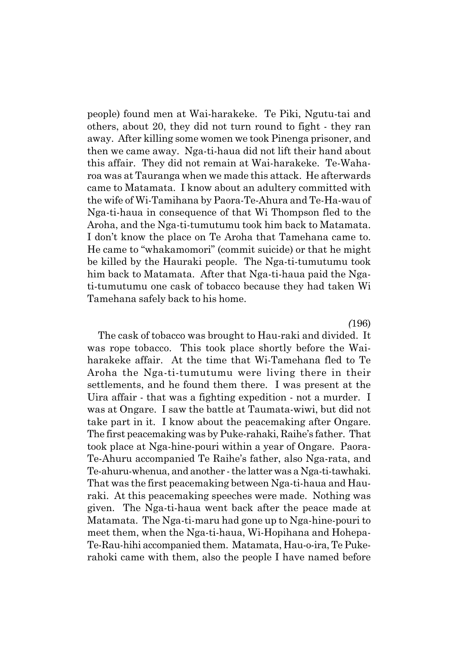people) found men at Wai-harakeke. Te Piki, Ngutu-tai and others, about 20, they did not turn round to fight - they ran away. After killing some women we took Pinenga prisoner, and then we came away. Nga-ti-haua did not lift their hand about this affair. They did not remain at Wai-harakeke. Te-Waharoa was at Tauranga when we made this attack. He afterwards came to Matamata. I know about an adultery committed with the wife of Wi-Tamihana by Paora-Te-Ahura and Te-Ha-wau of Nga-ti-haua in consequence of that Wi Thompson fled to the Aroha, and the Nga-ti-tumutumu took him back to Matamata. I don't know the place on Te Aroha that Tamehana came to. He came to "whakamomori" (commit suicide) or that he might be killed by the Hauraki people. The Nga-ti-tumutumu took him back to Matamata. After that Nga-ti-haua paid the Ngati-tumutumu one cask of tobacco because they had taken Wi Tamehana safely back to his home.

*(*196)

The cask of tobacco was brought to Hau-raki and divided. It was rope tobacco. This took place shortly before the Waiharakeke affair. At the time that Wi-Tamehana fled to Te Aroha the Nga-ti-tumutumu were living there in their settlements, and he found them there. I was present at the Uira affair - that was a fighting expedition - not a murder. I was at Ongare. I saw the battle at Taumata-wiwi, but did not take part in it. I know about the peacemaking after Ongare. The first peacemaking was by Puke-rahaki, Raiheís father. That took place at Nga-hine-pouri within a year of Ongare. Paora-Te-Ahuru accompanied Te Raiheís father, also Nga-rata, and Te-ahuru-whenua, and another - the latter was a Nga-ti-tawhaki. That was the first peacemaking between Nga-ti-haua and Hauraki. At this peacemaking speeches were made. Nothing was given. The Nga-ti-haua went back after the peace made at Matamata. The Nga-ti-maru had gone up to Nga-hine-pouri to meet them, when the Nga-ti-haua, Wi-Hopihana and Hohepa-Te-Rau-hihi accompanied them. Matamata, Hau-o-ira, Te Pukerahoki came with them, also the people I have named before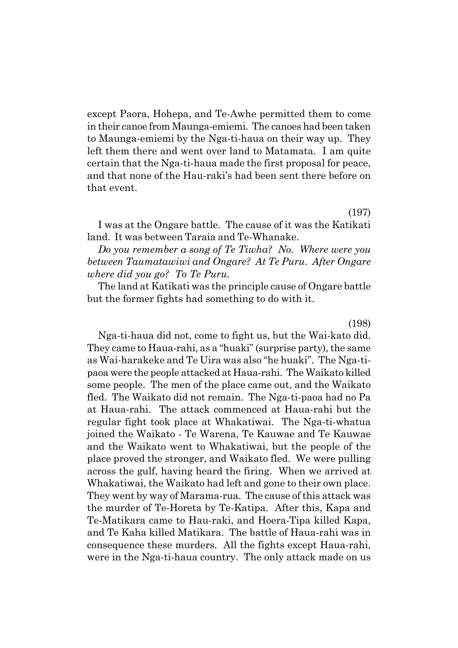except Paora, Hohepa, and Te-Awhe permitted them to come in their canoe from Maunga-emiemi. The canoes had been taken to Maunga-emiemi by the Nga-ti-haua on their way up. They left them there and went over land to Matamata. I am quite certain that the Nga-ti-haua made the first proposal for peace, and that none of the Hau-raki's had been sent there before on that event.

(197)

I was at the Ongare battle. The cause of it was the Katikati land. It was between Taraia and Te-Whanake.

*Do you remember a song of Te Tiwha? No. Where were you between Taumatawiwi and Ongare? At Te Puru. After Ongare where did you go? To Te Puru.*

The land at Katikati was the principle cause of Ongare battle but the former fights had something to do with it.

(198)

Nga-ti-haua did not, come to fight us, but the Wai-kato did. They came to Haua-rahi, as a "huaki" (surprise party), the same as Wai-harakeke and Te Uira was also "he huaki". The Nga-tipaoa were the people attacked at Haua-rahi. The Waikato killed some people. The men of the place came out, and the Waikato fled. The Waikato did not remain. The Nga-ti-paoa had no Pa at Haua-rahi. The attack commenced at Haua-rahi but the regular fight took place at Whakatiwai. The Nga-ti-whatua joined the Waikato - Te Warena, Te Kauwae and Te Kauwae and the Waikato went to Whakatiwai, but the people of the place proved the stronger, and Waikato fled. We were pulling across the gulf, having heard the firing. When we arrived at Whakatiwai, the Waikato had left and gone to their own place. They went by way of Marama-rua. The cause of this attack was the murder of Te-Horeta by Te-Katipa. After this, Kapa and Te-Matikara came to Hau-raki, and Hoera-Tipa killed Kapa, and Te Kaha killed Matikara. The battle of Haua-rahi was in consequence these murders. All the fights except Haua-rahi, were in the Nga-ti-haua country. The only attack made on us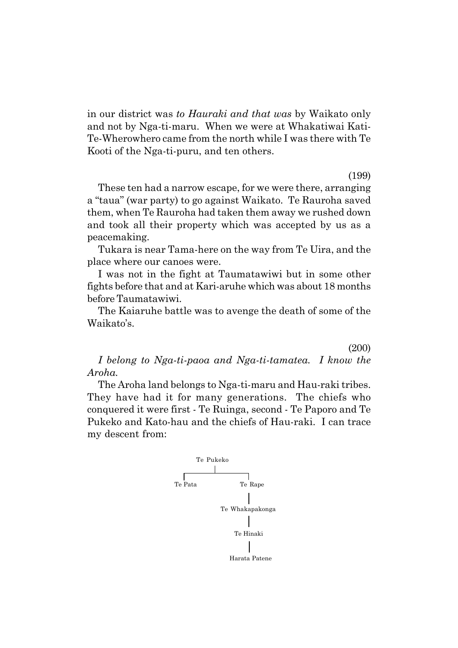in our district was *to Hauraki and that was* by Waikato only and not by Nga-ti-maru. When we were at Whakatiwai Kati-Te-Wherowhero came from the north while I was there with Te Kooti of the Nga-ti-puru, and ten others.

(199)

These ten had a narrow escape, for we were there, arranging a "taua" (war party) to go against Waikato. Te Rauroha saved them, when Te Rauroha had taken them away we rushed down and took all their property which was accepted by us as a peacemaking.

Tukara is near Tama-here on the way from Te Uira, and the place where our canoes were.

I was not in the fight at Taumatawiwi but in some other fights before that and at Kari-aruhe which was about 18 months before Taumatawiwi.

The Kaiaruhe battle was to avenge the death of some of the Waikato's.

(200)

*I belong to Nga-ti-paoa and Nga-ti-tamatea. I know the Aroha.*

The Aroha land belongs to Nga-ti-maru and Hau-raki tribes. They have had it for many generations. The chiefs who conquered it were first - Te Ruinga, second - Te Paporo and Te Pukeko and Kato-hau and the chiefs of Hau-raki. I can trace my descent from:

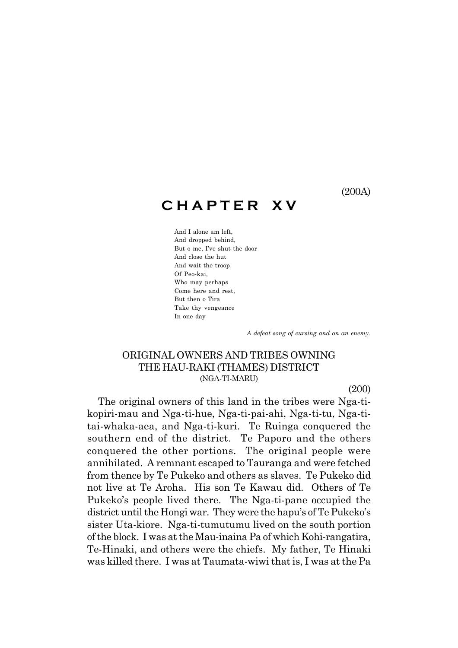(200A)

# **C H A P T E R X V**

And I alone am left, And dropped behind, But o me, I've shut the door And close the hut And wait the troop Of Peo-kai, Who may perhaps Come here and rest, But then o Tira Take thy vengeance In one day

 *A defeat song of cursing and on an enemy.*

# ORIGINAL OWNERS AND TRIBES OWNING THE HAU-RAKI (THAMES) DISTRICT (NGA-TI-MARU)

(200)

The original owners of this land in the tribes were Nga-tikopiri-mau and Nga-ti-hue, Nga-ti-pai-ahi, Nga-ti-tu, Nga-titai-whaka-aea, and Nga-ti-kuri. Te Ruinga conquered the southern end of the district. Te Paporo and the others conquered the other portions. The original people were annihilated. A remnant escaped to Tauranga and were fetched from thence by Te Pukeko and others as slaves. Te Pukeko did not live at Te Aroha. His son Te Kawau did. Others of Te Pukeko's people lived there. The Nga-ti-pane occupied the district until the Hongi war. They were the hapu's of Te Pukeko's sister Uta-kiore. Nga-ti-tumutumu lived on the south portion of the block. I was at the Mau-inaina Pa of which Kohi-rangatira, Te-Hinaki, and others were the chiefs. My father, Te Hinaki was killed there. I was at Taumata-wiwi that is, I was at the Pa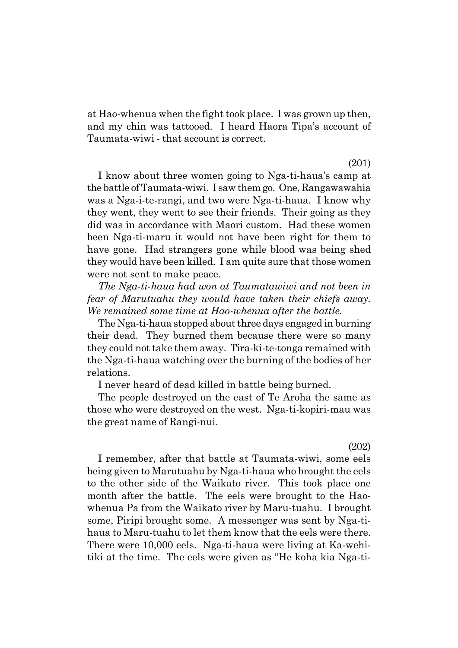at Hao-whenua when the fight took place. I was grown up then, and my chin was tattooed. I heard Haora Tipaís account of Taumata-wiwi - that account is correct.

(201)

I know about three women going to Nga-ti-hauaís camp at the battle of Taumata-wiwi. I saw them go. One, Rangawawahia was a Nga-i-te-rangi, and two were Nga-ti-haua. I know why they went, they went to see their friends. Their going as they did was in accordance with Maori custom. Had these women been Nga-ti-maru it would not have been right for them to have gone. Had strangers gone while blood was being shed they would have been killed. I am quite sure that those women were not sent to make peace.

*The Nga-ti-haua had won at Taumatawiwi and not been in fear of Marutuahu they would have taken their chiefs away. We remained some time at Hao-whenua after the battle.*

The Nga-ti-haua stopped about three days engaged in burning their dead. They burned them because there were so many they could not take them away. Tira-ki-te-tonga remained with the Nga-ti-haua watching over the burning of the bodies of her relations.

I never heard of dead killed in battle being burned.

The people destroyed on the east of Te Aroha the same as those who were destroyed on the west. Nga-ti-kopiri-mau was the great name of Rangi-nui.

(202)

I remember, after that battle at Taumata-wiwi, some eels being given to Marutuahu by Nga-ti-haua who brought the eels to the other side of the Waikato river. This took place one month after the battle. The eels were brought to the Haowhenua Pa from the Waikato river by Maru-tuahu. I brought some, Piripi brought some. A messenger was sent by Nga-tihaua to Maru-tuahu to let them know that the eels were there. There were 10,000 eels. Nga-ti-haua were living at Ka-wehitiki at the time. The eels were given as "He koha kia Nga-ti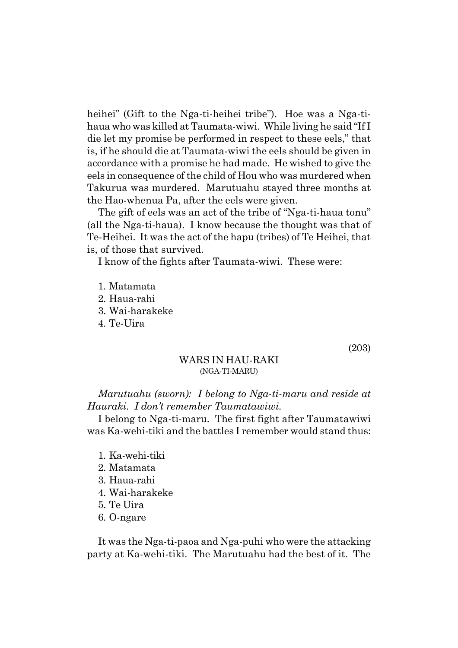heihei" (Gift to the Nga-ti-heihei tribe"). Hoe was a Nga-tihaua who was killed at Taumata-wiwi. While living he said "If I die let my promise be performed in respect to these eels," that is, if he should die at Taumata-wiwi the eels should be given in accordance with a promise he had made. He wished to give the eels in consequence of the child of Hou who was murdered when Takurua was murdered. Marutuahu stayed three months at the Hao-whenua Pa, after the eels were given.

The gift of eels was an act of the tribe of "Nga-ti-haua tonu" (all the Nga-ti-haua). I know because the thought was that of Te-Heihei. It was the act of the hapu (tribes) of Te Heihei, that is, of those that survived.

I know of the fights after Taumata-wiwi. These were:

1. Matamata 2. Haua-rahi 3. Wai-harakeke 4. Te-Uira

(203)

#### WARS IN HAU-RAKI (NGA-TI-MARU)

*Marutuahu (sworn): I belong to Nga-ti-maru and reside at Hauraki. I donít remember Taumatawiwi.*

I belong to Nga-ti-maru. The first fight after Taumatawiwi was Ka-wehi-tiki and the battles I remember would stand thus:

- 1. Ka-wehi-tiki
- 2. Matamata
- 3. Haua-rahi
- 4. Wai-harakeke
- 5. Te Uira
- 6. O-ngare

It was the Nga-ti-paoa and Nga-puhi who were the attacking party at Ka-wehi-tiki. The Marutuahu had the best of it. The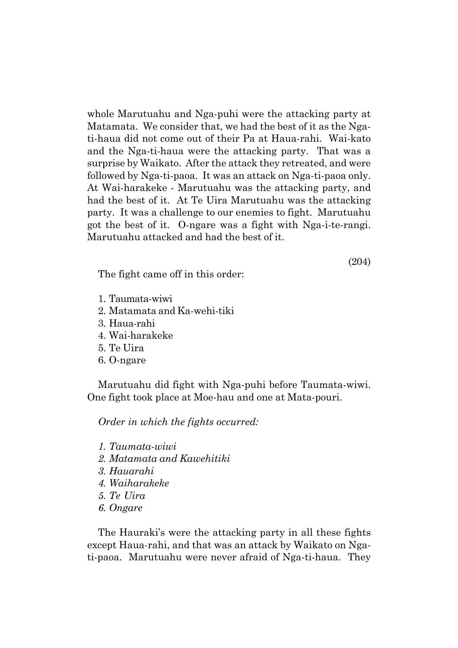whole Marutuahu and Nga-puhi were the attacking party at Matamata. We consider that, we had the best of it as the Ngati-haua did not come out of their Pa at Haua-rahi. Wai-kato and the Nga-ti-haua were the attacking party. That was a surprise by Waikato. After the attack they retreated, and were followed by Nga-ti-paoa. It was an attack on Nga-ti-paoa only. At Wai-harakeke - Marutuahu was the attacking party, and had the best of it. At Te Uira Marutuahu was the attacking party. It was a challenge to our enemies to fight. Marutuahu got the best of it. O-ngare was a fight with Nga-i-te-rangi. Marutuahu attacked and had the best of it.

(204)

The fight came off in this order:

- 1. Taumata-wiwi
- 2. Matamata and Ka-wehi-tiki
- 3. Haua-rahi
- 4. Wai-harakeke
- 5. Te Uira
- 6. O-ngare

Marutuahu did fight with Nga-puhi before Taumata-wiwi. One fight took place at Moe-hau and one at Mata-pouri.

*Order in which the fights occurred:*

- *1. Taumata-wiwi*
- *2. Matamata and Kawehitiki*
- *3. Hauarahi*
- *4. Waiharakeke*
- *5. Te Uira*
- *6. Ongare*

The Hauraki's were the attacking party in all these fights except Haua-rahi, and that was an attack by Waikato on Ngati-paoa. Marutuahu were never afraid of Nga-ti-haua. They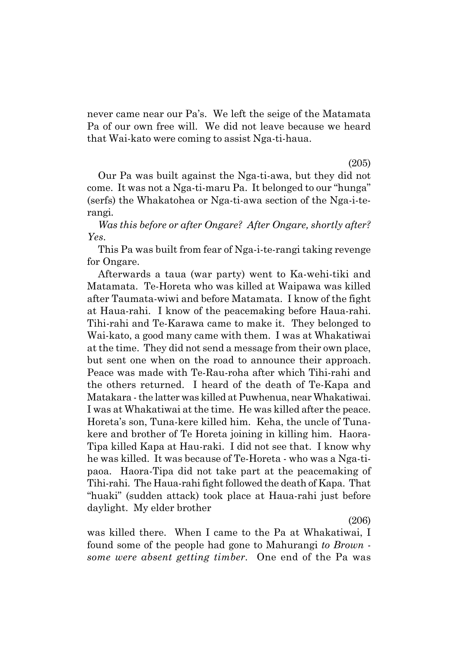never came near our Pa's. We left the seige of the Matamata Pa of our own free will. We did not leave because we heard that Wai-kato were coming to assist Nga-ti-haua.

(205)

Our Pa was built against the Nga-ti-awa, but they did not come. It was not a Nga-ti-maru Pa. It belonged to our "hunga" (serfs) the Whakatohea or Nga-ti-awa section of the Nga-i-terangi.

*Was this before or after Ongare? After Ongare, shortly after? Yes.*

This Pa was built from fear of Nga-i-te-rangi taking revenge for Ongare.

Afterwards a taua (war party) went to Ka-wehi-tiki and Matamata. Te-Horeta who was killed at Waipawa was killed after Taumata-wiwi and before Matamata. I know of the fight at Haua-rahi. I know of the peacemaking before Haua-rahi. Tihi-rahi and Te-Karawa came to make it. They belonged to Wai-kato, a good many came with them. I was at Whakatiwai at the time. They did not send a message from their own place, but sent one when on the road to announce their approach. Peace was made with Te-Rau-roha after which Tihi-rahi and the others returned. I heard of the death of Te-Kapa and Matakara - the latter was killed at Puwhenua, near Whakatiwai. I was at Whakatiwai at the time. He was killed after the peace. Horetaís son, Tuna-kere killed him. Keha, the uncle of Tunakere and brother of Te Horeta joining in killing him. Haora-Tipa killed Kapa at Hau-raki. I did not see that. I know why he was killed. It was because of Te-Horeta - who was a Nga-tipaoa. Haora-Tipa did not take part at the peacemaking of Tihi-rahi. The Haua-rahi fight followed the death of Kapa. That ìhuakiî (sudden attack) took place at Haua-rahi just before daylight. My elder brother

(206)

was killed there. When I came to the Pa at Whakatiwai, I found some of the people had gone to Mahurangi *to Brown some were absent getting timber.* One end of the Pa was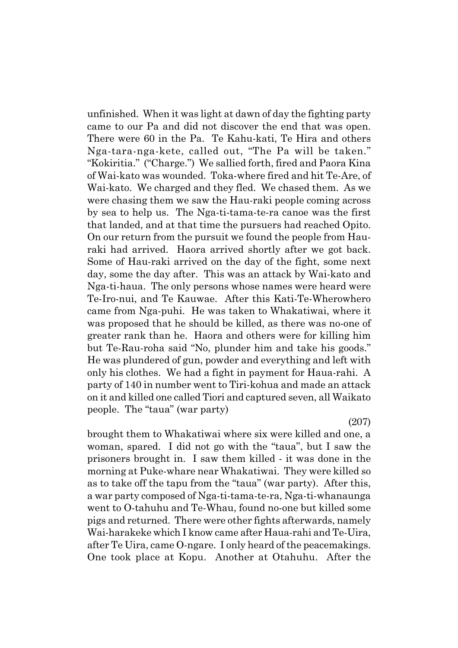unfinished. When it was light at dawn of day the fighting party came to our Pa and did not discover the end that was open. There were 60 in the Pa. Te Kahu-kati, Te Hira and others Nga-tara-nga-kete, called out, "The Pa will be taken." "Kokiritia." ("Charge.") We sallied forth, fired and Paora Kina of Wai-kato was wounded. Toka-where fired and hit Te-Are, of Wai-kato. We charged and they fled. We chased them. As we were chasing them we saw the Hau-raki people coming across by sea to help us. The Nga-ti-tama-te-ra canoe was the first that landed, and at that time the pursuers had reached Opito. On our return from the pursuit we found the people from Hauraki had arrived. Haora arrived shortly after we got back. Some of Hau-raki arrived on the day of the fight, some next day, some the day after. This was an attack by Wai-kato and Nga-ti-haua. The only persons whose names were heard were Te-Iro-nui, and Te Kauwae. After this Kati-Te-Wherowhero came from Nga-puhi. He was taken to Whakatiwai, where it was proposed that he should be killed, as there was no-one of greater rank than he. Haora and others were for killing him but Te-Rau-roha said "No, plunder him and take his goods." He was plundered of gun, powder and everything and left with only his clothes. We had a fight in payment for Haua-rahi. A party of 140 in number went to Tiri-kohua and made an attack on it and killed one called Tiori and captured seven, all Waikato people. The "taua" (war party)

(207)

brought them to Whakatiwai where six were killed and one, a woman, spared. I did not go with the "taua", but I saw the prisoners brought in. I saw them killed - it was done in the morning at Puke-whare near Whakatiwai. They were killed so as to take off the tapu from the "taua" (war party). After this, a war party composed of Nga-ti-tama-te-ra, Nga-ti-whanaunga went to O-tahuhu and Te-Whau, found no-one but killed some pigs and returned. There were other fights afterwards, namely Wai-harakeke which I know came after Haua-rahi and Te-Uira, after Te Uira, came O-ngare. I only heard of the peacemakings. One took place at Kopu. Another at Otahuhu. After the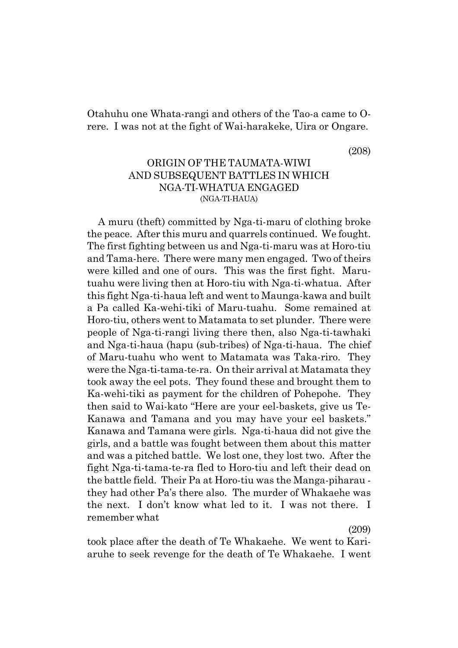Otahuhu one Whata-rangi and others of the Tao-a came to Orere. I was not at the fight of Wai-harakeke, Uira or Ongare.

(208)

# ORIGIN OF THE TAUMATA-WIWI AND SUBSEQUENT BATTLES IN WHICH NGA-TI-WHATUA ENGAGED (NGA-TI-HAUA)

A muru (theft) committed by Nga-ti-maru of clothing broke the peace. After this muru and quarrels continued. We fought. The first fighting between us and Nga-ti-maru was at Horo-tiu and Tama-here. There were many men engaged. Two of theirs were killed and one of ours. This was the first fight. Marutuahu were living then at Horo-tiu with Nga-ti-whatua. After this fight Nga-ti-haua left and went to Maunga-kawa and built a Pa called Ka-wehi-tiki of Maru-tuahu. Some remained at Horo-tiu, others went to Matamata to set plunder. There were people of Nga-ti-rangi living there then, also Nga-ti-tawhaki and Nga-ti-haua (hapu (sub-tribes) of Nga-ti-haua. The chief of Maru-tuahu who went to Matamata was Taka-riro. They were the Nga-ti-tama-te-ra. On their arrival at Matamata they took away the eel pots. They found these and brought them to Ka-wehi-tiki as payment for the children of Pohepohe. They then said to Wai-kato "Here are your eel-baskets, give us Te-Kanawa and Tamana and you may have your eel baskets." Kanawa and Tamana were girls. Nga-ti-haua did not give the girls, and a battle was fought between them about this matter and was a pitched battle. We lost one, they lost two. After the fight Nga-ti-tama-te-ra fled to Horo-tiu and left their dead on the battle field. Their Pa at Horo-tiu was the Manga-piharau they had other País there also. The murder of Whakaehe was the next. I don't know what led to it. I was not there. I remember what

(209)

took place after the death of Te Whakaehe. We went to Kariaruhe to seek revenge for the death of Te Whakaehe. I went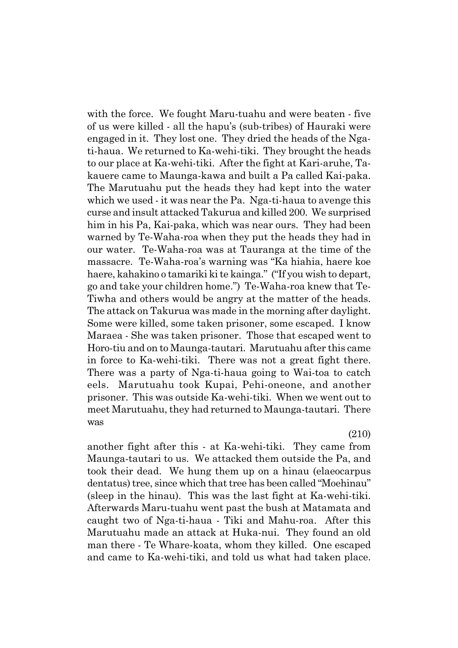with the force. We fought Maru-tuahu and were beaten - five of us were killed - all the hapuís (sub-tribes) of Hauraki were engaged in it. They lost one. They dried the heads of the Ngati-haua. We returned to Ka-wehi-tiki. They brought the heads to our place at Ka-wehi-tiki. After the fight at Kari-aruhe, Takauere came to Maunga-kawa and built a Pa called Kai-paka. The Marutuahu put the heads they had kept into the water which we used - it was near the Pa. Nga-ti-haua to avenge this curse and insult attacked Takurua and killed 200. We surprised him in his Pa, Kai-paka, which was near ours. They had been warned by Te-Waha-roa when they put the heads they had in our water. Te-Waha-roa was at Tauranga at the time of the massacre. Te-Waha-roa's warning was "Ka hiahia, haere koe haere, kahakino o tamariki ki te kainga." ("If you wish to depart, go and take your children home.î) Te-Waha-roa knew that Te-Tiwha and others would be angry at the matter of the heads. The attack on Takurua was made in the morning after daylight. Some were killed, some taken prisoner, some escaped. I know Maraea - She was taken prisoner. Those that escaped went to Horo-tiu and on to Maunga-tautari. Marutuahu after this came in force to Ka-wehi-tiki. There was not a great fight there. There was a party of Nga-ti-haua going to Wai-toa to catch eels. Marutuahu took Kupai, Pehi-oneone, and another prisoner. This was outside Ka-wehi-tiki. When we went out to meet Marutuahu, they had returned to Maunga-tautari. There was

(210)

another fight after this - at Ka-wehi-tiki. They came from Maunga-tautari to us. We attacked them outside the Pa, and took their dead. We hung them up on a hinau (elaeocarpus dentatus) tree, since which that tree has been called "Moehinau" (sleep in the hinau). This was the last fight at Ka-wehi-tiki. Afterwards Maru-tuahu went past the bush at Matamata and caught two of Nga-ti-haua - Tiki and Mahu-roa. After this Marutuahu made an attack at Huka-nui. They found an old man there - Te Whare-koata, whom they killed. One escaped and came to Ka-wehi-tiki, and told us what had taken place.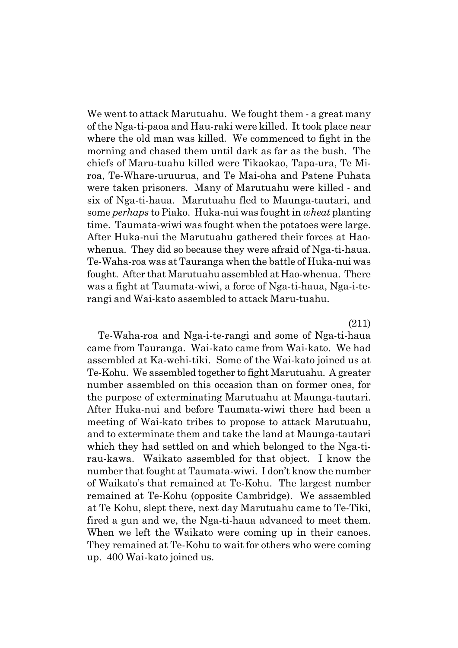We went to attack Marutuahu. We fought them - a great many of the Nga-ti-paoa and Hau-raki were killed. It took place near where the old man was killed. We commenced to fight in the morning and chased them until dark as far as the bush. The chiefs of Maru-tuahu killed were Tikaokao, Tapa-ura, Te Miroa, Te-Whare-uruurua, and Te Mai-oha and Patene Puhata were taken prisoners. Many of Marutuahu were killed - and six of Nga-ti-haua. Marutuahu fled to Maunga-tautari, and some *perhaps* to Piako. Huka-nui was fought in *wheat* planting time. Taumata-wiwi was fought when the potatoes were large. After Huka-nui the Marutuahu gathered their forces at Haowhenua. They did so because they were afraid of Nga-ti-haua. Te-Waha-roa was at Tauranga when the battle of Huka-nui was fought. After that Marutuahu assembled at Hao-whenua. There was a fight at Taumata-wiwi, a force of Nga-ti-haua, Nga-i-terangi and Wai-kato assembled to attack Maru-tuahu.

#### (211)

Te-Waha-roa and Nga-i-te-rangi and some of Nga-ti-haua came from Tauranga. Wai-kato came from Wai-kato. We had assembled at Ka-wehi-tiki. Some of the Wai-kato joined us at Te-Kohu. We assembled together to fight Marutuahu. A greater number assembled on this occasion than on former ones, for the purpose of exterminating Marutuahu at Maunga-tautari. After Huka-nui and before Taumata-wiwi there had been a meeting of Wai-kato tribes to propose to attack Marutuahu, and to exterminate them and take the land at Maunga-tautari which they had settled on and which belonged to the Nga-tirau-kawa. Waikato assembled for that object. I know the number that fought at Taumata-wiwi. I don't know the number of Waikatoís that remained at Te-Kohu. The largest number remained at Te-Kohu (opposite Cambridge). We asssembled at Te Kohu, slept there, next day Marutuahu came to Te-Tiki, fired a gun and we, the Nga-ti-haua advanced to meet them. When we left the Waikato were coming up in their canoes. They remained at Te-Kohu to wait for others who were coming up. 400 Wai-kato joined us.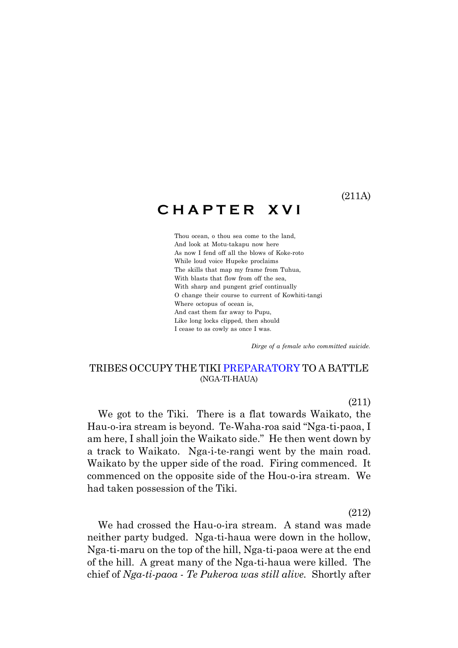(211A)

# **C H A P T E R X V I**

Thou ocean, o thou sea come to the land, And look at Motu-takapu now here As now I fend off all the blows of Koke-roto While loud voice Hupeke proclaims The skills that map my frame from Tuhua, With blasts that flow from off the sea, With sharp and pungent grief continually O change their course to current of Kowhiti-tangi Where octopus of ocean is, And cast them far away to Pupu, Like long locks clipped, then should I cease to as cowly as once I was.

 *Dirge of a female who committed suicide.*

# TRIBES OCCUPY THE TIKI PREPARATORY TO A BATTLE (NGA-TI-HAUA)

(211)

We got to the Tiki. There is a flat towards Waikato, the Hau-o-ira stream is beyond. Te-Waha-roa said "Nga-ti-paoa, I am here, I shall join the Waikato side." He then went down by a track to Waikato. Nga-i-te-rangi went by the main road. Waikato by the upper side of the road. Firing commenced. It commenced on the opposite side of the Hou-o-ira stream. We had taken possession of the Tiki.

(212)

We had crossed the Hau-o-ira stream. A stand was made neither party budged. Nga-ti-haua were down in the hollow, Nga-ti-maru on the top of the hill, Nga-ti-paoa were at the end of the hill. A great many of the Nga-ti-haua were killed. The chief of *Nga-ti-paoa - Te Pukeroa was still alive.* Shortly after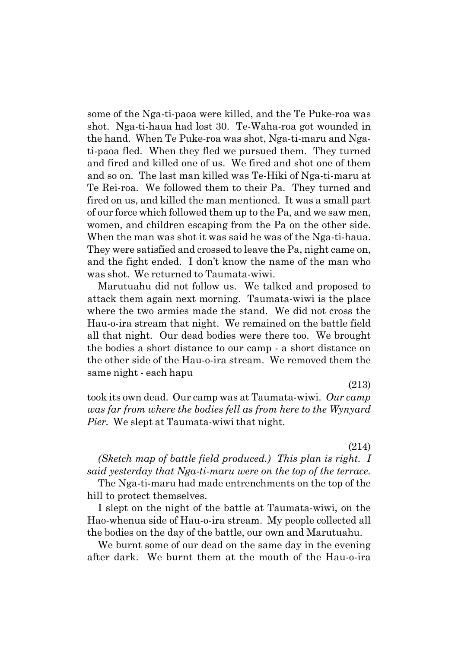some of the Nga-ti-paoa were killed, and the Te Puke-roa was shot. Nga-ti-haua had lost 30. Te-Waha-roa got wounded in the hand. When Te Puke-roa was shot, Nga-ti-maru and Ngati-paoa fled. When they fled we pursued them. They turned and fired and killed one of us. We fired and shot one of them and so on. The last man killed was Te-Hiki of Nga-ti-maru at Te Rei-roa. We followed them to their Pa. They turned and fired on us, and killed the man mentioned. It was a small part of our force which followed them up to the Pa, and we saw men, women, and children escaping from the Pa on the other side. When the man was shot it was said he was of the Nga-ti-haua. They were satisfied and crossed to leave the Pa, night came on, and the fight ended. I don't know the name of the man who was shot. We returned to Taumata-wiwi.

Marutuahu did not follow us. We talked and proposed to attack them again next morning. Taumata-wiwi is the place where the two armies made the stand. We did not cross the Hau-o-ira stream that night. We remained on the battle field all that night. Our dead bodies were there too. We brought the bodies a short distance to our camp - a short distance on the other side of the Hau-o-ira stream. We removed them the same night - each hapu

(213)

took its own dead. Our camp was at Taumata-wiwi. *Our camp was far from where the bodies fell as from here to the Wynyard Pier.* We slept at Taumata-wiwi that night.

(214)

*(Sketch map of battle field produced.) This plan is right. I said yesterday that Nga-ti-maru were on the top of the terrace.*

The Nga-ti-maru had made entrenchments on the top of the hill to protect themselves.

I slept on the night of the battle at Taumata-wiwi, on the Hao-whenua side of Hau-o-ira stream. My people collected all the bodies on the day of the battle, our own and Marutuahu.

We burnt some of our dead on the same day in the evening after dark. We burnt them at the mouth of the Hau-o-ira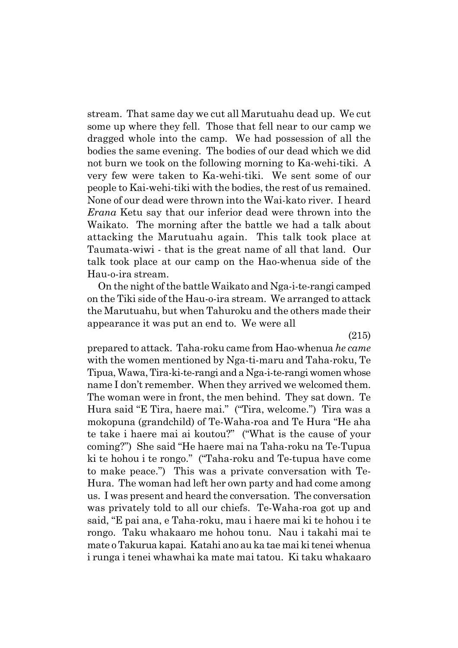stream. That same day we cut all Marutuahu dead up. We cut some up where they fell. Those that fell near to our camp we dragged whole into the camp. We had possession of all the bodies the same evening. The bodies of our dead which we did not burn we took on the following morning to Ka-wehi-tiki. A very few were taken to Ka-wehi-tiki. We sent some of our people to Kai-wehi-tiki with the bodies, the rest of us remained. None of our dead were thrown into the Wai-kato river. I heard *Erana* Ketu say that our inferior dead were thrown into the Waikato. The morning after the battle we had a talk about attacking the Marutuahu again. This talk took place at Taumata-wiwi - that is the great name of all that land. Our talk took place at our camp on the Hao-whenua side of the Hau-o-ira stream.

On the night of the battle Waikato and Nga-i-te-rangi camped on the Tiki side of the Hau-o-ira stream. We arranged to attack the Marutuahu, but when Tahuroku and the others made their appearance it was put an end to. We were all

(215)

prepared to attack. Taha-roku came from Hao-whenua *he came* with the women mentioned by Nga-ti-maru and Taha-roku, Te Tipua, Wawa, Tira-ki-te-rangi and a Nga-i-te-rangi women whose name I don't remember. When they arrived we welcomed them. The woman were in front, the men behind. They sat down. Te Hura said "E Tira, haere mai." ("Tira, welcome.") Tira was a mokopuna (grandchild) of Te-Waha-roa and Te Hura "He aha te take i haere mai ai koutou?" ("What is the cause of your coming?") She said "He haere mai na Taha-roku na Te-Tupua ki te hohou i te rongo." ("Taha-roku and Te-tupua have come to make peace.î) This was a private conversation with Te-Hura. The woman had left her own party and had come among us. I was present and heard the conversation. The conversation was privately told to all our chiefs. Te-Waha-roa got up and said, "E pai ana, e Taha-roku, mau i haere mai ki te hohou i te rongo. Taku whakaaro me hohou tonu. Nau i takahi mai te mate o Takurua kapai. Katahi ano au ka tae mai ki tenei whenua i runga i tenei whawhai ka mate mai tatou. Ki taku whakaaro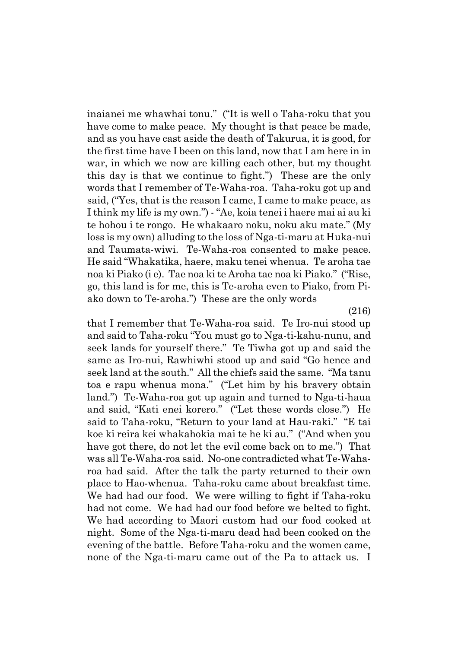inaianei me whawhai tonu." ("It is well o Taha-roku that you have come to make peace. My thought is that peace be made, and as you have cast aside the death of Takurua, it is good, for the first time have I been on this land, now that I am here in in war, in which we now are killing each other, but my thought this day is that we continue to fight.") These are the only words that I remember of Te-Waha-roa. Taha-roku got up and said, ("Yes, that is the reason I came, I came to make peace, as I think my life is my own."  $\cdot$  "Ae, koia tenei i haere mai ai au ki te hohou i te rongo. He whakaaro noku, noku aku mate." (My loss is my own) alluding to the loss of Nga-ti-maru at Huka-nui and Taumata-wiwi. Te-Waha-roa consented to make peace. He said "Whakatika, haere, maku tenei whenua. Te aroha tae noa ki Piako (i e). Tae noa ki te Aroha tae noa ki Piako." ("Rise, go, this land is for me, this is Te-aroha even to Piako, from Piako down to Te-aroha." These are the only words

(216)

that I remember that Te-Waha-roa said. Te Iro-nui stood up and said to Taha-roku "You must go to Nga-ti-kahu-nunu, and seek lands for yourself there." Te Tiwha got up and said the same as Iro-nui, Rawhiwhi stood up and said "Go hence and seek land at the south." All the chiefs said the same. "Ma tanu toa e rapu whenua mona." ("Let him by his bravery obtain land.") Te-Waha-roa got up again and turned to Nga-ti-haua and said, "Kati enei korero." ("Let these words close.") He said to Taha-roku, "Return to your land at Hau-raki." "E tai koe ki reira kei whakahokia mai te he ki au." ("And when you have got there, do not let the evil come back on to me.") That was all Te-Waha-roa said. No-one contradicted what Te-Waharoa had said. After the talk the party returned to their own place to Hao-whenua. Taha-roku came about breakfast time. We had had our food. We were willing to fight if Taha-roku had not come. We had had our food before we belted to fight. We had according to Maori custom had our food cooked at night. Some of the Nga-ti-maru dead had been cooked on the evening of the battle. Before Taha-roku and the women came, none of the Nga-ti-maru came out of the Pa to attack us. I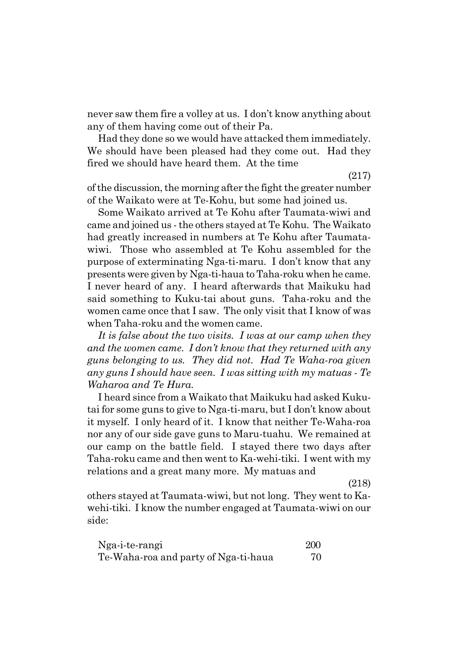never saw them fire a volley at us. I don't know anything about any of them having come out of their Pa.

Had they done so we would have attacked them immediately. We should have been pleased had they come out. Had they fired we should have heard them. At the time

(217)

of the discussion, the morning after the fight the greater number of the Waikato were at Te-Kohu, but some had joined us.

Some Waikato arrived at Te Kohu after Taumata-wiwi and came and joined us - the others stayed at Te Kohu. The Waikato had greatly increased in numbers at Te Kohu after Taumatawiwi. Those who assembled at Te Kohu assembled for the purpose of exterminating Nga-ti-maru. I donít know that any presents were given by Nga-ti-haua to Taha-roku when he came. I never heard of any. I heard afterwards that Maikuku had said something to Kuku-tai about guns. Taha-roku and the women came once that I saw. The only visit that I know of was when Taha-roku and the women came.

*It is false about the two visits. I was at our camp when they and the women came. I donít know that they returned with any guns belonging to us. They did not. Had Te Waha-roa given any guns I should have seen. I was sitting with my matuas - Te Waharoa and Te Hura.*

I heard since from a Waikato that Maikuku had asked Kukutai for some guns to give to Nga-ti-maru, but I don't know about it myself. I only heard of it. I know that neither Te-Waha-roa nor any of our side gave guns to Maru-tuahu. We remained at our camp on the battle field. I stayed there two days after Taha-roku came and then went to Ka-wehi-tiki. I went with my relations and a great many more. My matuas and

(218)

others stayed at Taumata-wiwi, but not long. They went to Kawehi-tiki. I know the number engaged at Taumata-wiwi on our side:

| Nga-i-te-rangi                       | <b>200</b> |
|--------------------------------------|------------|
| Te-Waha-roa and party of Nga-ti-haua | 70         |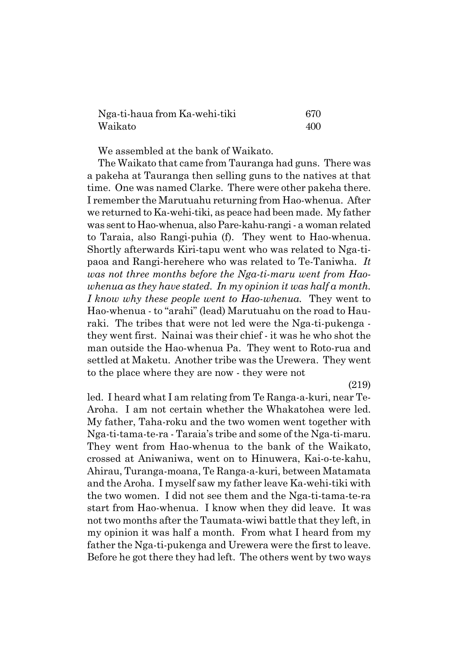| Nga-ti-haua from Ka-wehi-tiki | 670 |
|-------------------------------|-----|
| Waikato                       | 400 |

We assembled at the bank of Waikato.

The Waikato that came from Tauranga had guns. There was a pakeha at Tauranga then selling guns to the natives at that time. One was named Clarke. There were other pakeha there. I remember the Marutuahu returning from Hao-whenua. After we returned to Ka-wehi-tiki, as peace had been made. My father was sent to Hao-whenua, also Pare-kahu-rangi - a woman related to Taraia, also Rangi-puhia (f). They went to Hao-whenua. Shortly afterwards Kiri-tapu went who was related to Nga-tipaoa and Rangi-herehere who was related to Te-Taniwha. *It was not three months before the Nga-ti-maru went from Haowhenua as they have stated. In my opinion it was half a month. I know why these people went to Hao-whenua.* They went to Hao-whenua - to "arahi" (lead) Marutuahu on the road to Hauraki. The tribes that were not led were the Nga-ti-pukenga they went first. Nainai was their chief - it was he who shot the man outside the Hao-whenua Pa. They went to Roto-rua and settled at Maketu. Another tribe was the Urewera. They went to the place where they are now - they were not

(219)

led. I heard what I am relating from Te Ranga-a-kuri, near Te-Aroha. I am not certain whether the Whakatohea were led. My father, Taha-roku and the two women went together with Nga-ti-tama-te-ra - Taraiaís tribe and some of the Nga-ti-maru. They went from Hao-whenua to the bank of the Waikato, crossed at Aniwaniwa, went on to Hinuwera, Kai-o-te-kahu, Ahirau, Turanga-moana, Te Ranga-a-kuri, between Matamata and the Aroha. I myself saw my father leave Ka-wehi-tiki with the two women. I did not see them and the Nga-ti-tama-te-ra start from Hao-whenua. I know when they did leave. It was not two months after the Taumata-wiwi battle that they left, in my opinion it was half a month. From what I heard from my father the Nga-ti-pukenga and Urewera were the first to leave. Before he got there they had left. The others went by two ways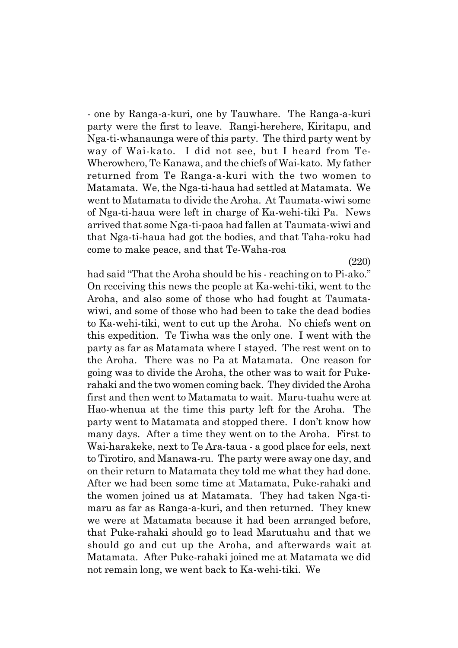- one by Ranga-a-kuri, one by Tauwhare. The Ranga-a-kuri party were the first to leave. Rangi-herehere, Kiritapu, and Nga-ti-whanaunga were of this party. The third party went by way of Wai-kato. I did not see, but I heard from Te-Wherowhero, Te Kanawa, and the chiefs of Wai-kato. My father returned from Te Ranga-a-kuri with the two women to Matamata. We, the Nga-ti-haua had settled at Matamata. We went to Matamata to divide the Aroha. At Taumata-wiwi some of Nga-ti-haua were left in charge of Ka-wehi-tiki Pa. News arrived that some Nga-ti-paoa had fallen at Taumata-wiwi and that Nga-ti-haua had got the bodies, and that Taha-roku had come to make peace, and that Te-Waha-roa

(220)

had said "That the Aroha should be his - reaching on to Pi-ako." On receiving this news the people at Ka-wehi-tiki, went to the Aroha, and also some of those who had fought at Taumatawiwi, and some of those who had been to take the dead bodies to Ka-wehi-tiki, went to cut up the Aroha. No chiefs went on this expedition. Te Tiwha was the only one. I went with the party as far as Matamata where I stayed. The rest went on to the Aroha. There was no Pa at Matamata. One reason for going was to divide the Aroha, the other was to wait for Pukerahaki and the two women coming back. They divided the Aroha first and then went to Matamata to wait. Maru-tuahu were at Hao-whenua at the time this party left for the Aroha. The party went to Matamata and stopped there. I don't know how many days. After a time they went on to the Aroha. First to Wai-harakeke, next to Te Ara-taua - a good place for eels, next to Tirotiro, and Manawa-ru. The party were away one day, and on their return to Matamata they told me what they had done. After we had been some time at Matamata, Puke-rahaki and the women joined us at Matamata. They had taken Nga-timaru as far as Ranga-a-kuri, and then returned. They knew we were at Matamata because it had been arranged before, that Puke-rahaki should go to lead Marutuahu and that we should go and cut up the Aroha, and afterwards wait at Matamata. After Puke-rahaki joined me at Matamata we did not remain long, we went back to Ka-wehi-tiki. We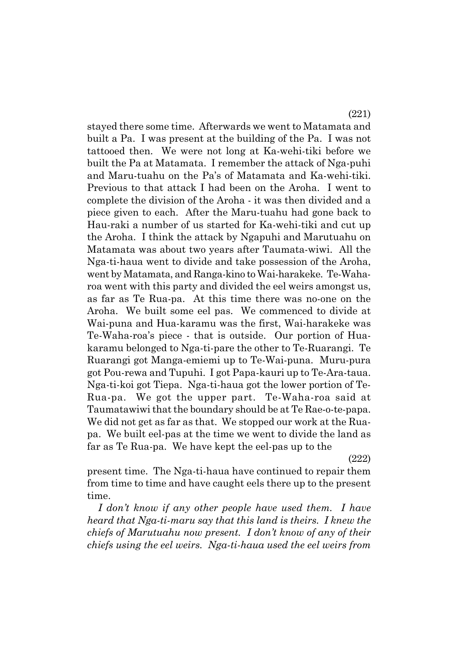stayed there some time. Afterwards we went to Matamata and built a Pa. I was present at the building of the Pa. I was not tattooed then. We were not long at Ka-wehi-tiki before we built the Pa at Matamata. I remember the attack of Nga-puhi and Maru-tuahu on the País of Matamata and Ka-wehi-tiki. Previous to that attack I had been on the Aroha. I went to complete the division of the Aroha - it was then divided and a piece given to each. After the Maru-tuahu had gone back to Hau-raki a number of us started for Ka-wehi-tiki and cut up the Aroha. I think the attack by Ngapuhi and Marutuahu on Matamata was about two years after Taumata-wiwi. All the Nga-ti-haua went to divide and take possession of the Aroha, went by Matamata, and Ranga-kino to Wai-harakeke. Te-Waharoa went with this party and divided the eel weirs amongst us, as far as Te Rua-pa. At this time there was no-one on the Aroha. We built some eel pas. We commenced to divide at Wai-puna and Hua-karamu was the first, Wai-harakeke was Te-Waha-roaís piece - that is outside. Our portion of Huakaramu belonged to Nga-ti-pare the other to Te-Ruarangi. Te Ruarangi got Manga-emiemi up to Te-Wai-puna. Muru-pura got Pou-rewa and Tupuhi. I got Papa-kauri up to Te-Ara-taua. Nga-ti-koi got Tiepa. Nga-ti-haua got the lower portion of Te-Rua-pa. We got the upper part. Te-Waha-roa said at Taumatawiwi that the boundary should be at Te Rae-o-te-papa. We did not get as far as that. We stopped our work at the Ruapa. We built eel-pas at the time we went to divide the land as far as Te Rua-pa. We have kept the eel-pas up to the

(222)

present time. The Nga-ti-haua have continued to repair them from time to time and have caught eels there up to the present time.

*I donít know if any other people have used them. I have heard that Nga-ti-maru say that this land is theirs. I knew the chiefs of Marutuahu now present. I donít know of any of their chiefs using the eel weirs. Nga-ti-haua used the eel weirs from*

(221)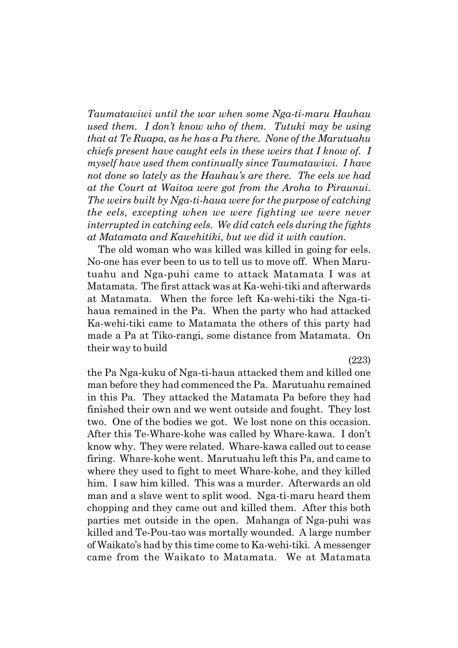*Taumatawiwi until the war when some Nga-ti-maru Hauhau used them. I donít know who of them. Tutuki may be using that at Te Ruapa, as he has a Pa there. None of the Marutuahu chiefs present have caught eels in these weirs that I know of. I myself have used them continually since Taumatawiwi. I have not done so lately as the Hauhauís are there. The eels we had at the Court at Waitoa were got from the Aroha to Piraunui. The weirs built by Nga-ti-haua were for the purpose of catching the eels, excepting when we were fighting we were never interrupted in catching eels. We did catch eels during the fights at Matamata and Kawehitiki, but we did it with caution.*

The old woman who was killed was killed in going for eels. No-one has ever been to us to tell us to move off. When Marutuahu and Nga-puhi came to attack Matamata I was at Matamata. The first attack was at Ka-wehi-tiki and afterwards at Matamata. When the force left Ka-wehi-tiki the Nga-tihaua remained in the Pa. When the party who had attacked Ka-wehi-tiki came to Matamata the others of this party had made a Pa at Tiko-rangi, some distance from Matamata. On their way to build

(223)

the Pa Nga-kuku of Nga-ti-haua attacked them and killed one man before they had commenced the Pa. Marutuahu remained in this Pa. They attacked the Matamata Pa before they had finished their own and we went outside and fought. They lost two. One of the bodies we got. We lost none on this occasion. After this Te-Whare-kohe was called by Whare-kawa. I don't know why. They were related. Whare-kawa called out to cease firing. Whare-kohe went. Marutuahu left this Pa, and came to where they used to fight to meet Whare-kohe, and they killed him. I saw him killed. This was a murder. Afterwards an old man and a slave went to split wood. Nga-ti-maru heard them chopping and they came out and killed them. After this both parties met outside in the open. Mahanga of Nga-puhi was killed and Te-Pou-tao was mortally wounded. A large number of Waikatoís had by this time come to Ka-wehi-tiki. A messenger came from the Waikato to Matamata. We at Matamata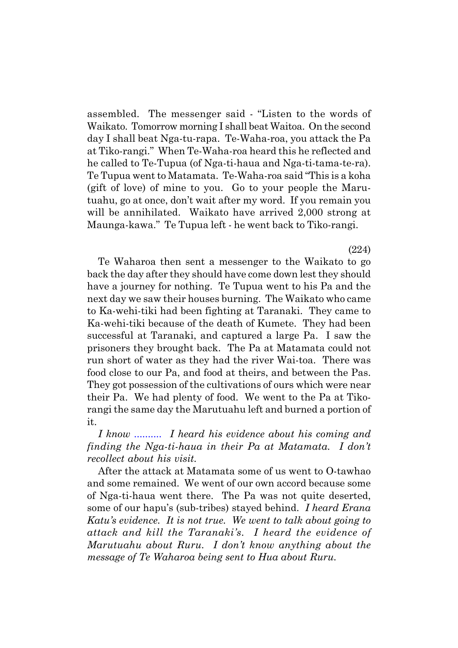assembled. The messenger said - "Listen to the words of Waikato. Tomorrow morning I shall beat Waitoa. On the second day I shall beat Nga-tu-rapa. Te-Waha-roa, you attack the Pa at Tiko-rangi.î When Te-Waha-roa heard this he reflected and he called to Te-Tupua (of Nga-ti-haua and Nga-ti-tama-te-ra). Te Tupua went to Matamata. Te-Waha-roa said "This is a koha (gift of love) of mine to you. Go to your people the Marutuahu, go at once, don't wait after my word. If you remain you will be annihilated. Waikato have arrived 2,000 strong at Maunga-kawa." Te Tupua left - he went back to Tiko-rangi.

Te Waharoa then sent a messenger to the Waikato to go back the day after they should have come down lest they should have a journey for nothing. Te Tupua went to his Pa and the next day we saw their houses burning. The Waikato who came to Ka-wehi-tiki had been fighting at Taranaki. They came to Ka-wehi-tiki because of the death of Kumete. They had been successful at Taranaki, and captured a large Pa. I saw the prisoners they brought back. The Pa at Matamata could not run short of water as they had the river Wai-toa. There was food close to our Pa, and food at theirs, and between the Pas. They got possession of the cultivations of ours which were near their Pa. We had plenty of food. We went to the Pa at Tikorangi the same day the Marutuahu left and burned a portion of it.

*I know .......... I heard his evidence about his coming and finding the Nga-ti-haua in their Pa at Matamata. I donít recollect about his visit.*

After the attack at Matamata some of us went to O-tawhao and some remained. We went of our own accord because some of Nga-ti-haua went there. The Pa was not quite deserted, some of our hapuís (sub-tribes) stayed behind. *I heard Erana Katuís evidence. It is not true. We went to talk about going to attack and kill the Taranakiís. I heard the evidence of Marutuahu about Ruru. I donít know anything about the message of Te Waharoa being sent to Hua about Ruru.*

(224)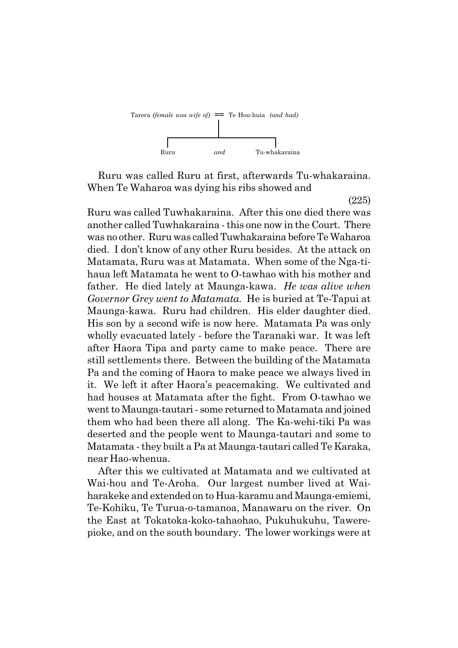

Ruru was called Ruru at first, afterwards Tu-whakaraina. When Te Waharoa was dying his ribs showed and

(225)

Ruru was called Tuwhakaraina. After this one died there was another called Tuwhakaraina - this one now in the Court. There was no other. Ruru was called Tuwhakaraina before Te Waharoa died. I don't know of any other Ruru besides. At the attack on Matamata, Ruru was at Matamata. When some of the Nga-tihaua left Matamata he went to O-tawhao with his mother and father. He died lately at Maunga-kawa. *He was alive when Governor Grey went to Matamata.* He is buried at Te-Tapui at Maunga-kawa. Ruru had children. His elder daughter died. His son by a second wife is now here. Matamata Pa was only wholly evacuated lately - before the Taranaki war. It was left after Haora Tipa and party came to make peace. There are still settlements there. Between the building of the Matamata Pa and the coming of Haora to make peace we always lived in it. We left it after Haoraís peacemaking. We cultivated and had houses at Matamata after the fight. From O-tawhao we went to Maunga-tautari - some returned to Matamata and joined them who had been there all along. The Ka-wehi-tiki Pa was deserted and the people went to Maunga-tautari and some to Matamata - they built a Pa at Maunga-tautari called Te Karaka, near Hao-whenua.

After this we cultivated at Matamata and we cultivated at Wai-hou and Te-Aroha. Our largest number lived at Waiharakeke and extended on to Hua-karamu and Maunga-emiemi, Te-Kohiku, Te Turua-o-tamanoa, Manawaru on the river. On the East at Tokatoka-koko-tahaohao, Pukuhukuhu, Tawerepioke, and on the south boundary. The lower workings were at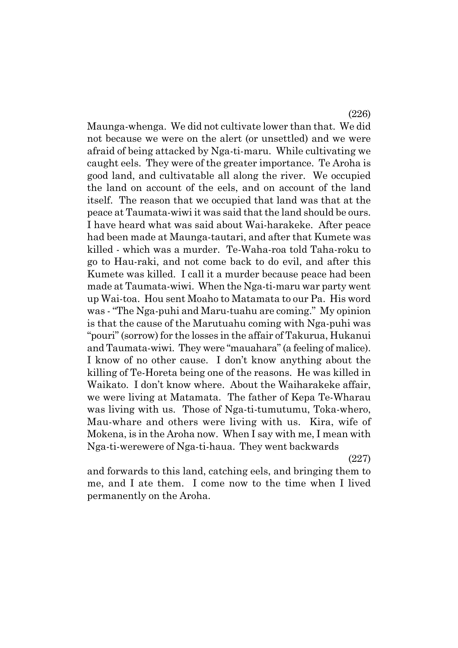Maunga-whenga. We did not cultivate lower than that. We did not because we were on the alert (or unsettled) and we were afraid of being attacked by Nga-ti-maru. While cultivating we caught eels. They were of the greater importance. Te Aroha is good land, and cultivatable all along the river. We occupied the land on account of the eels, and on account of the land itself. The reason that we occupied that land was that at the peace at Taumata-wiwi it was said that the land should be ours. I have heard what was said about Wai-harakeke. After peace had been made at Maunga-tautari, and after that Kumete was killed - which was a murder. Te-Waha-roa told Taha-roku to go to Hau-raki, and not come back to do evil, and after this Kumete was killed. I call it a murder because peace had been made at Taumata-wiwi. When the Nga-ti-maru war party went up Wai-toa. Hou sent Moaho to Matamata to our Pa. His word was - "The Nga-puhi and Maru-tuahu are coming." My opinion is that the cause of the Marutuahu coming with Nga-puhi was ìpouriî (sorrow) for the losses in the affair of Takurua, Hukanui and Taumata-wiwi. They were "mauahara" (a feeling of malice). I know of no other cause. I don't know anything about the killing of Te-Horeta being one of the reasons. He was killed in Waikato. I don't know where. About the Waiharakeke affair, we were living at Matamata. The father of Kepa Te-Wharau was living with us. Those of Nga-ti-tumutumu, Toka-whero, Mau-whare and others were living with us. Kira, wife of Mokena, is in the Aroha now. When I say with me, I mean with Nga-ti-werewere of Nga-ti-haua. They went backwards

(227)

(226)

and forwards to this land, catching eels, and bringing them to me, and I ate them. I come now to the time when I lived permanently on the Aroha.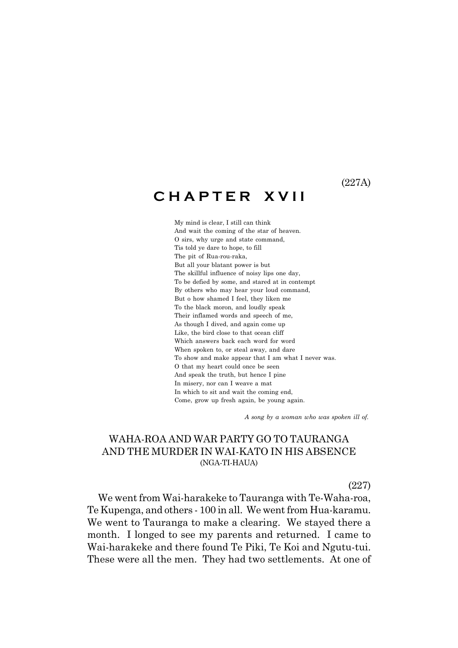(227A)

# **C H A P T E R X V I I**

My mind is clear, I still can think And wait the coming of the star of heaven. O sirs, why urge and state command, Tis told ye dare to hope, to fill The pit of Rua-rou-raka, But all your blatant power is but The skillful influence of noisy lips one day, To be defied by some, and stared at in contempt By others who may hear your loud command, But o how shamed I feel, they liken me To the black moron, and loudly speak Their inflamed words and speech of me, As though I dived, and again come up Like, the bird close to that ocean cliff Which answers back each word for word When spoken to, or steal away, and dare To show and make appear that I am what I never was. O that my heart could once be seen And speak the truth, but hence I pine In misery, nor can I weave a mat In which to sit and wait the coming end, Come, grow up fresh again, be young again.

 *A song by a woman who was spoken ill of.*

## WAHA-ROA AND WAR PARTY GO TO TAURANGA AND THE MURDER IN WAI-KATO IN HIS ABSENCE (NGA-TI-HAUA)

(227)

We went from Wai-harakeke to Tauranga with Te-Waha-roa, Te Kupenga, and others - 100 in all. We went from Hua-karamu. We went to Tauranga to make a clearing. We stayed there a month. I longed to see my parents and returned. I came to Wai-harakeke and there found Te Piki, Te Koi and Ngutu-tui. These were all the men. They had two settlements. At one of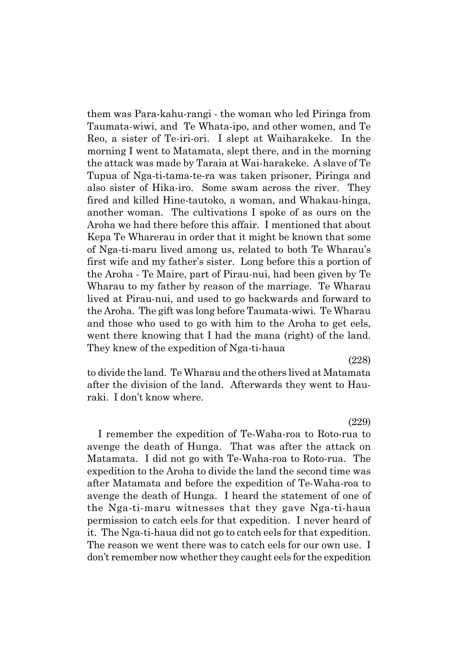them was Para-kahu-rangi - the woman who led Piringa from Taumata-wiwi, and Te Whata-ipo, and other women, and Te Reo, a sister of Te-iri-ori. I slept at Waiharakeke. In the morning I went to Matamata, slept there, and in the morning the attack was made by Taraia at Wai-harakeke. A slave of Te Tupua of Nga-ti-tama-te-ra was taken prisoner, Piringa and also sister of Hika-iro. Some swam across the river. They fired and killed Hine-tautoko, a woman, and Whakau-hinga, another woman. The cultivations I spoke of as ours on the Aroha we had there before this affair. I mentioned that about Kepa Te Wharerau in order that it might be known that some of Nga-ti-maru lived among us, related to both Te Wharauís first wife and my father's sister. Long before this a portion of the Aroha - Te Maire, part of Pirau-nui, had been given by Te Wharau to my father by reason of the marriage. Te Wharau lived at Pirau-nui, and used to go backwards and forward to the Aroha. The gift was long before Taumata-wiwi. Te Wharau and those who used to go with him to the Aroha to get eels, went there knowing that I had the mana (right) of the land. They knew of the expedition of Nga-ti-haua

(228)

to divide the land. Te Wharau and the others lived at Matamata after the division of the land. Afterwards they went to Hauraki. I don't know where.

(229)

I remember the expedition of Te-Waha-roa to Roto-rua to avenge the death of Hunga. That was after the attack on Matamata. I did not go with Te-Waha-roa to Roto-rua. The expedition to the Aroha to divide the land the second time was after Matamata and before the expedition of Te-Waha-roa to avenge the death of Hunga. I heard the statement of one of the Nga-ti-maru witnesses that they gave Nga-ti-haua permission to catch eels for that expedition. I never heard of it. The Nga-ti-haua did not go to catch eels for that expedition. The reason we went there was to catch eels for our own use. I donít remember now whether they caught eels for the expedition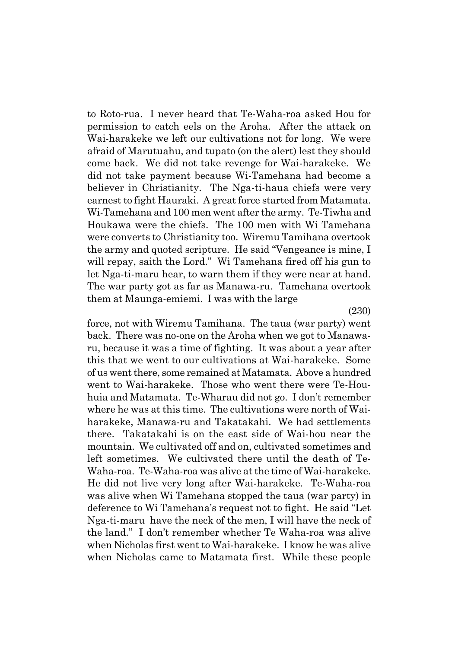to Roto-rua. I never heard that Te-Waha-roa asked Hou for permission to catch eels on the Aroha. After the attack on Wai-harakeke we left our cultivations not for long. We were afraid of Marutuahu, and tupato (on the alert) lest they should come back. We did not take revenge for Wai-harakeke. We did not take payment because Wi-Tamehana had become a believer in Christianity. The Nga-ti-haua chiefs were very earnest to fight Hauraki. A great force started from Matamata. Wi-Tamehana and 100 men went after the army. Te-Tiwha and Houkawa were the chiefs. The 100 men with Wi Tamehana were converts to Christianity too. Wiremu Tamihana overtook the army and quoted scripture. He said "Vengeance is mine, I will repay, saith the Lord." Wi Tamehana fired off his gun to let Nga-ti-maru hear, to warn them if they were near at hand. The war party got as far as Manawa-ru. Tamehana overtook them at Maunga-emiemi. I was with the large

(230)

force, not with Wiremu Tamihana. The taua (war party) went back. There was no-one on the Aroha when we got to Manawaru, because it was a time of fighting. It was about a year after this that we went to our cultivations at Wai-harakeke. Some of us went there, some remained at Matamata. Above a hundred went to Wai-harakeke. Those who went there were Te-Houhuia and Matamata. Te-Wharau did not go. I don't remember where he was at this time. The cultivations were north of Waiharakeke, Manawa-ru and Takatakahi. We had settlements there. Takatakahi is on the east side of Wai-hou near the mountain. We cultivated off and on, cultivated sometimes and left sometimes. We cultivated there until the death of Te-Waha-roa. Te-Waha-roa was alive at the time of Wai-harakeke. He did not live very long after Wai-harakeke. Te-Waha-roa was alive when Wi Tamehana stopped the taua (war party) in deference to Wi Tamehana's request not to fight. He said "Let Nga-ti-maru have the neck of the men, I will have the neck of the land.î I donít remember whether Te Waha-roa was alive when Nicholas first went to Wai-harakeke. I know he was alive when Nicholas came to Matamata first. While these people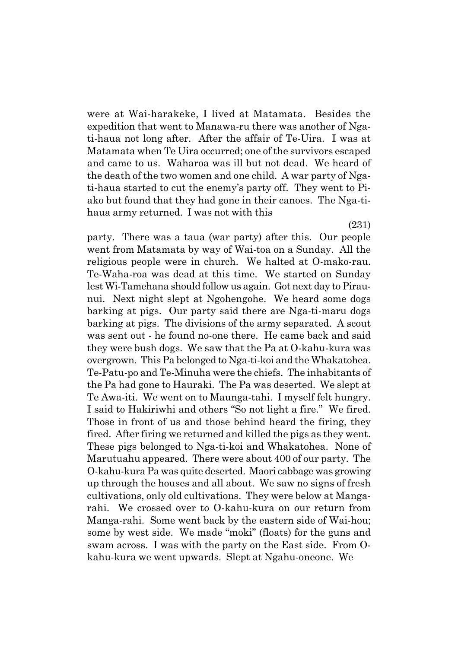were at Wai-harakeke, I lived at Matamata. Besides the expedition that went to Manawa-ru there was another of Ngati-haua not long after. After the affair of Te-Uira. I was at Matamata when Te Uira occurred; one of the survivors escaped and came to us. Waharoa was ill but not dead. We heard of the death of the two women and one child. A war party of Ngati-haua started to cut the enemyís party off. They went to Piako but found that they had gone in their canoes. The Nga-tihaua army returned. I was not with this

party. There was a taua (war party) after this. Our people went from Matamata by way of Wai-toa on a Sunday. All the religious people were in church. We halted at O-mako-rau. Te-Waha-roa was dead at this time. We started on Sunday lest Wi-Tamehana should follow us again. Got next day to Piraunui. Next night slept at Ngohengohe. We heard some dogs barking at pigs. Our party said there are Nga-ti-maru dogs barking at pigs. The divisions of the army separated. A scout was sent out - he found no-one there. He came back and said they were bush dogs. We saw that the Pa at O-kahu-kura was overgrown. This Pa belonged to Nga-ti-koi and the Whakatohea. Te-Patu-po and Te-Minuha were the chiefs. The inhabitants of the Pa had gone to Hauraki. The Pa was deserted. We slept at Te Awa-iti. We went on to Maunga-tahi. I myself felt hungry. I said to Hakiriwhi and others "So not light a fire." We fired. Those in front of us and those behind heard the firing, they fired. After firing we returned and killed the pigs as they went. These pigs belonged to Nga-ti-koi and Whakatohea. None of Marutuahu appeared. There were about 400 of our party. The O-kahu-kura Pa was quite deserted. Maori cabbage was growing up through the houses and all about. We saw no signs of fresh cultivations, only old cultivations. They were below at Mangarahi. We crossed over to O-kahu-kura on our return from Manga-rahi. Some went back by the eastern side of Wai-hou; some by west side. We made "moki" (floats) for the guns and swam across. I was with the party on the East side. From Okahu-kura we went upwards. Slept at Ngahu-oneone. We

(231)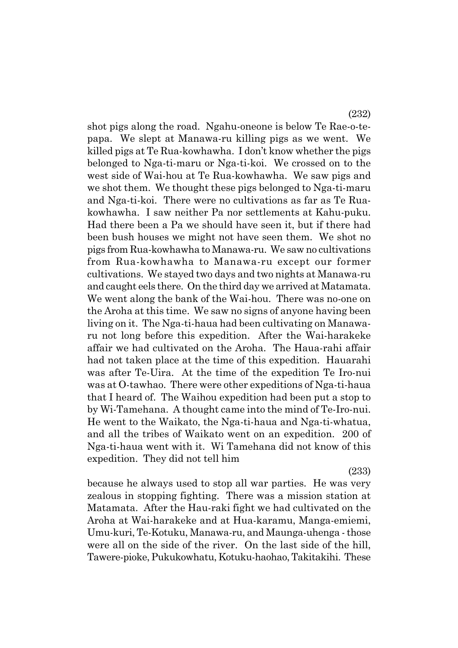shot pigs along the road. Ngahu-oneone is below Te Rae-o-tepapa. We slept at Manawa-ru killing pigs as we went. We killed pigs at Te Rua-kowhawha. I don't know whether the pigs belonged to Nga-ti-maru or Nga-ti-koi. We crossed on to the west side of Wai-hou at Te Rua-kowhawha. We saw pigs and we shot them. We thought these pigs belonged to Nga-ti-maru and Nga-ti-koi. There were no cultivations as far as Te Ruakowhawha. I saw neither Pa nor settlements at Kahu-puku. Had there been a Pa we should have seen it, but if there had been bush houses we might not have seen them. We shot no pigs from Rua-kowhawha to Manawa-ru. We saw no cultivations from Rua-kowhawha to Manawa-ru except our former cultivations. We stayed two days and two nights at Manawa-ru and caught eels there. On the third day we arrived at Matamata. We went along the bank of the Wai-hou. There was no-one on the Aroha at this time. We saw no signs of anyone having been living on it. The Nga-ti-haua had been cultivating on Manawaru not long before this expedition. After the Wai-harakeke affair we had cultivated on the Aroha. The Haua-rahi affair had not taken place at the time of this expedition. Hauarahi was after Te-Uira. At the time of the expedition Te Iro-nui was at O-tawhao. There were other expeditions of Nga-ti-haua that I heard of. The Waihou expedition had been put a stop to by Wi-Tamehana. A thought came into the mind of Te-Iro-nui. He went to the Waikato, the Nga-ti-haua and Nga-ti-whatua, and all the tribes of Waikato went on an expedition. 200 of Nga-ti-haua went with it. Wi Tamehana did not know of this expedition. They did not tell him

(233)

because he always used to stop all war parties. He was very zealous in stopping fighting. There was a mission station at Matamata. After the Hau-raki fight we had cultivated on the Aroha at Wai-harakeke and at Hua-karamu, Manga-emiemi, Umu-kuri, Te-Kotuku, Manawa-ru, and Maunga-uhenga - those were all on the side of the river. On the last side of the hill, Tawere-pioke, Pukukowhatu, Kotuku-haohao, Takitakihi. These

(232)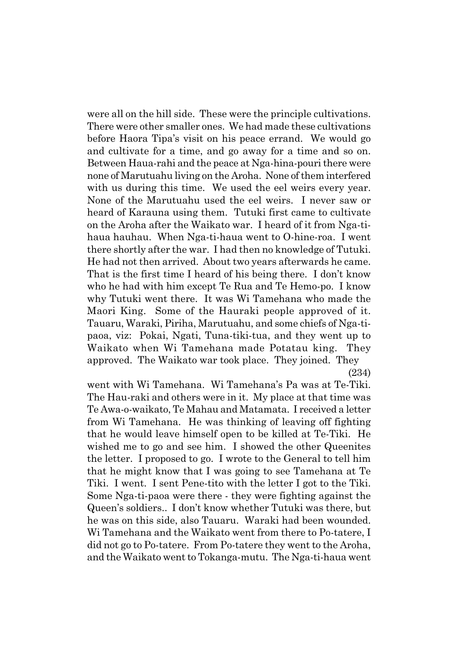were all on the hill side. These were the principle cultivations. There were other smaller ones. We had made these cultivations before Haora Tipaís visit on his peace errand. We would go and cultivate for a time, and go away for a time and so on. Between Haua-rahi and the peace at Nga-hina-pouri there were none of Marutuahu living on the Aroha. None of them interfered with us during this time. We used the eel weirs every year. None of the Marutuahu used the eel weirs. I never saw or heard of Karauna using them. Tutuki first came to cultivate on the Aroha after the Waikato war. I heard of it from Nga-tihaua hauhau. When Nga-ti-haua went to O-hine-roa. I went there shortly after the war. I had then no knowledge of Tutuki. He had not then arrived. About two years afterwards he came. That is the first time I heard of his being there. I don't know who he had with him except Te Rua and Te Hemo-po. I know why Tutuki went there. It was Wi Tamehana who made the Maori King. Some of the Hauraki people approved of it. Tauaru, Waraki, Piriha, Marutuahu, and some chiefs of Nga-tipaoa, viz: Pokai, Ngati, Tuna-tiki-tua, and they went up to Waikato when Wi Tamehana made Potatau king. They approved. The Waikato war took place. They joined. They

(234)

went with Wi Tamehana. Wi Tamehanaís Pa was at Te-Tiki. The Hau-raki and others were in it. My place at that time was Te Awa-o-waikato, Te Mahau and Matamata. I received a letter from Wi Tamehana. He was thinking of leaving off fighting that he would leave himself open to be killed at Te-Tiki. He wished me to go and see him. I showed the other Queenites the letter. I proposed to go. I wrote to the General to tell him that he might know that I was going to see Tamehana at Te Tiki. I went. I sent Pene-tito with the letter I got to the Tiki. Some Nga-ti-paoa were there - they were fighting against the Queenís soldiers.. I donít know whether Tutuki was there, but he was on this side, also Tauaru. Waraki had been wounded. Wi Tamehana and the Waikato went from there to Po-tatere, I did not go to Po-tatere. From Po-tatere they went to the Aroha, and the Waikato went to Tokanga-mutu. The Nga-ti-haua went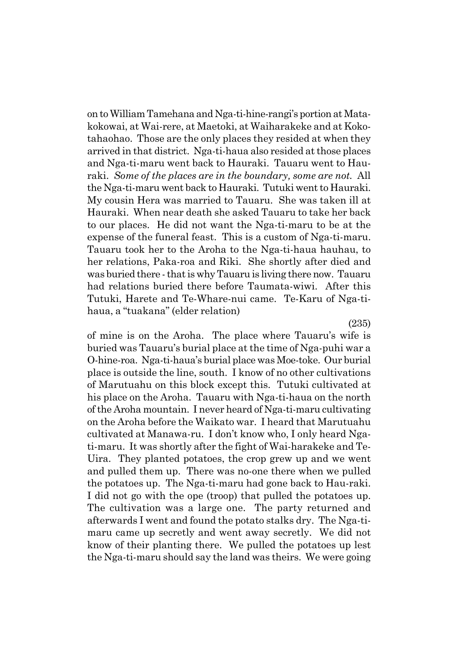on to William Tamehana and Nga-ti-hine-rangiís portion at Matakokowai, at Wai-rere, at Maetoki, at Waiharakeke and at Kokotahaohao. Those are the only places they resided at when they arrived in that district. Nga-ti-haua also resided at those places and Nga-ti-maru went back to Hauraki. Tauaru went to Hauraki. *Some of the places are in the boundary, some are not.* All the Nga-ti-maru went back to Hauraki. Tutuki went to Hauraki. My cousin Hera was married to Tauaru. She was taken ill at Hauraki. When near death she asked Tauaru to take her back to our places. He did not want the Nga-ti-maru to be at the expense of the funeral feast. This is a custom of Nga-ti-maru. Tauaru took her to the Aroha to the Nga-ti-haua hauhau, to her relations, Paka-roa and Riki. She shortly after died and was buried there - that is why Tauaru is living there now. Tauaru had relations buried there before Taumata-wiwi. After this Tutuki, Harete and Te-Whare-nui came. Te-Karu of Nga-tihaua, a "tuakana" (elder relation)

(235)

of mine is on the Aroha. The place where Tauaruís wife is buried was Tauaruís burial place at the time of Nga-puhi war a O-hine-roa. Nga-ti-hauaís burial place was Moe-toke. Our burial place is outside the line, south. I know of no other cultivations of Marutuahu on this block except this. Tutuki cultivated at his place on the Aroha. Tauaru with Nga-ti-haua on the north of the Aroha mountain. I never heard of Nga-ti-maru cultivating on the Aroha before the Waikato war. I heard that Marutuahu cultivated at Manawa-ru. I donít know who, I only heard Ngati-maru. It was shortly after the fight of Wai-harakeke and Te-Uira. They planted potatoes, the crop grew up and we went and pulled them up. There was no-one there when we pulled the potatoes up. The Nga-ti-maru had gone back to Hau-raki. I did not go with the ope (troop) that pulled the potatoes up. The cultivation was a large one. The party returned and afterwards I went and found the potato stalks dry. The Nga-timaru came up secretly and went away secretly. We did not know of their planting there. We pulled the potatoes up lest the Nga-ti-maru should say the land was theirs. We were going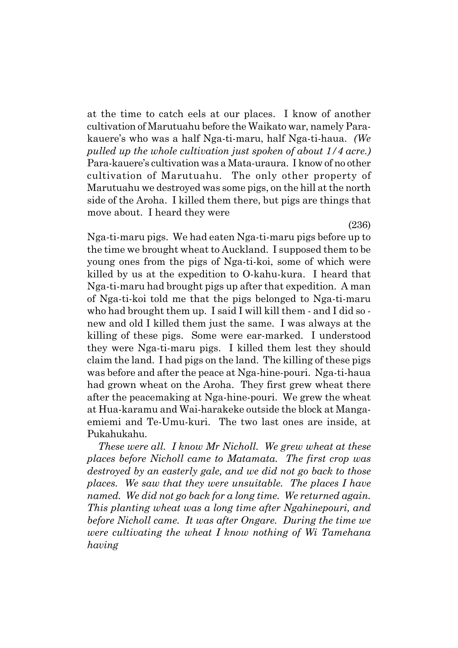at the time to catch eels at our places. I know of another cultivation of Marutuahu before the Waikato war, namely Parakauereís who was a half Nga-ti-maru, half Nga-ti-haua. *(We pulled up the whole cultivation just spoken of about 1/4 acre.)* Para-kauere's cultivation was a Mata-uraura. I know of no other cultivation of Marutuahu. The only other property of Marutuahu we destroyed was some pigs, on the hill at the north side of the Aroha. I killed them there, but pigs are things that move about. I heard they were

Nga-ti-maru pigs. We had eaten Nga-ti-maru pigs before up to the time we brought wheat to Auckland. I supposed them to be young ones from the pigs of Nga-ti-koi, some of which were killed by us at the expedition to O-kahu-kura. I heard that Nga-ti-maru had brought pigs up after that expedition. A man of Nga-ti-koi told me that the pigs belonged to Nga-ti-maru who had brought them up. I said I will kill them - and I did so new and old I killed them just the same. I was always at the killing of these pigs. Some were ear-marked. I understood they were Nga-ti-maru pigs. I killed them lest they should claim the land. I had pigs on the land. The killing of these pigs was before and after the peace at Nga-hine-pouri. Nga-ti-haua had grown wheat on the Aroha. They first grew wheat there after the peacemaking at Nga-hine-pouri. We grew the wheat at Hua-karamu and Wai-harakeke outside the block at Mangaemiemi and Te-Umu-kuri. The two last ones are inside, at Pukahukahu.

*These were all. I know Mr Nicholl. We grew wheat at these places before Nicholl came to Matamata. The first crop was destroyed by an easterly gale, and we did not go back to those places. We saw that they were unsuitable. The places I have named. We did not go back for a long time. We returned again. This planting wheat was a long time after Ngahinepouri, and before Nicholl came. It was after Ongare. During the time we were cultivating the wheat I know nothing of Wi Tamehana having*

(236)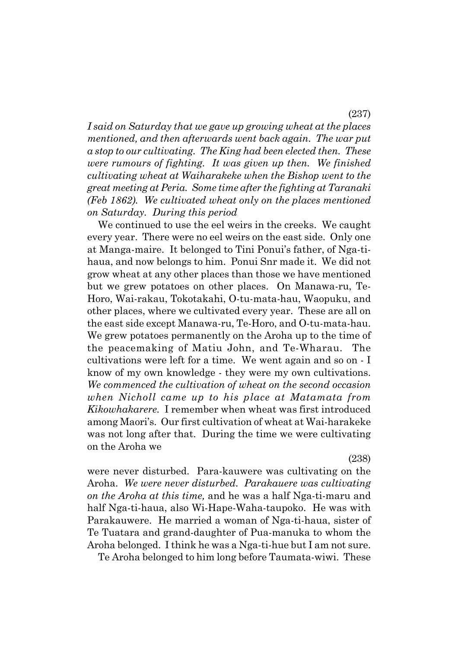*I said on Saturday that we gave up growing wheat at the places mentioned, and then afterwards went back again. The war put a stop to our cultivating. The King had been elected then. These were rumours of fighting. It was given up then. We finished cultivating wheat at Waiharakeke when the Bishop went to the great meeting at Peria. Some time after the fighting at Taranaki (Feb 1862). We cultivated wheat only on the places mentioned on Saturday. During this period*

We continued to use the eel weirs in the creeks. We caught every year. There were no eel weirs on the east side. Only one at Manga-maire. It belonged to Tini Ponuiís father, of Nga-tihaua, and now belongs to him. Ponui Snr made it. We did not grow wheat at any other places than those we have mentioned but we grew potatoes on other places. On Manawa-ru, Te-Horo, Wai-rakau, Tokotakahi, O-tu-mata-hau, Waopuku, and other places, where we cultivated every year. These are all on the east side except Manawa-ru, Te-Horo, and O-tu-mata-hau. We grew potatoes permanently on the Aroha up to the time of the peacemaking of Matiu John, and Te-Wharau. The cultivations were left for a time. We went again and so on - I know of my own knowledge - they were my own cultivations. *We commenced the cultivation of wheat on the second occasion when Nicholl came up to his place at Matamata from Kikowhakarere.* I remember when wheat was first introduced among Maori's. Our first cultivation of wheat at Wai-harakeke was not long after that. During the time we were cultivating on the Aroha we

(238)

were never disturbed. Para-kauwere was cultivating on the Aroha. *We were never disturbed. Parakauere was cultivating on the Aroha at this time,* and he was a half Nga-ti-maru and half Nga-ti-haua, also Wi-Hape-Waha-taupoko. He was with Parakauwere. He married a woman of Nga-ti-haua, sister of Te Tuatara and grand-daughter of Pua-manuka to whom the Aroha belonged. I think he was a Nga-ti-hue but I am not sure.

Te Aroha belonged to him long before Taumata-wiwi. These

(237)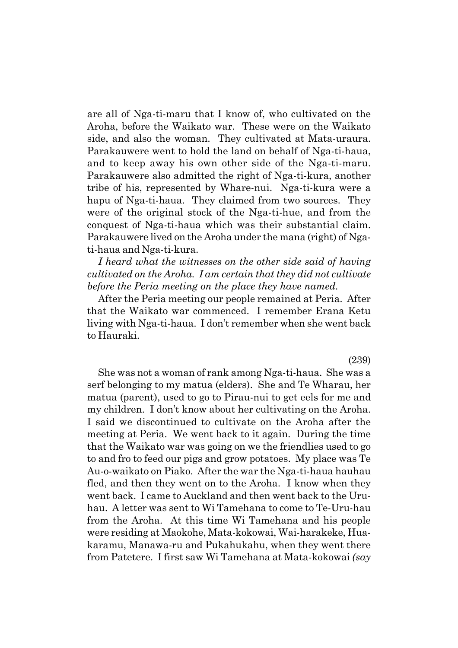are all of Nga-ti-maru that I know of, who cultivated on the Aroha, before the Waikato war. These were on the Waikato side, and also the woman. They cultivated at Mata-uraura. Parakauwere went to hold the land on behalf of Nga-ti-haua, and to keep away his own other side of the Nga-ti-maru. Parakauwere also admitted the right of Nga-ti-kura, another tribe of his, represented by Whare-nui. Nga-ti-kura were a hapu of Nga-ti-haua. They claimed from two sources. They were of the original stock of the Nga-ti-hue, and from the conquest of Nga-ti-haua which was their substantial claim. Parakauwere lived on the Aroha under the mana (right) of Ngati-haua and Nga-ti-kura.

*I heard what the witnesses on the other side said of having cultivated on the Aroha. I am certain that they did not cultivate before the Peria meeting on the place they have named.*

After the Peria meeting our people remained at Peria. After that the Waikato war commenced. I remember Erana Ketu living with Nga-ti-haua. I don't remember when she went back to Hauraki.

(239)

She was not a woman of rank among Nga-ti-haua. She was a serf belonging to my matua (elders). She and Te Wharau, her matua (parent), used to go to Pirau-nui to get eels for me and my children. I don't know about her cultivating on the Aroha. I said we discontinued to cultivate on the Aroha after the meeting at Peria. We went back to it again. During the time that the Waikato war was going on we the friendlies used to go to and fro to feed our pigs and grow potatoes. My place was Te Au-o-waikato on Piako. After the war the Nga-ti-haua hauhau fled, and then they went on to the Aroha. I know when they went back. I came to Auckland and then went back to the Uruhau. A letter was sent to Wi Tamehana to come to Te-Uru-hau from the Aroha. At this time Wi Tamehana and his people were residing at Maokohe, Mata-kokowai, Wai-harakeke, Huakaramu, Manawa-ru and Pukahukahu, when they went there from Patetere. I first saw Wi Tamehana at Mata-kokowai *(say*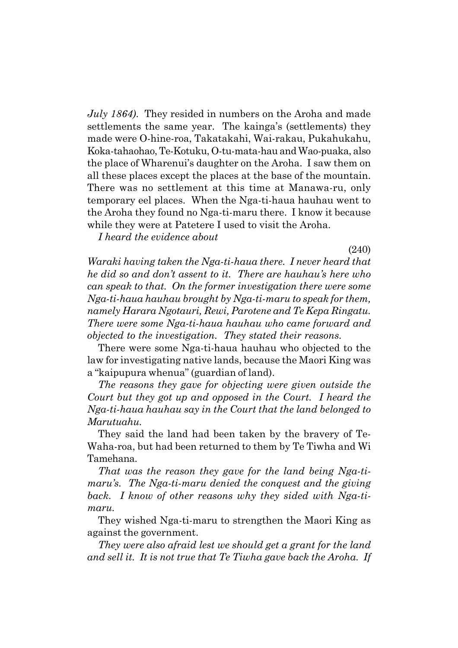*July 1864)*. They resided in numbers on the Aroha and made settlements the same year. The kainga's (settlements) they made were O-hine-roa, Takatakahi, Wai-rakau, Pukahukahu, Koka-tahaohao, Te-Kotuku, O-tu-mata-hau and Wao-puaka, also the place of Wharenuiís daughter on the Aroha. I saw them on all these places except the places at the base of the mountain. There was no settlement at this time at Manawa-ru, only temporary eel places. When the Nga-ti-haua hauhau went to the Aroha they found no Nga-ti-maru there. I know it because while they were at Patetere I used to visit the Aroha.

*I heard the evidence about*

(240)

*Waraki having taken the Nga-ti-haua there. I never heard that he did so and donít assent to it. There are hauhauís here who can speak to that. On the former investigation there were some Nga-ti-haua hauhau brought by Nga-ti-maru to speak for them, namely Harara Ngotauri, Rewi, Parotene and Te Kepa Ringatu. There were some Nga-ti-haua hauhau who came forward and objected to the investigation. They stated their reasons.*

There were some Nga-ti-haua hauhau who objected to the law for investigating native lands, because the Maori King was a "kaipupura whenua" (guardian of land).

*The reasons they gave for objecting were given outside the Court but they got up and opposed in the Court. I heard the Nga-ti-haua hauhau say in the Court that the land belonged to Marutuahu.*

They said the land had been taken by the bravery of Te-Waha-roa, but had been returned to them by Te Tiwha and Wi Tamehana.

*That was the reason they gave for the land being Nga-timaruís. The Nga-ti-maru denied the conquest and the giving back. I know of other reasons why they sided with Nga-timaru.*

They wished Nga-ti-maru to strengthen the Maori King as against the government.

*They were also afraid lest we should get a grant for the land and sell it. It is not true that Te Tiwha gave back the Aroha. If*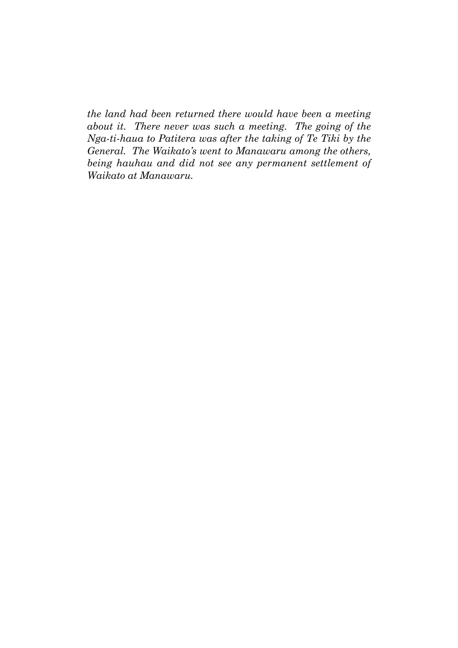*the land had been returned there would have been a meeting about it. There never was such a meeting. The going of the Nga-ti-haua to Patitera was after the taking of Te Tiki by the General. The Waikatoís went to Manawaru among the others, being hauhau and did not see any permanent settlement of Waikato at Manawaru.*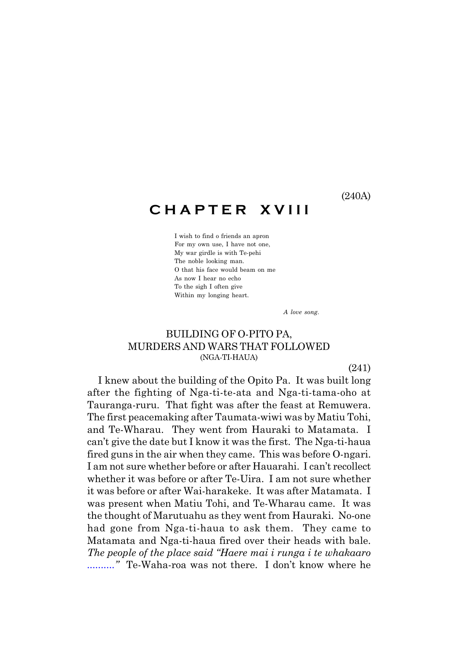#### (240A)

## **C H A P T E R X V I I I**

I wish to find o friends an apron For my own use, I have not one, My war girdle is with Te-pehi The noble looking man. O that his face would beam on me As now I hear no echo To the sigh I often give Within my longing heart.

*A love song.*

### BUILDING OF O-PITO PA, MURDERS AND WARS THAT FOLLOWED (NGA-TI-HAUA)

(241)

I knew about the building of the Opito Pa. It was built long after the fighting of Nga-ti-te-ata and Nga-ti-tama-oho at Tauranga-ruru. That fight was after the feast at Remuwera. The first peacemaking after Taumata-wiwi was by Matiu Tohi, and Te-Wharau. They went from Hauraki to Matamata. I can't give the date but I know it was the first. The Nga-ti-haua fired guns in the air when they came. This was before O-ngari. I am not sure whether before or after Hauarahi. I can't recollect whether it was before or after Te-Uira. I am not sure whether it was before or after Wai-harakeke. It was after Matamata. I was present when Matiu Tohi, and Te-Wharau came. It was the thought of Marutuahu as they went from Hauraki. No-one had gone from Nga-ti-haua to ask them. They came to Matamata and Nga-ti-haua fired over their heads with bale. *The people of the place said "Haere mai i runga i te whakaaro ..........*" Te-Waha-roa was not there. I don't know where he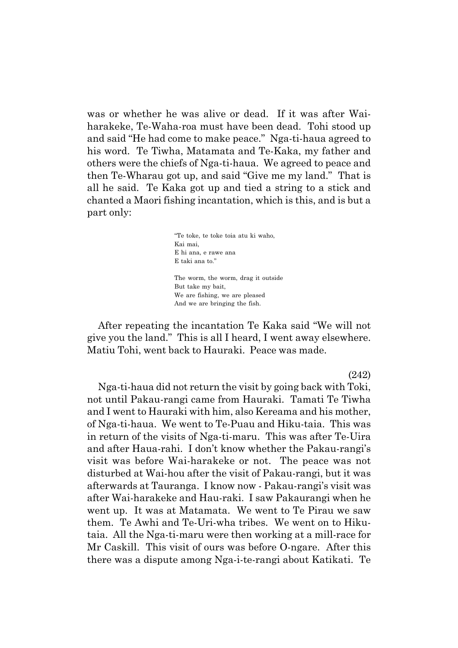was or whether he was alive or dead. If it was after Waiharakeke, Te-Waha-roa must have been dead. Tohi stood up and said "He had come to make peace." Nga-ti-haua agreed to his word. Te Tiwha, Matamata and Te-Kaka, my father and others were the chiefs of Nga-ti-haua. We agreed to peace and then Te-Wharau got up, and said "Give me my land." That is all he said. Te Kaka got up and tied a string to a stick and chanted a Maori fishing incantation, which is this, and is but a part only:

> ìTe toke, te toke toia atu ki waho, Kai mai, E hi ana, e rawe ana E taki ana to."

The worm, the worm, drag it outside But take my bait, We are fishing, we are pleased And we are bringing the fish.

After repeating the incantation Te Kaka said "We will not give you the land.î This is all I heard, I went away elsewhere. Matiu Tohi, went back to Hauraki. Peace was made.

(242)

Nga-ti-haua did not return the visit by going back with Toki, not until Pakau-rangi came from Hauraki. Tamati Te Tiwha and I went to Hauraki with him, also Kereama and his mother, of Nga-ti-haua. We went to Te-Puau and Hiku-taia. This was in return of the visits of Nga-ti-maru. This was after Te-Uira and after Haua-rahi. I don't know whether the Pakau-rangi's visit was before Wai-harakeke or not. The peace was not disturbed at Wai-hou after the visit of Pakau-rangi, but it was afterwards at Tauranga. I know now - Pakau-rangiís visit was after Wai-harakeke and Hau-raki. I saw Pakaurangi when he went up. It was at Matamata. We went to Te Pirau we saw them. Te Awhi and Te-Uri-wha tribes. We went on to Hikutaia. All the Nga-ti-maru were then working at a mill-race for Mr Caskill. This visit of ours was before O-ngare. After this there was a dispute among Nga-i-te-rangi about Katikati. Te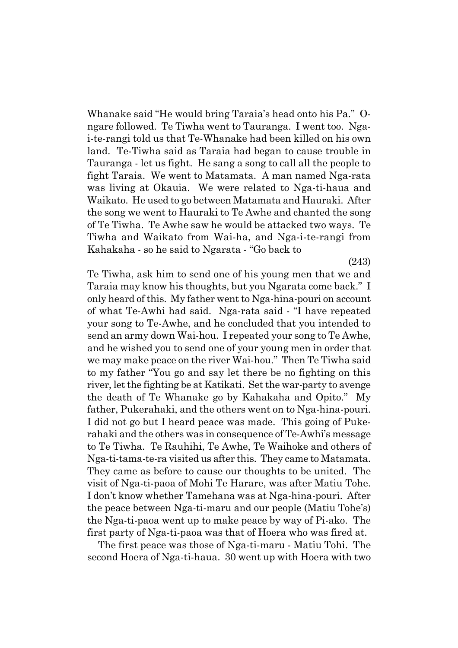Whanake said "He would bring Taraia's head onto his Pa." Ongare followed. Te Tiwha went to Tauranga. I went too. Ngai-te-rangi told us that Te-Whanake had been killed on his own land. Te-Tiwha said as Taraia had began to cause trouble in Tauranga - let us fight. He sang a song to call all the people to fight Taraia. We went to Matamata. A man named Nga-rata was living at Okauia. We were related to Nga-ti-haua and Waikato. He used to go between Matamata and Hauraki. After the song we went to Hauraki to Te Awhe and chanted the song of Te Tiwha. Te Awhe saw he would be attacked two ways. Te Tiwha and Waikato from Wai-ha, and Nga-i-te-rangi from Kahakaha - so he said to Ngarata - "Go back to

(243)

Te Tiwha, ask him to send one of his young men that we and Taraia may know his thoughts, but you Ngarata come back." I only heard of this. My father went to Nga-hina-pouri on account of what Te-Awhi had said. Nga-rata said - "I have repeated your song to Te-Awhe, and he concluded that you intended to send an army down Wai-hou. I repeated your song to Te Awhe, and he wished you to send one of your young men in order that we may make peace on the river Wai-hou." Then Te Tiwha said to my father "You go and say let there be no fighting on this river, let the fighting be at Katikati. Set the war-party to avenge the death of Te Whanake go by Kahakaha and Opito." My father, Pukerahaki, and the others went on to Nga-hina-pouri. I did not go but I heard peace was made. This going of Pukerahaki and the others was in consequence of Te-Awhi's message to Te Tiwha. Te Rauhihi, Te Awhe, Te Waihoke and others of Nga-ti-tama-te-ra visited us after this. They came to Matamata. They came as before to cause our thoughts to be united. The visit of Nga-ti-paoa of Mohi Te Harare, was after Matiu Tohe. I donít know whether Tamehana was at Nga-hina-pouri. After the peace between Nga-ti-maru and our people (Matiu Toheís) the Nga-ti-paoa went up to make peace by way of Pi-ako. The first party of Nga-ti-paoa was that of Hoera who was fired at.

The first peace was those of Nga-ti-maru - Matiu Tohi. The second Hoera of Nga-ti-haua. 30 went up with Hoera with two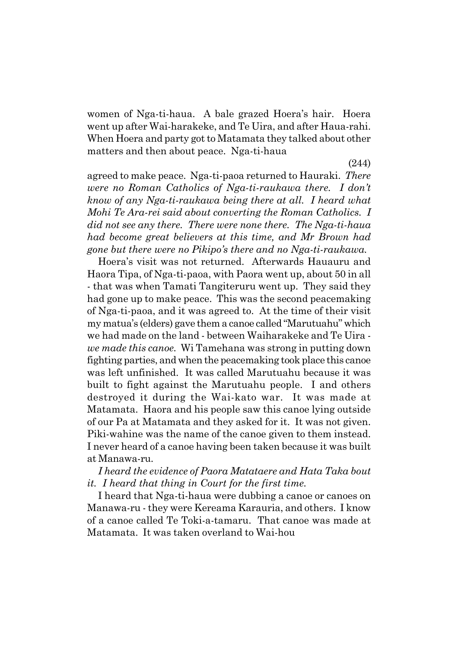women of Nga-ti-haua. A bale grazed Hoeraís hair. Hoera went up after Wai-harakeke, and Te Uira, and after Haua-rahi. When Hoera and party got to Matamata they talked about other matters and then about peace. Nga-ti-haua

(244)

agreed to make peace. Nga-ti-paoa returned to Hauraki. *There were no Roman Catholics of Nga-ti-raukawa there. I donít know of any Nga-ti-raukawa being there at all. I heard what Mohi Te Ara-rei said about converting the Roman Catholics. I did not see any there. There were none there. The Nga-ti-haua had become great believers at this time, and Mr Brown had gone but there were no Pikipoís there and no Nga-ti-raukawa.*

Hoeraís visit was not returned. Afterwards Hauauru and Haora Tipa, of Nga-ti-paoa, with Paora went up, about 50 in all - that was when Tamati Tangiteruru went up. They said they had gone up to make peace. This was the second peacemaking of Nga-ti-paoa, and it was agreed to. At the time of their visit my matua's (elders) gave them a canoe called "Marutuahu" which we had made on the land - between Waiharakeke and Te Uira  *we made this canoe.* Wi Tamehana was strong in putting down fighting parties, and when the peacemaking took place this canoe was left unfinished. It was called Marutuahu because it was built to fight against the Marutuahu people. I and others destroyed it during the Wai-kato war. It was made at Matamata. Haora and his people saw this canoe lying outside of our Pa at Matamata and they asked for it. It was not given. Piki-wahine was the name of the canoe given to them instead. I never heard of a canoe having been taken because it was built at Manawa-ru.

### *I heard the evidence of Paora Matataere and Hata Taka bout it. I heard that thing in Court for the first time.*

I heard that Nga-ti-haua were dubbing a canoe or canoes on Manawa-ru - they were Kereama Karauria, and others. I know of a canoe called Te Toki-a-tamaru. That canoe was made at Matamata. It was taken overland to Wai-hou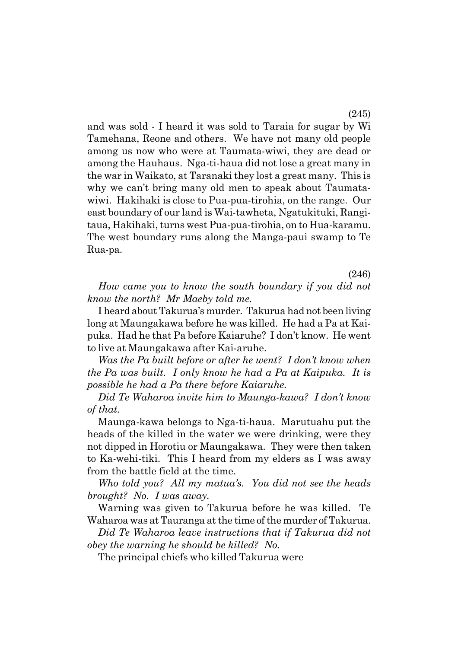and was sold - I heard it was sold to Taraia for sugar by Wi Tamehana, Reone and others. We have not many old people among us now who were at Taumata-wiwi, they are dead or among the Hauhaus. Nga-ti-haua did not lose a great many in the war in Waikato, at Taranaki they lost a great many. This is why we can't bring many old men to speak about Taumatawiwi. Hakihaki is close to Pua-pua-tirohia, on the range. Our east boundary of our land is Wai-tawheta, Ngatukituki, Rangitaua, Hakihaki, turns west Pua-pua-tirohia, on to Hua-karamu. The west boundary runs along the Manga-paui swamp to Te Rua-pa.

(246)

*How came you to know the south boundary if you did not know the north? Mr Maeby told me.*

I heard about Takuruaís murder. Takurua had not been living long at Maungakawa before he was killed. He had a Pa at Kaipuka. Had he that Pa before Kaiaruhe? I don't know. He went to live at Maungakawa after Kai-aruhe.

*Was the Pa built before or after he went? I donít know when the Pa was built. I only know he had a Pa at Kaipuka. It is possible he had a Pa there before Kaiaruhe.*

*Did Te Waharoa invite him to Maunga-kawa? I donít know of that.*

Maunga-kawa belongs to Nga-ti-haua. Marutuahu put the heads of the killed in the water we were drinking, were they not dipped in Horotiu or Maungakawa. They were then taken to Ka-wehi-tiki. This I heard from my elders as I was away from the battle field at the time.

*Who told you? All my matuaís. You did not see the heads brought? No. I was away.*

Warning was given to Takurua before he was killed. Te Waharoa was at Tauranga at the time of the murder of Takurua.

*Did Te Waharoa leave instructions that if Takurua did not obey the warning he should be killed? No.*

The principal chiefs who killed Takurua were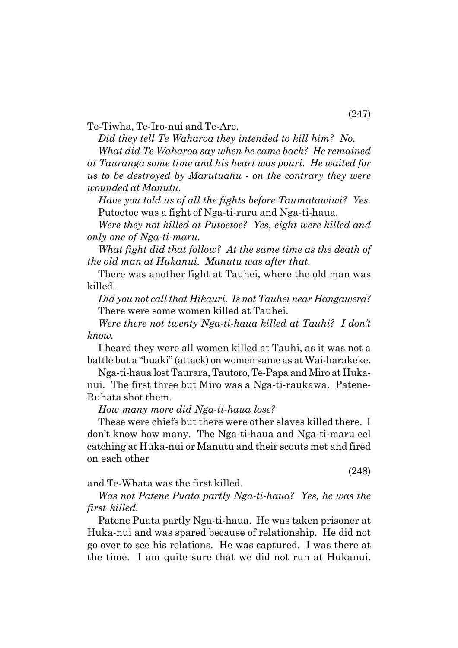Te-Tiwha, Te-Iro-nui and Te-Are.

*Did they tell Te Waharoa they intended to kill him? No.*

*What did Te Waharoa say when he came back? He remained at Tauranga some time and his heart was pouri. He waited for us to be destroyed by Marutuahu - on the contrary they were wounded at Manutu.*

*Have you told us of all the fights before Taumatawiwi? Yes.* Putoetoe was a fight of Nga-ti-ruru and Nga-ti-haua.

*Were they not killed at Putoetoe? Yes, eight were killed and only one of Nga-ti-maru.*

*What fight did that follow? At the same time as the death of the old man at Hukanui. Manutu was after that.*

There was another fight at Tauhei, where the old man was killed.

*Did you not call that Hikauri. Is not Tauhei near Hangawera?* There were some women killed at Tauhei.

*Were there not twenty Nga-ti-haua killed at Tauhi? I donít know.*

I heard they were all women killed at Tauhi, as it was not a battle but a "huaki" (attack) on women same as at Wai-harakeke.

Nga-ti-haua lost Taurara, Tautoro, Te-Papa and Miro at Hukanui. The first three but Miro was a Nga-ti-raukawa. Patene-Ruhata shot them.

*How many more did Nga-ti-haua lose?*

These were chiefs but there were other slaves killed there. I donít know how many. The Nga-ti-haua and Nga-ti-maru eel catching at Huka-nui or Manutu and their scouts met and fired on each other

(248)

and Te-Whata was the first killed.

*Was not Patene Puata partly Nga-ti-haua? Yes, he was the first killed.*

Patene Puata partly Nga-ti-haua. He was taken prisoner at Huka-nui and was spared because of relationship. He did not go over to see his relations. He was captured. I was there at the time. I am quite sure that we did not run at Hukanui.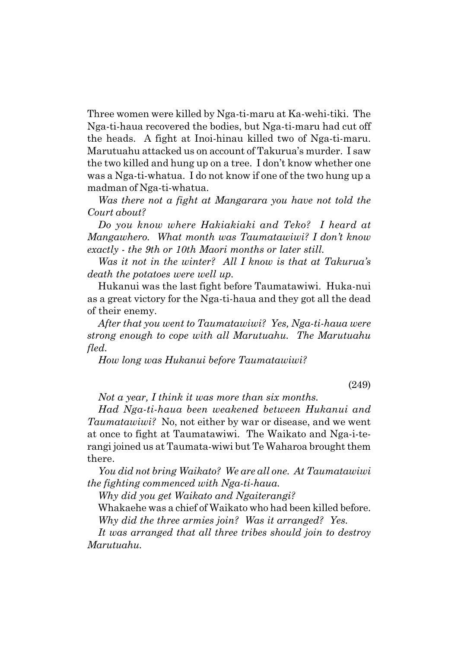Three women were killed by Nga-ti-maru at Ka-wehi-tiki. The Nga-ti-haua recovered the bodies, but Nga-ti-maru had cut off the heads. A fight at Inoi-hinau killed two of Nga-ti-maru. Marutuahu attacked us on account of Takuruaís murder. I saw the two killed and hung up on a tree. I don't know whether one was a Nga-ti-whatua. I do not know if one of the two hung up a madman of Nga-ti-whatua.

*Was there not a fight at Mangarara you have not told the Court about?*

*Do you know where Hakiakiaki and Teko? I heard at Mangawhero. What month was Taumatawiwi? I donít know exactly - the 9th or 10th Maori months or later still.*

*Was it not in the winter? All I know is that at Takuruaís death the potatoes were well up.*

Hukanui was the last fight before Taumatawiwi. Huka-nui as a great victory for the Nga-ti-haua and they got all the dead of their enemy.

*After that you went to Taumatawiwi? Yes, Nga-ti-haua were strong enough to cope with all Marutuahu. The Marutuahu fled.*

*How long was Hukanui before Taumatawiwi?*

(249)

*Not a year, I think it was more than six months.*

*Had Nga-ti-haua been weakened between Hukanui and Taumatawiwi?* No, not either by war or disease, and we went at once to fight at Taumatawiwi. The Waikato and Nga-i-terangi joined us at Taumata-wiwi but Te Waharoa brought them there.

*You did not bring Waikato? We are all one. At Taumatawiwi the fighting commenced with Nga-ti-haua.*

*Why did you get Waikato and Ngaiterangi?*

Whakaehe was a chief of Waikato who had been killed before. *Why did the three armies join? Was it arranged? Yes.*

*It was arranged that all three tribes should join to destroy Marutuahu.*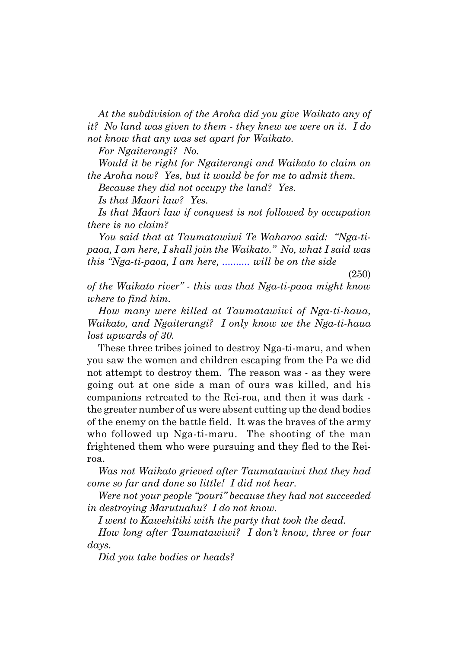*At the subdivision of the Aroha did you give Waikato any of it? No land was given to them - they knew we were on it. I do not know that any was set apart for Waikato.*

*For Ngaiterangi? No.*

*Would it be right for Ngaiterangi and Waikato to claim on the Aroha now? Yes, but it would be for me to admit them.*

*Because they did not occupy the land? Yes.*

*Is that Maori law? Yes.*

*Is that Maori law if conquest is not followed by occupation there is no claim?*

You said that at Taumatawiwi Te Waharoa said: "Nga-ti*paoa, I am here, I shall join the Waikato.î No, what I said was this "Nga-ti-paoa, I am here, ........... will be on the side* 

(250)

*of the Waikato riverî - this was that Nga-ti-paoa might know where to find him.*

*How many were killed at Taumatawiwi of Nga-ti-haua, Waikato, and Ngaiterangi? I only know we the Nga-ti-haua lost upwards of 30.*

These three tribes joined to destroy Nga-ti-maru, and when you saw the women and children escaping from the Pa we did not attempt to destroy them. The reason was - as they were going out at one side a man of ours was killed, and his companions retreated to the Rei-roa, and then it was dark the greater number of us were absent cutting up the dead bodies of the enemy on the battle field. It was the braves of the army who followed up Nga-ti-maru. The shooting of the man frightened them who were pursuing and they fled to the Reiroa.

*Was not Waikato grieved after Taumatawiwi that they had come so far and done so little! I did not hear.*

*Were not your people "pouri" because they had not succeeded in destroying Marutuahu? I do not know.*

*I went to Kawehitiki with the party that took the dead.*

*How long after Taumatawiwi? I donít know, three or four days.*

*Did you take bodies or heads?*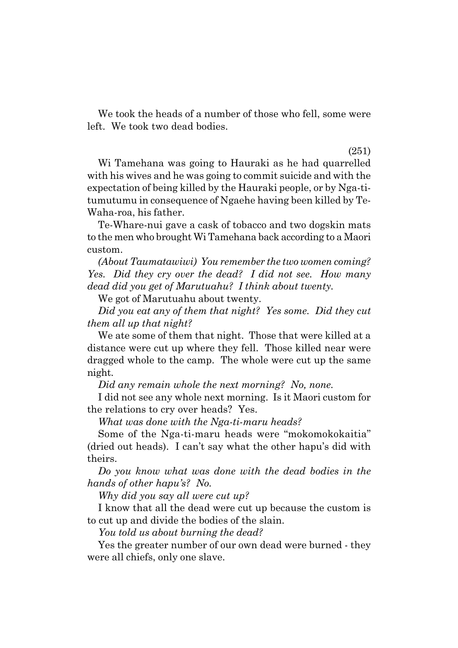We took the heads of a number of those who fell, some were left. We took two dead bodies.

#### (251)

Wi Tamehana was going to Hauraki as he had quarrelled with his wives and he was going to commit suicide and with the expectation of being killed by the Hauraki people, or by Nga-titumutumu in consequence of Ngaehe having been killed by Te-Waha-roa, his father.

Te-Whare-nui gave a cask of tobacco and two dogskin mats to the men who brought Wi Tamehana back according to a Maori custom.

*(About Taumatawiwi) You remember the two women coming? Yes. Did they cry over the dead? I did not see. How many dead did you get of Marutuahu? I think about twenty.*

We got of Marutuahu about twenty.

*Did you eat any of them that night? Yes some. Did they cut them all up that night?*

We ate some of them that night. Those that were killed at a distance were cut up where they fell. Those killed near were dragged whole to the camp. The whole were cut up the same night.

*Did any remain whole the next morning? No, none.*

I did not see any whole next morning. Is it Maori custom for the relations to cry over heads? Yes.

*What was done with the Nga-ti-maru heads?*

Some of the Nga-ti-maru heads were "mokomokokaitia" (dried out heads). I canít say what the other hapuís did with theirs.

*Do you know what was done with the dead bodies in the hands of other hapuís? No.*

*Why did you say all were cut up?*

I know that all the dead were cut up because the custom is to cut up and divide the bodies of the slain.

*You told us about burning the dead?*

Yes the greater number of our own dead were burned - they were all chiefs, only one slave.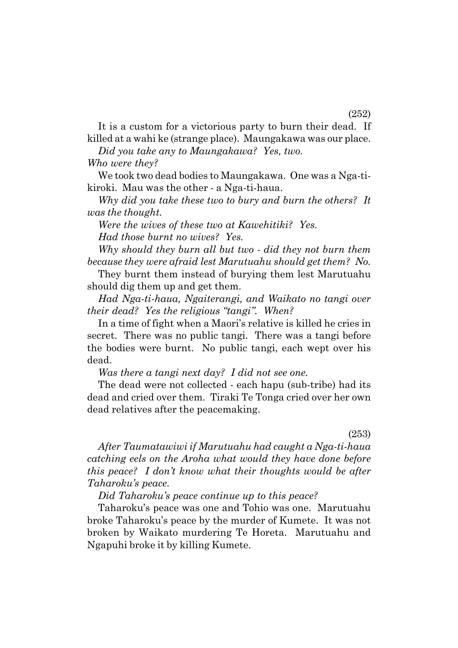It is a custom for a victorious party to burn their dead. If killed at a wahi ke (strange place). Maungakawa was our place.

*Did you take any to Maungakawa? Yes, two.*

*Who were they?*

We took two dead bodies to Maungakawa. One was a Nga-tikiroki. Mau was the other - a Nga-ti-haua.

*Why did you take these two to bury and burn the others? It was the thought.*

*Were the wives of these two at Kawehitiki? Yes. Had those burnt no wives? Yes.*

*Why should they burn all but two - did they not burn them because they were afraid lest Marutuahu should get them? No.*

They burnt them instead of burying them lest Marutuahu should dig them up and get them.

*Had Nga-ti-haua, Ngaiterangi, and Waikato no tangi over their dead? Yes the religious "tangi". When?* 

In a time of fight when a Maori's relative is killed he cries in secret. There was no public tangi. There was a tangi before the bodies were burnt. No public tangi, each wept over his dead.

*Was there a tangi next day? I did not see one.*

The dead were not collected - each hapu (sub-tribe) had its dead and cried over them. Tiraki Te Tonga cried over her own dead relatives after the peacemaking.

(253)

*After Taumatawiwi if Marutuahu had caught a Nga-ti-haua catching eels on the Aroha what would they have done before this peace? I donít know what their thoughts would be after Taharokuís peace.*

*Did Taharokuís peace continue up to this peace?*

Taharokuís peace was one and Tohio was one. Marutuahu broke Taharokuís peace by the murder of Kumete. It was not broken by Waikato murdering Te Horeta. Marutuahu and Ngapuhi broke it by killing Kumete.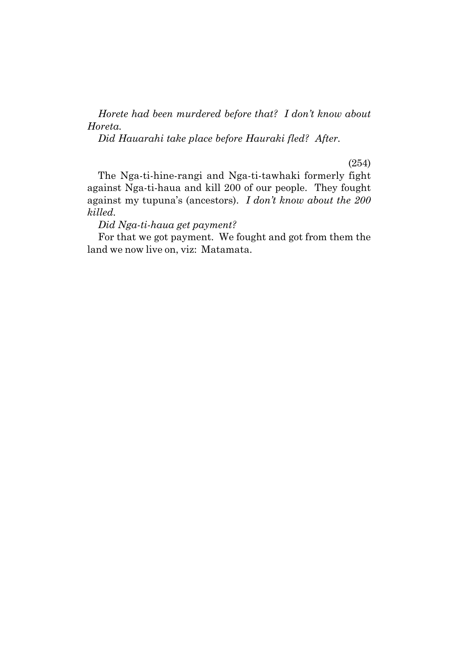*Horete had been murdered before that? I donít know about Horeta.*

*Did Hauarahi take place before Hauraki fled? After.*

(254)

The Nga-ti-hine-rangi and Nga-ti-tawhaki formerly fight against Nga-ti-haua and kill 200 of our people. They fought against my tupunaís (ancestors). *I donít know about the 200 killed.*

*Did Nga-ti-haua get payment?*

For that we got payment. We fought and got from them the land we now live on, viz: Matamata.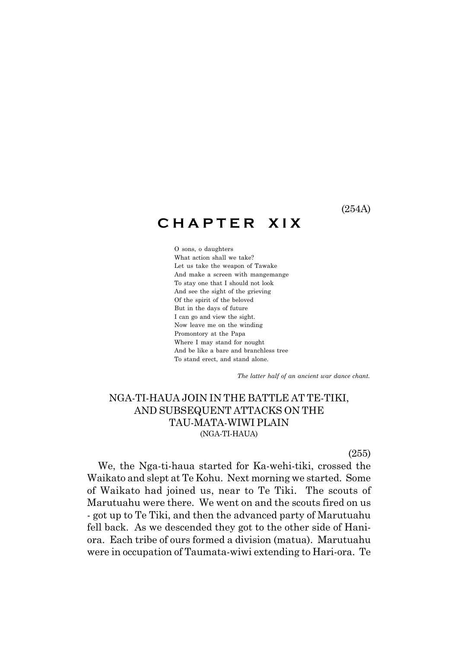(254A)

## **C H A P T E R X I X**

O sons, o daughters What action shall we take? Let us take the weapon of Tawake And make a screen with mangemange To stay one that I should not look And see the sight of the grieving Of the spirit of the beloved But in the days of future I can go and view the sight. Now leave me on the winding Promontory at the Papa Where I may stand for nought And be like a bare and branchless tree To stand erect, and stand alone.

 *The latter half of an ancient war dance chant.*

#### NGA-TI-HAUA JOIN IN THE BATTLE AT TE-TIKI, AND SUBSEQUENT ATTACKS ON THE TAU-MATA-WIWI PLAIN (NGA-TI-HAUA)

(255)

We, the Nga-ti-haua started for Ka-wehi-tiki, crossed the Waikato and slept at Te Kohu. Next morning we started. Some of Waikato had joined us, near to Te Tiki. The scouts of Marutuahu were there. We went on and the scouts fired on us - got up to Te Tiki, and then the advanced party of Marutuahu fell back. As we descended they got to the other side of Haniora. Each tribe of ours formed a division (matua). Marutuahu were in occupation of Taumata-wiwi extending to Hari-ora. Te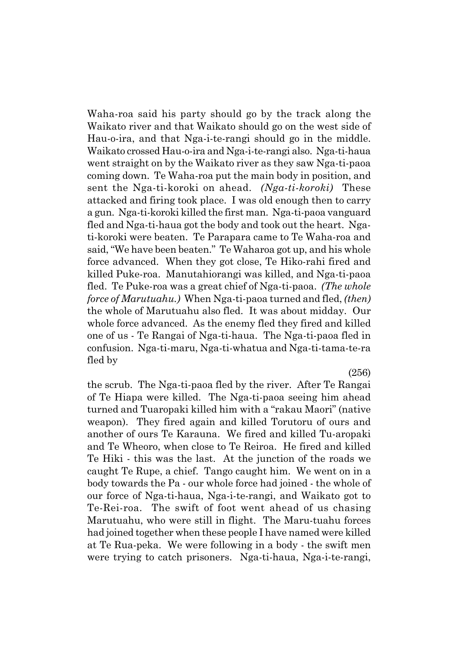Waha-roa said his party should go by the track along the Waikato river and that Waikato should go on the west side of Hau-o-ira, and that Nga-i-te-rangi should go in the middle. Waikato crossed Hau-o-ira and Nga-i-te-rangi also. Nga-ti-haua went straight on by the Waikato river as they saw Nga-ti-paoa coming down. Te Waha-roa put the main body in position, and sent the Nga-ti-koroki on ahead. *(Nga-ti-koroki)* These attacked and firing took place. I was old enough then to carry a gun. Nga-ti-koroki killed the first man. Nga-ti-paoa vanguard fled and Nga-ti-haua got the body and took out the heart. Ngati-koroki were beaten. Te Parapara came to Te Waha-roa and said, "We have been beaten." Te Waharoa got up, and his whole force advanced. When they got close, Te Hiko-rahi fired and killed Puke-roa. Manutahiorangi was killed, and Nga-ti-paoa fled. Te Puke-roa was a great chief of Nga-ti-paoa. *(The whole force of Marutuahu.)* When Nga-ti-paoa turned and fled, *(then)* the whole of Marutuahu also fled. It was about midday. Our whole force advanced. As the enemy fled they fired and killed one of us - Te Rangai of Nga-ti-haua. The Nga-ti-paoa fled in confusion. Nga-ti-maru, Nga-ti-whatua and Nga-ti-tama-te-ra fled by

(256)

the scrub. The Nga-ti-paoa fled by the river. After Te Rangai of Te Hiapa were killed. The Nga-ti-paoa seeing him ahead turned and Tuaropaki killed him with a "rakau Maori" (native weapon). They fired again and killed Torutoru of ours and another of ours Te Karauna. We fired and killed Tu-aropaki and Te Wheoro, when close to Te Reiroa. He fired and killed Te Hiki - this was the last. At the junction of the roads we caught Te Rupe, a chief. Tango caught him. We went on in a body towards the Pa - our whole force had joined - the whole of our force of Nga-ti-haua, Nga-i-te-rangi, and Waikato got to Te-Rei-roa. The swift of foot went ahead of us chasing Marutuahu, who were still in flight. The Maru-tuahu forces had joined together when these people I have named were killed at Te Rua-peka. We were following in a body - the swift men were trying to catch prisoners. Nga-ti-haua, Nga-i-te-rangi,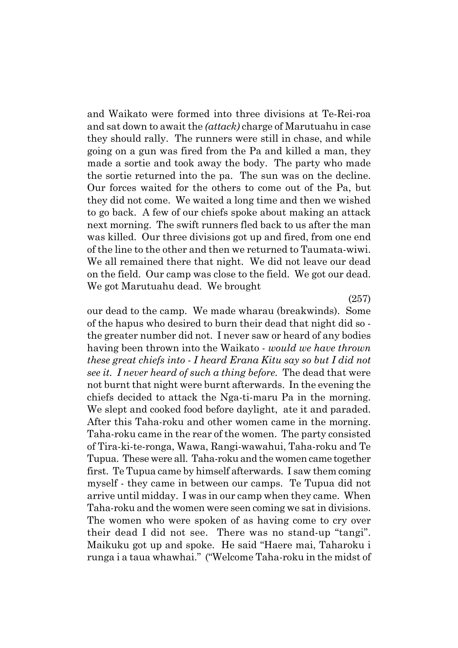and Waikato were formed into three divisions at Te-Rei-roa and sat down to await the *(attack)* charge of Marutuahu in case they should rally. The runners were still in chase, and while going on a gun was fired from the Pa and killed a man, they made a sortie and took away the body. The party who made the sortie returned into the pa. The sun was on the decline. Our forces waited for the others to come out of the Pa, but they did not come. We waited a long time and then we wished to go back. A few of our chiefs spoke about making an attack next morning. The swift runners fled back to us after the man was killed. Our three divisions got up and fired, from one end of the line to the other and then we returned to Taumata-wiwi. We all remained there that night. We did not leave our dead on the field. Our camp was close to the field. We got our dead. We got Marutuahu dead. We brought

(257)

our dead to the camp. We made wharau (breakwinds). Some of the hapus who desired to burn their dead that night did so the greater number did not. I never saw or heard of any bodies having been thrown into the Waikato - *would we have thrown these great chiefs into - I heard Erana Kitu say so but I did not see it. I never heard of such a thing before.* The dead that were not burnt that night were burnt afterwards. In the evening the chiefs decided to attack the Nga-ti-maru Pa in the morning. We slept and cooked food before daylight, ate it and paraded. After this Taha-roku and other women came in the morning. Taha-roku came in the rear of the women. The party consisted of Tira-ki-te-ronga, Wawa, Rangi-wawahui, Taha-roku and Te Tupua. These were all. Taha-roku and the women came together first. Te Tupua came by himself afterwards. I saw them coming myself - they came in between our camps. Te Tupua did not arrive until midday. I was in our camp when they came. When Taha-roku and the women were seen coming we sat in divisions. The women who were spoken of as having come to cry over their dead I did not see. There was no stand-up "tangi". Maikuku got up and spoke. He said "Haere mai, Taharoku i runga i a taua whawhai." ("Welcome Taha-roku in the midst of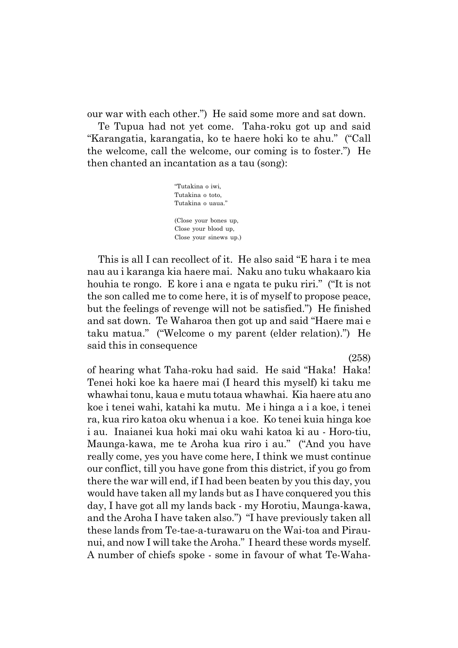our war with each other.") He said some more and sat down.

Te Tupua had not yet come. Taha-roku got up and said "Karangatia, karangatia, ko te haere hoki ko te ahu." ("Call the welcome, call the welcome, our coming is to foster.") He then chanted an incantation as a tau (song):

> ìTutakina o iwi, Tutakina o toto, Tutakina o uaua." (Close your bones up, Close your blood up, Close your sinews up.)

This is all I can recollect of it. He also said "E hara i te mea nau au i karanga kia haere mai. Naku ano tuku whakaaro kia houhia te rongo. E kore i ana e ngata te puku riri." ("It is not the son called me to come here, it is of myself to propose peace, but the feelings of revenge will not be satisfied.") He finished and sat down. Te Waharoa then got up and said "Haere mai e taku matua." ("Welcome o my parent (elder relation).") He said this in consequence

(258)

of hearing what Taha-roku had said. He said "Haka! Haka! Tenei hoki koe ka haere mai (I heard this myself) ki taku me whawhai tonu, kaua e mutu totaua whawhai. Kia haere atu ano koe i tenei wahi, katahi ka mutu. Me i hinga a i a koe, i tenei ra, kua riro katoa oku whenua i a koe. Ko tenei kuia hinga koe i au. Inaianei kua hoki mai oku wahi katoa ki au - Horo-tiu, Maunga-kawa, me te Aroha kua riro i au." ("And you have really come, yes you have come here, I think we must continue our conflict, till you have gone from this district, if you go from there the war will end, if I had been beaten by you this day, you would have taken all my lands but as I have conquered you this day, I have got all my lands back - my Horotiu, Maunga-kawa, and the Aroha I have taken also.") "I have previously taken all these lands from Te-tae-a-turawaru on the Wai-toa and Piraunui, and now I will take the Aroha." I heard these words myself. A number of chiefs spoke - some in favour of what Te-Waha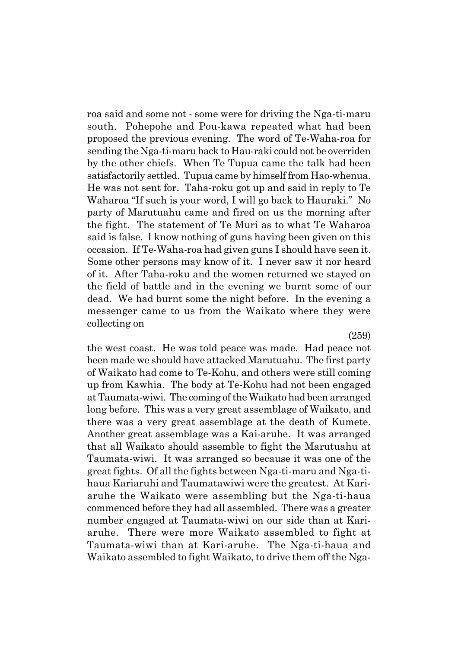roa said and some not - some were for driving the Nga-ti-maru south. Pohepohe and Pou-kawa repeated what had been proposed the previous evening. The word of Te-Waha-roa for sending the Nga-ti-maru back to Hau-raki could not be overriden by the other chiefs. When Te Tupua came the talk had been satisfactorily settled. Tupua came by himself from Hao-whenua. He was not sent for. Taha-roku got up and said in reply to Te Waharoa "If such is your word, I will go back to Hauraki." No party of Marutuahu came and fired on us the morning after the fight. The statement of Te Muri as to what Te Waharoa said is false. I know nothing of guns having been given on this occasion. If Te-Waha-roa had given guns I should have seen it. Some other persons may know of it. I never saw it nor heard of it. After Taha-roku and the women returned we stayed on the field of battle and in the evening we burnt some of our dead. We had burnt some the night before. In the evening a messenger came to us from the Waikato where they were collecting on

(259)

the west coast. He was told peace was made. Had peace not been made we should have attacked Marutuahu. The first party of Waikato had come to Te-Kohu, and others were still coming up from Kawhia. The body at Te-Kohu had not been engaged at Taumata-wiwi. The coming of the Waikato had been arranged long before. This was a very great assemblage of Waikato, and there was a very great assemblage at the death of Kumete. Another great assemblage was a Kai-aruhe. It was arranged that all Waikato should assemble to fight the Marutuahu at Taumata-wiwi. It was arranged so because it was one of the great fights. Of all the fights between Nga-ti-maru and Nga-tihaua Kariaruhi and Taumatawiwi were the greatest. At Kariaruhe the Waikato were assembling but the Nga-ti-haua commenced before they had all assembled. There was a greater number engaged at Taumata-wiwi on our side than at Kariaruhe. There were more Waikato assembled to fight at Taumata-wiwi than at Kari-aruhe. The Nga-ti-haua and Waikato assembled to fight Waikato, to drive them off the Nga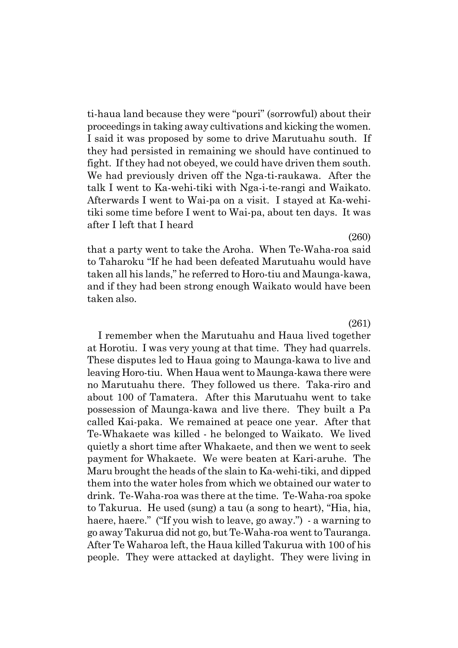ti-haua land because they were "pouri" (sorrowful) about their proceedings in taking away cultivations and kicking the women. I said it was proposed by some to drive Marutuahu south. If they had persisted in remaining we should have continued to fight. If they had not obeyed, we could have driven them south. We had previously driven off the Nga-ti-raukawa. After the talk I went to Ka-wehi-tiki with Nga-i-te-rangi and Waikato. Afterwards I went to Wai-pa on a visit. I stayed at Ka-wehitiki some time before I went to Wai-pa, about ten days. It was after I left that I heard

that a party went to take the Aroha. When Te-Waha-roa said to Taharoku "If he had been defeated Marutuahu would have taken all his lands," he referred to Horo-tiu and Maunga-kawa, and if they had been strong enough Waikato would have been taken also.

#### (261)

I remember when the Marutuahu and Haua lived together at Horotiu. I was very young at that time. They had quarrels. These disputes led to Haua going to Maunga-kawa to live and leaving Horo-tiu. When Haua went to Maunga-kawa there were no Marutuahu there. They followed us there. Taka-riro and about 100 of Tamatera. After this Marutuahu went to take possession of Maunga-kawa and live there. They built a Pa called Kai-paka. We remained at peace one year. After that Te-Whakaete was killed - he belonged to Waikato. We lived quietly a short time after Whakaete, and then we went to seek payment for Whakaete. We were beaten at Kari-aruhe. The Maru brought the heads of the slain to Ka-wehi-tiki, and dipped them into the water holes from which we obtained our water to drink. Te-Waha-roa was there at the time. Te-Waha-roa spoke to Takurua. He used (sung) a tau (a song to heart), "Hia, hia, haere, haere." ("If you wish to leave, go away.") - a warning to go away Takurua did not go, but Te-Waha-roa went to Tauranga. After Te Waharoa left, the Haua killed Takurua with 100 of his people. They were attacked at daylight. They were living in

(260)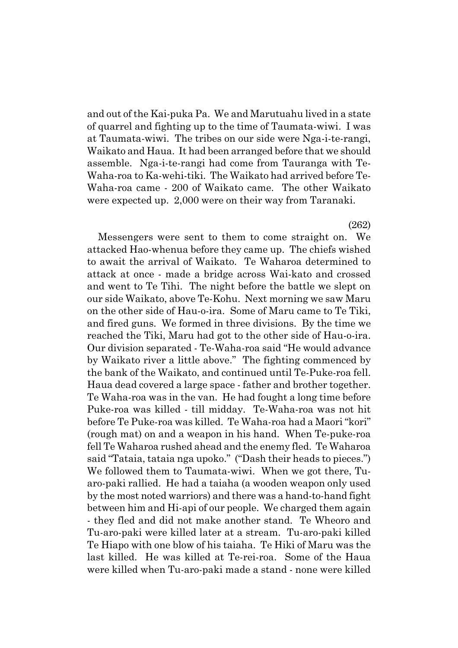and out of the Kai-puka Pa. We and Marutuahu lived in a state of quarrel and fighting up to the time of Taumata-wiwi. I was at Taumata-wiwi. The tribes on our side were Nga-i-te-rangi, Waikato and Haua. It had been arranged before that we should assemble. Nga-i-te-rangi had come from Tauranga with Te-Waha-roa to Ka-wehi-tiki. The Waikato had arrived before Te-Waha-roa came - 200 of Waikato came. The other Waikato were expected up. 2,000 were on their way from Taranaki.

(262)

Messengers were sent to them to come straight on. We attacked Hao-whenua before they came up. The chiefs wished to await the arrival of Waikato. Te Waharoa determined to attack at once - made a bridge across Wai-kato and crossed and went to Te Tihi. The night before the battle we slept on our side Waikato, above Te-Kohu. Next morning we saw Maru on the other side of Hau-o-ira. Some of Maru came to Te Tiki, and fired guns. We formed in three divisions. By the time we reached the Tiki, Maru had got to the other side of Hau-o-ira. Our division separated - Te-Waha-roa said "He would advance by Waikato river a little above." The fighting commenced by the bank of the Waikato, and continued until Te-Puke-roa fell. Haua dead covered a large space - father and brother together. Te Waha-roa was in the van. He had fought a long time before Puke-roa was killed - till midday. Te-Waha-roa was not hit before Te Puke-roa was killed. Te Waha-roa had a Maori "kori" (rough mat) on and a weapon in his hand. When Te-puke-roa fell Te Waharoa rushed ahead and the enemy fled. Te Waharoa said "Tataia, tataia nga upoko." ("Dash their heads to pieces.") We followed them to Taumata-wiwi. When we got there, Tuaro-paki rallied. He had a taiaha (a wooden weapon only used by the most noted warriors) and there was a hand-to-hand fight between him and Hi-api of our people. We charged them again - they fled and did not make another stand. Te Wheoro and Tu-aro-paki were killed later at a stream. Tu-aro-paki killed Te Hiapo with one blow of his taiaha. Te Hiki of Maru was the last killed. He was killed at Te-rei-roa. Some of the Haua were killed when Tu-aro-paki made a stand - none were killed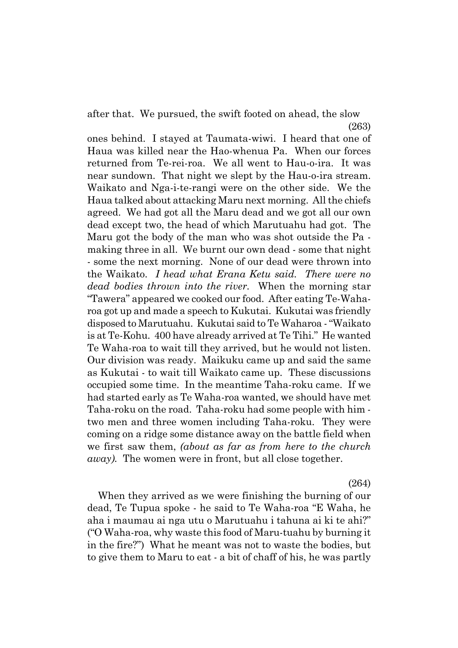after that. We pursued, the swift footed on ahead, the slow (263)

ones behind. I stayed at Taumata-wiwi. I heard that one of Haua was killed near the Hao-whenua Pa. When our forces returned from Te-rei-roa. We all went to Hau-o-ira. It was near sundown. That night we slept by the Hau-o-ira stream. Waikato and Nga-i-te-rangi were on the other side. We the Haua talked about attacking Maru next morning. All the chiefs agreed. We had got all the Maru dead and we got all our own dead except two, the head of which Marutuahu had got. The Maru got the body of the man who was shot outside the Pa making three in all. We burnt our own dead - some that night - some the next morning. None of our dead were thrown into the Waikato. *I head what Erana Ketu said. There were no dead bodies thrown into the river.* When the morning star ìTaweraî appeared we cooked our food. After eating Te-Waharoa got up and made a speech to Kukutai. Kukutai was friendly disposed to Marutuahu. Kukutai said to Te Waharoa - "Waikato is at Te-Kohu. 400 have already arrived at Te Tihi." He wanted Te Waha-roa to wait till they arrived, but he would not listen. Our division was ready. Maikuku came up and said the same as Kukutai - to wait till Waikato came up. These discussions occupied some time. In the meantime Taha-roku came. If we had started early as Te Waha-roa wanted, we should have met Taha-roku on the road. Taha-roku had some people with him two men and three women including Taha-roku. They were coming on a ridge some distance away on the battle field when we first saw them, *(about as far as from here to the church away).* The women were in front, but all close together.

(264)

When they arrived as we were finishing the burning of our dead, Te Tupua spoke - he said to Te Waha-roa "E Waha, he aha i maumau ai nga utu o Marutuahu i tahuna ai ki te ahi?"  $"O$  Waha-roa, why waste this food of Maru-tuahu by burning it in the fire?") What he meant was not to waste the bodies, but to give them to Maru to eat - a bit of chaff of his, he was partly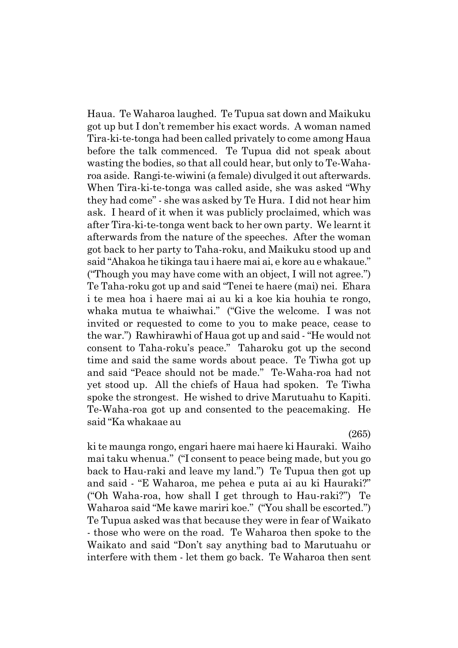Haua. Te Waharoa laughed. Te Tupua sat down and Maikuku got up but I donít remember his exact words. A woman named Tira-ki-te-tonga had been called privately to come among Haua before the talk commenced. Te Tupua did not speak about wasting the bodies, so that all could hear, but only to Te-Waharoa aside. Rangi-te-wiwini (a female) divulged it out afterwards. When Tira-ki-te-tonga was called aside, she was asked "Why" they had comeî - she was asked by Te Hura. I did not hear him ask. I heard of it when it was publicly proclaimed, which was after Tira-ki-te-tonga went back to her own party. We learnt it afterwards from the nature of the speeches. After the woman got back to her party to Taha-roku, and Maikuku stood up and said "Ahakoa he tikinga tau i haere mai ai, e kore au e whakaue." ("Though you may have come with an object, I will not agree.") Te Taha-roku got up and said "Tenei te haere (mai) nei. Ehara i te mea hoa i haere mai ai au ki a koe kia houhia te rongo, whaka mutua te whaiwhai." ("Give the welcome. I was not invited or requested to come to you to make peace, cease to the war.") Rawhirawhi of Haua got up and said - "He would not consent to Taha-roku's peace." Taharoku got up the second time and said the same words about peace. Te Tiwha got up and said "Peace should not be made." Te-Waha-roa had not yet stood up. All the chiefs of Haua had spoken. Te Tiwha spoke the strongest. He wished to drive Marutuahu to Kapiti. Te-Waha-roa got up and consented to the peacemaking. He said "Ka whakaae au

(265)

ki te maunga rongo, engari haere mai haere ki Hauraki. Waiho mai taku whenua." ("I consent to peace being made, but you go back to Hau-raki and leave my land." Te Tupua then got up and said - "E Waharoa, me pehea e puta ai au ki Hauraki?" ("Oh Waha-roa, how shall I get through to Hau-raki?") Te Waharoa said "Me kawe mariri koe." ("You shall be escorted.") Te Tupua asked was that because they were in fear of Waikato - those who were on the road. Te Waharoa then spoke to the Waikato and said "Don't say anything bad to Marutuahu or interfere with them - let them go back. Te Waharoa then sent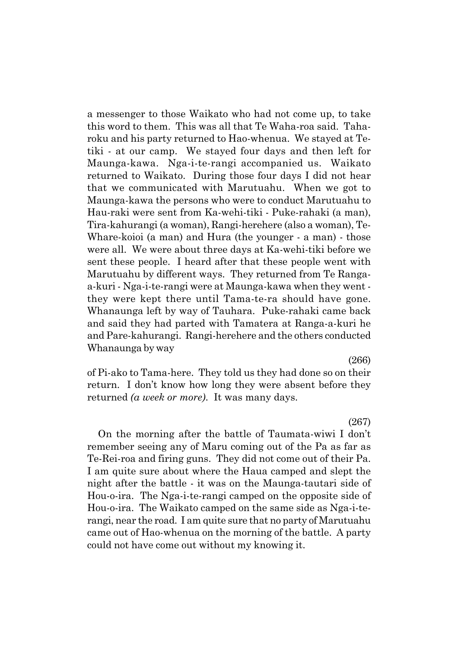a messenger to those Waikato who had not come up, to take this word to them. This was all that Te Waha-roa said. Taharoku and his party returned to Hao-whenua. We stayed at Tetiki - at our camp. We stayed four days and then left for Maunga-kawa. Nga-i-te-rangi accompanied us. Waikato returned to Waikato. During those four days I did not hear that we communicated with Marutuahu. When we got to Maunga-kawa the persons who were to conduct Marutuahu to Hau-raki were sent from Ka-wehi-tiki - Puke-rahaki (a man), Tira-kahurangi (a woman), Rangi-herehere (also a woman), Te-Whare-koioi (a man) and Hura (the younger - a man) - those were all. We were about three days at Ka-wehi-tiki before we sent these people. I heard after that these people went with Marutuahu by different ways. They returned from Te Rangaa-kuri - Nga-i-te-rangi were at Maunga-kawa when they went they were kept there until Tama-te-ra should have gone. Whanaunga left by way of Tauhara. Puke-rahaki came back and said they had parted with Tamatera at Ranga-a-kuri he and Pare-kahurangi. Rangi-herehere and the others conducted Whanaunga by way

(266)

of Pi-ako to Tama-here. They told us they had done so on their return. I don't know how long they were absent before they returned *(a week or more)*. It was many days.

(267)

On the morning after the battle of Taumata-wiwi I donít remember seeing any of Maru coming out of the Pa as far as Te-Rei-roa and firing guns. They did not come out of their Pa. I am quite sure about where the Haua camped and slept the night after the battle - it was on the Maunga-tautari side of Hou-o-ira. The Nga-i-te-rangi camped on the opposite side of Hou-o-ira. The Waikato camped on the same side as Nga-i-terangi, near the road. I am quite sure that no party of Marutuahu came out of Hao-whenua on the morning of the battle. A party could not have come out without my knowing it.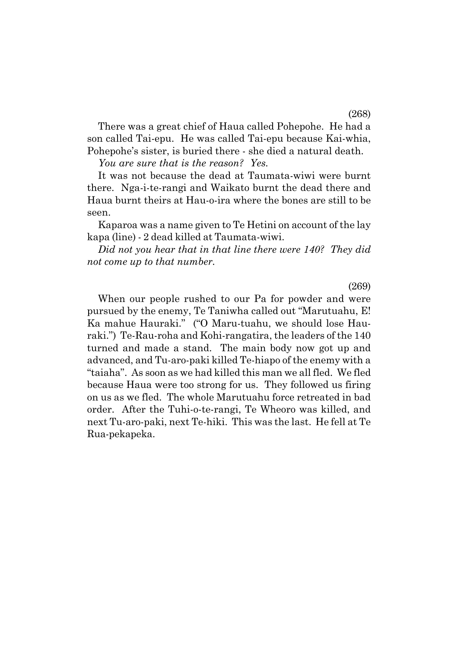There was a great chief of Haua called Pohepohe. He had a son called Tai-epu. He was called Tai-epu because Kai-whia, Pohepohe's sister, is buried there - she died a natural death.

*You are sure that is the reason? Yes.*

It was not because the dead at Taumata-wiwi were burnt there. Nga-i-te-rangi and Waikato burnt the dead there and Haua burnt theirs at Hau-o-ira where the bones are still to be seen.

Kaparoa was a name given to Te Hetini on account of the lay kapa (line) - 2 dead killed at Taumata-wiwi.

*Did not you hear that in that line there were 140? They did not come up to that number.*

When our people rushed to our Pa for powder and were pursued by the enemy, Te Taniwha called out "Marutuahu, E! Ka mahue Hauraki." ("O Maru-tuahu, we should lose Hauraki.") Te-Rau-roha and Kohi-rangatira, the leaders of the 140 turned and made a stand. The main body now got up and advanced, and Tu-aro-paki killed Te-hiapo of the enemy with a "taiaha". As soon as we had killed this man we all fled. We fled because Haua were too strong for us. They followed us firing on us as we fled. The whole Marutuahu force retreated in bad order. After the Tuhi-o-te-rangi, Te Wheoro was killed, and next Tu-aro-paki, next Te-hiki. This was the last. He fell at Te Rua-pekapeka.

(269)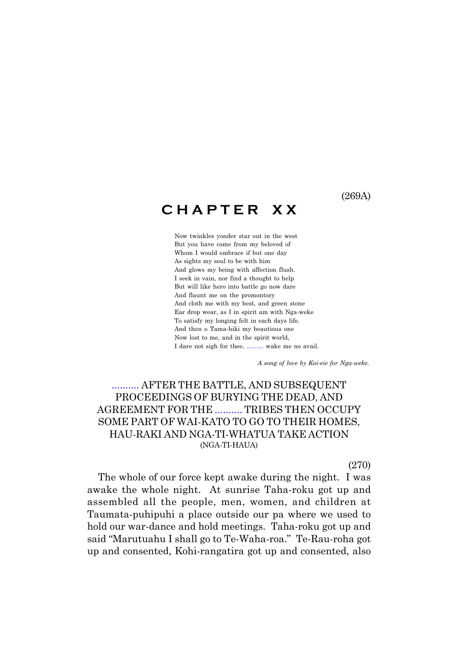(269A)

# **C H A P T E R X X**

Now twinkles yonder star out in the west But you have come from my beloved of Whom I would embrace if but one day As sights my soul to be with him And glows my being with affection flush. I seek in vain, nor find a thought to help But will like hero into battle go now dare And flaunt me on the promontory And cloth me with my best, and green stone Ear drop wear, as I in spirit am with Nga-weke To satisfy my longing felt in each days life. And then o Tama-hiki my beautious one Now lost to me, and in the spirit world, I dare not sigh for thee, .......... wake me no avail.

 *A song of love by Koi-eie for Nga-weke.*

## .......... AFTER THE BATTLE, AND SUBSEQUENT PROCEEDINGS OF BURYING THE DEAD, AND AGREEMENT FOR THE .......... TRIBES THEN OCCUPY SOME PART OF WAI-KATO TO GO TO THEIR HOMES, HAU-RAKI AND NGA-TI-WHATUA TAKE ACTION (NGA-TI-HAUA)

(270)

The whole of our force kept awake during the night. I was awake the whole night. At sunrise Taha-roku got up and assembled all the people, men, women, and children at Taumata-puhipuhi a place outside our pa where we used to hold our war-dance and hold meetings. Taha-roku got up and said "Marutuahu I shall go to Te-Waha-roa." Te-Rau-roha got up and consented, Kohi-rangatira got up and consented, also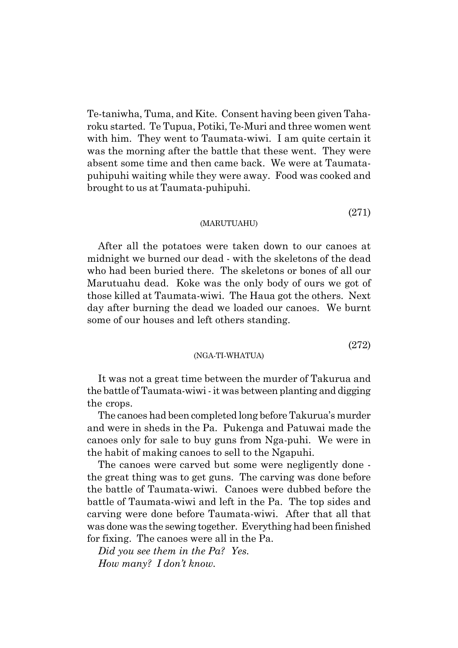Te-taniwha, Tuma, and Kite. Consent having been given Taharoku started. Te Tupua, Potiki, Te-Muri and three women went with him. They went to Taumata-wiwi. I am quite certain it was the morning after the battle that these went. They were absent some time and then came back. We were at Taumatapuhipuhi waiting while they were away. Food was cooked and brought to us at Taumata-puhipuhi.

# (271)

#### (MARUTUAHU)

After all the potatoes were taken down to our canoes at midnight we burned our dead - with the skeletons of the dead who had been buried there. The skeletons or bones of all our Marutuahu dead. Koke was the only body of ours we got of those killed at Taumata-wiwi. The Haua got the others. Next day after burning the dead we loaded our canoes. We burnt some of our houses and left others standing.

(272)

#### (NGA-TI-WHATUA)

It was not a great time between the murder of Takurua and the battle of Taumata-wiwi - it was between planting and digging the crops.

The canoes had been completed long before Takuruaís murder and were in sheds in the Pa. Pukenga and Patuwai made the canoes only for sale to buy guns from Nga-puhi. We were in the habit of making canoes to sell to the Ngapuhi.

The canoes were carved but some were negligently done the great thing was to get guns. The carving was done before the battle of Taumata-wiwi. Canoes were dubbed before the battle of Taumata-wiwi and left in the Pa. The top sides and carving were done before Taumata-wiwi. After that all that was done was the sewing together. Everything had been finished for fixing. The canoes were all in the Pa.

*Did you see them in the Pa? Yes. How many? I donít know.*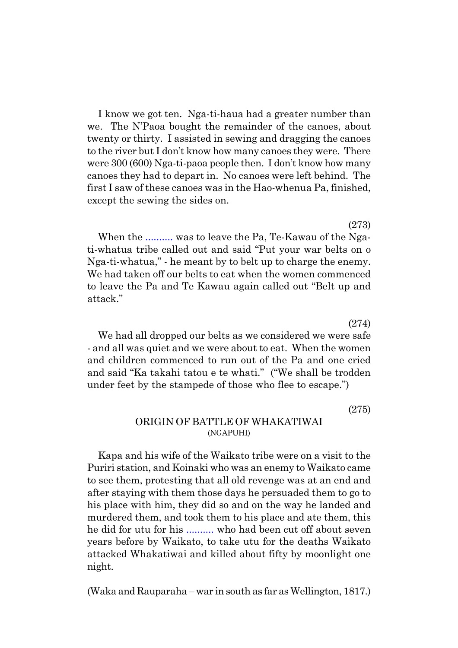I know we got ten. Nga-ti-haua had a greater number than we. The N'Paoa bought the remainder of the canoes, about twenty or thirty. I assisted in sewing and dragging the canoes to the river but I don't know how many canoes they were. There were 300 (600) Nga-ti-paoa people then. I don't know how many canoes they had to depart in. No canoes were left behind. The first I saw of these canoes was in the Hao-whenua Pa, finished, except the sewing the sides on.

(273) When the .......... was to leave the Pa, Te-Kawau of the Ngati-whatua tribe called out and said "Put your war belts on o Nga-ti-whatua," - he meant by to belt up to charge the enemy. We had taken off our belts to eat when the women commenced to leave the Pa and Te Kawau again called out "Belt up and attack."

We had all dropped our belts as we considered we were safe - and all was quiet and we were about to eat. When the women and children commenced to run out of the Pa and one cried and said "Ka takahi tatou e te whati." ("We shall be trodden under feet by the stampede of those who flee to escape."

(275)

(274)

### ORIGIN OF BATTLE OF WHAKATIWAI (NGAPUHI)

Kapa and his wife of the Waikato tribe were on a visit to the Puriri station, and Koinaki who was an enemy to Waikato came to see them, protesting that all old revenge was at an end and after staying with them those days he persuaded them to go to his place with him, they did so and on the way he landed and murdered them, and took them to his place and ate them, this he did for utu for his .......... who had been cut off about seven years before by Waikato, to take utu for the deaths Waikato attacked Whakatiwai and killed about fifty by moonlight one night.

(Waka and Rauparaha – war in south as far as Wellington, 1817.)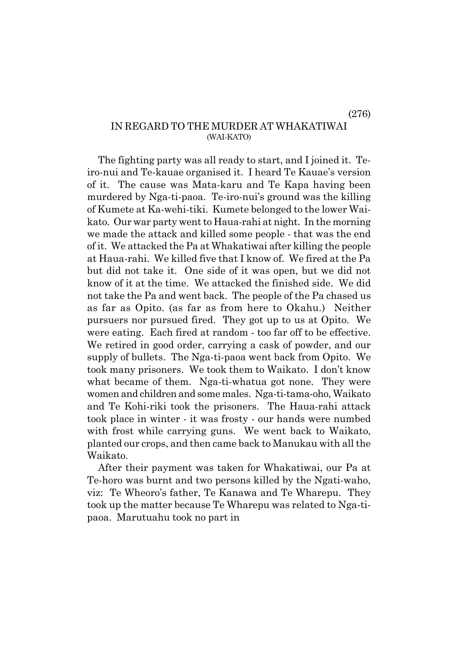(276)

## IN REGARD TO THE MURDER AT WHAKATIWAI (WAI-KATO)

The fighting party was all ready to start, and I joined it. Teiro-nui and Te-kauae organised it. I heard Te Kauaeís version of it. The cause was Mata-karu and Te Kapa having been murdered by Nga-ti-paoa. Te-iro-nui's ground was the killing of Kumete at Ka-wehi-tiki. Kumete belonged to the lower Waikato. Our war party went to Haua-rahi at night. In the morning we made the attack and killed some people - that was the end of it. We attacked the Pa at Whakatiwai after killing the people at Haua-rahi. We killed five that I know of. We fired at the Pa but did not take it. One side of it was open, but we did not know of it at the time. We attacked the finished side. We did not take the Pa and went back. The people of the Pa chased us as far as Opito. (as far as from here to Okahu.) Neither pursuers nor pursued fired. They got up to us at Opito. We were eating. Each fired at random - too far off to be effective. We retired in good order, carrying a cask of powder, and our supply of bullets. The Nga-ti-paoa went back from Opito. We took many prisoners. We took them to Waikato. I don't know what became of them. Nga-ti-whatua got none. They were women and children and some males. Nga-ti-tama-oho, Waikato and Te Kohi-riki took the prisoners. The Haua-rahi attack took place in winter - it was frosty - our hands were numbed with frost while carrying guns. We went back to Waikato, planted our crops, and then came back to Manukau with all the Waikato.

After their payment was taken for Whakatiwai, our Pa at Te-horo was burnt and two persons killed by the Ngati-waho, viz: Te Wheoroís father, Te Kanawa and Te Wharepu. They took up the matter because Te Wharepu was related to Nga-tipaoa. Marutuahu took no part in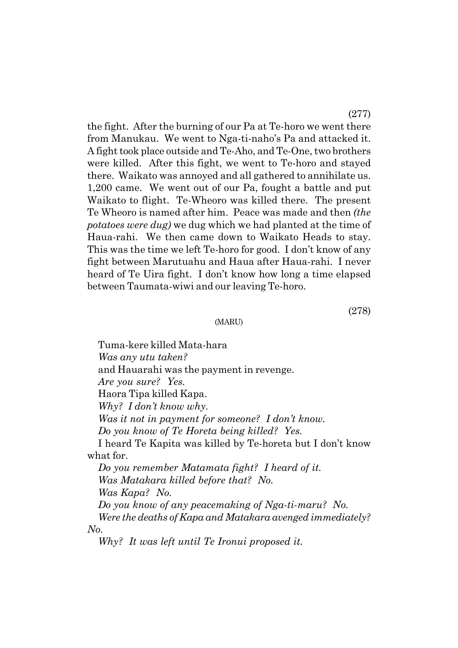the fight. After the burning of our Pa at Te-horo we went there from Manukau. We went to Nga-ti-nahoís Pa and attacked it. A fight took place outside and Te-Aho, and Te-One, two brothers were killed. After this fight, we went to Te-horo and stayed there. Waikato was annoyed and all gathered to annihilate us. 1,200 came. We went out of our Pa, fought a battle and put Waikato to flight. Te-Wheoro was killed there. The present Te Wheoro is named after him. Peace was made and then *(the potatoes were dug)* we dug which we had planted at the time of Haua-rahi. We then came down to Waikato Heads to stay. This was the time we left Te-horo for good. I don't know of any fight between Marutuahu and Haua after Haua-rahi. I never heard of Te Uira fight. I don't know how long a time elapsed between Taumata-wiwi and our leaving Te-horo.

(MARU)

Tuma-kere killed Mata-hara *Was any utu taken?* and Hauarahi was the payment in revenge. *Are you sure? Yes.* Haora Tipa killed Kapa. *Why? I donít know why. Was it not in payment for someone? I donít know. Do you know of Te Horeta being killed? Yes.* I heard Te Kapita was killed by Te-horeta but I donít know what for. *Do you remember Matamata fight? I heard of it. Was Matakara killed before that? No. Was Kapa? No.*

*Do you know of any peacemaking of Nga-ti-maru? No. Were the deaths of Kapa and Matakara avenged immediately? No.*

*Why? It was left until Te Ironui proposed it.*

(277)

(278)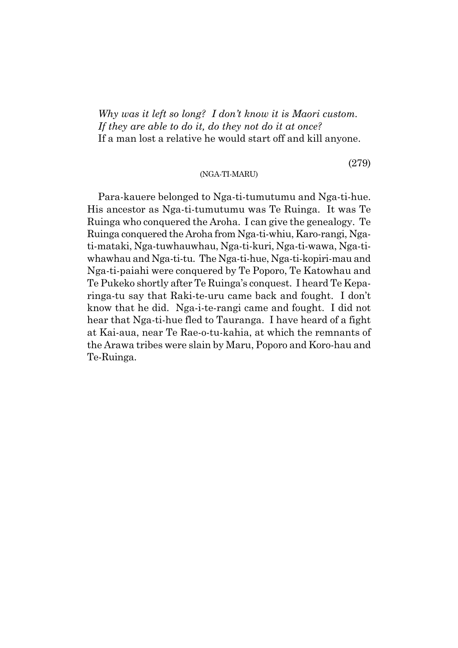*Why was it left so long? I donít know it is Maori custom. If they are able to do it, do they not do it at once?* If a man lost a relative he would start off and kill anyone.

#### (NGA-TI-MARU)

Para-kauere belonged to Nga-ti-tumutumu and Nga-ti-hue. His ancestor as Nga-ti-tumutumu was Te Ruinga. It was Te Ruinga who conquered the Aroha. I can give the genealogy. Te Ruinga conquered the Aroha from Nga-ti-whiu, Karo-rangi, Ngati-mataki, Nga-tuwhauwhau, Nga-ti-kuri, Nga-ti-wawa, Nga-tiwhawhau and Nga-ti-tu. The Nga-ti-hue, Nga-ti-kopiri-mau and Nga-ti-paiahi were conquered by Te Poporo, Te Katowhau and Te Pukeko shortly after Te Ruingaís conquest. I heard Te Keparinga-tu say that Raki-te-uru came back and fought. I don't know that he did. Nga-i-te-rangi came and fought. I did not hear that Nga-ti-hue fled to Tauranga. I have heard of a fight at Kai-aua, near Te Rae-o-tu-kahia, at which the remnants of the Arawa tribes were slain by Maru, Poporo and Koro-hau and Te-Ruinga.

(279)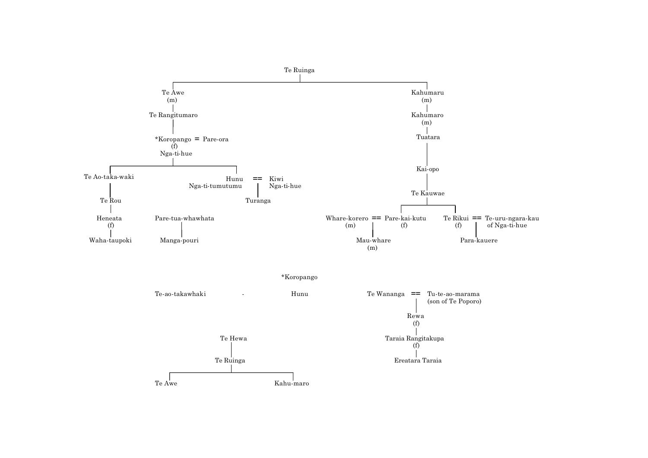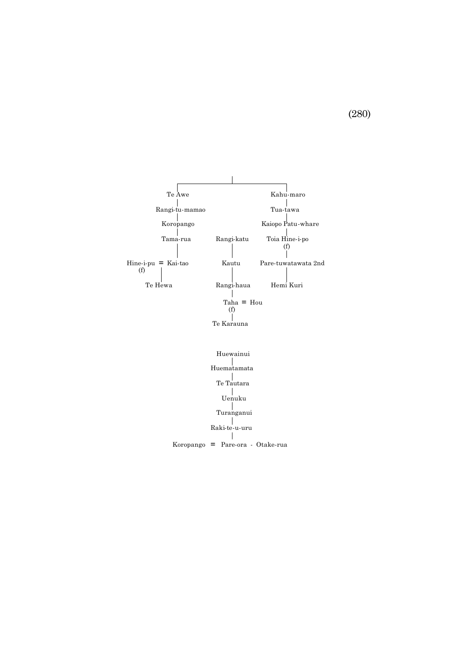

(280)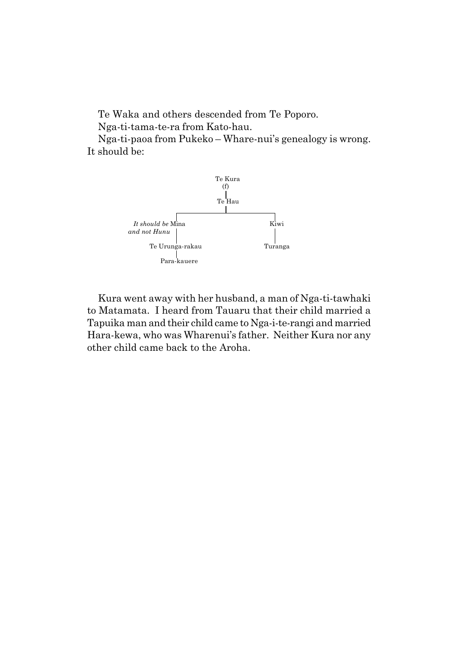Te Waka and others descended from Te Poporo.

Nga-ti-tama-te-ra from Kato-hau.

Nga-ti-paoa from Pukeko – Whare-nui's genealogy is wrong. It should be:



Kura went away with her husband, a man of Nga-ti-tawhaki to Matamata. I heard from Tauaru that their child married a Tapuika man and their child came to Nga-i-te-rangi and married Hara-kewa, who was Wharenui's father. Neither Kura nor any other child came back to the Aroha.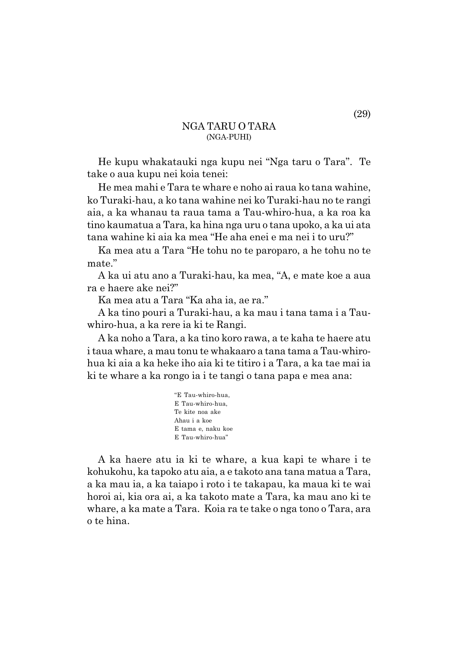### NGA TARU O TARA (NGA-PUHI)

He kupu whakatauki nga kupu nei "Nga taru o Tara". Te take o aua kupu nei koia tenei:

He mea mahi e Tara te whare e noho ai raua ko tana wahine, ko Turaki-hau, a ko tana wahine nei ko Turaki-hau no te rangi aia, a ka whanau ta raua tama a Tau-whiro-hua, a ka roa ka tino kaumatua a Tara, ka hina nga uru o tana upoko, a ka ui ata tana wahine ki aia ka mea "He aha enei e ma nei i to uru?"

Ka mea atu a Tara "He tohu no te paroparo, a he tohu no te mate."

A ka ui atu ano a Turaki-hau, ka mea, "A, e mate koe a aua ra e haere ake nei?"

Ka mea atu a Tara "Ka aha ia, ae ra."

A ka tino pouri a Turaki-hau, a ka mau i tana tama i a Tauwhiro-hua, a ka rere ia ki te Rangi.

A ka noho a Tara, a ka tino koro rawa, a te kaha te haere atu i taua whare, a mau tonu te whakaaro a tana tama a Tau-whirohua ki aia a ka heke iho aia ki te titiro i a Tara, a ka tae mai ia ki te whare a ka rongo ia i te tangi o tana papa e mea ana:

> "E Tau-whiro-hua, E Tau-whiro-hua, Te kite noa ake Ahau i a koe E tama e, naku koe E Tau-whiro-hua"

A ka haere atu ia ki te whare, a kua kapi te whare i te kohukohu, ka tapoko atu aia, a e takoto ana tana matua a Tara, a ka mau ia, a ka taiapo i roto i te takapau, ka maua ki te wai horoi ai, kia ora ai, a ka takoto mate a Tara, ka mau ano ki te whare, a ka mate a Tara. Koia ra te take o nga tono o Tara, ara o te hina.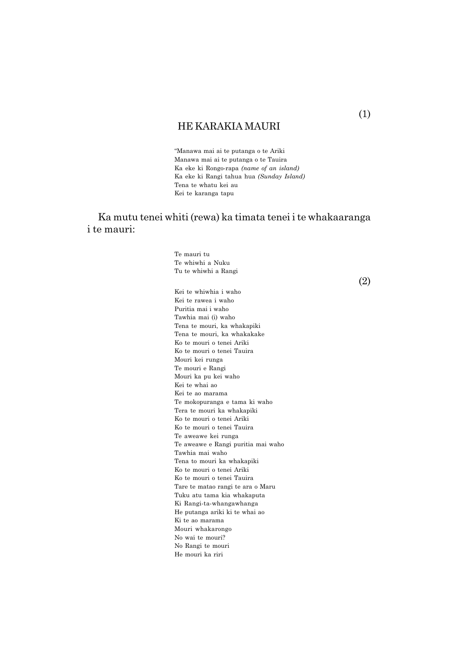## HE KARAKIA MAURI

ìManawa mai ai te putanga o te Ariki Manawa mai ai te putanga o te Tauira Ka eke ki Rongo-rapa *(name of an island)* Ka eke ki Rangi tahua hua *(Sunday Island)* Tena te whatu kei au Kei te karanga tapu

Ka mutu tenei whiti (rewa) ka timata tenei i te whakaaranga i te mauri:

> Te mauri tu Te whiwhi a Nuku Tu te whiwhi a Rangi Kei te whiwhia i waho Kei te rawea i waho Puritia mai i waho Tawhia mai (i) waho Tena te mouri, ka whakapiki Tena te mouri, ka whakakake Ko te mouri o tenei Ariki Ko te mouri o tenei Tauira Mouri kei runga Te mouri e Rangi Mouri ka pu kei waho Kei te whai ao Kei te ao marama Te mokopuranga e tama ki waho Tera te mouri ka whakapiki Ko te mouri o tenei Ariki Ko te mouri o tenei Tauira Te aweawe kei runga Te aweawe e Rangi puritia mai waho Tawhia mai waho Tena to mouri ka whakapiki Ko te mouri o tenei Ariki

Ko te mouri o tenei Tauira Tare te matao rangi te ara o Maru Tuku atu tama kia whakaputa Ki Rangi-ta-whangawhanga He putanga ariki ki te whai ao Ki te ao marama Mouri whakarongo

No wai te mouri? No Rangi te mouri He mouri ka riri

(2)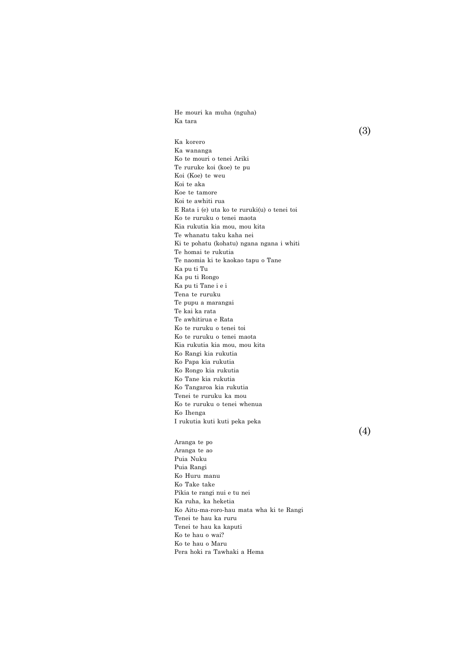He mouri ka muha (nguha) Ka tara

(3)

Ka korero Ka wananga Ko te mouri o tenei Ariki Te ruruke koi (koe) te pu Koi (Koe) te weu Koi te aka Koe te tamore Koi te awhiti rua E Rata i (e) uta ko te ruruki(u) o tenei toi Ko te ruruku o tenei maota Kia rukutia kia mou, mou kita Te whanatu taku kaha nei Ki te pohatu (kohatu) ngana ngana i whiti Te homai te rukutia Te naomia ki te kaokao tapu o Tane Ka pu ti Tu Ka pu ti Rongo Ka pu ti Tane i e i Tena te ruruku Te pupu a marangai Te kai ka rata Te awhitirua e Rata Ko te ruruku o tenei toi Ko te ruruku o tenei maota Kia rukutia kia mou, mou kita Ko Rangi kia rukutia Ko Papa kia rukutia Ko Rongo kia rukutia Ko Tane kia rukutia Ko Tangaroa kia rukutia Tenei te ruruku ka mou Ko te ruruku o tenei whenua Ko Ihenga I rukutia kuti kuti peka peka

(4)

Aranga te po Aranga te ao Puia Nuku Puia Rangi Ko Huru manu Ko Take take Pikia te rangi nui e tu nei Ka ruha, ka heketia Ko Aitu-ma-roro-hau mata wha ki te Rangi Tenei te hau ka ruru Tenei te hau ka kaputi Ko te hau o wai? Ko te hau o Maru Pera hoki ra Tawhaki a Hema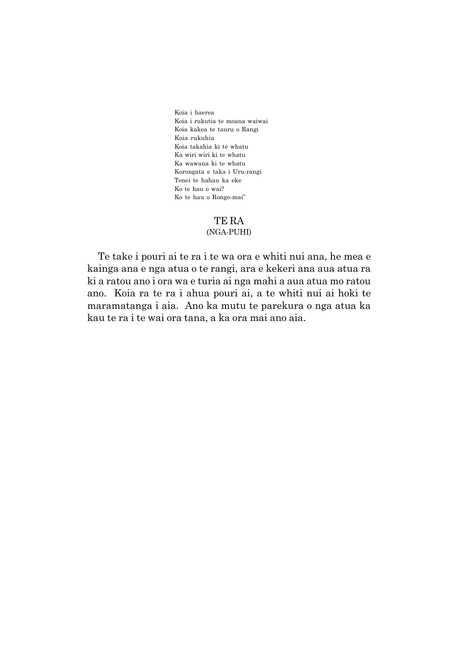Koia i haerea Koia i rukutia te moana waiwai Koia kakea te tauru o Rangi Koia rukuhia Koia takahia ki te whatu Ka wiri wiri ki te whatu Ka wawana ki te whatu Korongata e taka i Uru-rangi Tenei te hahau ka eke Ko te hau o wai? Ko te hau o Rongo-maiî

#### TE RA

#### (NGA-PUHI)

Te take i pouri ai te ra i te wa ora e whiti nui ana, he mea e kainga ana e nga atua o te rangi, ara e kekeri ana aua atua ra ki a ratou ano i ora wa e turia ai nga mahi a aua atua mo ratou ano. Koia ra te ra i ahua pouri ai, a te whiti nui ai hoki te maramatanga i aia. Ano ka mutu te parekura o nga atua ka kau te ra i te wai ora tana, a ka ora mai ano aia.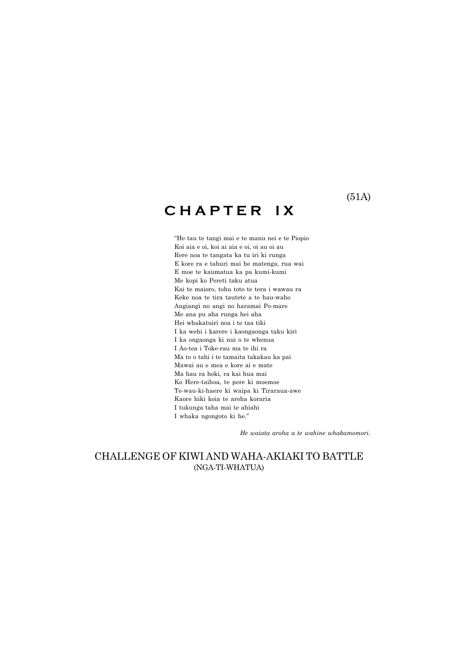# **C H A P T E R I X**

ìHe tau te tangi mai e te manu nei e te Piopio Koi aia e oi, koi ai aia e oi, oi au oi au Rere noa te tangata ka tu iri ki runga E kore ra e tahuri mai he matenga, rua wai E moe te kaumatua ka pa kumi-kumi Me kopi ko Pereti taku atua Kai te maioro, tohu toto te tera i wawau ra Keke noa te tira tautete a te hau-waho Angiangi no angi no haramai Po-mare Me ana pu aha runga hei aha Hei whakatuiri noa i te taa tiki I ka wehi i karere i kaongaonga taku kiri I ka ongaonga ki nui o te whenua I Ao-tea i Toke-rau ma te ihi ra Ma to o tahi i te tamaita takakau ka pai Mawai au e mea e kore ai e mate Ma hau ra hoki, ra kai hua mai Ko Here-taihoa, te pere ki moemoe Te-wau-ki-haere ki waipa ki Tiraraua-awe Kaore hiki koia te aroha koraria I tukunga taha mai te ahiahi I whaka ngongoto ki he."

*He waiata aroha a te wahine whakamomori.*

### CHALLENGE OF KIWI AND WAHA-AKIAKI TO BATTLE (NGA-TI-WHATUA)

(51A)